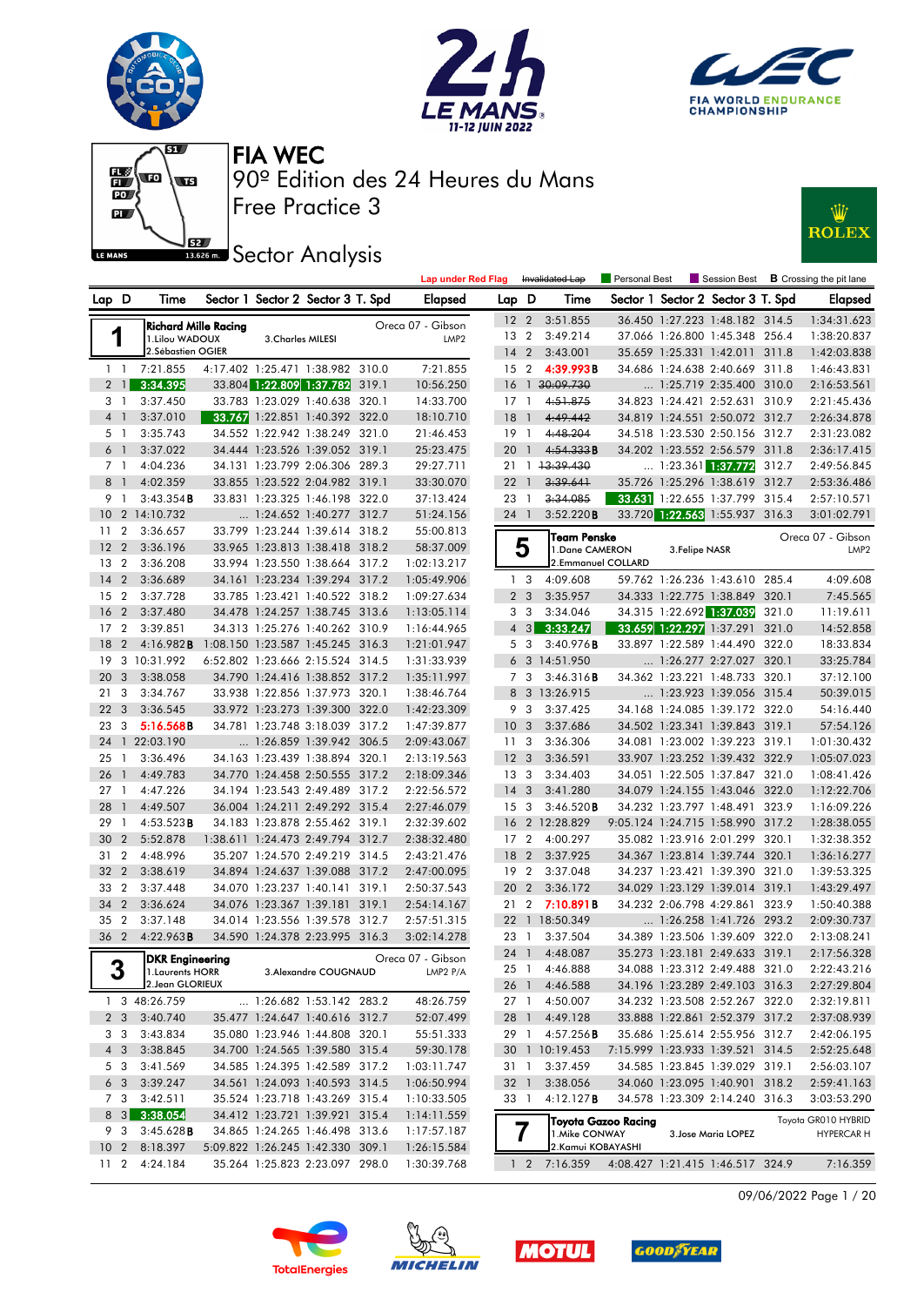











| Sector 1 Sector 2 Sector 3 T. Spd<br>Sector 1 Sector 2 Sector 3 T. Spd<br>Lap D<br>Time<br><b>Elapsed</b><br>Lap D<br>Time<br><b>Elapsed</b><br>3:51.855<br>36.450 1:27.223 1:48.182 314.5<br>1:34:31.623<br>12 <sub>2</sub><br><b>Richard Mille Racing</b><br>Oreca 07 - Gibson<br>1<br>13 2<br>3:49.214<br>1:38:20.837<br>37.066 1:26.800 1:45.348 256.4<br>1.Lilou WADOUX<br>3. Charles MILESI<br>LMP <sub>2</sub><br>2.Sébastien OGIER<br>142<br>3:43.001<br>35.659 1:25.331 1:42.011 311.8<br>1:42:03.838<br>4:17.402 1:25.471 1:38.982 310.0<br>7:21.855<br>7:21.855<br>15 <sub>2</sub><br>4:39.993B<br>34.686 1:24.638 2:40.669 311.8<br>1:46:43.831<br>$1\quad$<br>3:34.395<br>33.804 1:22.809 1:37.782 319.1<br>1 30:09.730<br>$2 \mid$<br>10:56.250<br>16<br>1:25.719 2:35.400 310.0<br>2:16:53.561<br>33.783 1:23.029 1:40.638 320.1<br>4:51.875<br>3 1<br>3:37.450<br>14:33.700<br>$17-1$<br>34.823 1:24.421 2:52.631 310.9<br>2:21:45.436<br>33.767 1:22.851 1:40.392 322.0<br>4:49.442<br>3:37.010<br>18:10.710<br>18<br>34.819 1:24.551 2:50.072 312.7<br>2:26:34.878<br>4 1<br>$\mathbf{1}$<br>34.552 1:22.942 1:38.249 321.0<br>4:48.204<br>3:35.743<br>21:46.453<br>$19-1$<br>34.518 1:23.530 2:50.156 312.7<br>2:31:23.082<br>5 1<br>34.444 1:23.526 1:39.052 319.1<br>6 <sup>1</sup><br>3:37.022<br>25:23.475<br>4:54.333B<br>34.202 1:23.552 2:56.579 311.8<br>20<br>2:36:17.415<br>$\overline{1}$<br>13:39.430<br>7 1<br>4:04.236<br>34.131 1:23.799 2:06.306 289.3<br>29:27.711<br>$\dots$ 1:23.361 1:37.772<br>312.7<br>2:49:56.845<br>21<br>$\overline{1}$<br>33.855 1:23.522 2:04.982 319.1<br>3:39.641<br>35.726 1:25.296 1:38.619 312.7<br>8<br>4:02.359<br>33:30.070<br>22<br>$\overline{1}$<br>2:53:36.486<br>$\overline{1}$<br>3:34.085<br>9 1<br>3:43.354B<br>33.831 1:23.325 1:46.198 322.0<br>37:13.424<br>23<br>33.631 1:22.655 1:37.799 315.4<br>$\mathbf{1}$<br>2:57:10.571<br>3:52.220B<br>33.720 1:22.563 1:55.937 316.3<br>10 2 14:10.732<br>$\ldots$ 1:24.652 1:40.277 312.7<br>24 1<br>3:01:02.791<br>51:24.156<br>$\overline{2}$<br>3:36.657<br>33.799 1:23.244 1:39.614 318.2<br>55:00.813<br>11<br><b>Team Penske</b><br>Oreca 07 - Gibson<br>5<br>12 <sub>2</sub><br>3:36.196<br>33.965 1:23.813 1:38.418 318.2<br>58:37.009<br>1.Dane CAMERON<br>3. Felipe NASR<br>LMP <sub>2</sub><br>2.Emmanuel COLLARD<br>13 2<br>3:36.208<br>33.994 1:23.550 1:38.664 317.2<br>1:02:13.217<br>$\overline{2}$<br>4:09.608<br>59.762 1:26.236 1:43.610 285.4<br>4:09.608<br>14<br>3:36.689<br>34.161 1:23.234 1:39.294 317.2<br>1:05:49.906<br>1 <sup>3</sup><br>$\overline{2}$<br>2 <sub>3</sub><br>3:35.957<br>34.333 1:22.775 1:38.849 320.1<br>7:45.565<br>15<br>3:37.728<br>33.785 1:23.421 1:40.522 318.2<br>1:09:27.634<br>34.315 1:22.692 1:37.039<br>16<br>$\overline{2}$<br>3:37.480<br>34.478 1:24.257 1:38.745 313.6<br>3 3<br>3:34.046<br>321.0<br>11:19.611<br>1:13:05.114<br>$4 \quad 3$<br>3:33.247<br>17 <sub>2</sub><br>3:39.851<br>34.313 1:25.276 1:40.262 310.9<br>33.659 1:22.297 1:37.291 321.0<br>14:52.858<br>1:16:44.965<br>18<br>$\overline{2}$<br>4:16.982B<br>1:08.150 1:23.587 1:45.245 316.3<br>5 3<br>3:40.976B<br>33.897 1:22.589 1:44.490 322.0<br>18:33.834<br>1:21:01.947<br>3 10:31.992<br>19<br>6:52.802 1:23.666 2:15.524 314.5<br>1:31:33.939<br>6 3 14:51.950<br>1:26.277 2:27.027 320.1<br>33:25.784<br>3:46.316B<br>37:12.100<br>20<br>$\overline{\mathbf{3}}$<br>3:38.058<br>34.790 1:24.416 1:38.852 317.2<br>1:35:11.997<br>7 <sub>3</sub><br>34.362 1:23.221 1:48.733 320.1<br>50:39.015<br>3<br>3:34.767<br>33.938 1:22.856 1:37.973 320.1<br>1:38:46.764<br>8 3 13:26.915<br>1:23.923 1:39.056 315.4<br>21<br>22 <sub>3</sub><br>33.972 1:23.273 1:39.300 322.0<br>34.168 1:24.085 1:39.172 322.0<br>3:36.545<br>1:42:23.309<br>9<br>-3<br>3:37.425<br>54:16.440<br>34.781 1:23.748 3:18.039 317.2<br>10 <sup>°</sup><br>34.502 1:23.341 1:39.843 319.1<br>57:54.126<br>23<br>3<br>5:16.568B<br>1:47:39.877<br>$\mathbf{3}$<br>3:37.686<br>$\ldots$ 1:26.859 1:39.942 306.5<br>3:36.306<br>34.081 1:23.002 1:39.223 319.1<br>1 22:03.190<br>2:09:43.067<br>11 <sub>3</sub><br>1:01:30.432<br>24<br>34.163 1:23.439 1:38.894 320.1<br>12 <sup>3</sup><br>33.907 1:23.252 1:39.432 322.9<br>25<br>3:36.496<br>2:13:19.563<br>3:36.591<br>1:05:07.023<br>$\overline{1}$<br>3:34.403<br>34.051 1:22.505 1:37.847 321.0<br>26<br>$\overline{1}$<br>4:49.783<br>34.770 1:24.458 2:50.555 317.2<br>2:18:09.346<br>13 <sub>3</sub><br>1:08:41.426<br>4:47.226<br>34.194 1:23.543 2:49.489 317.2<br>34.079 1:24.155 1:43.046 322.0<br>1:12:22.706<br>2:22:56.572<br>14<br>3<br>3:41.280<br>27<br>$\overline{1}$<br>4:49.507<br>3:46.520B<br>34.232 1:23.797 1:48.491 323.9<br>1:16:09.226<br>28<br>36.004 1:24.211 2:49.292 315.4<br>2:27:46.079<br>15 <sup>3</sup><br>$\overline{1}$<br>16 2 12:28.829<br>9:05.124 1:24.715 1:58.990 317.2<br>29<br>4:53.523B<br>34.183 1:23.878 2:55.462 319.1<br>2:32:39.602<br>1:28:38.055<br>$\overline{1}$<br>30<br>$\overline{2}$<br>5:52.878<br>1:38.611 1:24.473 2:49.794 312.7<br>2:38:32.480<br>17 <sub>2</sub><br>4:00.297<br>35.082 1:23.916 2:01.299 320.1<br>1:32:38.352<br>31 2<br>35.207 1:24.570 2:49.219 314.5<br>34.367 1:23.814 1:39.744 320.1<br>4:48.996<br>2:43:21.476<br>18<br>$\overline{2}$<br>3:37.925<br>1:36:16.277<br>34.894 1:24.637 1:39.088 317.2<br>32 2<br>3:38.619<br>2:47:00.095<br>19 <sup>2</sup><br>3:37.048<br>34.237 1:23.421 1:39.390 321.0<br>1:39:53.325<br>33 2<br>20 2<br>3:37.448<br>34.070 1:23.237 1:40.141 319.1<br>2:50:37.543<br>3:36.172<br>34.029 1:23.129 1:39.014 319.1<br>1:43:29.497<br>34 2<br>34.232 2:06.798 4:29.861 323.9<br>3:36.624<br>34.076 1:23.367 1:39.181 319.1<br>2:54:14.167<br>21<br>$\overline{2}$<br>7:10.891B<br>1:50:40.388<br>35 2<br>3:37.148<br>34.014 1:23.556 1:39.578 312.7<br>2:57:51.315<br>22<br>1 18:50.349<br>1:26.258 1:41.726 293.2<br>2:09:30.737<br>36 2<br>34.590 1:24.378 2:23.995 316.3<br>4:22.963B<br>3:02:14.278<br>23 1<br>3:37.504<br>34.389 1:23.506 1:39.609 322.0<br>2:13:08.241<br>24 1 4:48.087<br>35.273 1:23.181 2:49.633 319.1<br>2:17:56.328<br>Oreca 07 - Gibson<br><b>DKR Engineering</b><br>◠<br>34.088 1:23.312 2:49.488 321.0<br>25 1 4:46.888<br>2:22:43.216<br>3. Alexandre COUGNAUD<br> 1.Laurents HORR<br>LMP2 P/A<br>J<br>2. Jean GLORIEUX<br>26 1 4:46.588<br>34.196 1:23.289 2:49.103 316.3<br>2:27:29.804<br>1 3 48:26.759<br>1:26.682 1:53.142 283.2<br>48:26.759<br>27 1 4:50.007<br>34.232 1:23.508 2:52.267 322.0<br>2:32:19.811<br>2 3 3:40.740<br>35.477 1:24.647 1:40.616 312.7<br>52:07.499<br>28 1 4:49.128<br>33.888 1:22.861 2:52.379 317.2<br>2:37:08.939<br>3 3<br>3:43.834<br>35.080 1:23.946 1:44.808 320.1<br>55:51.333<br>29 1 4:57.256 <b>B</b><br>35.686 1:25.614 2:55.956 312.7<br>2:42:06.195<br>34.700 1:24.565 1:39.580 315.4<br>4 3<br>3:38.845<br>59:30.178<br>30 1 10:19.453<br>7:15.999 1:23.933 1:39.521 314.5<br>2:52:25.648<br>5 3<br>3:41.569<br>34.585 1:24.395 1:42.589 317.2<br>1:03:11.747<br>3:37.459<br>34.585 1:23.845 1:39.029 319.1<br>2:56:03.107<br>31 1<br>6 3<br>3:39.247<br>34.561 1:24.093 1:40.593 314.5<br>3:38.056<br>34.060 1:23.095 1:40.901 318.2<br>1:06:50.994<br>32 1<br>2:59:41.163<br>7 3<br>3:42.511<br>35.524 1:23.718 1:43.269 315.4<br>4:12.127B<br>34.578 1:23.309 2:14.240 316.3<br>1:10:33.505<br>33 1<br>3:03:53.290<br>3:38.054<br>8 3<br>34.412 1:23.721 1:39.921 315.4<br>1:14:11.559<br>Toyota GR010 HYBRID<br> Toyota Gazoo Racing<br>9 3<br>3:45.628B<br>34.865 1:24.265 1:46.498 313.6<br>1:17:57.187<br>1. Mike CONWAY<br>3. Jose Maria LOPEZ<br><b>HYPERCAR H</b><br>5:09.822 1:26.245 1:42.330 309.1<br>2. Kamui KOBAYASHI<br>10 2 8:18.397<br>1:26:15.584<br>11 2 4:24.184<br>35.264 1:25.823 2:23.097 298.0<br>1:30:39.768<br>4:08.427 1:21.415 1:46.517 324.9<br>7:16.359<br>$1 \quad 2 \quad 7:16.359$ |  |  |  | <b>Lap under Red Flag</b> |  | Invalidated Lap | Personal Best |  | Session Best <b>B</b> Crossing the pit lane |
|-----------------------------------------------------------------------------------------------------------------------------------------------------------------------------------------------------------------------------------------------------------------------------------------------------------------------------------------------------------------------------------------------------------------------------------------------------------------------------------------------------------------------------------------------------------------------------------------------------------------------------------------------------------------------------------------------------------------------------------------------------------------------------------------------------------------------------------------------------------------------------------------------------------------------------------------------------------------------------------------------------------------------------------------------------------------------------------------------------------------------------------------------------------------------------------------------------------------------------------------------------------------------------------------------------------------------------------------------------------------------------------------------------------------------------------------------------------------------------------------------------------------------------------------------------------------------------------------------------------------------------------------------------------------------------------------------------------------------------------------------------------------------------------------------------------------------------------------------------------------------------------------------------------------------------------------------------------------------------------------------------------------------------------------------------------------------------------------------------------------------------------------------------------------------------------------------------------------------------------------------------------------------------------------------------------------------------------------------------------------------------------------------------------------------------------------------------------------------------------------------------------------------------------------------------------------------------------------------------------------------------------------------------------------------------------------------------------------------------------------------------------------------------------------------------------------------------------------------------------------------------------------------------------------------------------------------------------------------------------------------------------------------------------------------------------------------------------------------------------------------------------------------------------------------------------------------------------------------------------------------------------------------------------------------------------------------------------------------------------------------------------------------------------------------------------------------------------------------------------------------------------------------------------------------------------------------------------------------------------------------------------------------------------------------------------------------------------------------------------------------------------------------------------------------------------------------------------------------------------------------------------------------------------------------------------------------------------------------------------------------------------------------------------------------------------------------------------------------------------------------------------------------------------------------------------------------------------------------------------------------------------------------------------------------------------------------------------------------------------------------------------------------------------------------------------------------------------------------------------------------------------------------------------------------------------------------------------------------------------------------------------------------------------------------------------------------------------------------------------------------------------------------------------------------------------------------------------------------------------------------------------------------------------------------------------------------------------------------------------------------------------------------------------------------------------------------------------------------------------------------------------------------------------------------------------------------------------------------------------------------------------------------------------------------------------------------------------------------------------------------------------------------------------------------------------------------------------------------------------------------------------------------------------------------------------------------------------------------------------------------------------------------------------------------------------------------------------------------------------------------------------------------------------------------------------------------------------------------------------------------------------------------------------------------------------------------------------------------------------------------------------------------------------------------------------------------------------------------------------------------------------------------------------------------------------------------------------------------------------------------------------------------------------------------------------------------------------------------------------------------------------------------------------------------------------------------------------------------------------------------------------------------------------------------------------------------------------------------------------------------------------------------------------------------------------------------------------------------------------------------------------------------------------------------------------------------------------------------------------------------------------------------------------------------------------------------------------------------------------------------------------------------------------------------------------------------------------------------------------------------------------------------------------------------------------------------------------------------------------------------------------------------------------------------------------------------------------------------------------------------------------------------------------------------------------------------------------------------------------------------------------------------------------------------------------------------------------------------------------------------------------------------------------------------------------------------------------------------------------------------------------------------------------------------------------------------------------------------------------------------------------------------------------------------------|--|--|--|---------------------------|--|-----------------|---------------|--|---------------------------------------------|
|                                                                                                                                                                                                                                                                                                                                                                                                                                                                                                                                                                                                                                                                                                                                                                                                                                                                                                                                                                                                                                                                                                                                                                                                                                                                                                                                                                                                                                                                                                                                                                                                                                                                                                                                                                                                                                                                                                                                                                                                                                                                                                                                                                                                                                                                                                                                                                                                                                                                                                                                                                                                                                                                                                                                                                                                                                                                                                                                                                                                                                                                                                                                                                                                                                                                                                                                                                                                                                                                                                                                                                                                                                                                                                                                                                                                                                                                                                                                                                                                                                                                                                                                                                                                                                                                                                                                                                                                                                                                                                                                                                                                                                                                                                                                                                                                                                                                                                                                                                                                                                                                                                                                                                                                                                                                                                                                                                                                                                                                                                                                                                                                                                                                                                                                                                                                                                                                                                                                                                                                                                                                                                                                                                                                                                                                                                                                                                                                                                                                                                                                                                                                                                                                                                                                                                                                                                                                                                                                                                                                                                                                                                                                                                                                                                                                                                                                                                                                                                                                                                                                                                                                                                                                                                                                                                                                                                                                                                                             |  |  |  |                           |  |                 |               |  |                                             |
|                                                                                                                                                                                                                                                                                                                                                                                                                                                                                                                                                                                                                                                                                                                                                                                                                                                                                                                                                                                                                                                                                                                                                                                                                                                                                                                                                                                                                                                                                                                                                                                                                                                                                                                                                                                                                                                                                                                                                                                                                                                                                                                                                                                                                                                                                                                                                                                                                                                                                                                                                                                                                                                                                                                                                                                                                                                                                                                                                                                                                                                                                                                                                                                                                                                                                                                                                                                                                                                                                                                                                                                                                                                                                                                                                                                                                                                                                                                                                                                                                                                                                                                                                                                                                                                                                                                                                                                                                                                                                                                                                                                                                                                                                                                                                                                                                                                                                                                                                                                                                                                                                                                                                                                                                                                                                                                                                                                                                                                                                                                                                                                                                                                                                                                                                                                                                                                                                                                                                                                                                                                                                                                                                                                                                                                                                                                                                                                                                                                                                                                                                                                                                                                                                                                                                                                                                                                                                                                                                                                                                                                                                                                                                                                                                                                                                                                                                                                                                                                                                                                                                                                                                                                                                                                                                                                                                                                                                                                             |  |  |  |                           |  |                 |               |  |                                             |
|                                                                                                                                                                                                                                                                                                                                                                                                                                                                                                                                                                                                                                                                                                                                                                                                                                                                                                                                                                                                                                                                                                                                                                                                                                                                                                                                                                                                                                                                                                                                                                                                                                                                                                                                                                                                                                                                                                                                                                                                                                                                                                                                                                                                                                                                                                                                                                                                                                                                                                                                                                                                                                                                                                                                                                                                                                                                                                                                                                                                                                                                                                                                                                                                                                                                                                                                                                                                                                                                                                                                                                                                                                                                                                                                                                                                                                                                                                                                                                                                                                                                                                                                                                                                                                                                                                                                                                                                                                                                                                                                                                                                                                                                                                                                                                                                                                                                                                                                                                                                                                                                                                                                                                                                                                                                                                                                                                                                                                                                                                                                                                                                                                                                                                                                                                                                                                                                                                                                                                                                                                                                                                                                                                                                                                                                                                                                                                                                                                                                                                                                                                                                                                                                                                                                                                                                                                                                                                                                                                                                                                                                                                                                                                                                                                                                                                                                                                                                                                                                                                                                                                                                                                                                                                                                                                                                                                                                                                                             |  |  |  |                           |  |                 |               |  |                                             |
|                                                                                                                                                                                                                                                                                                                                                                                                                                                                                                                                                                                                                                                                                                                                                                                                                                                                                                                                                                                                                                                                                                                                                                                                                                                                                                                                                                                                                                                                                                                                                                                                                                                                                                                                                                                                                                                                                                                                                                                                                                                                                                                                                                                                                                                                                                                                                                                                                                                                                                                                                                                                                                                                                                                                                                                                                                                                                                                                                                                                                                                                                                                                                                                                                                                                                                                                                                                                                                                                                                                                                                                                                                                                                                                                                                                                                                                                                                                                                                                                                                                                                                                                                                                                                                                                                                                                                                                                                                                                                                                                                                                                                                                                                                                                                                                                                                                                                                                                                                                                                                                                                                                                                                                                                                                                                                                                                                                                                                                                                                                                                                                                                                                                                                                                                                                                                                                                                                                                                                                                                                                                                                                                                                                                                                                                                                                                                                                                                                                                                                                                                                                                                                                                                                                                                                                                                                                                                                                                                                                                                                                                                                                                                                                                                                                                                                                                                                                                                                                                                                                                                                                                                                                                                                                                                                                                                                                                                                                             |  |  |  |                           |  |                 |               |  |                                             |
|                                                                                                                                                                                                                                                                                                                                                                                                                                                                                                                                                                                                                                                                                                                                                                                                                                                                                                                                                                                                                                                                                                                                                                                                                                                                                                                                                                                                                                                                                                                                                                                                                                                                                                                                                                                                                                                                                                                                                                                                                                                                                                                                                                                                                                                                                                                                                                                                                                                                                                                                                                                                                                                                                                                                                                                                                                                                                                                                                                                                                                                                                                                                                                                                                                                                                                                                                                                                                                                                                                                                                                                                                                                                                                                                                                                                                                                                                                                                                                                                                                                                                                                                                                                                                                                                                                                                                                                                                                                                                                                                                                                                                                                                                                                                                                                                                                                                                                                                                                                                                                                                                                                                                                                                                                                                                                                                                                                                                                                                                                                                                                                                                                                                                                                                                                                                                                                                                                                                                                                                                                                                                                                                                                                                                                                                                                                                                                                                                                                                                                                                                                                                                                                                                                                                                                                                                                                                                                                                                                                                                                                                                                                                                                                                                                                                                                                                                                                                                                                                                                                                                                                                                                                                                                                                                                                                                                                                                                                             |  |  |  |                           |  |                 |               |  |                                             |
|                                                                                                                                                                                                                                                                                                                                                                                                                                                                                                                                                                                                                                                                                                                                                                                                                                                                                                                                                                                                                                                                                                                                                                                                                                                                                                                                                                                                                                                                                                                                                                                                                                                                                                                                                                                                                                                                                                                                                                                                                                                                                                                                                                                                                                                                                                                                                                                                                                                                                                                                                                                                                                                                                                                                                                                                                                                                                                                                                                                                                                                                                                                                                                                                                                                                                                                                                                                                                                                                                                                                                                                                                                                                                                                                                                                                                                                                                                                                                                                                                                                                                                                                                                                                                                                                                                                                                                                                                                                                                                                                                                                                                                                                                                                                                                                                                                                                                                                                                                                                                                                                                                                                                                                                                                                                                                                                                                                                                                                                                                                                                                                                                                                                                                                                                                                                                                                                                                                                                                                                                                                                                                                                                                                                                                                                                                                                                                                                                                                                                                                                                                                                                                                                                                                                                                                                                                                                                                                                                                                                                                                                                                                                                                                                                                                                                                                                                                                                                                                                                                                                                                                                                                                                                                                                                                                                                                                                                                                             |  |  |  |                           |  |                 |               |  |                                             |
|                                                                                                                                                                                                                                                                                                                                                                                                                                                                                                                                                                                                                                                                                                                                                                                                                                                                                                                                                                                                                                                                                                                                                                                                                                                                                                                                                                                                                                                                                                                                                                                                                                                                                                                                                                                                                                                                                                                                                                                                                                                                                                                                                                                                                                                                                                                                                                                                                                                                                                                                                                                                                                                                                                                                                                                                                                                                                                                                                                                                                                                                                                                                                                                                                                                                                                                                                                                                                                                                                                                                                                                                                                                                                                                                                                                                                                                                                                                                                                                                                                                                                                                                                                                                                                                                                                                                                                                                                                                                                                                                                                                                                                                                                                                                                                                                                                                                                                                                                                                                                                                                                                                                                                                                                                                                                                                                                                                                                                                                                                                                                                                                                                                                                                                                                                                                                                                                                                                                                                                                                                                                                                                                                                                                                                                                                                                                                                                                                                                                                                                                                                                                                                                                                                                                                                                                                                                                                                                                                                                                                                                                                                                                                                                                                                                                                                                                                                                                                                                                                                                                                                                                                                                                                                                                                                                                                                                                                                                             |  |  |  |                           |  |                 |               |  |                                             |
|                                                                                                                                                                                                                                                                                                                                                                                                                                                                                                                                                                                                                                                                                                                                                                                                                                                                                                                                                                                                                                                                                                                                                                                                                                                                                                                                                                                                                                                                                                                                                                                                                                                                                                                                                                                                                                                                                                                                                                                                                                                                                                                                                                                                                                                                                                                                                                                                                                                                                                                                                                                                                                                                                                                                                                                                                                                                                                                                                                                                                                                                                                                                                                                                                                                                                                                                                                                                                                                                                                                                                                                                                                                                                                                                                                                                                                                                                                                                                                                                                                                                                                                                                                                                                                                                                                                                                                                                                                                                                                                                                                                                                                                                                                                                                                                                                                                                                                                                                                                                                                                                                                                                                                                                                                                                                                                                                                                                                                                                                                                                                                                                                                                                                                                                                                                                                                                                                                                                                                                                                                                                                                                                                                                                                                                                                                                                                                                                                                                                                                                                                                                                                                                                                                                                                                                                                                                                                                                                                                                                                                                                                                                                                                                                                                                                                                                                                                                                                                                                                                                                                                                                                                                                                                                                                                                                                                                                                                                             |  |  |  |                           |  |                 |               |  |                                             |
|                                                                                                                                                                                                                                                                                                                                                                                                                                                                                                                                                                                                                                                                                                                                                                                                                                                                                                                                                                                                                                                                                                                                                                                                                                                                                                                                                                                                                                                                                                                                                                                                                                                                                                                                                                                                                                                                                                                                                                                                                                                                                                                                                                                                                                                                                                                                                                                                                                                                                                                                                                                                                                                                                                                                                                                                                                                                                                                                                                                                                                                                                                                                                                                                                                                                                                                                                                                                                                                                                                                                                                                                                                                                                                                                                                                                                                                                                                                                                                                                                                                                                                                                                                                                                                                                                                                                                                                                                                                                                                                                                                                                                                                                                                                                                                                                                                                                                                                                                                                                                                                                                                                                                                                                                                                                                                                                                                                                                                                                                                                                                                                                                                                                                                                                                                                                                                                                                                                                                                                                                                                                                                                                                                                                                                                                                                                                                                                                                                                                                                                                                                                                                                                                                                                                                                                                                                                                                                                                                                                                                                                                                                                                                                                                                                                                                                                                                                                                                                                                                                                                                                                                                                                                                                                                                                                                                                                                                                                             |  |  |  |                           |  |                 |               |  |                                             |
|                                                                                                                                                                                                                                                                                                                                                                                                                                                                                                                                                                                                                                                                                                                                                                                                                                                                                                                                                                                                                                                                                                                                                                                                                                                                                                                                                                                                                                                                                                                                                                                                                                                                                                                                                                                                                                                                                                                                                                                                                                                                                                                                                                                                                                                                                                                                                                                                                                                                                                                                                                                                                                                                                                                                                                                                                                                                                                                                                                                                                                                                                                                                                                                                                                                                                                                                                                                                                                                                                                                                                                                                                                                                                                                                                                                                                                                                                                                                                                                                                                                                                                                                                                                                                                                                                                                                                                                                                                                                                                                                                                                                                                                                                                                                                                                                                                                                                                                                                                                                                                                                                                                                                                                                                                                                                                                                                                                                                                                                                                                                                                                                                                                                                                                                                                                                                                                                                                                                                                                                                                                                                                                                                                                                                                                                                                                                                                                                                                                                                                                                                                                                                                                                                                                                                                                                                                                                                                                                                                                                                                                                                                                                                                                                                                                                                                                                                                                                                                                                                                                                                                                                                                                                                                                                                                                                                                                                                                                             |  |  |  |                           |  |                 |               |  |                                             |
|                                                                                                                                                                                                                                                                                                                                                                                                                                                                                                                                                                                                                                                                                                                                                                                                                                                                                                                                                                                                                                                                                                                                                                                                                                                                                                                                                                                                                                                                                                                                                                                                                                                                                                                                                                                                                                                                                                                                                                                                                                                                                                                                                                                                                                                                                                                                                                                                                                                                                                                                                                                                                                                                                                                                                                                                                                                                                                                                                                                                                                                                                                                                                                                                                                                                                                                                                                                                                                                                                                                                                                                                                                                                                                                                                                                                                                                                                                                                                                                                                                                                                                                                                                                                                                                                                                                                                                                                                                                                                                                                                                                                                                                                                                                                                                                                                                                                                                                                                                                                                                                                                                                                                                                                                                                                                                                                                                                                                                                                                                                                                                                                                                                                                                                                                                                                                                                                                                                                                                                                                                                                                                                                                                                                                                                                                                                                                                                                                                                                                                                                                                                                                                                                                                                                                                                                                                                                                                                                                                                                                                                                                                                                                                                                                                                                                                                                                                                                                                                                                                                                                                                                                                                                                                                                                                                                                                                                                                                             |  |  |  |                           |  |                 |               |  |                                             |
|                                                                                                                                                                                                                                                                                                                                                                                                                                                                                                                                                                                                                                                                                                                                                                                                                                                                                                                                                                                                                                                                                                                                                                                                                                                                                                                                                                                                                                                                                                                                                                                                                                                                                                                                                                                                                                                                                                                                                                                                                                                                                                                                                                                                                                                                                                                                                                                                                                                                                                                                                                                                                                                                                                                                                                                                                                                                                                                                                                                                                                                                                                                                                                                                                                                                                                                                                                                                                                                                                                                                                                                                                                                                                                                                                                                                                                                                                                                                                                                                                                                                                                                                                                                                                                                                                                                                                                                                                                                                                                                                                                                                                                                                                                                                                                                                                                                                                                                                                                                                                                                                                                                                                                                                                                                                                                                                                                                                                                                                                                                                                                                                                                                                                                                                                                                                                                                                                                                                                                                                                                                                                                                                                                                                                                                                                                                                                                                                                                                                                                                                                                                                                                                                                                                                                                                                                                                                                                                                                                                                                                                                                                                                                                                                                                                                                                                                                                                                                                                                                                                                                                                                                                                                                                                                                                                                                                                                                                                             |  |  |  |                           |  |                 |               |  |                                             |
|                                                                                                                                                                                                                                                                                                                                                                                                                                                                                                                                                                                                                                                                                                                                                                                                                                                                                                                                                                                                                                                                                                                                                                                                                                                                                                                                                                                                                                                                                                                                                                                                                                                                                                                                                                                                                                                                                                                                                                                                                                                                                                                                                                                                                                                                                                                                                                                                                                                                                                                                                                                                                                                                                                                                                                                                                                                                                                                                                                                                                                                                                                                                                                                                                                                                                                                                                                                                                                                                                                                                                                                                                                                                                                                                                                                                                                                                                                                                                                                                                                                                                                                                                                                                                                                                                                                                                                                                                                                                                                                                                                                                                                                                                                                                                                                                                                                                                                                                                                                                                                                                                                                                                                                                                                                                                                                                                                                                                                                                                                                                                                                                                                                                                                                                                                                                                                                                                                                                                                                                                                                                                                                                                                                                                                                                                                                                                                                                                                                                                                                                                                                                                                                                                                                                                                                                                                                                                                                                                                                                                                                                                                                                                                                                                                                                                                                                                                                                                                                                                                                                                                                                                                                                                                                                                                                                                                                                                                                             |  |  |  |                           |  |                 |               |  |                                             |
|                                                                                                                                                                                                                                                                                                                                                                                                                                                                                                                                                                                                                                                                                                                                                                                                                                                                                                                                                                                                                                                                                                                                                                                                                                                                                                                                                                                                                                                                                                                                                                                                                                                                                                                                                                                                                                                                                                                                                                                                                                                                                                                                                                                                                                                                                                                                                                                                                                                                                                                                                                                                                                                                                                                                                                                                                                                                                                                                                                                                                                                                                                                                                                                                                                                                                                                                                                                                                                                                                                                                                                                                                                                                                                                                                                                                                                                                                                                                                                                                                                                                                                                                                                                                                                                                                                                                                                                                                                                                                                                                                                                                                                                                                                                                                                                                                                                                                                                                                                                                                                                                                                                                                                                                                                                                                                                                                                                                                                                                                                                                                                                                                                                                                                                                                                                                                                                                                                                                                                                                                                                                                                                                                                                                                                                                                                                                                                                                                                                                                                                                                                                                                                                                                                                                                                                                                                                                                                                                                                                                                                                                                                                                                                                                                                                                                                                                                                                                                                                                                                                                                                                                                                                                                                                                                                                                                                                                                                                             |  |  |  |                           |  |                 |               |  |                                             |
|                                                                                                                                                                                                                                                                                                                                                                                                                                                                                                                                                                                                                                                                                                                                                                                                                                                                                                                                                                                                                                                                                                                                                                                                                                                                                                                                                                                                                                                                                                                                                                                                                                                                                                                                                                                                                                                                                                                                                                                                                                                                                                                                                                                                                                                                                                                                                                                                                                                                                                                                                                                                                                                                                                                                                                                                                                                                                                                                                                                                                                                                                                                                                                                                                                                                                                                                                                                                                                                                                                                                                                                                                                                                                                                                                                                                                                                                                                                                                                                                                                                                                                                                                                                                                                                                                                                                                                                                                                                                                                                                                                                                                                                                                                                                                                                                                                                                                                                                                                                                                                                                                                                                                                                                                                                                                                                                                                                                                                                                                                                                                                                                                                                                                                                                                                                                                                                                                                                                                                                                                                                                                                                                                                                                                                                                                                                                                                                                                                                                                                                                                                                                                                                                                                                                                                                                                                                                                                                                                                                                                                                                                                                                                                                                                                                                                                                                                                                                                                                                                                                                                                                                                                                                                                                                                                                                                                                                                                                             |  |  |  |                           |  |                 |               |  |                                             |
|                                                                                                                                                                                                                                                                                                                                                                                                                                                                                                                                                                                                                                                                                                                                                                                                                                                                                                                                                                                                                                                                                                                                                                                                                                                                                                                                                                                                                                                                                                                                                                                                                                                                                                                                                                                                                                                                                                                                                                                                                                                                                                                                                                                                                                                                                                                                                                                                                                                                                                                                                                                                                                                                                                                                                                                                                                                                                                                                                                                                                                                                                                                                                                                                                                                                                                                                                                                                                                                                                                                                                                                                                                                                                                                                                                                                                                                                                                                                                                                                                                                                                                                                                                                                                                                                                                                                                                                                                                                                                                                                                                                                                                                                                                                                                                                                                                                                                                                                                                                                                                                                                                                                                                                                                                                                                                                                                                                                                                                                                                                                                                                                                                                                                                                                                                                                                                                                                                                                                                                                                                                                                                                                                                                                                                                                                                                                                                                                                                                                                                                                                                                                                                                                                                                                                                                                                                                                                                                                                                                                                                                                                                                                                                                                                                                                                                                                                                                                                                                                                                                                                                                                                                                                                                                                                                                                                                                                                                                             |  |  |  |                           |  |                 |               |  |                                             |
|                                                                                                                                                                                                                                                                                                                                                                                                                                                                                                                                                                                                                                                                                                                                                                                                                                                                                                                                                                                                                                                                                                                                                                                                                                                                                                                                                                                                                                                                                                                                                                                                                                                                                                                                                                                                                                                                                                                                                                                                                                                                                                                                                                                                                                                                                                                                                                                                                                                                                                                                                                                                                                                                                                                                                                                                                                                                                                                                                                                                                                                                                                                                                                                                                                                                                                                                                                                                                                                                                                                                                                                                                                                                                                                                                                                                                                                                                                                                                                                                                                                                                                                                                                                                                                                                                                                                                                                                                                                                                                                                                                                                                                                                                                                                                                                                                                                                                                                                                                                                                                                                                                                                                                                                                                                                                                                                                                                                                                                                                                                                                                                                                                                                                                                                                                                                                                                                                                                                                                                                                                                                                                                                                                                                                                                                                                                                                                                                                                                                                                                                                                                                                                                                                                                                                                                                                                                                                                                                                                                                                                                                                                                                                                                                                                                                                                                                                                                                                                                                                                                                                                                                                                                                                                                                                                                                                                                                                                                             |  |  |  |                           |  |                 |               |  |                                             |
|                                                                                                                                                                                                                                                                                                                                                                                                                                                                                                                                                                                                                                                                                                                                                                                                                                                                                                                                                                                                                                                                                                                                                                                                                                                                                                                                                                                                                                                                                                                                                                                                                                                                                                                                                                                                                                                                                                                                                                                                                                                                                                                                                                                                                                                                                                                                                                                                                                                                                                                                                                                                                                                                                                                                                                                                                                                                                                                                                                                                                                                                                                                                                                                                                                                                                                                                                                                                                                                                                                                                                                                                                                                                                                                                                                                                                                                                                                                                                                                                                                                                                                                                                                                                                                                                                                                                                                                                                                                                                                                                                                                                                                                                                                                                                                                                                                                                                                                                                                                                                                                                                                                                                                                                                                                                                                                                                                                                                                                                                                                                                                                                                                                                                                                                                                                                                                                                                                                                                                                                                                                                                                                                                                                                                                                                                                                                                                                                                                                                                                                                                                                                                                                                                                                                                                                                                                                                                                                                                                                                                                                                                                                                                                                                                                                                                                                                                                                                                                                                                                                                                                                                                                                                                                                                                                                                                                                                                                                             |  |  |  |                           |  |                 |               |  |                                             |
|                                                                                                                                                                                                                                                                                                                                                                                                                                                                                                                                                                                                                                                                                                                                                                                                                                                                                                                                                                                                                                                                                                                                                                                                                                                                                                                                                                                                                                                                                                                                                                                                                                                                                                                                                                                                                                                                                                                                                                                                                                                                                                                                                                                                                                                                                                                                                                                                                                                                                                                                                                                                                                                                                                                                                                                                                                                                                                                                                                                                                                                                                                                                                                                                                                                                                                                                                                                                                                                                                                                                                                                                                                                                                                                                                                                                                                                                                                                                                                                                                                                                                                                                                                                                                                                                                                                                                                                                                                                                                                                                                                                                                                                                                                                                                                                                                                                                                                                                                                                                                                                                                                                                                                                                                                                                                                                                                                                                                                                                                                                                                                                                                                                                                                                                                                                                                                                                                                                                                                                                                                                                                                                                                                                                                                                                                                                                                                                                                                                                                                                                                                                                                                                                                                                                                                                                                                                                                                                                                                                                                                                                                                                                                                                                                                                                                                                                                                                                                                                                                                                                                                                                                                                                                                                                                                                                                                                                                                                             |  |  |  |                           |  |                 |               |  |                                             |
|                                                                                                                                                                                                                                                                                                                                                                                                                                                                                                                                                                                                                                                                                                                                                                                                                                                                                                                                                                                                                                                                                                                                                                                                                                                                                                                                                                                                                                                                                                                                                                                                                                                                                                                                                                                                                                                                                                                                                                                                                                                                                                                                                                                                                                                                                                                                                                                                                                                                                                                                                                                                                                                                                                                                                                                                                                                                                                                                                                                                                                                                                                                                                                                                                                                                                                                                                                                                                                                                                                                                                                                                                                                                                                                                                                                                                                                                                                                                                                                                                                                                                                                                                                                                                                                                                                                                                                                                                                                                                                                                                                                                                                                                                                                                                                                                                                                                                                                                                                                                                                                                                                                                                                                                                                                                                                                                                                                                                                                                                                                                                                                                                                                                                                                                                                                                                                                                                                                                                                                                                                                                                                                                                                                                                                                                                                                                                                                                                                                                                                                                                                                                                                                                                                                                                                                                                                                                                                                                                                                                                                                                                                                                                                                                                                                                                                                                                                                                                                                                                                                                                                                                                                                                                                                                                                                                                                                                                                                             |  |  |  |                           |  |                 |               |  |                                             |
|                                                                                                                                                                                                                                                                                                                                                                                                                                                                                                                                                                                                                                                                                                                                                                                                                                                                                                                                                                                                                                                                                                                                                                                                                                                                                                                                                                                                                                                                                                                                                                                                                                                                                                                                                                                                                                                                                                                                                                                                                                                                                                                                                                                                                                                                                                                                                                                                                                                                                                                                                                                                                                                                                                                                                                                                                                                                                                                                                                                                                                                                                                                                                                                                                                                                                                                                                                                                                                                                                                                                                                                                                                                                                                                                                                                                                                                                                                                                                                                                                                                                                                                                                                                                                                                                                                                                                                                                                                                                                                                                                                                                                                                                                                                                                                                                                                                                                                                                                                                                                                                                                                                                                                                                                                                                                                                                                                                                                                                                                                                                                                                                                                                                                                                                                                                                                                                                                                                                                                                                                                                                                                                                                                                                                                                                                                                                                                                                                                                                                                                                                                                                                                                                                                                                                                                                                                                                                                                                                                                                                                                                                                                                                                                                                                                                                                                                                                                                                                                                                                                                                                                                                                                                                                                                                                                                                                                                                                                             |  |  |  |                           |  |                 |               |  |                                             |
|                                                                                                                                                                                                                                                                                                                                                                                                                                                                                                                                                                                                                                                                                                                                                                                                                                                                                                                                                                                                                                                                                                                                                                                                                                                                                                                                                                                                                                                                                                                                                                                                                                                                                                                                                                                                                                                                                                                                                                                                                                                                                                                                                                                                                                                                                                                                                                                                                                                                                                                                                                                                                                                                                                                                                                                                                                                                                                                                                                                                                                                                                                                                                                                                                                                                                                                                                                                                                                                                                                                                                                                                                                                                                                                                                                                                                                                                                                                                                                                                                                                                                                                                                                                                                                                                                                                                                                                                                                                                                                                                                                                                                                                                                                                                                                                                                                                                                                                                                                                                                                                                                                                                                                                                                                                                                                                                                                                                                                                                                                                                                                                                                                                                                                                                                                                                                                                                                                                                                                                                                                                                                                                                                                                                                                                                                                                                                                                                                                                                                                                                                                                                                                                                                                                                                                                                                                                                                                                                                                                                                                                                                                                                                                                                                                                                                                                                                                                                                                                                                                                                                                                                                                                                                                                                                                                                                                                                                                                             |  |  |  |                           |  |                 |               |  |                                             |
|                                                                                                                                                                                                                                                                                                                                                                                                                                                                                                                                                                                                                                                                                                                                                                                                                                                                                                                                                                                                                                                                                                                                                                                                                                                                                                                                                                                                                                                                                                                                                                                                                                                                                                                                                                                                                                                                                                                                                                                                                                                                                                                                                                                                                                                                                                                                                                                                                                                                                                                                                                                                                                                                                                                                                                                                                                                                                                                                                                                                                                                                                                                                                                                                                                                                                                                                                                                                                                                                                                                                                                                                                                                                                                                                                                                                                                                                                                                                                                                                                                                                                                                                                                                                                                                                                                                                                                                                                                                                                                                                                                                                                                                                                                                                                                                                                                                                                                                                                                                                                                                                                                                                                                                                                                                                                                                                                                                                                                                                                                                                                                                                                                                                                                                                                                                                                                                                                                                                                                                                                                                                                                                                                                                                                                                                                                                                                                                                                                                                                                                                                                                                                                                                                                                                                                                                                                                                                                                                                                                                                                                                                                                                                                                                                                                                                                                                                                                                                                                                                                                                                                                                                                                                                                                                                                                                                                                                                                                             |  |  |  |                           |  |                 |               |  |                                             |
|                                                                                                                                                                                                                                                                                                                                                                                                                                                                                                                                                                                                                                                                                                                                                                                                                                                                                                                                                                                                                                                                                                                                                                                                                                                                                                                                                                                                                                                                                                                                                                                                                                                                                                                                                                                                                                                                                                                                                                                                                                                                                                                                                                                                                                                                                                                                                                                                                                                                                                                                                                                                                                                                                                                                                                                                                                                                                                                                                                                                                                                                                                                                                                                                                                                                                                                                                                                                                                                                                                                                                                                                                                                                                                                                                                                                                                                                                                                                                                                                                                                                                                                                                                                                                                                                                                                                                                                                                                                                                                                                                                                                                                                                                                                                                                                                                                                                                                                                                                                                                                                                                                                                                                                                                                                                                                                                                                                                                                                                                                                                                                                                                                                                                                                                                                                                                                                                                                                                                                                                                                                                                                                                                                                                                                                                                                                                                                                                                                                                                                                                                                                                                                                                                                                                                                                                                                                                                                                                                                                                                                                                                                                                                                                                                                                                                                                                                                                                                                                                                                                                                                                                                                                                                                                                                                                                                                                                                                                             |  |  |  |                           |  |                 |               |  |                                             |
|                                                                                                                                                                                                                                                                                                                                                                                                                                                                                                                                                                                                                                                                                                                                                                                                                                                                                                                                                                                                                                                                                                                                                                                                                                                                                                                                                                                                                                                                                                                                                                                                                                                                                                                                                                                                                                                                                                                                                                                                                                                                                                                                                                                                                                                                                                                                                                                                                                                                                                                                                                                                                                                                                                                                                                                                                                                                                                                                                                                                                                                                                                                                                                                                                                                                                                                                                                                                                                                                                                                                                                                                                                                                                                                                                                                                                                                                                                                                                                                                                                                                                                                                                                                                                                                                                                                                                                                                                                                                                                                                                                                                                                                                                                                                                                                                                                                                                                                                                                                                                                                                                                                                                                                                                                                                                                                                                                                                                                                                                                                                                                                                                                                                                                                                                                                                                                                                                                                                                                                                                                                                                                                                                                                                                                                                                                                                                                                                                                                                                                                                                                                                                                                                                                                                                                                                                                                                                                                                                                                                                                                                                                                                                                                                                                                                                                                                                                                                                                                                                                                                                                                                                                                                                                                                                                                                                                                                                                                             |  |  |  |                           |  |                 |               |  |                                             |
|                                                                                                                                                                                                                                                                                                                                                                                                                                                                                                                                                                                                                                                                                                                                                                                                                                                                                                                                                                                                                                                                                                                                                                                                                                                                                                                                                                                                                                                                                                                                                                                                                                                                                                                                                                                                                                                                                                                                                                                                                                                                                                                                                                                                                                                                                                                                                                                                                                                                                                                                                                                                                                                                                                                                                                                                                                                                                                                                                                                                                                                                                                                                                                                                                                                                                                                                                                                                                                                                                                                                                                                                                                                                                                                                                                                                                                                                                                                                                                                                                                                                                                                                                                                                                                                                                                                                                                                                                                                                                                                                                                                                                                                                                                                                                                                                                                                                                                                                                                                                                                                                                                                                                                                                                                                                                                                                                                                                                                                                                                                                                                                                                                                                                                                                                                                                                                                                                                                                                                                                                                                                                                                                                                                                                                                                                                                                                                                                                                                                                                                                                                                                                                                                                                                                                                                                                                                                                                                                                                                                                                                                                                                                                                                                                                                                                                                                                                                                                                                                                                                                                                                                                                                                                                                                                                                                                                                                                                                             |  |  |  |                           |  |                 |               |  |                                             |
|                                                                                                                                                                                                                                                                                                                                                                                                                                                                                                                                                                                                                                                                                                                                                                                                                                                                                                                                                                                                                                                                                                                                                                                                                                                                                                                                                                                                                                                                                                                                                                                                                                                                                                                                                                                                                                                                                                                                                                                                                                                                                                                                                                                                                                                                                                                                                                                                                                                                                                                                                                                                                                                                                                                                                                                                                                                                                                                                                                                                                                                                                                                                                                                                                                                                                                                                                                                                                                                                                                                                                                                                                                                                                                                                                                                                                                                                                                                                                                                                                                                                                                                                                                                                                                                                                                                                                                                                                                                                                                                                                                                                                                                                                                                                                                                                                                                                                                                                                                                                                                                                                                                                                                                                                                                                                                                                                                                                                                                                                                                                                                                                                                                                                                                                                                                                                                                                                                                                                                                                                                                                                                                                                                                                                                                                                                                                                                                                                                                                                                                                                                                                                                                                                                                                                                                                                                                                                                                                                                                                                                                                                                                                                                                                                                                                                                                                                                                                                                                                                                                                                                                                                                                                                                                                                                                                                                                                                                                             |  |  |  |                           |  |                 |               |  |                                             |
|                                                                                                                                                                                                                                                                                                                                                                                                                                                                                                                                                                                                                                                                                                                                                                                                                                                                                                                                                                                                                                                                                                                                                                                                                                                                                                                                                                                                                                                                                                                                                                                                                                                                                                                                                                                                                                                                                                                                                                                                                                                                                                                                                                                                                                                                                                                                                                                                                                                                                                                                                                                                                                                                                                                                                                                                                                                                                                                                                                                                                                                                                                                                                                                                                                                                                                                                                                                                                                                                                                                                                                                                                                                                                                                                                                                                                                                                                                                                                                                                                                                                                                                                                                                                                                                                                                                                                                                                                                                                                                                                                                                                                                                                                                                                                                                                                                                                                                                                                                                                                                                                                                                                                                                                                                                                                                                                                                                                                                                                                                                                                                                                                                                                                                                                                                                                                                                                                                                                                                                                                                                                                                                                                                                                                                                                                                                                                                                                                                                                                                                                                                                                                                                                                                                                                                                                                                                                                                                                                                                                                                                                                                                                                                                                                                                                                                                                                                                                                                                                                                                                                                                                                                                                                                                                                                                                                                                                                                                             |  |  |  |                           |  |                 |               |  |                                             |
|                                                                                                                                                                                                                                                                                                                                                                                                                                                                                                                                                                                                                                                                                                                                                                                                                                                                                                                                                                                                                                                                                                                                                                                                                                                                                                                                                                                                                                                                                                                                                                                                                                                                                                                                                                                                                                                                                                                                                                                                                                                                                                                                                                                                                                                                                                                                                                                                                                                                                                                                                                                                                                                                                                                                                                                                                                                                                                                                                                                                                                                                                                                                                                                                                                                                                                                                                                                                                                                                                                                                                                                                                                                                                                                                                                                                                                                                                                                                                                                                                                                                                                                                                                                                                                                                                                                                                                                                                                                                                                                                                                                                                                                                                                                                                                                                                                                                                                                                                                                                                                                                                                                                                                                                                                                                                                                                                                                                                                                                                                                                                                                                                                                                                                                                                                                                                                                                                                                                                                                                                                                                                                                                                                                                                                                                                                                                                                                                                                                                                                                                                                                                                                                                                                                                                                                                                                                                                                                                                                                                                                                                                                                                                                                                                                                                                                                                                                                                                                                                                                                                                                                                                                                                                                                                                                                                                                                                                                                             |  |  |  |                           |  |                 |               |  |                                             |
|                                                                                                                                                                                                                                                                                                                                                                                                                                                                                                                                                                                                                                                                                                                                                                                                                                                                                                                                                                                                                                                                                                                                                                                                                                                                                                                                                                                                                                                                                                                                                                                                                                                                                                                                                                                                                                                                                                                                                                                                                                                                                                                                                                                                                                                                                                                                                                                                                                                                                                                                                                                                                                                                                                                                                                                                                                                                                                                                                                                                                                                                                                                                                                                                                                                                                                                                                                                                                                                                                                                                                                                                                                                                                                                                                                                                                                                                                                                                                                                                                                                                                                                                                                                                                                                                                                                                                                                                                                                                                                                                                                                                                                                                                                                                                                                                                                                                                                                                                                                                                                                                                                                                                                                                                                                                                                                                                                                                                                                                                                                                                                                                                                                                                                                                                                                                                                                                                                                                                                                                                                                                                                                                                                                                                                                                                                                                                                                                                                                                                                                                                                                                                                                                                                                                                                                                                                                                                                                                                                                                                                                                                                                                                                                                                                                                                                                                                                                                                                                                                                                                                                                                                                                                                                                                                                                                                                                                                                                             |  |  |  |                           |  |                 |               |  |                                             |
|                                                                                                                                                                                                                                                                                                                                                                                                                                                                                                                                                                                                                                                                                                                                                                                                                                                                                                                                                                                                                                                                                                                                                                                                                                                                                                                                                                                                                                                                                                                                                                                                                                                                                                                                                                                                                                                                                                                                                                                                                                                                                                                                                                                                                                                                                                                                                                                                                                                                                                                                                                                                                                                                                                                                                                                                                                                                                                                                                                                                                                                                                                                                                                                                                                                                                                                                                                                                                                                                                                                                                                                                                                                                                                                                                                                                                                                                                                                                                                                                                                                                                                                                                                                                                                                                                                                                                                                                                                                                                                                                                                                                                                                                                                                                                                                                                                                                                                                                                                                                                                                                                                                                                                                                                                                                                                                                                                                                                                                                                                                                                                                                                                                                                                                                                                                                                                                                                                                                                                                                                                                                                                                                                                                                                                                                                                                                                                                                                                                                                                                                                                                                                                                                                                                                                                                                                                                                                                                                                                                                                                                                                                                                                                                                                                                                                                                                                                                                                                                                                                                                                                                                                                                                                                                                                                                                                                                                                                                             |  |  |  |                           |  |                 |               |  |                                             |
|                                                                                                                                                                                                                                                                                                                                                                                                                                                                                                                                                                                                                                                                                                                                                                                                                                                                                                                                                                                                                                                                                                                                                                                                                                                                                                                                                                                                                                                                                                                                                                                                                                                                                                                                                                                                                                                                                                                                                                                                                                                                                                                                                                                                                                                                                                                                                                                                                                                                                                                                                                                                                                                                                                                                                                                                                                                                                                                                                                                                                                                                                                                                                                                                                                                                                                                                                                                                                                                                                                                                                                                                                                                                                                                                                                                                                                                                                                                                                                                                                                                                                                                                                                                                                                                                                                                                                                                                                                                                                                                                                                                                                                                                                                                                                                                                                                                                                                                                                                                                                                                                                                                                                                                                                                                                                                                                                                                                                                                                                                                                                                                                                                                                                                                                                                                                                                                                                                                                                                                                                                                                                                                                                                                                                                                                                                                                                                                                                                                                                                                                                                                                                                                                                                                                                                                                                                                                                                                                                                                                                                                                                                                                                                                                                                                                                                                                                                                                                                                                                                                                                                                                                                                                                                                                                                                                                                                                                                                             |  |  |  |                           |  |                 |               |  |                                             |
|                                                                                                                                                                                                                                                                                                                                                                                                                                                                                                                                                                                                                                                                                                                                                                                                                                                                                                                                                                                                                                                                                                                                                                                                                                                                                                                                                                                                                                                                                                                                                                                                                                                                                                                                                                                                                                                                                                                                                                                                                                                                                                                                                                                                                                                                                                                                                                                                                                                                                                                                                                                                                                                                                                                                                                                                                                                                                                                                                                                                                                                                                                                                                                                                                                                                                                                                                                                                                                                                                                                                                                                                                                                                                                                                                                                                                                                                                                                                                                                                                                                                                                                                                                                                                                                                                                                                                                                                                                                                                                                                                                                                                                                                                                                                                                                                                                                                                                                                                                                                                                                                                                                                                                                                                                                                                                                                                                                                                                                                                                                                                                                                                                                                                                                                                                                                                                                                                                                                                                                                                                                                                                                                                                                                                                                                                                                                                                                                                                                                                                                                                                                                                                                                                                                                                                                                                                                                                                                                                                                                                                                                                                                                                                                                                                                                                                                                                                                                                                                                                                                                                                                                                                                                                                                                                                                                                                                                                                                             |  |  |  |                           |  |                 |               |  |                                             |
|                                                                                                                                                                                                                                                                                                                                                                                                                                                                                                                                                                                                                                                                                                                                                                                                                                                                                                                                                                                                                                                                                                                                                                                                                                                                                                                                                                                                                                                                                                                                                                                                                                                                                                                                                                                                                                                                                                                                                                                                                                                                                                                                                                                                                                                                                                                                                                                                                                                                                                                                                                                                                                                                                                                                                                                                                                                                                                                                                                                                                                                                                                                                                                                                                                                                                                                                                                                                                                                                                                                                                                                                                                                                                                                                                                                                                                                                                                                                                                                                                                                                                                                                                                                                                                                                                                                                                                                                                                                                                                                                                                                                                                                                                                                                                                                                                                                                                                                                                                                                                                                                                                                                                                                                                                                                                                                                                                                                                                                                                                                                                                                                                                                                                                                                                                                                                                                                                                                                                                                                                                                                                                                                                                                                                                                                                                                                                                                                                                                                                                                                                                                                                                                                                                                                                                                                                                                                                                                                                                                                                                                                                                                                                                                                                                                                                                                                                                                                                                                                                                                                                                                                                                                                                                                                                                                                                                                                                                                             |  |  |  |                           |  |                 |               |  |                                             |
|                                                                                                                                                                                                                                                                                                                                                                                                                                                                                                                                                                                                                                                                                                                                                                                                                                                                                                                                                                                                                                                                                                                                                                                                                                                                                                                                                                                                                                                                                                                                                                                                                                                                                                                                                                                                                                                                                                                                                                                                                                                                                                                                                                                                                                                                                                                                                                                                                                                                                                                                                                                                                                                                                                                                                                                                                                                                                                                                                                                                                                                                                                                                                                                                                                                                                                                                                                                                                                                                                                                                                                                                                                                                                                                                                                                                                                                                                                                                                                                                                                                                                                                                                                                                                                                                                                                                                                                                                                                                                                                                                                                                                                                                                                                                                                                                                                                                                                                                                                                                                                                                                                                                                                                                                                                                                                                                                                                                                                                                                                                                                                                                                                                                                                                                                                                                                                                                                                                                                                                                                                                                                                                                                                                                                                                                                                                                                                                                                                                                                                                                                                                                                                                                                                                                                                                                                                                                                                                                                                                                                                                                                                                                                                                                                                                                                                                                                                                                                                                                                                                                                                                                                                                                                                                                                                                                                                                                                                                             |  |  |  |                           |  |                 |               |  |                                             |
|                                                                                                                                                                                                                                                                                                                                                                                                                                                                                                                                                                                                                                                                                                                                                                                                                                                                                                                                                                                                                                                                                                                                                                                                                                                                                                                                                                                                                                                                                                                                                                                                                                                                                                                                                                                                                                                                                                                                                                                                                                                                                                                                                                                                                                                                                                                                                                                                                                                                                                                                                                                                                                                                                                                                                                                                                                                                                                                                                                                                                                                                                                                                                                                                                                                                                                                                                                                                                                                                                                                                                                                                                                                                                                                                                                                                                                                                                                                                                                                                                                                                                                                                                                                                                                                                                                                                                                                                                                                                                                                                                                                                                                                                                                                                                                                                                                                                                                                                                                                                                                                                                                                                                                                                                                                                                                                                                                                                                                                                                                                                                                                                                                                                                                                                                                                                                                                                                                                                                                                                                                                                                                                                                                                                                                                                                                                                                                                                                                                                                                                                                                                                                                                                                                                                                                                                                                                                                                                                                                                                                                                                                                                                                                                                                                                                                                                                                                                                                                                                                                                                                                                                                                                                                                                                                                                                                                                                                                                             |  |  |  |                           |  |                 |               |  |                                             |
|                                                                                                                                                                                                                                                                                                                                                                                                                                                                                                                                                                                                                                                                                                                                                                                                                                                                                                                                                                                                                                                                                                                                                                                                                                                                                                                                                                                                                                                                                                                                                                                                                                                                                                                                                                                                                                                                                                                                                                                                                                                                                                                                                                                                                                                                                                                                                                                                                                                                                                                                                                                                                                                                                                                                                                                                                                                                                                                                                                                                                                                                                                                                                                                                                                                                                                                                                                                                                                                                                                                                                                                                                                                                                                                                                                                                                                                                                                                                                                                                                                                                                                                                                                                                                                                                                                                                                                                                                                                                                                                                                                                                                                                                                                                                                                                                                                                                                                                                                                                                                                                                                                                                                                                                                                                                                                                                                                                                                                                                                                                                                                                                                                                                                                                                                                                                                                                                                                                                                                                                                                                                                                                                                                                                                                                                                                                                                                                                                                                                                                                                                                                                                                                                                                                                                                                                                                                                                                                                                                                                                                                                                                                                                                                                                                                                                                                                                                                                                                                                                                                                                                                                                                                                                                                                                                                                                                                                                                                             |  |  |  |                           |  |                 |               |  |                                             |
|                                                                                                                                                                                                                                                                                                                                                                                                                                                                                                                                                                                                                                                                                                                                                                                                                                                                                                                                                                                                                                                                                                                                                                                                                                                                                                                                                                                                                                                                                                                                                                                                                                                                                                                                                                                                                                                                                                                                                                                                                                                                                                                                                                                                                                                                                                                                                                                                                                                                                                                                                                                                                                                                                                                                                                                                                                                                                                                                                                                                                                                                                                                                                                                                                                                                                                                                                                                                                                                                                                                                                                                                                                                                                                                                                                                                                                                                                                                                                                                                                                                                                                                                                                                                                                                                                                                                                                                                                                                                                                                                                                                                                                                                                                                                                                                                                                                                                                                                                                                                                                                                                                                                                                                                                                                                                                                                                                                                                                                                                                                                                                                                                                                                                                                                                                                                                                                                                                                                                                                                                                                                                                                                                                                                                                                                                                                                                                                                                                                                                                                                                                                                                                                                                                                                                                                                                                                                                                                                                                                                                                                                                                                                                                                                                                                                                                                                                                                                                                                                                                                                                                                                                                                                                                                                                                                                                                                                                                                             |  |  |  |                           |  |                 |               |  |                                             |
|                                                                                                                                                                                                                                                                                                                                                                                                                                                                                                                                                                                                                                                                                                                                                                                                                                                                                                                                                                                                                                                                                                                                                                                                                                                                                                                                                                                                                                                                                                                                                                                                                                                                                                                                                                                                                                                                                                                                                                                                                                                                                                                                                                                                                                                                                                                                                                                                                                                                                                                                                                                                                                                                                                                                                                                                                                                                                                                                                                                                                                                                                                                                                                                                                                                                                                                                                                                                                                                                                                                                                                                                                                                                                                                                                                                                                                                                                                                                                                                                                                                                                                                                                                                                                                                                                                                                                                                                                                                                                                                                                                                                                                                                                                                                                                                                                                                                                                                                                                                                                                                                                                                                                                                                                                                                                                                                                                                                                                                                                                                                                                                                                                                                                                                                                                                                                                                                                                                                                                                                                                                                                                                                                                                                                                                                                                                                                                                                                                                                                                                                                                                                                                                                                                                                                                                                                                                                                                                                                                                                                                                                                                                                                                                                                                                                                                                                                                                                                                                                                                                                                                                                                                                                                                                                                                                                                                                                                                                             |  |  |  |                           |  |                 |               |  |                                             |
|                                                                                                                                                                                                                                                                                                                                                                                                                                                                                                                                                                                                                                                                                                                                                                                                                                                                                                                                                                                                                                                                                                                                                                                                                                                                                                                                                                                                                                                                                                                                                                                                                                                                                                                                                                                                                                                                                                                                                                                                                                                                                                                                                                                                                                                                                                                                                                                                                                                                                                                                                                                                                                                                                                                                                                                                                                                                                                                                                                                                                                                                                                                                                                                                                                                                                                                                                                                                                                                                                                                                                                                                                                                                                                                                                                                                                                                                                                                                                                                                                                                                                                                                                                                                                                                                                                                                                                                                                                                                                                                                                                                                                                                                                                                                                                                                                                                                                                                                                                                                                                                                                                                                                                                                                                                                                                                                                                                                                                                                                                                                                                                                                                                                                                                                                                                                                                                                                                                                                                                                                                                                                                                                                                                                                                                                                                                                                                                                                                                                                                                                                                                                                                                                                                                                                                                                                                                                                                                                                                                                                                                                                                                                                                                                                                                                                                                                                                                                                                                                                                                                                                                                                                                                                                                                                                                                                                                                                                                             |  |  |  |                           |  |                 |               |  |                                             |
|                                                                                                                                                                                                                                                                                                                                                                                                                                                                                                                                                                                                                                                                                                                                                                                                                                                                                                                                                                                                                                                                                                                                                                                                                                                                                                                                                                                                                                                                                                                                                                                                                                                                                                                                                                                                                                                                                                                                                                                                                                                                                                                                                                                                                                                                                                                                                                                                                                                                                                                                                                                                                                                                                                                                                                                                                                                                                                                                                                                                                                                                                                                                                                                                                                                                                                                                                                                                                                                                                                                                                                                                                                                                                                                                                                                                                                                                                                                                                                                                                                                                                                                                                                                                                                                                                                                                                                                                                                                                                                                                                                                                                                                                                                                                                                                                                                                                                                                                                                                                                                                                                                                                                                                                                                                                                                                                                                                                                                                                                                                                                                                                                                                                                                                                                                                                                                                                                                                                                                                                                                                                                                                                                                                                                                                                                                                                                                                                                                                                                                                                                                                                                                                                                                                                                                                                                                                                                                                                                                                                                                                                                                                                                                                                                                                                                                                                                                                                                                                                                                                                                                                                                                                                                                                                                                                                                                                                                                                             |  |  |  |                           |  |                 |               |  |                                             |
|                                                                                                                                                                                                                                                                                                                                                                                                                                                                                                                                                                                                                                                                                                                                                                                                                                                                                                                                                                                                                                                                                                                                                                                                                                                                                                                                                                                                                                                                                                                                                                                                                                                                                                                                                                                                                                                                                                                                                                                                                                                                                                                                                                                                                                                                                                                                                                                                                                                                                                                                                                                                                                                                                                                                                                                                                                                                                                                                                                                                                                                                                                                                                                                                                                                                                                                                                                                                                                                                                                                                                                                                                                                                                                                                                                                                                                                                                                                                                                                                                                                                                                                                                                                                                                                                                                                                                                                                                                                                                                                                                                                                                                                                                                                                                                                                                                                                                                                                                                                                                                                                                                                                                                                                                                                                                                                                                                                                                                                                                                                                                                                                                                                                                                                                                                                                                                                                                                                                                                                                                                                                                                                                                                                                                                                                                                                                                                                                                                                                                                                                                                                                                                                                                                                                                                                                                                                                                                                                                                                                                                                                                                                                                                                                                                                                                                                                                                                                                                                                                                                                                                                                                                                                                                                                                                                                                                                                                                                             |  |  |  |                           |  |                 |               |  |                                             |
|                                                                                                                                                                                                                                                                                                                                                                                                                                                                                                                                                                                                                                                                                                                                                                                                                                                                                                                                                                                                                                                                                                                                                                                                                                                                                                                                                                                                                                                                                                                                                                                                                                                                                                                                                                                                                                                                                                                                                                                                                                                                                                                                                                                                                                                                                                                                                                                                                                                                                                                                                                                                                                                                                                                                                                                                                                                                                                                                                                                                                                                                                                                                                                                                                                                                                                                                                                                                                                                                                                                                                                                                                                                                                                                                                                                                                                                                                                                                                                                                                                                                                                                                                                                                                                                                                                                                                                                                                                                                                                                                                                                                                                                                                                                                                                                                                                                                                                                                                                                                                                                                                                                                                                                                                                                                                                                                                                                                                                                                                                                                                                                                                                                                                                                                                                                                                                                                                                                                                                                                                                                                                                                                                                                                                                                                                                                                                                                                                                                                                                                                                                                                                                                                                                                                                                                                                                                                                                                                                                                                                                                                                                                                                                                                                                                                                                                                                                                                                                                                                                                                                                                                                                                                                                                                                                                                                                                                                                                             |  |  |  |                           |  |                 |               |  |                                             |
|                                                                                                                                                                                                                                                                                                                                                                                                                                                                                                                                                                                                                                                                                                                                                                                                                                                                                                                                                                                                                                                                                                                                                                                                                                                                                                                                                                                                                                                                                                                                                                                                                                                                                                                                                                                                                                                                                                                                                                                                                                                                                                                                                                                                                                                                                                                                                                                                                                                                                                                                                                                                                                                                                                                                                                                                                                                                                                                                                                                                                                                                                                                                                                                                                                                                                                                                                                                                                                                                                                                                                                                                                                                                                                                                                                                                                                                                                                                                                                                                                                                                                                                                                                                                                                                                                                                                                                                                                                                                                                                                                                                                                                                                                                                                                                                                                                                                                                                                                                                                                                                                                                                                                                                                                                                                                                                                                                                                                                                                                                                                                                                                                                                                                                                                                                                                                                                                                                                                                                                                                                                                                                                                                                                                                                                                                                                                                                                                                                                                                                                                                                                                                                                                                                                                                                                                                                                                                                                                                                                                                                                                                                                                                                                                                                                                                                                                                                                                                                                                                                                                                                                                                                                                                                                                                                                                                                                                                                                             |  |  |  |                           |  |                 |               |  |                                             |
|                                                                                                                                                                                                                                                                                                                                                                                                                                                                                                                                                                                                                                                                                                                                                                                                                                                                                                                                                                                                                                                                                                                                                                                                                                                                                                                                                                                                                                                                                                                                                                                                                                                                                                                                                                                                                                                                                                                                                                                                                                                                                                                                                                                                                                                                                                                                                                                                                                                                                                                                                                                                                                                                                                                                                                                                                                                                                                                                                                                                                                                                                                                                                                                                                                                                                                                                                                                                                                                                                                                                                                                                                                                                                                                                                                                                                                                                                                                                                                                                                                                                                                                                                                                                                                                                                                                                                                                                                                                                                                                                                                                                                                                                                                                                                                                                                                                                                                                                                                                                                                                                                                                                                                                                                                                                                                                                                                                                                                                                                                                                                                                                                                                                                                                                                                                                                                                                                                                                                                                                                                                                                                                                                                                                                                                                                                                                                                                                                                                                                                                                                                                                                                                                                                                                                                                                                                                                                                                                                                                                                                                                                                                                                                                                                                                                                                                                                                                                                                                                                                                                                                                                                                                                                                                                                                                                                                                                                                                             |  |  |  |                           |  |                 |               |  |                                             |
|                                                                                                                                                                                                                                                                                                                                                                                                                                                                                                                                                                                                                                                                                                                                                                                                                                                                                                                                                                                                                                                                                                                                                                                                                                                                                                                                                                                                                                                                                                                                                                                                                                                                                                                                                                                                                                                                                                                                                                                                                                                                                                                                                                                                                                                                                                                                                                                                                                                                                                                                                                                                                                                                                                                                                                                                                                                                                                                                                                                                                                                                                                                                                                                                                                                                                                                                                                                                                                                                                                                                                                                                                                                                                                                                                                                                                                                                                                                                                                                                                                                                                                                                                                                                                                                                                                                                                                                                                                                                                                                                                                                                                                                                                                                                                                                                                                                                                                                                                                                                                                                                                                                                                                                                                                                                                                                                                                                                                                                                                                                                                                                                                                                                                                                                                                                                                                                                                                                                                                                                                                                                                                                                                                                                                                                                                                                                                                                                                                                                                                                                                                                                                                                                                                                                                                                                                                                                                                                                                                                                                                                                                                                                                                                                                                                                                                                                                                                                                                                                                                                                                                                                                                                                                                                                                                                                                                                                                                                             |  |  |  |                           |  |                 |               |  |                                             |
|                                                                                                                                                                                                                                                                                                                                                                                                                                                                                                                                                                                                                                                                                                                                                                                                                                                                                                                                                                                                                                                                                                                                                                                                                                                                                                                                                                                                                                                                                                                                                                                                                                                                                                                                                                                                                                                                                                                                                                                                                                                                                                                                                                                                                                                                                                                                                                                                                                                                                                                                                                                                                                                                                                                                                                                                                                                                                                                                                                                                                                                                                                                                                                                                                                                                                                                                                                                                                                                                                                                                                                                                                                                                                                                                                                                                                                                                                                                                                                                                                                                                                                                                                                                                                                                                                                                                                                                                                                                                                                                                                                                                                                                                                                                                                                                                                                                                                                                                                                                                                                                                                                                                                                                                                                                                                                                                                                                                                                                                                                                                                                                                                                                                                                                                                                                                                                                                                                                                                                                                                                                                                                                                                                                                                                                                                                                                                                                                                                                                                                                                                                                                                                                                                                                                                                                                                                                                                                                                                                                                                                                                                                                                                                                                                                                                                                                                                                                                                                                                                                                                                                                                                                                                                                                                                                                                                                                                                                                             |  |  |  |                           |  |                 |               |  |                                             |
|                                                                                                                                                                                                                                                                                                                                                                                                                                                                                                                                                                                                                                                                                                                                                                                                                                                                                                                                                                                                                                                                                                                                                                                                                                                                                                                                                                                                                                                                                                                                                                                                                                                                                                                                                                                                                                                                                                                                                                                                                                                                                                                                                                                                                                                                                                                                                                                                                                                                                                                                                                                                                                                                                                                                                                                                                                                                                                                                                                                                                                                                                                                                                                                                                                                                                                                                                                                                                                                                                                                                                                                                                                                                                                                                                                                                                                                                                                                                                                                                                                                                                                                                                                                                                                                                                                                                                                                                                                                                                                                                                                                                                                                                                                                                                                                                                                                                                                                                                                                                                                                                                                                                                                                                                                                                                                                                                                                                                                                                                                                                                                                                                                                                                                                                                                                                                                                                                                                                                                                                                                                                                                                                                                                                                                                                                                                                                                                                                                                                                                                                                                                                                                                                                                                                                                                                                                                                                                                                                                                                                                                                                                                                                                                                                                                                                                                                                                                                                                                                                                                                                                                                                                                                                                                                                                                                                                                                                                                             |  |  |  |                           |  |                 |               |  |                                             |
|                                                                                                                                                                                                                                                                                                                                                                                                                                                                                                                                                                                                                                                                                                                                                                                                                                                                                                                                                                                                                                                                                                                                                                                                                                                                                                                                                                                                                                                                                                                                                                                                                                                                                                                                                                                                                                                                                                                                                                                                                                                                                                                                                                                                                                                                                                                                                                                                                                                                                                                                                                                                                                                                                                                                                                                                                                                                                                                                                                                                                                                                                                                                                                                                                                                                                                                                                                                                                                                                                                                                                                                                                                                                                                                                                                                                                                                                                                                                                                                                                                                                                                                                                                                                                                                                                                                                                                                                                                                                                                                                                                                                                                                                                                                                                                                                                                                                                                                                                                                                                                                                                                                                                                                                                                                                                                                                                                                                                                                                                                                                                                                                                                                                                                                                                                                                                                                                                                                                                                                                                                                                                                                                                                                                                                                                                                                                                                                                                                                                                                                                                                                                                                                                                                                                                                                                                                                                                                                                                                                                                                                                                                                                                                                                                                                                                                                                                                                                                                                                                                                                                                                                                                                                                                                                                                                                                                                                                                                             |  |  |  |                           |  |                 |               |  |                                             |
|                                                                                                                                                                                                                                                                                                                                                                                                                                                                                                                                                                                                                                                                                                                                                                                                                                                                                                                                                                                                                                                                                                                                                                                                                                                                                                                                                                                                                                                                                                                                                                                                                                                                                                                                                                                                                                                                                                                                                                                                                                                                                                                                                                                                                                                                                                                                                                                                                                                                                                                                                                                                                                                                                                                                                                                                                                                                                                                                                                                                                                                                                                                                                                                                                                                                                                                                                                                                                                                                                                                                                                                                                                                                                                                                                                                                                                                                                                                                                                                                                                                                                                                                                                                                                                                                                                                                                                                                                                                                                                                                                                                                                                                                                                                                                                                                                                                                                                                                                                                                                                                                                                                                                                                                                                                                                                                                                                                                                                                                                                                                                                                                                                                                                                                                                                                                                                                                                                                                                                                                                                                                                                                                                                                                                                                                                                                                                                                                                                                                                                                                                                                                                                                                                                                                                                                                                                                                                                                                                                                                                                                                                                                                                                                                                                                                                                                                                                                                                                                                                                                                                                                                                                                                                                                                                                                                                                                                                                                             |  |  |  |                           |  |                 |               |  |                                             |
|                                                                                                                                                                                                                                                                                                                                                                                                                                                                                                                                                                                                                                                                                                                                                                                                                                                                                                                                                                                                                                                                                                                                                                                                                                                                                                                                                                                                                                                                                                                                                                                                                                                                                                                                                                                                                                                                                                                                                                                                                                                                                                                                                                                                                                                                                                                                                                                                                                                                                                                                                                                                                                                                                                                                                                                                                                                                                                                                                                                                                                                                                                                                                                                                                                                                                                                                                                                                                                                                                                                                                                                                                                                                                                                                                                                                                                                                                                                                                                                                                                                                                                                                                                                                                                                                                                                                                                                                                                                                                                                                                                                                                                                                                                                                                                                                                                                                                                                                                                                                                                                                                                                                                                                                                                                                                                                                                                                                                                                                                                                                                                                                                                                                                                                                                                                                                                                                                                                                                                                                                                                                                                                                                                                                                                                                                                                                                                                                                                                                                                                                                                                                                                                                                                                                                                                                                                                                                                                                                                                                                                                                                                                                                                                                                                                                                                                                                                                                                                                                                                                                                                                                                                                                                                                                                                                                                                                                                                                             |  |  |  |                           |  |                 |               |  |                                             |
|                                                                                                                                                                                                                                                                                                                                                                                                                                                                                                                                                                                                                                                                                                                                                                                                                                                                                                                                                                                                                                                                                                                                                                                                                                                                                                                                                                                                                                                                                                                                                                                                                                                                                                                                                                                                                                                                                                                                                                                                                                                                                                                                                                                                                                                                                                                                                                                                                                                                                                                                                                                                                                                                                                                                                                                                                                                                                                                                                                                                                                                                                                                                                                                                                                                                                                                                                                                                                                                                                                                                                                                                                                                                                                                                                                                                                                                                                                                                                                                                                                                                                                                                                                                                                                                                                                                                                                                                                                                                                                                                                                                                                                                                                                                                                                                                                                                                                                                                                                                                                                                                                                                                                                                                                                                                                                                                                                                                                                                                                                                                                                                                                                                                                                                                                                                                                                                                                                                                                                                                                                                                                                                                                                                                                                                                                                                                                                                                                                                                                                                                                                                                                                                                                                                                                                                                                                                                                                                                                                                                                                                                                                                                                                                                                                                                                                                                                                                                                                                                                                                                                                                                                                                                                                                                                                                                                                                                                                                             |  |  |  |                           |  |                 |               |  |                                             |
|                                                                                                                                                                                                                                                                                                                                                                                                                                                                                                                                                                                                                                                                                                                                                                                                                                                                                                                                                                                                                                                                                                                                                                                                                                                                                                                                                                                                                                                                                                                                                                                                                                                                                                                                                                                                                                                                                                                                                                                                                                                                                                                                                                                                                                                                                                                                                                                                                                                                                                                                                                                                                                                                                                                                                                                                                                                                                                                                                                                                                                                                                                                                                                                                                                                                                                                                                                                                                                                                                                                                                                                                                                                                                                                                                                                                                                                                                                                                                                                                                                                                                                                                                                                                                                                                                                                                                                                                                                                                                                                                                                                                                                                                                                                                                                                                                                                                                                                                                                                                                                                                                                                                                                                                                                                                                                                                                                                                                                                                                                                                                                                                                                                                                                                                                                                                                                                                                                                                                                                                                                                                                                                                                                                                                                                                                                                                                                                                                                                                                                                                                                                                                                                                                                                                                                                                                                                                                                                                                                                                                                                                                                                                                                                                                                                                                                                                                                                                                                                                                                                                                                                                                                                                                                                                                                                                                                                                                                                             |  |  |  |                           |  |                 |               |  |                                             |

09/06/2022 Page 1 / 20







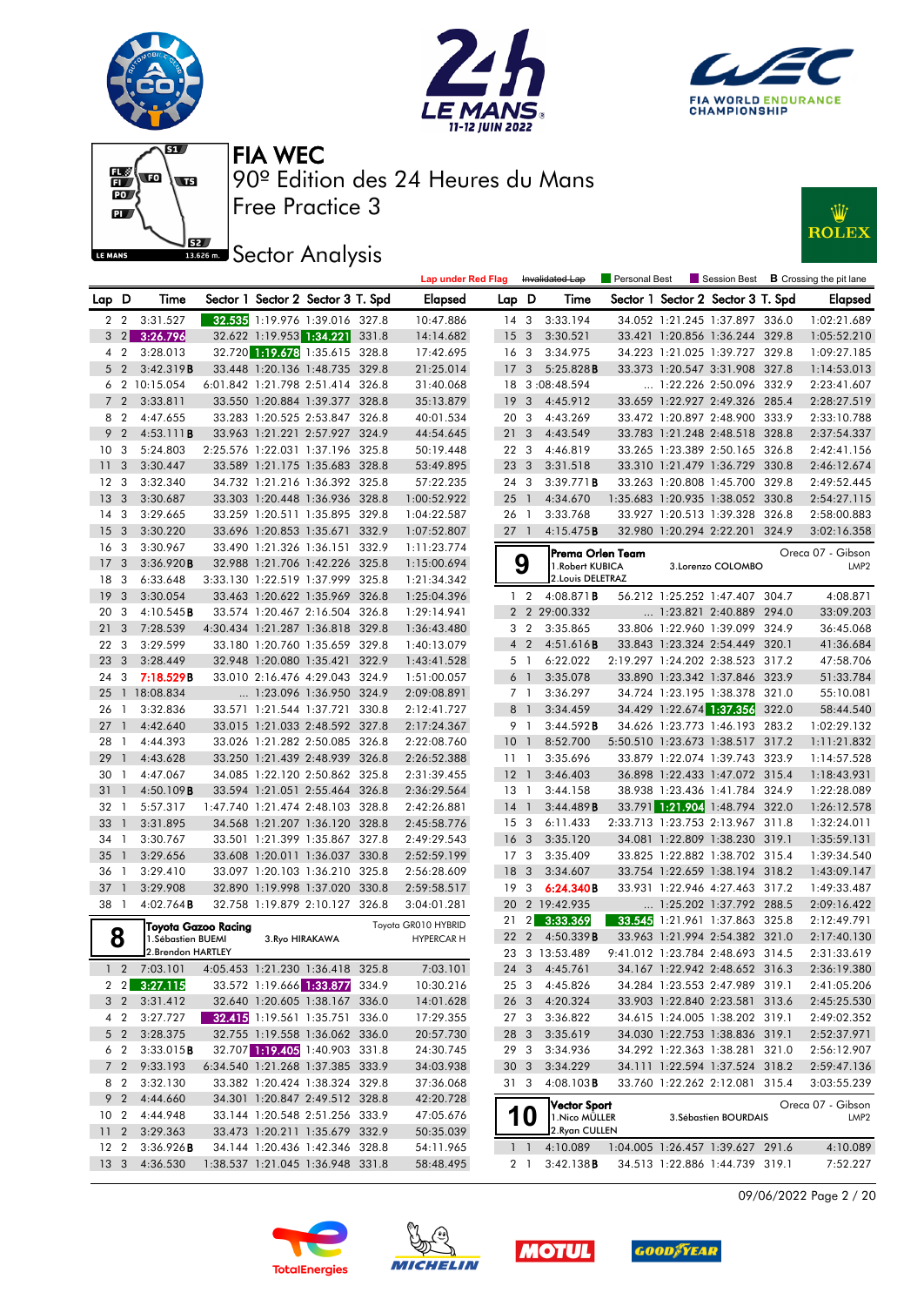











|                 |                |                                               |  |                                   | <b>Lap under Red Flag</b> |                 |                         | Invalidated Lap     | Personal Best |                                   |       | Session Best <b>B</b> Crossing the pit lane |
|-----------------|----------------|-----------------------------------------------|--|-----------------------------------|---------------------------|-----------------|-------------------------|---------------------|---------------|-----------------------------------|-------|---------------------------------------------|
| Lap D           |                | Time                                          |  | Sector 1 Sector 2 Sector 3 T. Spd | Elapsed                   | Lap D           |                         | Time                |               | Sector 1 Sector 2 Sector 3 T. Spd |       | <b>Elapsed</b>                              |
|                 |                | 2 2 3:31.527                                  |  | 32.535 1:19.976 1:39.016 327.8    | 10:47.886                 | $14 \quad 3$    |                         | 3:33.194            |               | 34.052 1:21.245 1:37.897 336.0    |       | 1:02:21.689                                 |
| 3               |                | 2 3:26.796                                    |  | 32.622 1:19.953 1:34.221 331.8    | 14:14.682                 | 15              | $\overline{\mathbf{3}}$ | 3:30.521            |               | 33.421 1:20.856 1:36.244 329.8    |       | 1:05:52.210                                 |
|                 | 4 <sup>2</sup> | 3:28.013                                      |  | 32.720 1:19.678 1:35.615 328.8    | 17:42.695                 | 16 <sub>3</sub> |                         | 3:34.975            |               | 34.223 1:21.025 1:39.727 329.8    |       | 1:09:27.185                                 |
| 5 <sub>2</sub>  |                | 3:42.319B                                     |  | 33.448 1:20.136 1:48.735 329.8    | 21:25.014                 | 17              | 3                       | 5:25.828B           |               | 33.373 1:20.547 3:31.908 327.8    |       | 1:14:53.013                                 |
|                 |                | 6 2 10:15.054                                 |  | 6:01.842 1:21.798 2:51.414 326.8  | 31:40.068                 |                 |                         | 18 3:08:48.594      |               | 1:22.226 2:50.096 332.9           |       | 2:23:41.607                                 |
|                 | 7 <sub>2</sub> | 3:33.811                                      |  | 33.550 1:20.884 1:39.377 328.8    | 35:13.879                 | 19              | 3                       | 4:45.912            |               | 33.659 1:22.927 2:49.326 285.4    |       | 2:28:27.519                                 |
| 8 2             |                | 4:47.655                                      |  | 33.283 1:20.525 2:53.847 326.8    | 40:01.534                 | 20              | $\mathbf{3}$            | 4:43.269            |               | 33.472 1:20.897 2:48.900 333.9    |       | 2:33:10.788                                 |
| 9 <sup>2</sup>  |                | 4:53.111B                                     |  | 33.963 1:21.221 2:57.927 324.9    | 44:54.645                 | 21              | 3                       | 4:43.549            |               | 33.783 1:21.248 2:48.518 328.8    |       | 2:37:54.337                                 |
| 10              | 3              | 5:24.803                                      |  | 2:25.576 1:22.031 1:37.196 325.8  | 50:19.448                 | 22 3            |                         | 4:46.819            |               | 33.265 1:23.389 2:50.165 326.8    |       | 2:42:41.156                                 |
| 11              | 3              | 3:30.447                                      |  | 33.589 1:21.175 1:35.683 328.8    | 53:49.895                 | 23 <sub>3</sub> |                         | 3:31.518            |               | 33.310 1:21.479 1:36.729 330.8    |       | 2:46:12.674                                 |
| 12              | -3             | 3:32.340                                      |  | 34.732 1:21.216 1:36.392 325.8    | 57:22.235                 | 24 3            |                         | 3:39.771B           |               | 33.263 1:20.808 1:45.700 329.8    |       | 2:49:52.445                                 |
| 13              | 3              | 3:30.687                                      |  | 33.303 1:20.448 1:36.936 328.8    | 1:00:52.922               | $25 \quad 1$    |                         | 4:34.670            |               | 1:35.683 1:20.935 1:38.052 330.8  |       | 2:54:27.115                                 |
| 14              | 3              | 3:29.665                                      |  | 33.259 1:20.511 1:35.895 329.8    | 1:04:22.587               | 26 1            |                         | 3:33.768            |               | 33.927 1:20.513 1:39.328 326.8    |       | 2:58:00.883                                 |
| 15              | 3              | 3:30.220                                      |  | 33.696 1:20.853 1:35.671 332.9    | 1:07:52.807               | $27-1$          |                         | 4:15.475B           |               | 32.980 1:20.294 2:22.201 324.9    |       | 3:02:16.358                                 |
| 16              | 3              | 3:30.967                                      |  | 33.490 1:21.326 1:36.151 332.9    | 1:11:23.774               |                 |                         | Prema Orlen Team    |               |                                   |       | Oreca 07 - Gibson                           |
| 17              | 3              | 3:36.920B                                     |  | 32.988 1:21.706 1:42.226 325.8    | 1:15:00.694               |                 | 9                       | 1. Robert KUBICA    |               | 3.Lorenzo COLOMBO                 |       | LMP <sub>2</sub>                            |
| 18              | 3              | 6:33.648                                      |  | 3:33.130 1:22.519 1:37.999 325.8  | 1:21:34.342               |                 |                         | 2. Louis DELETRAZ   |               |                                   |       |                                             |
| 19              | 3              | 3:30.054                                      |  | 33.463 1:20.622 1:35.969 326.8    | 1:25:04.396               |                 | $1\quad 2$              | $4:08.871$ <b>B</b> |               | 56.212 1:25.252 1:47.407 304.7    |       | 4:08.871                                    |
| 20              | 3              | 4:10.545B                                     |  | 33.574 1:20.467 2:16.504 326.8    | 1:29:14.941               |                 |                         | 2 2 29:00.332       |               | 1:23.821 2:40.889 294.0           |       | 33:09.203                                   |
| 21              | 3              | 7:28.539                                      |  | 4:30.434 1:21.287 1:36.818 329.8  | 1:36:43.480               |                 | 3 <sub>2</sub>          | 3:35.865            |               | 33.806 1:22.960 1:39.099 324.9    |       | 36:45.068                                   |
| 22              | 3              | 3:29.599                                      |  | 33.180 1:20.760 1:35.659 329.8    | 1:40:13.079               |                 | $4\quad2$               | 4:51.616B           |               | 33.843 1:23.324 2:54.449 320.1    |       | 41:36.684                                   |
| 23              | 3              | 3:28.449                                      |  | 32.948 1:20.080 1:35.421 322.9    | 1:43:41.528               |                 | 5 <sub>1</sub>          | 6:22.022            |               | 2:19.297 1:24.202 2:38.523 317.2  |       | 47:58.706                                   |
| 24              | 3              | 7:18.529B                                     |  | 33.010 2:16.476 4:29.043 324.9    | 1:51:00.057               |                 | 6 1                     | 3:35.078            |               | 33.890 1:23.342 1:37.846 323.9    |       | 51:33.784                                   |
| 25              |                | 1 18:08.834                                   |  | 1:23.096 1:36.950 324.9           | 2:09:08.891               |                 | 7 <sub>1</sub>          | 3:36.297            |               | 34.724 1:23.195 1:38.378 321.0    |       | 55:10.081                                   |
| 26              | $\overline{1}$ | 3:32.836                                      |  | 33.571 1:21.544 1:37.721 330.8    | 2:12:41.727               |                 | 8 1                     | 3:34.459            |               | 34.429 1:22.674 1:37.356          | 322.0 | 58:44.540                                   |
| 27              | $\mathbf{1}$   | 4:42.640                                      |  | 33.015 1:21.033 2:48.592 327.8    | 2:17:24.367               |                 | 9 1                     | 3:44.592B           |               | 34.626 1:23.773 1:46.193 283.2    |       | 1:02:29.132                                 |
| 28              | - 1            | 4:44.393                                      |  | 33.026 1:21.282 2:50.085 326.8    | 2:22:08.760               | 10 <sub>1</sub> |                         | 8:52.700            |               | 5:50.510 1:23.673 1:38.517 317.2  |       | 1:11:21.832                                 |
| 29              | $\mathbf{1}$   | 4:43.628                                      |  | 33.250 1:21.439 2:48.939 326.8    | 2:26:52.388               | 11 1            |                         | 3:35.696            |               | 33.879 1:22.074 1:39.743 323.9    |       | 1:14:57.528                                 |
| 30              | $\mathbf{1}$   | 4:47.067                                      |  | 34.085 1:22.120 2:50.862 325.8    | 2:31:39.455               | $12-1$          |                         | 3:46.403            |               | 36.898 1:22.433 1:47.072 315.4    |       | 1:18:43.931                                 |
| 31              | $\mathbf{1}$   | $4:50.109$ B                                  |  | 33.594 1:21.051 2:55.464 326.8    | 2:36:29.564               | 13 1            |                         | 3:44.158            |               | 38.938 1:23.436 1:41.784 324.9    |       | 1:22:28.089                                 |
| 32              | $\overline{1}$ | 5:57.317                                      |  | 1:47.740 1:21.474 2:48.103 328.8  | 2:42:26.881               | $14-1$          |                         | 3:44.489B           |               | 33.791 1:21.904 1:48.794 322.0    |       | 1:26:12.578                                 |
| 33              | $\mathbf{1}$   | 3:31.895                                      |  | 34.568 1:21.207 1:36.120 328.8    | 2:45:58.776               | 15 <sub>3</sub> |                         | 6:11.433            |               | 2:33.713 1:23.753 2:13.967 311.8  |       | 1:32:24.011                                 |
| 34              | $\overline{1}$ | 3:30.767                                      |  | 33.501 1:21.399 1:35.867 327.8    | 2:49:29.543               | 16 <sub>3</sub> |                         | 3:35.120            |               | 34.081 1:22.809 1:38.230 319.1    |       | 1:35:59.131                                 |
| 35              | $\mathbf{1}$   | 3:29.656                                      |  | 33.608 1:20.011 1:36.037 330.8    | 2:52:59.199               | 17 <sub>3</sub> |                         | 3:35.409            |               | 33.825 1:22.882 1:38.702 315.4    |       | 1:39:34.540                                 |
| 36              | $\overline{1}$ | 3:29.410                                      |  | 33.097 1:20.103 1:36.210 325.8    | 2:56:28.609               | 18              | 3                       | 3:34.607            |               | 33.754 1:22.659 1:38.194 318.2    |       | 1:43:09.147                                 |
| 37              | $\overline{1}$ | 3:29.908                                      |  | 32.890 1:19.998 1:37.020 330.8    | 2:59:58.517               | 19              | 3                       | 6:24.340B           |               | 33.931 1:22.946 4:27.463 317.2    |       | 1:49:33.487                                 |
| 38 1            |                | $4:02.764$ B                                  |  | 32.758 1:19.879 2:10.127 326.8    | 3:04:01.281               |                 |                         | 20 2 19:42.935      |               | $\ldots$ 1:25.202 1:37.792 288.5  |       | 2:09:16.422                                 |
|                 |                | Toyota Gazoo Racing                           |  |                                   | Toyota GR010 HYBRID       | 21              | $\mathbf{2}$            | 3:33.369            |               | 33.545 1:21.961 1:37.863 325.8    |       | 2:12:49.791                                 |
|                 | 8              | 1.Sébastien BUEMI                             |  | 3. Ryo HIRAKAWA                   | <b>HYPERCAR H</b>         | 22              | $\overline{2}$          | 4:50.339B           |               | 33.963 1:21.994 2:54.382 321.0    |       | 2:17:40.130                                 |
|                 |                | 2. Brendon HARTLEY                            |  |                                   |                           |                 |                         | 23 3 13:53.489      |               | 9:41.012 1:23.784 2:48.693 314.5  |       | 2:31:33.619                                 |
|                 |                | 1 2 7:03.101 4:05.453 1:21.230 1:36.418 325.8 |  |                                   | 7:03.101                  |                 |                         | 24 3 4:45.761       |               | 34.167 1:22.942 2:48.652 316.3    |       | 2:36:19.380                                 |
|                 |                | 2 2 3:27.115                                  |  | 33.572 1:19.666 1:33.877 334.9    | 10:30.216                 |                 |                         | 25 3 4:45.826       |               | 34.284 1:23.553 2:47.989 319.1    |       | 2:41:05.206                                 |
|                 | 3 2            | 3:31.412                                      |  | 32.640 1:20.605 1:38.167 336.0    | 14:01.628                 |                 |                         | 26 3 4:20.324       |               | 33.903 1:22.840 2:23.581 313.6    |       | 2:45:25.530                                 |
|                 | 4 2            | 3:27.727                                      |  | 32.415 1:19.561 1:35.751 336.0    | 17:29.355                 | 273             |                         | 3:36.822            |               | 34.615 1:24.005 1:38.202 319.1    |       | 2:49:02.352                                 |
|                 |                | 5 2 3:28.375                                  |  | 32.755 1:19.558 1:36.062 336.0    | 20:57.730                 | 28 3            |                         | 3:35.619            |               | 34.030 1:22.753 1:38.836 319.1    |       | 2:52:37.971                                 |
|                 | 6 2            | 3:33.015B                                     |  | 32.707 1:19.405 1:40.903 331.8    | 24:30.745                 | 293             |                         | 3:34.936            |               | 34.292 1:22.363 1:38.281 321.0    |       | 2:56:12.907                                 |
|                 | $7\quad2$      | 9:33.193                                      |  | 6:34.540 1:21.268 1:37.385 333.9  | 34:03.938                 | 30 <sub>3</sub> |                         | 3:34.229            |               | 34.111 1:22.594 1:37.524 318.2    |       | 2:59:47.136                                 |
|                 | 8 2            | 3:32.130                                      |  | 33.382 1:20.424 1:38.324 329.8    | 37:36.068                 | 313             |                         | $4:08.103$ <b>B</b> |               | 33.760 1:22.262 2:12.081 315.4    |       | 3:03:55.239                                 |
|                 |                | 9 2 4:44.660                                  |  | 34.301 1:20.847 2:49.512 328.8    | 42:20.728                 |                 |                         | <b>Vector Sport</b> |               |                                   |       | Oreca 07 - Gibson                           |
| 10 <sub>2</sub> |                | 4:44.948                                      |  | 33.144 1:20.548 2:51.256 333.9    | 47:05.676                 |                 | 10                      | 1. Nico MÜLLER      |               | 3. Sébastien BOURDAIS             |       | LMP <sub>2</sub>                            |
|                 |                | 11 2 3:29.363                                 |  | 33.473 1:20.211 1:35.679 332.9    | 50:35.039                 |                 |                         | 2.Ryan CULLEN       |               |                                   |       |                                             |
| 12 2            |                | 3:36.926B                                     |  | 34.144 1:20.436 1:42.346 328.8    | 54:11.965                 |                 | $1\quad1$               | 4:10.089            |               | 1:04.005 1:26.457 1:39.627 291.6  |       | 4:10.089                                    |
| 13 <sub>3</sub> |                | 4:36.530                                      |  | 1:38.537 1:21.045 1:36.948 331.8  | 58:48.495                 |                 | 2 1                     | $3:42.138$ <b>B</b> |               | 34.513 1:22.886 1:44.739 319.1    |       | 7:52.227                                    |

09/06/2022 Page 2 / 20







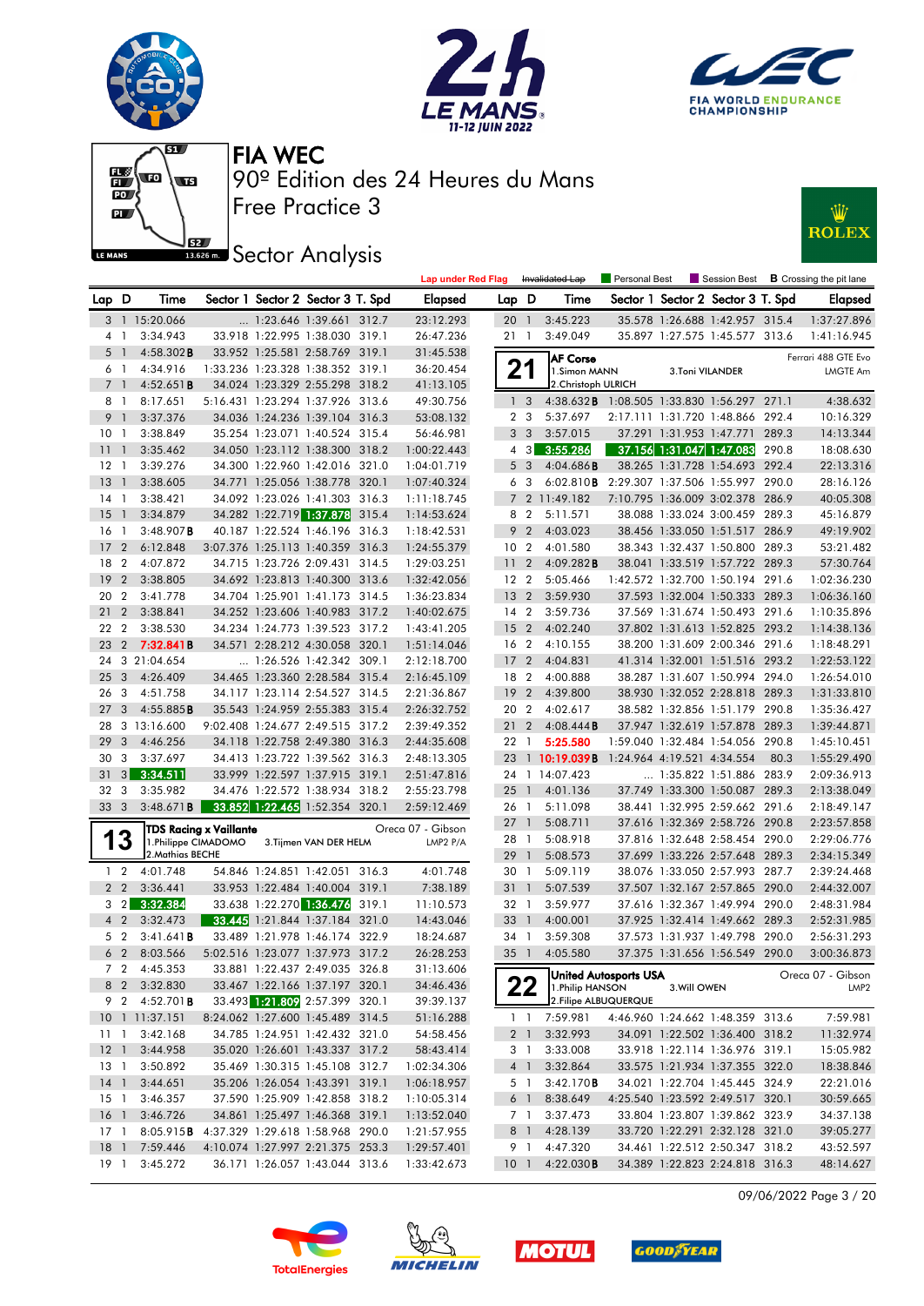





Lap under Red Flag Invalidated Lap Personal Best Session Best **B** Crossing the pit lane



Free Practice 3 90º Edition des 24 Heures du Mans FIA WEC



**J<sub>BZ</sub>** Sector Analysis

| Lap D           |                | Time                |                        | Sector 1 Sector 2 Sector 3 T. Spd | Elapsed           | Lap D           |                | Time                                       |                            | Sector 1 Sector 2 Sector 3 T. Spd |       | <b>Elapsed</b>      |
|-----------------|----------------|---------------------|------------------------|-----------------------------------|-------------------|-----------------|----------------|--------------------------------------------|----------------------------|-----------------------------------|-------|---------------------|
|                 |                | 3 1 15:20.066       |                        | 1:23.646 1:39.661 312.7           | 23:12.293         | 20              | $\overline{1}$ | 3:45.223                                   |                            | 35.578 1:26.688 1:42.957 315.4    |       | 1:37:27.896         |
|                 | 4 1            | 3:34.943            |                        | 33.918 1:22.995 1:38.030 319.1    | 26:47.236         | 21 1            |                | 3:49.049                                   |                            | 35.897 1:27.575 1:45.577 313.6    |       | 1:41:16.945         |
| 5               | $\overline{1}$ | $4:58.302$ B        |                        | 33.952 1:25.581 2:58.769 319.1    | 31:45.538         |                 |                | <b>AF Corse</b>                            |                            |                                   |       | Ferrari 488 GTE Evo |
|                 | 6 1            | 4:34.916            |                        | 1:33.236 1:23.328 1:38.352 319.1  | 36:20.454         | 21              |                | 1.Simon MANN                               | <b>3.Toni VILANDER</b>     |                                   |       | <b>LMGTE Am</b>     |
| $7^{\circ}$     | $\mathbf{1}$   | 4:52.651B           |                        | 34.024 1:23.329 2:55.298 318.2    | 41:13.105         |                 |                | 2. Christoph ULRICH                        |                            |                                   |       |                     |
|                 | 8 1            | 8:17.651            |                        | 5:16.431 1:23.294 1:37.926 313.6  | 49:30.756         | 1 <sub>3</sub>  |                | 4:38.632B 1:08.505 1:33.830 1:56.297 271.1 |                            |                                   |       | 4:38.632            |
| 9 <sub>1</sub>  |                | 3:37.376            |                        | 34.036 1:24.236 1:39.104 316.3    | 53:08.132         | 2 <sub>3</sub>  |                | 5:37.697                                   |                            | 2:17.111 1:31.720 1:48.866 292.4  |       | 10:16.329           |
| 10              | $\overline{1}$ | 3:38.849            |                        | 35.254 1:23.071 1:40.524 315.4    | 56:46.981         | 3 <sup>3</sup>  |                | 3:57.015                                   | 37.291 1:31.953 1:47.771   |                                   | 289.3 | 14:13.344           |
| 11              | $\mathbf{1}$   | 3:35.462            |                        | 34.050 1:23.112 1:38.300 318.2    | 1:00:22.443       |                 | 4 3            | 3:55.286                                   |                            | 37.156 1:31.047 1:47.083          | 290.8 | 18:08.630           |
| $12-1$          |                | 3:39.276            |                        | 34.300 1:22.960 1:42.016 321.0    | 1:04:01.719       | 5 <sub>3</sub>  |                | 4:04.686B                                  |                            | 38.265 1:31.728 1:54.693 292.4    |       | 22:13.316           |
| 13              | $\overline{1}$ | 3:38.605            |                        | 34.771 1:25.056 1:38.778 320.1    | 1:07:40.324       | 6 3             |                | 6:02.810B 2:29.307 1:37.506 1:55.997 290.0 |                            |                                   |       | 28:16.126           |
| 14              | $\overline{1}$ | 3:38.421            |                        | 34.092 1:23.026 1:41.303 316.3    | 1:11:18.745       |                 |                | 7 2 11:49.182                              |                            | 7:10.795 1:36.009 3:02.378 286.9  |       | 40:05.308           |
| 15              | $\overline{1}$ | 3:34.879            |                        | 34.282 1:22.719 1:37.878 315.4    | 1:14:53.624       | 8 2             |                | 5:11.571                                   |                            | 38.088 1:33.024 3:00.459 289.3    |       | 45:16.879           |
| 16              | $\overline{1}$ | $3:48.907$ B        |                        | 40.187 1:22.524 1:46.196 316.3    | 1:18:42.531       | 9               | $\overline{2}$ | 4:03.023                                   |                            | 38.456 1:33.050 1:51.517 286.9    |       | 49:19.902           |
| 17              | $\overline{2}$ | 6:12.848            |                        | 3:07.376 1:25.113 1:40.359 316.3  | 1:24:55.379       | 10 <sub>2</sub> |                | 4:01.580                                   |                            | 38.343 1:32.437 1:50.800 289.3    |       | 53:21.482           |
| 18              | $\overline{2}$ | 4:07.872            |                        | 34.715 1:23.726 2:09.431 314.5    | 1:29:03.251       | 11              | $\overline{2}$ | 4:09.282B                                  |                            | 38.041 1:33.519 1:57.722 289.3    |       | 57:30.764           |
| 19              | $\overline{2}$ | 3:38.805            |                        | 34.692 1:23.813 1:40.300 313.6    | 1:32:42.056       | 12 <sub>2</sub> |                | 5:05.466                                   |                            | 1:42.572 1:32.700 1:50.194 291.6  |       | 1:02:36.230         |
| 20              | $\overline{2}$ | 3:41.778            |                        | 34.704 1:25.901 1:41.173 314.5    | 1:36:23.834       | 13 <sub>2</sub> |                | 3:59.930                                   |                            | 37.593 1:32.004 1:50.333 289.3    |       | 1:06:36.160         |
| 21              | $\overline{2}$ | 3:38.841            |                        | 34.252 1:23.606 1:40.983 317.2    | 1:40:02.675       | 14 <sub>2</sub> |                | 3:59.736                                   |                            | 37.569 1:31.674 1:50.493 291.6    |       | 1:10:35.896         |
| 22              | $\overline{2}$ | 3:38.530            |                        | 34.234 1:24.773 1:39.523 317.2    | 1:43:41.205       | 15 <sub>2</sub> |                | 4:02.240                                   |                            | 37.802 1:31.613 1:52.825 293.2    |       | 1:14:38.136         |
| 23              | $2^{\circ}$    | 7:32.841B           |                        | 34.571 2:28.212 4:30.058 320.1    | 1:51:14.046       | 16 2            |                | 4:10.155                                   |                            | 38.200 1:31.609 2:00.346 291.6    |       | 1:18:48.291         |
| 24              |                | 3 21:04.654         |                        | 1:26.526 1:42.342 309.1           | 2:12:18.700       | 17 <sub>2</sub> |                | 4:04.831                                   |                            | 41.314 1:32.001 1:51.516 293.2    |       | 1:22:53.122         |
| 25              | 3              | 4:26.409            |                        | 34.465 1:23.360 2:28.584 315.4    | 2:16:45.109       | 18 2            |                | 4:00.888                                   |                            | 38.287 1:31.607 1:50.994 294.0    |       | 1:26:54.010         |
| 26              | 3              | 4:51.758            |                        | 34.117 1:23.114 2:54.527 314.5    | 2:21:36.867       | 19              | $\overline{2}$ | 4:39.800                                   |                            | 38.930 1:32.052 2:28.818 289.3    |       | 1:31:33.810         |
| 27              | 3              | 4:55.885B           |                        | 35.543 1:24.959 2:55.383 315.4    | 2:26:32.752       | 20 2            |                | 4:02.617                                   |                            | 38.582 1:32.856 1:51.179 290.8    |       | 1:35:36.427         |
| 28              |                | 3 13:16.600         |                        | 9:02.408 1:24.677 2:49.515 317.2  | 2:39:49.352       | 21 <sub>2</sub> |                | 4:08.444B                                  |                            | 37.947 1:32.619 1:57.878 289.3    |       | 1:39:44.871         |
| 29              | 3              | 4:46.256            |                        | 34.118 1:22.758 2:49.380 316.3    | 2:44:35.608       | 22 1            |                | 5:25.580                                   |                            | 1:59.040 1:32.484 1:54.056 290.8  |       | 1:45:10.451         |
| 30              | 3              | 3:37.697            |                        | 34.413 1:23.722 1:39.562 316.3    | 2:48:13.305       | 23              |                | $1\,10:19.039B$                            | 1:24.964 4:19.521 4:34.554 |                                   | 80.3  | 1:55:29.490         |
| 31              | 3 <sup>1</sup> | 3:34.511            |                        | 33.999 1:22.597 1:37.915 319.1    | 2:51:47.816       |                 |                | 24 1 14:07.423                             |                            | 1:35.822 1:51.886 283.9           |       | 2:09:36.913         |
| 32              | 3              | 3:35.982            |                        | 34.476 1:22.572 1:38.934 318.2    | 2:55:23.798       | $25-1$          |                | 4:01.136                                   |                            | 37.749 1:33.300 1:50.087 289.3    |       | 2:13:38.049         |
| 33              | $\mathbf{3}$   | $3:48.671$ B        |                        | 33.852 1:22.465 1:52.354 320.1    | 2:59:12.469       | 26 1            |                | 5:11.098                                   |                            | 38.441 1:32.995 2:59.662 291.6    |       | 2:18:49.147         |
|                 |                |                     | TDS Racing x Vaillante |                                   | Oreca 07 - Gibson | $27-1$          |                | 5:08.711                                   |                            | 37.616 1:32.369 2:58.726 290.8    |       | 2:23:57.858         |
| 1               | 3              | 1.Philippe CIMADOMO |                        | 3. Tijmen VAN DER HELM            | LMP2 P/A          | 28 1            |                | 5:08.918                                   |                            | 37.816 1:32.648 2:58.454 290.0    |       | 2:29:06.776         |
|                 |                | 2. Mathias BECHE    |                        |                                   |                   | 29 1            |                | 5:08.573                                   |                            | 37.699 1:33.226 2:57.648 289.3    |       | 2:34:15.349         |
|                 | $1\quad 2$     | 4:01.748            |                        | 54.846 1:24.851 1:42.051 316.3    | 4:01.748          | 30 1            |                | 5:09.119                                   |                            | 38.076 1:33.050 2:57.993 287.7    |       | 2:39:24.468         |
|                 | 2 <sub>2</sub> | 3:36.441            |                        | 33.953 1:22.484 1:40.004 319.1    | 7:38.189          | 31              | - 1            | 5:07.539                                   |                            | 37.507 1:32.167 2:57.865 290.0    |       | 2:44:32.007         |
|                 |                | $3\quad 2$ 3:32.384 |                        | 33.638 1:22.270 1:36.476 319.1    | 11:10.573         | 32 1            |                | 3:59.977                                   |                            | 37.616 1:32.367 1:49.994 290.0    |       | 2:48:31.984         |
|                 | $4\quad2$      | 3:32.473            |                        | 33.445 1:21.844 1:37.184 321.0    | 14:43.046         | 33 1            |                | 4:00.001                                   |                            | 37.925 1:32.414 1:49.662 289.3    |       | 2:52:31.985         |
|                 | 5 <sub>2</sub> | 3:41.641B           |                        | 33.489 1:21.978 1:46.174 322.9    | 18:24.687         | 34 1            |                | 3:59.308                                   |                            | 37.573 1:31.937 1:49.798 290.0    |       | 2:56:31.293         |
|                 | 6 <sub>2</sub> | 8:03.566            |                        | 5:02.516 1:23.077 1:37.973 317.2  | 26:28.253         | 35 1            |                | 4:05.580                                   |                            | 37.375 1:31.656 1:56.549 290.0    |       | 3:00:36.873         |
|                 |                | 7 2 4:45.353        |                        | 33.881 1:22.437 2:49.035 326.8    | 31:13.606         |                 |                | United Autosports USA                      |                            |                                   |       | Oreca 07 - Gibson   |
|                 |                | 8 2 3:32.830        |                        | 33.467 1:22.166 1:37.197 320.1    | 34:46.436         |                 | nn<br>22       | 1. Philip HANSON                           | 3. Will OWEN               |                                   |       | LMP <sub>2</sub>    |
|                 |                | 9 2 4:52.701B       |                        | 33.493 1:21.809 2:57.399 320.1    | 39:39.137         |                 |                | 2. Filipe ALBUQUERQUE                      |                            |                                   |       |                     |
|                 |                | 10 1 11:37.151      |                        | 8:24.062 1:27.600 1:45.489 314.5  | 51:16.288         |                 |                | 1 1 7:59.981                               |                            | 4:46.960 1:24.662 1:48.359 313.6  |       | 7:59.981            |
| 11 <sub>1</sub> |                | 3:42.168            |                        | 34.785 1:24.951 1:42.432 321.0    | 54:58.456         |                 |                | 2 1 3:32.993                               |                            | 34.091 1:22.502 1:36.400 318.2    |       | 11:32.974           |
|                 |                | 12 1 3:44.958       |                        | 35.020 1:26.601 1:43.337 317.2    | 58:43.414         |                 | 3 1            | 3:33.008                                   |                            | 33.918 1:22.114 1:36.976 319.1    |       | 15:05.982           |
| 13 1            |                | 3:50.892            |                        | 35.469 1:30.315 1:45.108 312.7    | 1:02:34.306       |                 | $4 \quad 1$    | 3:32.864                                   |                            | 33.575 1:21.934 1:37.355 322.0    |       | 18:38.846           |
|                 |                | 14 1 3:44.651       |                        | 35.206 1:26.054 1:43.391 319.1    | 1:06:18.957       |                 | 5 1            | 3:42.170B                                  |                            | 34.021 1:22.704 1:45.445 324.9    |       | 22:21.016           |
| 15 1            |                | 3:46.357            |                        | 37.590 1:25.909 1:42.858 318.2    | 1:10:05.314       |                 | 6 1            | 8:38.649                                   |                            | 4:25.540 1:23.592 2:49.517 320.1  |       | 30:59.665           |
| 16 <sub>1</sub> |                | 3:46.726            |                        | 34.861 1:25.497 1:46.368 319.1    | 1:13:52.040       |                 | 7 1            | 3:37.473                                   |                            | 33.804 1:23.807 1:39.862 323.9    |       | 34:37.138           |
| 17 <sub>1</sub> |                | 8:05.915B           |                        | 4:37.329 1:29.618 1:58.968 290.0  | 1:21:57.955       | 8 1             |                | 4:28.139                                   |                            | 33.720 1:22.291 2:32.128 321.0    |       | 39:05.277           |
| $18-1$          |                | 7:59.446            |                        | 4:10.074 1:27.997 2:21.375 253.3  | 1:29:57.401       |                 | 91             | 4:47.320                                   |                            | 34.461 1:22.512 2:50.347 318.2    |       | 43:52.597           |
| 19 1            |                | 3:45.272            |                        | 36.171 1:26.057 1:43.044 313.6    | 1:33:42.673       | 10 <sub>1</sub> |                | 4:22.030B                                  |                            | 34.389 1:22.823 2:24.818 316.3    |       | 48:14.627           |

09/06/2022 Page 3 / 20







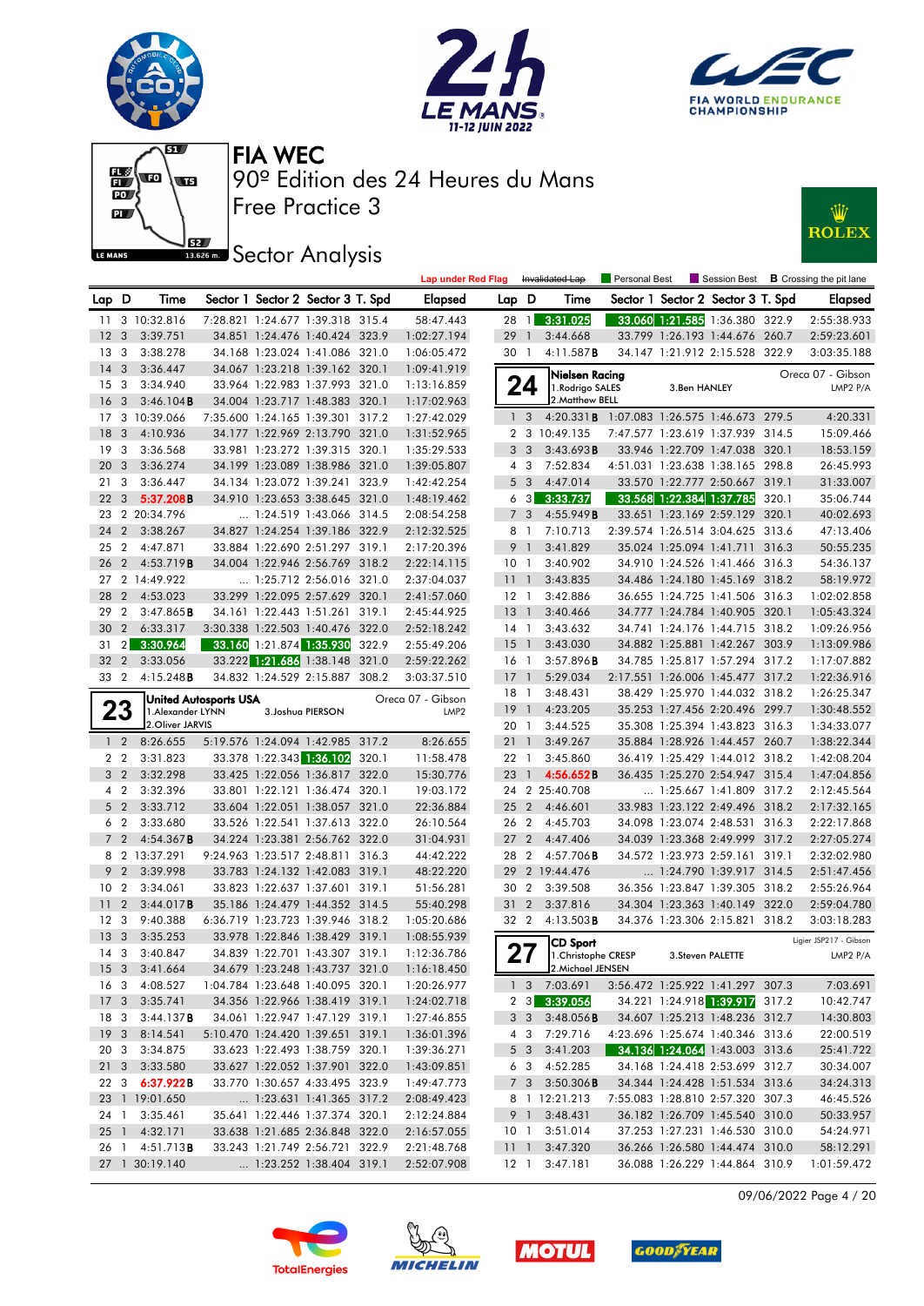











|                               |                        |                              |                                   |       | <b>Lap under Red Flag</b> |                 |                   | Invalidated Lap                            | Personal Best |                            | Session Best                      |       | <b>B</b> Crossing the pit lane |
|-------------------------------|------------------------|------------------------------|-----------------------------------|-------|---------------------------|-----------------|-------------------|--------------------------------------------|---------------|----------------------------|-----------------------------------|-------|--------------------------------|
| Lap D                         | Time                   |                              | Sector 1 Sector 2 Sector 3 T. Spd |       | <b>Elapsed</b>            | Lap             | D                 | Time                                       |               |                            | Sector 1 Sector 2 Sector 3 T. Spd |       | Elapsed                        |
| 11                            | 3 10:32.816            |                              | 7:28.821 1:24.677 1:39.318 315.4  |       | 58:47.443                 | 28              | $\overline{1}$    | 3:31.025                                   |               |                            | 33.060 1:21.585 1:36.380 322.9    |       | 2:55:38.933                    |
| 12<br>-3                      | 3:39.751               |                              | 34.851 1:24.476 1:40.424 323.9    |       | 1:02:27.194               | 29              | $\mathbf{1}$      | 3:44.668                                   |               |                            | 33.799 1:26.193 1:44.676 260.7    |       | 2:59:23.601                    |
| 13<br>3                       | 3:38.278               |                              | 34.168 1:23.024 1:41.086 321.0    |       | 1:06:05.472               | 30 1            |                   | 4:11.587B                                  |               |                            | 34.147 1:21.912 2:15.528 322.9    |       | 3:03:35.188                    |
| 3<br>14                       | 3:36.447               |                              | 34.067 1:23.218 1:39.162 320.1    |       | 1:09:41.919               |                 |                   | Nielsen Racing                             |               |                            |                                   |       | Oreca 07 - Gibson              |
| 3<br>15                       | 3:34.940               |                              | 33.964 1:22.983 1:37.993 321.0    |       | 1:13:16.859               |                 | 24                | 1. Rodrigo SALES                           |               | 3.Ben HANLEY               |                                   |       | LMP2 P/A                       |
| 16<br>-3                      | 3:46.104B              |                              | 34.004 1:23.717 1:48.383 320.1    |       | 1:17:02.963               |                 |                   | 2. Matthew BELL                            |               |                            |                                   |       |                                |
| 17                            | 3 10:39.066            |                              | 7:35.600 1:24.165 1:39.301 317.2  |       | 1:27:42.029               |                 | 1 <sub>3</sub>    | 4:20.331B 1:07.083 1:26.575 1:46.673 279.5 |               |                            |                                   |       | 4:20.331                       |
| 18<br>3                       | 4:10.936               |                              | 34.177 1:22.969 2:13.790 321.0    |       | 1:31:52.965               | 2               |                   | 3 10:49.135                                |               | 7:47.577 1:23.619 1:37.939 |                                   | 314.5 | 15:09.466                      |
| 19<br>3                       | 3:36.568               |                              | 33.981 1:23.272 1:39.315 320.1    |       | 1:35:29.533               |                 | 3 <sub>3</sub>    | 3:43.693B                                  |               |                            | 33.946 1:22.709 1:47.038 320.1    |       | 18:53.159                      |
| 20<br>$\overline{3}$          | 3:36.274               |                              | 34.199 1:23.089 1:38.986 321.0    |       | 1:39:05.807               |                 | 4 3               | 7:52.834                                   |               |                            | 4:51.031 1:23.638 1:38.165 298.8  |       | 26:45.993                      |
| 21<br>3                       | 3:36.447               |                              | 34.134 1:23.072 1:39.241 323.9    |       | 1:42:42.254               |                 | 5 <sub>3</sub>    | 4:47.014                                   |               |                            | 33.570 1:22.777 2:50.667 319.1    |       | 31:33.007                      |
| 22<br>$\overline{\mathbf{3}}$ | 5:37.208B              |                              | 34.910 1:23.653 3:38.645 321.0    |       | 1:48:19.462               | 6               | $\lceil 3 \rceil$ | 3:33.737                                   |               | 33.568 1:22.384 1:37.785   |                                   | 320.1 | 35:06.744                      |
|                               | 23 2 20:34.796         |                              | $\ldots$ 1:24.519 1:43.066 314.5  |       | 2:08:54.258               |                 | 7 <sub>3</sub>    | 4:55.949B                                  |               |                            | 33.651 1:23.169 2:59.129 320.1    |       | 40:02.693                      |
| 24<br>$\overline{2}$          | 3:38.267               |                              | 34.827 1:24.254 1:39.186 322.9    |       | 2:12:32.525               |                 | 8 1               | 7:10.713                                   |               |                            | 2:39.574 1:26.514 3:04.625 313.6  |       | 47:13.406                      |
| $\overline{2}$<br>25          | 4:47.871               |                              | 33.884 1:22.690 2:51.297 319.1    |       | 2:17:20.396               |                 | 9 <sub>1</sub>    | 3:41.829                                   |               |                            | 35.024 1:25.094 1:41.711 316.3    |       | 50:55.235                      |
| 2<br>26                       | 4:53.719B              |                              | 34.004 1:22.946 2:56.769 318.2    |       | 2:22:14.115               | 10 <sub>1</sub> |                   | 3:40.902                                   |               |                            | 34.910 1:24.526 1:41.466          | 316.3 | 54:36.137                      |
|                               | 27 2 14:49.922         |                              | $\ldots$ 1:25.712 2:56.016 321.0  |       | 2:37:04.037               | 11              | $\overline{1}$    | 3:43.835                                   |               |                            | 34.486 1:24.180 1:45.169 318.2    |       | 58:19.972                      |
| 28<br>$\overline{2}$          | 4:53.023               |                              | 33.299 1:22.095 2:57.629 320.1    |       | 2:41:57.060               | $12-1$          |                   | 3:42.886                                   |               |                            | 36.655 1:24.725 1:41.506 316.3    |       | 1:02:02.858                    |
| 29<br>2                       | 3:47.865B              |                              | 34.161 1:22.443 1:51.261 319.1    |       | 2:45:44.925               | $13-1$          |                   | 3:40.466                                   |               |                            | 34.777 1:24.784 1:40.905 320.1    |       | 1:05:43.324                    |
| $2^{\circ}$<br>30             | 6:33.317               |                              | 3:30.338 1:22.503 1:40.476 322.0  |       | 2:52:18.242               | $14-1$          |                   | 3:43.632                                   |               |                            | 34.741 1:24.176 1:44.715 318.2    |       | 1:09:26.956                    |
| 2 <sub>l</sub><br>31          | 3:30.964               |                              | 33.160 1:21.874 1:35.930          | 322.9 | 2:55:49.206               | 15              | $\overline{1}$    | 3:43.030                                   |               |                            | 34.882 1:25.881 1:42.267 303.9    |       | 1:13:09.986                    |
| 32<br>$\overline{2}$          | 3:33.056               |                              | 33.222 1:21.686 1:38.148 321.0    |       | 2:59:22.262               | 16 1            |                   | 3:57.896B                                  |               |                            | 34.785 1:25.817 1:57.294 317.2    |       | 1:17:07.882                    |
| $\overline{2}$<br>33          | 4:15.248B              |                              | 34.832 1:24.529 2:15.887 308.2    |       | 3:03:37.510               | 17              | $\overline{1}$    | 5:29.034                                   |               |                            | 2:17.551 1:26.006 1:45.477 317.2  |       | 1:22:36.916                    |
|                               |                        | <b>United Autosports USA</b> |                                   |       | Oreca 07 - Gibson         | 18              | $\overline{1}$    | 3:48.431                                   |               |                            | 38.429 1:25.970 1:44.032 318.2    |       | 1:26:25.347                    |
| 23                            | 1. Alexander LYNN      |                              | 3. Joshua PIERSON                 |       | LMP <sub>2</sub>          | 19              | $\overline{1}$    | 4:23.205                                   |               |                            | 35.253 1:27.456 2:20.496 299.7    |       | 1:30:48.552                    |
|                               | 2. Oliver JARVIS       |                              |                                   |       |                           | 20 1            |                   | 3:44.525                                   |               |                            | 35.308 1:25.394 1:43.823 316.3    |       | 1:34:33.077                    |
| $1\quad 2$                    | 8:26.655               |                              | 5:19.576 1:24.094 1:42.985 317.2  |       | 8:26.655                  | 211             |                   | 3:49.267                                   |               |                            | 35.884 1:28.926 1:44.457 260.7    |       | 1:38:22.344                    |
| 2 <sub>2</sub>                | 3:31.823               |                              | 33.378 1:22.343 1:36.102          | 320.1 | 11:58.478                 | 22              | $\overline{1}$    | 3:45.860                                   |               |                            | 36.419 1:25.429 1:44.012          | 318.2 | 1:42:08.204                    |
| 3 <sub>2</sub>                | 3:32.298               |                              | 33.425 1:22.056 1:36.817 322.0    |       | 15:30.776                 | 23              | $\mathbf{1}$      | 4:56.652B                                  |               |                            | 36.435 1:25.270 2:54.947 315.4    |       | 1:47:04.856                    |
| 4 2                           | 3:32.396               |                              | 33.801 1:22.121 1:36.474 320.1    |       | 19:03.172                 |                 |                   | 24 2 25:40.708                             |               |                            | 1:25.667 1:41.809 317.2           |       | 2:12:45.564                    |
| 5 <sub>2</sub>                | 3:33.712               |                              | 33.604 1:22.051 1:38.057 321.0    |       | 22:36.884                 | 25              | $\overline{2}$    | 4:46.601                                   |               | 33.983 1:23.122 2:49.496   |                                   | 318.2 | 2:17:32.165                    |
| 6 <sub>2</sub>                | 3:33.680               |                              | 33.526 1:22.541 1:37.613 322.0    |       | 26:10.564                 | 26 2            |                   | 4:45.703                                   |               |                            | 34.098 1:23.074 2:48.531 316.3    |       | 2:22:17.868                    |
| 7 <sub>2</sub>                | 4:54.367B              |                              | 34.224 1:23.381 2:56.762 322.0    |       | 31:04.931                 | 27              | $\overline{2}$    | 4:47.406                                   |               |                            | 34.039 1:23.368 2:49.999          | 317.2 | 2:27:05.274                    |
|                               | 8 2 13:37.291          |                              | 9:24.963 1:23.517 2:48.811 316.3  |       | 44:42.222                 | 28              | $\overline{2}$    | $4:57.706$ B                               |               |                            | 34.572 1:23.973 2:59.161 319.1    |       | 2:32:02.980                    |
| 9 <sub>2</sub>                | 3:39.998               |                              | 33.783 1:24.132 1:42.083 319.1    |       | 48:22.220                 | 29              |                   | 2 19:44.476                                |               |                            | $\ldots$ 1:24.790 1:39.917 314.5  |       | 2:51:47.456                    |
| $\overline{2}$<br>10          | 3:34.061               |                              | 33.823 1:22.637 1:37.601 319.1    |       | 51:56.281                 | 30              | $\overline{2}$    | 3:39.508                                   |               | 36.356 1:23.847 1:39.305   |                                   | 318.2 | 2:55:26.964                    |
| $\overline{2}$<br>11          | 3:44.017B              |                              | 35.186 1:24.479 1:44.352 314.5    |       | 55:40.298                 | 31              | $\overline{2}$    | 3:37.816                                   |               |                            | 34.304 1:23.363 1:40.149 322.0    |       | 2:59:04.780                    |
| 12<br>$\mathbf{3}$            | 9:40.388               |                              | 6:36.719 1:23.723 1:39.946 318.2  |       | 1:05:20.686               | 32 2            |                   | $4:13.503$ <b>B</b>                        |               |                            | 34.376 1:23.306 2:15.821 318.2    |       | 3:03:18.283                    |
| 13<br>3                       | 3:35.253               |                              | 33.978 1:22.846 1:38.429 319.1    |       | 1:08:55.939               |                 |                   | <b>CD Sport</b>                            |               |                            |                                   |       | Ligier JSP217 - Gibson         |
| $14 \quad 3$                  | 3:40.847               |                              | 34.839 1:22.701 1:43.307 319.1    |       | 1:12:36.786               |                 | 27                | 1. Christophe CRESP                        |               |                            | 3. Steven PALETTE                 |       | LMP2 P/A                       |
| 15 <sub>3</sub>               | 3:41.664               |                              | 34.679 1:23.248 1:43.737 321.0    |       | 1:16:18.450               |                 |                   | 2.Michael JENSEN                           |               |                            |                                   |       |                                |
| 16 3                          | 4:08.527               |                              | 1:04.784 1:23.648 1:40.095 320.1  |       | 1:20:26.977               |                 |                   | 1 3 7:03.691                               |               |                            | 3:56.472 1:25.922 1:41.297 307.3  |       | 7:03.691                       |
| 17 <sub>3</sub>               | 3:35.741               |                              | 34.356 1:22.966 1:38.419 319.1    |       | 1:24:02.718               |                 |                   | 2 3 3:39.056                               |               |                            | 34.221 1:24.918 1:39.917 317.2    |       | 10:42.747                      |
| 18 3                          | 3:44.137B              |                              | 34.061 1:22.947 1:47.129 319.1    |       | 1:27:46.855               |                 | 3 3               | 3:48.056B                                  |               |                            | 34.607 1:25.213 1:48.236 312.7    |       | 14:30.803                      |
| 19 <sup>3</sup>               | 8:14.541               |                              | 5:10.470 1:24.420 1:39.651 319.1  |       | 1:36:01.396               |                 | 4 3               | 7:29.716                                   |               |                            | 4:23.696 1:25.674 1:40.346 313.6  |       | 22:00.519                      |
| 20 3                          | 3:34.875               |                              | 33.623 1:22.493 1:38.759 320.1    |       | 1:39:36.271               |                 | 5 3               | 3:41.203                                   |               |                            | 34.136 1:24.064 1:43.003 313.6    |       | 25:41.722                      |
|                               | 21 3 3:33.580          |                              | 33.627 1:22.052 1:37.901 322.0    |       | 1:43:09.851               |                 | 63                | 4:52.285                                   |               |                            | 34.168 1:24.418 2:53.699 312.7    |       | 30:34.007                      |
|                               | 22 3 6:37.922B         |                              | 33.770 1:30.657 4:33.495 323.9    |       | 1:49:47.773               |                 | $7 \quad 3$       | 3:50.306B                                  |               |                            | 34.344 1:24.428 1:51.534 313.6    |       | 34:24.313                      |
|                               | 23 1 19:01.650         |                              | 1:23.631 1:41.365 317.2           |       | 2:08:49.423               |                 |                   | 8 1 12:21.213                              |               |                            | 7:55.083 1:28.810 2:57.320 307.3  |       | 46:45.526                      |
| 24 1                          | 3:35.461               |                              | 35.641 1:22.446 1:37.374 320.1    |       | 2:12:24.884               |                 | 9 1               | 3:48.431                                   |               |                            | 36.182 1:26.709 1:45.540 310.0    |       | 50:33.957                      |
|                               | 25 1 4:32.171          |                              | 33.638 1:21.685 2:36.848 322.0    |       | 2:16:57.055               |                 | 10 1              | 3:51.014                                   |               |                            | 37.253 1:27.231 1:46.530 310.0    |       | 54:24.971                      |
|                               | 26 1 4:51.713 <b>B</b> |                              | 33.243 1:21.749 2:56.721 322.9    |       | 2:21:48.768               | 111             |                   | 3:47.320                                   |               |                            | 36.266 1:26.580 1:44.474 310.0    |       | 58:12.291                      |
|                               | 27 1 30:19.140         |                              | 1:23.252 1:38.404 319.1           |       | 2:52:07.908               |                 |                   | 12 1 3:47.181                              |               |                            | 36.088 1:26.229 1:44.864 310.9    |       | 1:01:59.472                    |

09/06/2022 Page 4 / 20







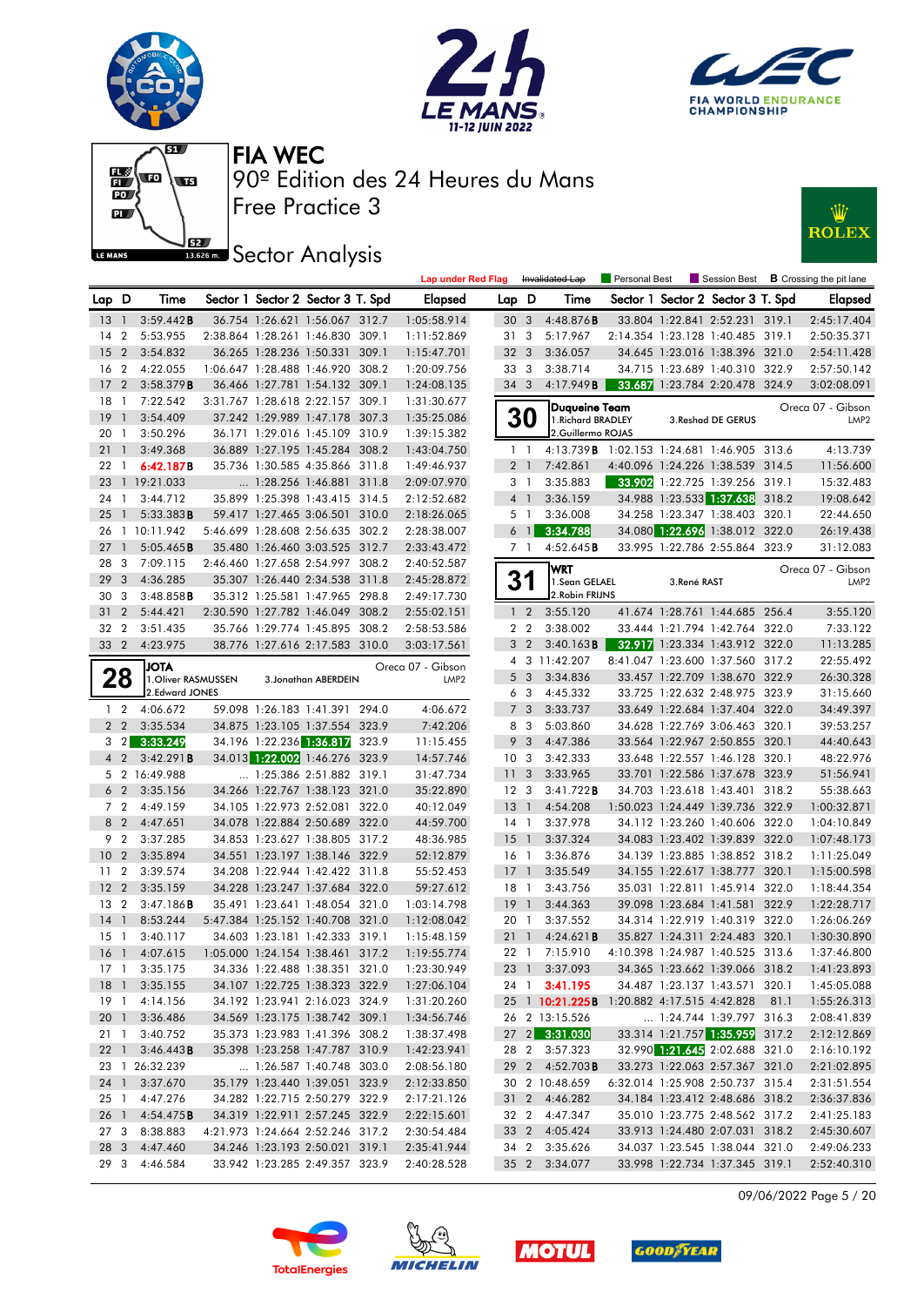











|                 |                |                        |  |                                                           |       | <b>Lap under Red Flag</b> |                       |                         | Invalidated Lap                                 | Personal Best |             |                                                                    | Session Best <b>B</b> Crossing the pit lane |
|-----------------|----------------|------------------------|--|-----------------------------------------------------------|-------|---------------------------|-----------------------|-------------------------|-------------------------------------------------|---------------|-------------|--------------------------------------------------------------------|---------------------------------------------|
| Lap D           |                | Time                   |  | Sector 1 Sector 2 Sector 3 T. Spd                         |       | <b>Elapsed</b>            | Lap D                 |                         | Time                                            |               |             | Sector 1 Sector 2 Sector 3 T. Spd                                  | <b>Elapsed</b>                              |
| $13-1$          |                | 3:59.442B              |  | 36.754 1:26.621 1:56.067 312.7                            |       | 1:05:58.914               | 30 <sub>3</sub>       |                         | 4:48.876B                                       |               |             | 33.804 1:22.841 2:52.231 319.1                                     | 2:45:17.404                                 |
| 14              | $\overline{2}$ | 5:53.955               |  | 2:38.864 1:28.261 1:46.830                                | 309.1 | 1:11:52.869               | 313                   |                         | 5:17.967                                        |               |             | 2:14.354 1:23.128 1:40.485 319.1                                   | 2:50:35.371                                 |
| 15              | $\overline{2}$ | 3:54.832               |  | 36.265 1:28.236 1:50.331                                  | 309.1 | 1:15:47.701               | 32 3                  |                         | 3:36.057                                        |               |             | 34.645 1:23.016 1:38.396 321.0                                     | 2:54:11.428                                 |
| 16              | $\overline{2}$ | 4:22.055               |  | 1:06.647 1:28.488 1:46.920 308.2                          |       | 1:20:09.756               | 33 3                  |                         | 3:38.714                                        |               |             | 34.715 1:23.689 1:40.310 322.9                                     | 2:57:50.142                                 |
| 17              | $\overline{2}$ | 3:58.379B              |  | 36.466 1:27.781 1:54.132 309.1                            |       | 1:24:08.135               | 34 3                  |                         | 4:17.949 <b>B</b>                               |               |             | 33.687 1:23.784 2:20.478 324.9                                     | 3:02:08.091                                 |
| 18              | $\overline{1}$ | 7:22.542               |  | 3:31.767 1:28.618 2:22.157 309.1                          |       | 1:31:30.677               |                       |                         | Duqueine Team                                   |               |             |                                                                    | Oreca 07 - Gibson                           |
| 19              | $\overline{1}$ | 3:54.409               |  | 37.242 1:29.989 1:47.178 307.3                            |       | 1:35:25.086               |                       | <b>30</b>               | 1. Richard BRADLEY                              |               |             | 3. Reshad DE GERUS                                                 | LMP <sub>2</sub>                            |
| 20              | $\overline{1}$ | 3:50.296               |  | 36.171 1:29.016 1:45.109 310.9                            |       | 1:39:15.382               |                       |                         | 2.Guillermo ROJAS                               |               |             |                                                                    |                                             |
| 21              | $\overline{1}$ | 3:49.368               |  | 36.889 1:27.195 1:45.284 308.2                            |       | 1:43:04.750               | $1\quad$              |                         | 4:13.739 B 1:02.153 1:24.681 1:46.905 313.6     |               |             |                                                                    | 4:13.739                                    |
| 22              | $\overline{1}$ | 6:42.187B              |  | 35.736 1:30.585 4:35.866 311.8                            |       | 1:49:46.937               | 2 <sub>1</sub>        |                         | 7:42.861                                        |               |             | 4:40.096 1:24.226 1:38.539 314.5                                   | 11:56.600                                   |
| 23              |                | 1 19:21.033            |  | 1:28.256 1:46.881 311.8                                   |       | 2:09:07.970               | 3 1                   |                         | 3:35.883                                        |               |             | 33.902 1:22.725 1:39.256 319.1                                     | 15:32.483                                   |
| 24              | $\overline{1}$ | 3:44.712               |  | 35.899 1:25.398 1:43.415 314.5                            |       | 2:12:52.682               | 4 <sup>1</sup>        |                         | 3:36.159                                        |               |             | 34.988 1:23.533 1:37.638 318.2                                     | 19:08.642                                   |
| 25              | $\mathbf{1}$   | 5:33.383B              |  | 59.417 1:27.465 3:06.501 310.0                            |       | 2:18:26.065               |                       | 5 <sub>1</sub>          | 3:36.008                                        |               |             | 34.258 1:23.347 1:38.403 320.1                                     | 22:44.650                                   |
| 26              |                | 1 10:11.942            |  | 5:46.699 1:28.608 2:56.635 302.2                          |       | 2:28:38.007               |                       | 6 <sup>1</sup>          | 3:34.788                                        |               |             | 34.080 1:22.696 1:38.012 322.0                                     | 26:19.438                                   |
| 27              | $\mathbf{1}$   | 5:05.465B              |  | 35.480 1:26.460 3:03.525 312.7                            |       | 2:33:43.472               |                       | 7 1                     | 4:52.645B                                       |               |             | 33.995 1:22.786 2:55.864 323.9                                     | 31:12.083                                   |
| 28              | -3             | 7:09.115               |  | 2:46.460 1:27.658 2:54.997 308.2                          |       | 2:40:52.587               |                       |                         | <b>WRT</b>                                      |               |             |                                                                    | Oreca 07 - Gibson                           |
| 29              | 3              | 4:36.285               |  | 35.307 1:26.440 2:34.538 311.8                            |       | 2:45:28.872               | 31                    |                         | 1.Sean GELAEL                                   |               | 3.René RAST |                                                                    | LMP <sub>2</sub>                            |
| 30              | 3              | $3:48.858$ B           |  | 35.312 1:25.581 1:47.965 298.8                            |       | 2:49:17.730               |                       |                         | 2. Robin FRIJNS                                 |               |             |                                                                    |                                             |
| 31              | $\overline{2}$ | 5:44.421               |  | 2:30.590 1:27.782 1:46.049 308.2                          |       | 2:55:02.151               |                       | 1 <sub>2</sub>          | 3:55.120                                        |               |             | 41.674 1:28.761 1:44.685 256.4                                     | 3:55.120                                    |
| 32              | $\overline{2}$ | 3:51.435               |  | 35.766 1:29.774 1:45.895 308.2                            |       | 2:58:53.586               |                       | 2 <sub>2</sub>          | 3:38.002                                        |               |             | 33.444 1:21.794 1:42.764 322.0                                     | 7:33.122                                    |
| 33              | $\overline{2}$ | 4:23.975               |  | 38.776 1:27.616 2:17.583 310.0                            |       | 3:03:17.561               | 3                     | $\overline{2}$          | 3:40.163B                                       |               |             | 32.917 1:23.334 1:43.912 322.0                                     | 11:13.285                                   |
|                 |                | <b>JOTA</b>            |  |                                                           |       | Oreca 07 - Gibson         |                       |                         | 4 3 11:42.207                                   |               |             | 8:41.047 1:23.600 1:37.560 317.2                                   | 22:55.492                                   |
|                 | 28             | 1. Oliver RASMUSSEN    |  | 3. Jonathan ABERDEIN                                      |       | LMP <sub>2</sub>          |                       | 5 <sub>3</sub>          | 3:34.836                                        |               |             | 33.457 1:22.709 1:38.670 322.9                                     | 26:30.328                                   |
|                 |                | 2.Edward JONES         |  |                                                           |       |                           |                       | 6 3                     | 4:45.332                                        |               |             | 33.725 1:22.632 2:48.975 323.9                                     | 31:15.660                                   |
|                 | $1\quad 2$     | 4:06.672               |  | 59.098 1:26.183 1:41.391 294.0                            |       | 4:06.672                  | $\overline{7}$        | $\overline{\mathbf{3}}$ | 3:33.737                                        |               |             | 33.649 1:22.684 1:37.404 322.0                                     | 34:49.397                                   |
| 2 <sub>2</sub>  |                | 3:35.534               |  | 34.875 1:23.105 1:37.554 323.9                            |       | 7:42.206                  |                       | 8 3                     | 5:03.860                                        |               |             | 34.628 1:22.769 3:06.463 320.1                                     | 39:53.257                                   |
|                 | $3 \quad 2$    | 3:33.249               |  | 34.196 1:22.236 1:36.817 323.9                            |       | 11:15.455                 | 9                     | -3                      | 4:47.386                                        |               |             | 33.564 1:22.967 2:50.855 320.1                                     | 44:40.643                                   |
|                 | $4\quad2$      | 3:42.291B              |  | 34.013 1:22.002 1:46.276 323.9                            |       | 14:57.746                 | 10 <sub>3</sub>       |                         | 3:42.333                                        |               |             | 33.648 1:22.557 1:46.128 320.1                                     | 48:22.976                                   |
| 6 <sub>2</sub>  |                | 5 2 16:49.988          |  | 1:25.386 2:51.882 319.1<br>34.266 1:22.767 1:38.123 321.0 |       | 31:47.734                 | 11 <sub>3</sub>       |                         | 3:33.965                                        |               |             | 33.701 1:22.586 1:37.678 323.9                                     | 51:56.941<br>55:38.663                      |
| 7 <sub>2</sub>  |                | 3:35.156<br>4:49.159   |  | 34.105 1:22.973 2:52.081 322.0                            |       | 35:22.890<br>40:12.049    | 12 <sup>3</sup><br>13 | $\overline{1}$          | 3:41.722B<br>4:54.208                           |               |             | 34.703 1:23.618 1:43.401 318.2<br>1:50.023 1:24.449 1:39.736 322.9 | 1:00:32.871                                 |
|                 | 8 2            | 4:47.651               |  | 34.078 1:22.884 2:50.689 322.0                            |       | 44:59.700                 | $14-1$                |                         | 3:37.978                                        |               |             | 34.112 1:23.260 1:40.606 322.0                                     | 1:04:10.849                                 |
| 9               | $\overline{2}$ | 3:37.285               |  | 34.853 1:23.627 1:38.805 317.2                            |       | 48:36.985                 | 15                    | $\overline{1}$          | 3:37.324                                        |               |             | 34.083 1:23.402 1:39.839 322.0                                     | 1:07:48.173                                 |
| 10 <sup>°</sup> | $\overline{2}$ | 3:35.894               |  | 34.551 1:23.197 1:38.146 322.9                            |       | 52:12.879                 | 16 <sub>1</sub>       |                         | 3:36.876                                        |               |             | 34.139 1:23.885 1:38.852 318.2                                     | 1:11:25.049                                 |
| 11              | $\overline{2}$ | 3:39.574               |  | 34.208 1:22.944 1:42.422 311.8                            |       | 55:52.453                 | $17-1$                |                         | 3:35.549                                        |               |             | 34.155 1:22.617 1:38.777 320.1                                     | 1:15:00.598                                 |
| 12              | $\overline{2}$ | 3:35.159               |  | 34.228 1:23.247 1:37.684 322.0                            |       | 59:27.612                 | $18-1$                |                         | 3:43.756                                        |               |             | 35.031 1:22.811 1:45.914 322.0                                     | 1:18:44.354                                 |
| 13              | $\overline{2}$ | 3:47.186B              |  | 35.491 1:23.641 1:48.054 321.0                            |       | 1:03:14.798               | 19                    | $\overline{1}$          | 3:44.363                                        |               |             | 39.098 1:23.684 1:41.581 322.9                                     | 1:22:28.717                                 |
| 14              | $\overline{1}$ | 8:53.244               |  | 5:47.384 1:25.152 1:40.708 321.0                          |       | 1:12:08.042               | 20 1                  |                         | 3:37.552                                        |               |             | 34.314 1:22.919 1:40.319 322.0                                     | 1:26:06.269                                 |
| $15-1$          |                | 3:40.117               |  | 34.603 1:23.181 1:42.333 319.1                            |       | 1:15:48.159               | $21 \quad 1$          |                         | 4:24.621B                                       |               |             | 35.827 1:24.311 2:24.483 320.1                                     | 1:30:30.890                                 |
| 16 <sub>1</sub> |                | 4:07.615               |  | 1:05.000 1:24.154 1:38.461 317.2                          |       | 1:19:55.774               | 22 1                  |                         | 7:15.910                                        |               |             | 4:10.398 1:24.987 1:40.525 313.6                                   | 1:37:46.800                                 |
|                 |                | 17 1 3:35.175          |  | 34.336 1:22.488 1:38.351 321.0                            |       | 1:23:30.949               |                       |                         | 23 1 3:37.093                                   |               |             | 34.365 1:23.662 1:39.066 318.2                                     | 1:41:23.893                                 |
|                 |                | 18 1 3:35.155          |  | 34.107 1:22.725 1:38.323 322.9                            |       | 1:27:06.104               |                       |                         | 24 1 3:41.195                                   |               |             | 34.487 1:23.137 1:43.571 320.1                                     | 1:45:05.088                                 |
|                 |                | 19 1 4:14.156          |  | 34.192 1:23.941 2:16.023 324.9                            |       | 1:31:20.260               |                       |                         | 25 1 10:21.225B 1:20.882 4:17.515 4:42.828 81.1 |               |             |                                                                    | 1:55:26.313                                 |
|                 |                | 20 1 3:36.486          |  | 34.569 1:23.175 1:38.742 309.1                            |       | 1:34:56.746               |                       |                         | 26 2 13:15.526                                  |               |             | $\ldots$ 1:24.744 1:39.797 316.3                                   | 2:08:41.839                                 |
|                 |                | 21 1 3:40.752          |  | 35.373 1:23.983 1:41.396 308.2                            |       | 1:38:37.498               |                       |                         | 27 2 3:31.030                                   |               |             | 33.314 1:21.757 1:35.959 317.2                                     | 2:12:12.869                                 |
|                 |                | 22 1 3:46.443 <b>B</b> |  | 35.398 1:23.258 1:47.787 310.9                            |       | 1:42:23.941               |                       |                         | 28 2 3:57.323                                   |               |             | 32.990 1:21.645 2:02.688 321.0                                     | 2:16:10.192                                 |
|                 |                | 23 1 26:32.239         |  | 1:26.587 1:40.748 303.0                                   |       | 2:08:56.180               |                       |                         | 29 2 4:52.703 <b>B</b>                          |               |             | 33.273 1:22.063 2:57.367 321.0                                     | 2:21:02.895                                 |
|                 |                | 24 1 3:37.670          |  | 35.179 1:23.440 1:39.051 323.9                            |       | 2:12:33.850               |                       |                         | 30 2 10:48.659                                  |               |             | 6:32.014 1:25.908 2:50.737 315.4                                   | 2:31:51.554                                 |
| 25 1            |                | 4:47.276               |  | 34.282 1:22.715 2:50.279 322.9                            |       | 2:17:21.126               |                       |                         | 31 2 4:46.282                                   |               |             | 34.184 1:23.412 2:48.686 318.2                                     | 2:36:37.836                                 |
|                 |                | 26 1 4:54.475 <b>B</b> |  | 34.319 1:22.911 2:57.245 322.9                            |       | 2:22:15.601               |                       |                         | 32 2 4:47.347                                   |               |             | 35.010 1:23.775 2:48.562 317.2                                     | 2:41:25.183                                 |
|                 |                | 27 3 8:38.883          |  | 4:21.973 1:24.664 2:52.246 317.2                          |       | 2:30:54.484               |                       |                         | 33 2 4:05.424                                   |               |             | 33.913 1:24.480 2:07.031 318.2                                     | 2:45:30.607                                 |
|                 |                | 28 3 4:47.460          |  | 34.246 1:23.193 2:50.021 319.1                            |       | 2:35:41.944               |                       |                         | 34 2 3:35.626                                   |               |             | 34.037 1:23.545 1:38.044 321.0                                     | 2:49:06.233                                 |
| 29 3            |                | 4:46.584               |  | 33.942 1:23.285 2:49.357 323.9                            |       | 2:40:28.528               |                       |                         | 35 2 3:34.077                                   |               |             | 33.998 1:22.734 1:37.345 319.1                                     | 2:52:40.310                                 |
|                 |                |                        |  |                                                           |       |                           |                       |                         |                                                 |               |             |                                                                    |                                             |

09/06/2022 Page 5 / 20







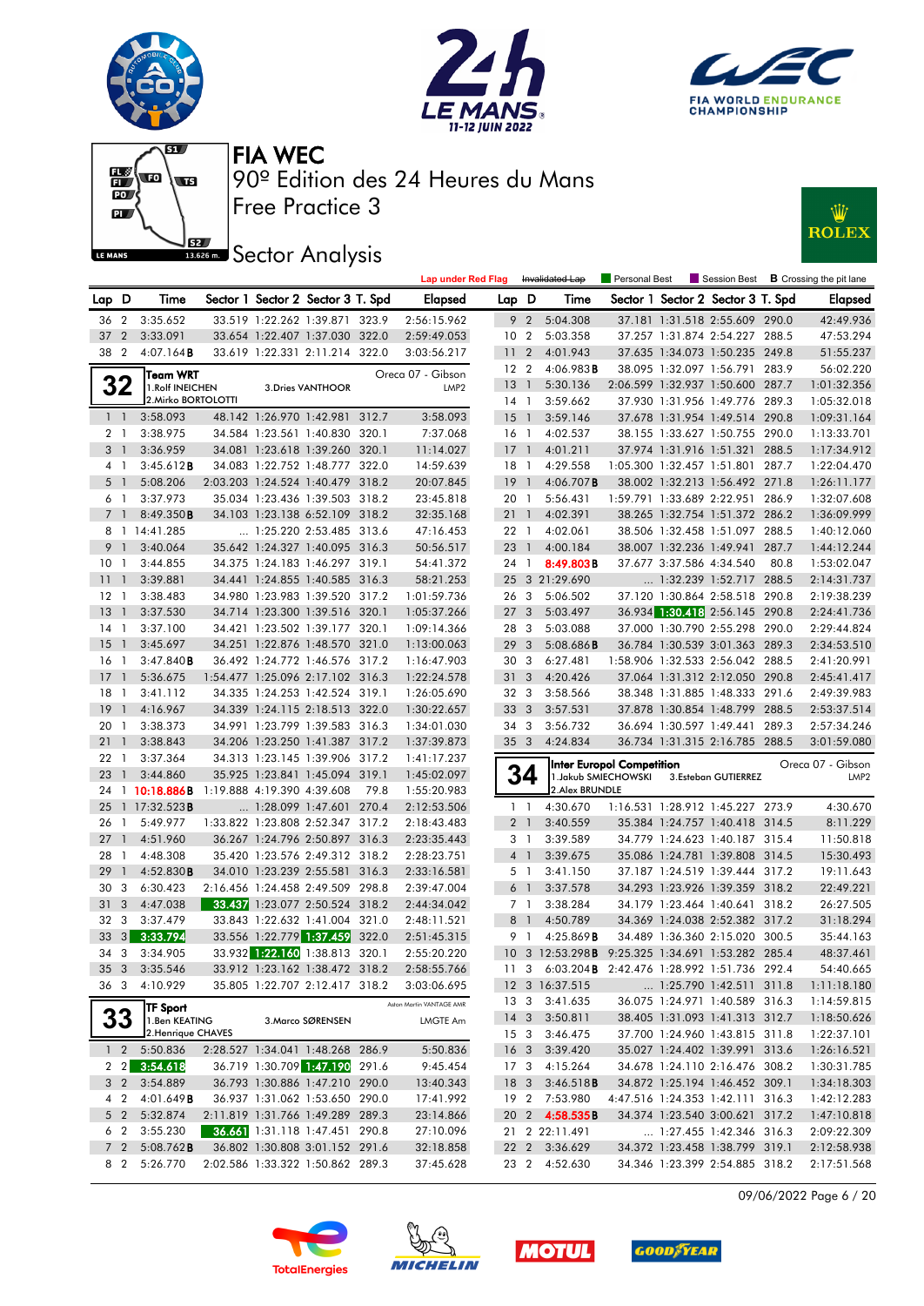







## **JEZ**<br>BREAD Sector Analysis



|                 |                       |                                            |  |                                                                  |      | <b>Lap under Red Flag</b> |                         |                | Invalidated Lap                                  | <b>Personal Best</b>             |                          | Session Best                                                     |      | <b>B</b> Crossing the pit lane |
|-----------------|-----------------------|--------------------------------------------|--|------------------------------------------------------------------|------|---------------------------|-------------------------|----------------|--------------------------------------------------|----------------------------------|--------------------------|------------------------------------------------------------------|------|--------------------------------|
| Lap D           |                       | Time                                       |  | Sector 1 Sector 2 Sector 3 T. Spd                                |      | Elapsed                   | Lap D                   |                | Time                                             |                                  |                          | Sector 1 Sector 2 Sector 3 T. Spd                                |      | <b>Elapsed</b>                 |
| 36              | $\overline{2}$        | 3:35.652                                   |  | 33.519 1:22.262 1:39.871 323.9                                   |      | 2:56:15.962               |                         | 9 <sub>2</sub> | 5:04.308                                         |                                  |                          | 37.181 1:31.518 2:55.609 290.0                                   |      | 42:49.936                      |
| 37              | $\overline{2}$        | 3:33.091                                   |  | 33.654 1:22.407 1:37.030 322.0                                   |      | 2:59:49.053               | 10 <sub>2</sub>         |                | 5:03.358                                         |                                  |                          | 37.257 1:31.874 2:54.227 288.5                                   |      | 47:53.294                      |
| 38 2            |                       | 4:07.164B                                  |  | 33.619 1:22.331 2:11.214 322.0                                   |      | 3:03:56.217               | 11                      | $\overline{2}$ | 4:01.943                                         |                                  |                          | 37.635 1:34.073 1:50.235 249.8                                   |      | 51:55.237                      |
|                 |                       | Team WRT                                   |  |                                                                  |      | Oreca 07 - Gibson         | $12 \quad 2$            |                | 4:06.983B                                        |                                  |                          | 38.095 1:32.097 1:56.791 283.9                                   |      | 56:02.220                      |
|                 | 32                    | 1. Rolf INEICHEN                           |  | 3. Dries VANTHOOR                                                |      | LMP <sub>2</sub>          | $13-1$                  |                | 5:30.136                                         |                                  |                          | 2:06.599 1:32.937 1:50.600 287.7                                 |      | 1:01:32.356                    |
|                 |                       | 2. Mirko BORTOLOTTI                        |  |                                                                  |      |                           | $14-1$                  |                | 3:59.662                                         |                                  |                          | 37.930 1:31.956 1:49.776 289.3                                   |      | 1:05:32.018                    |
|                 | 1 <sup>1</sup>        | 3:58.093                                   |  | 48.142 1:26.970 1:42.981 312.7                                   |      | 3:58.093                  | $15-1$                  |                | 3:59.146                                         |                                  |                          | 37.678 1:31.954 1:49.514 290.8                                   |      | 1:09:31.164                    |
|                 | 2 <sub>1</sub>        | 3:38.975                                   |  | 34.584 1:23.561 1:40.830 320.1                                   |      | 7:37.068                  | 16 <sub>1</sub>         |                | 4:02.537                                         |                                  |                          | 38.155 1:33.627 1:50.755 290.0                                   |      | 1:13:33.701                    |
|                 | 3 <sub>1</sub>        | 3:36.959                                   |  | 34.081 1:23.618 1:39.260 320.1                                   |      | 11:14.027                 | $17-1$                  |                | 4:01.211                                         |                                  |                          | 37.974 1:31.916 1:51.321 288.5                                   |      | 1:17:34.912                    |
|                 | 4 <sub>1</sub>        | 3:45.612B                                  |  | 34.083 1:22.752 1:48.777 322.0                                   |      | 14:59.639                 | $18-1$                  |                | 4:29.558                                         |                                  |                          | 1:05.300 1:32.457 1:51.801 287.7                                 |      | 1:22:04.470                    |
|                 | 5 1                   | 5:08.206                                   |  | 2:03.203 1:24.524 1:40.479 318.2                                 |      | 20:07.845                 | 19                      | $\overline{1}$ | $4:06.707$ B                                     |                                  |                          | 38.002 1:32.213 1:56.492 271.8                                   |      | 1:26:11.177                    |
|                 | 6 1                   | 3:37.973                                   |  | 35.034 1:23.436 1:39.503 318.2                                   |      | 23:45.818                 | 20 1                    |                | 5:56.431                                         |                                  |                          | 1:59.791 1:33.689 2:22.951 286.9                                 |      | 1:32:07.608                    |
|                 | 7 <sub>1</sub>        | 8:49.350B                                  |  | 34.103 1:23.138 6:52.109 318.2                                   |      | 32:35.168                 | $21 \quad 1$            |                | 4:02.391                                         |                                  |                          | 38.265 1:32.754 1:51.372 286.2                                   |      | 1:36:09.999                    |
|                 |                       | 8 1 14:41.285                              |  | 1:25.220 2:53.485 313.6                                          |      | 47:16.453                 | 22 1                    |                | 4:02.061                                         |                                  |                          | 38.506 1:32.458 1:51.097 288.5                                   |      | 1:40:12.060                    |
|                 | 9 1                   | 3:40.064                                   |  | 35.642 1:24.327 1:40.095 316.3                                   |      | 50:56.517                 | $23 \quad 1$            |                | 4:00.184                                         |                                  |                          | 38.007 1:32.236 1:49.941 287.7                                   |      | 1:44:12.244                    |
| 10 <sub>1</sub> |                       | 3:44.855                                   |  | 34.375 1:24.183 1:46.297 319.1                                   |      | 54:41.372                 | 24 1                    |                | 8:49.803B                                        |                                  | 37.677 3:37.586 4:34.540 |                                                                  | 80.8 | 1:53:02.047                    |
| 11              | $\overline{1}$        | 3:39.881                                   |  | 34.441 1:24.855 1:40.585 316.3                                   |      | 58:21.253                 |                         |                | 25 3 21:29.690                                   |                                  |                          | 1:32.239 1:52.717 288.5                                          |      | 2:14:31.737                    |
| $12-1$          |                       | 3:38.483                                   |  | 34.980 1:23.983 1:39.520 317.2                                   |      | 1:01:59.736               | 26 3                    |                | 5:06.502                                         |                                  |                          | 37.120 1:30.864 2:58.518 290.8                                   |      | 2:19:38.239                    |
| 13              | $\color{red} \bullet$ | 3:37.530                                   |  | 34.714 1:23.300 1:39.516 320.1                                   |      | 1:05:37.266               | 27 <sub>3</sub>         |                | 5:03.497                                         |                                  |                          | 36.934 1:30.418 2:56.145 290.8                                   |      | 2:24:41.736                    |
| $14-1$          |                       | 3:37.100                                   |  | 34.421 1:23.502 1:39.177 320.1                                   |      | 1:09:14.366               | 28 3                    |                | 5:03.088                                         |                                  |                          | 37.000 1:30.790 2:55.298 290.0                                   |      | 2:29:44.824                    |
| 15              | $\overline{1}$        | 3:45.697                                   |  | 34.251 1:22.876 1:48.570 321.0                                   |      | 1:13:00.063               | 293                     |                | 5:08.686B                                        |                                  |                          | 36.784 1:30.539 3:01.363 289.3                                   |      | 2:34:53.510                    |
| 16 1            |                       | 3:47.840B                                  |  | 36.492 1:24.772 1:46.576 317.2                                   |      | 1:16:47.903               | 30 3                    |                | 6:27.481                                         |                                  |                          | 1:58.906 1:32.533 2:56.042 288.5                                 |      | 2:41:20.991                    |
| $17-1$          |                       | 5:36.675                                   |  | 1:54.477 1:25.096 2:17.102 316.3                                 |      | 1:22:24.578               | 31 3                    |                | 4:20.426                                         |                                  |                          | 37.064 1:31.312 2:12.050 290.8                                   |      | 2:45:41.417                    |
| 18              | $\overline{1}$        | 3:41.112                                   |  | 34.335 1:24.253 1:42.524 319.1                                   |      | 1:26:05.690               | 32 3                    |                | 3:58.566                                         |                                  |                          | 38.348 1:31.885 1:48.333 291.6                                   |      | 2:49:39.983                    |
| 19              | $\overline{1}$        | 4:16.967                                   |  | 34.339 1:24.115 2:18.513 322.0                                   |      | 1:30:22.657               | 33 3                    |                | 3:57.531                                         |                                  |                          | 37.878 1:30.854 1:48.799 288.5                                   |      | 2:53:37.514                    |
| 20 <sub>1</sub> |                       | 3:38.373                                   |  | 34.991 1:23.799 1:39.583 316.3                                   |      | 1:34:01.030               | 34 3                    |                | 3:56.732                                         |                                  |                          | 36.694 1:30.597 1:49.441 289.3                                   |      | 2:57:34.246                    |
| 21              | $\overline{1}$        | 3:38.843                                   |  | 34.206 1:23.250 1:41.387 317.2                                   |      | 1:37:39.873               | 35 <sub>3</sub>         |                | 4:24.834                                         |                                  |                          | 36.734 1:31.315 2:16.785 288.5                                   |      | 3:01:59.080                    |
| 22              | $\overline{1}$        | 3:37.364                                   |  | 34.313 1:23.145 1:39.906 317.2                                   |      | 1:41:17.237               |                         |                |                                                  | <b>Inter Europol Competition</b> |                          |                                                                  |      | Oreca 07 - Gibson              |
| 23              | $\overline{1}$        | 3:44.860                                   |  | 35.925 1:23.841 1:45.094 319.1                                   |      | 1:45:02.097               |                         | 34             |                                                  | 1. Jakub SMIECHOWSKI             |                          | 3.Esteban GUTIERREZ                                              |      | LMP <sub>2</sub>               |
|                 |                       | 24 1 10:18.886B 1:19.888 4:19.390 4:39.608 |  |                                                                  | 79.8 | 1:55:20.983               |                         |                | 2. Alex BRUNDLE                                  |                                  |                          |                                                                  |      |                                |
| 25              |                       | 1 17:32.523 <b>B</b>                       |  | 1:28.099 1:47.601 270.4                                          |      | 2:12:53.506               |                         | $1\quad$       | 4:30.670                                         |                                  |                          | 1:16.531 1:28.912 1:45.227 273.9                                 |      | 4:30.670                       |
| 26              | $\overline{1}$        | 5:49.977                                   |  | 1:33.822 1:23.808 2:52.347 317.2                                 |      | 2:18:43.483               |                         | 2 <sub>1</sub> | 3:40.559                                         |                                  |                          | 35.384 1:24.757 1:40.418 314.5                                   |      | 8:11.229                       |
| 27              | $\mathbf{1}$          | 4:51.960                                   |  | 36.267 1:24.796 2:50.897 316.3                                   |      | 2:23:35.443               |                         | 3 1            | 3:39.589                                         |                                  |                          | 34.779 1:24.623 1:40.187 315.4                                   |      | 11:50.818                      |
| 28              | $\overline{1}$        | 4:48.308                                   |  | 35.420 1:23.576 2:49.312 318.2                                   |      | 2:28:23.751               |                         | 4 <sup>1</sup> | 3:39.675                                         |                                  |                          | 35.086 1:24.781 1:39.808 314.5                                   |      | 15:30.493                      |
| 29              | $\overline{1}$        | 4:52.830B                                  |  | 34.010 1:23.239 2:55.581 316.3                                   |      | 2:33:16.581               |                         | 5 <sub>1</sub> | 3:41.150                                         |                                  |                          | 37.187 1:24.519 1:39.444 317.2                                   |      | 19:11.643                      |
| 30              | 3                     | 6:30.423                                   |  | 2:16.456 1:24.458 2:49.509 298.8                                 |      | 2:39:47.004               |                         | 6 1            | 3:37.578                                         |                                  |                          | 34.293 1:23.926 1:39.359 318.2                                   |      | 22:49.221                      |
| 31              | 3                     | 4:47.038                                   |  | 33.437 1:23.077 2:50.524 318.2                                   |      | 2:44:34.042               |                         | 7 1            | 3:38.284                                         |                                  |                          | 34.179 1:23.464 1:40.641 318.2                                   |      | 26:27.505                      |
| 32 3            |                       | 3:37.479                                   |  | 33.843 1:22.632 1:41.004 321.0                                   |      | 2:48:11.521               |                         | 8 <sup>1</sup> | 4:50.789                                         |                                  |                          | 34.369 1:24.038 2:52.382 317.2                                   |      | 31:18.294                      |
| 33              |                       | $3 \overline{)3:}3.794$                    |  | 33.556 1:22.779 1:37.459 322.0                                   |      | 2:51:45.315               |                         | 9 1            | 4:25.869B                                        |                                  |                          | 34.489 1:36.360 2:15.020 300.5                                   |      | 35:44.163                      |
| 34              | $\mathbf{3}$          | 3:34.905<br>35 3 3:35.546                  |  | 33.932 1:22.160 1:38.813 320.1<br>33.912 1:23.162 1:38.472 318.2 |      | 2:55:20.220               |                         |                | 10 3 12:53.298B 9:25.325 1:34.691 1:53.282 285.4 |                                  |                          |                                                                  |      | 48:37.461                      |
|                 |                       |                                            |  |                                                                  |      | 2:58:55.766               |                         |                | 11 3 6:03.204B 2:42.476 1:28.992 1:51.736 292.4  |                                  |                          |                                                                  |      | 54:40.665                      |
|                 |                       | 36 3 4:10.929                              |  | 35.805 1:22.707 2:12.417 318.2                                   |      | 3:03:06.695               |                         |                | 12 3 16:37.515                                   |                                  |                          | 1:25.790 1:42.511 311.8                                          |      | 1:11:18.180                    |
|                 |                       | <b>TF Sport</b>                            |  |                                                                  |      | Aston Martin VANTAGE AMR  |                         |                | 13 3 3:41.635                                    |                                  |                          | 36.075 1:24.971 1:40.589 316.3                                   |      | 1:14:59.815                    |
|                 | <b>33</b>             | 1.Ben KEATING<br>2. Henrique CHAVES        |  | 3. Marco SØRENSEN                                                |      | <b>LMGTE Am</b>           |                         |                | 14 3 3:50.811<br>3:46.475                        |                                  |                          | 38.405 1:31.093 1:41.313 312.7<br>37.700 1:24.960 1:43.815 311.8 |      | 1:18:50.626                    |
|                 |                       |                                            |  | 2:28.527 1:34.041 1:48.268 286.9                                 |      |                           | 15 <sub>3</sub>         |                |                                                  |                                  |                          |                                                                  |      | 1:22:37.101<br>1:26:16.521     |
|                 | $1\quad2$             | 5:50.836<br>2 2 3:54.618                   |  | 36.719 1:30.709 1:47.190 291.6                                   |      | 5:50.836<br>9:45.454      | 16 <sub>3</sub><br>17 3 |                | 3:39.420<br>4:15.264                             |                                  |                          | 35.027 1:24.402 1:39.991 313.6<br>34.678 1:24.110 2:16.476 308.2 |      | 1:30:31.785                    |
|                 | $3\quad2$             | 3:54.889                                   |  | 36.793 1:30.886 1:47.210 290.0                                   |      | 13:40.343                 | 18 <sup>3</sup>         |                | $3:46.518$ <b>B</b>                              |                                  |                          | 34.872 1:25.194 1:46.452 309.1                                   |      | 1:34:18.303                    |
|                 | 4 2                   | 4:01.649B                                  |  | 36.937 1:31.062 1:53.650 290.0                                   |      | 17:41.992                 |                         |                | 19 2 7:53.980                                    |                                  |                          | 4:47.516 1:24.353 1:42.111 316.3                                 |      | 1:42:12.283                    |
|                 | 5 2                   | 5:32.874                                   |  | 2:11.819 1:31.766 1:49.289 289.3                                 |      | 23:14.866                 |                         |                | 20 2 4:58.535B                                   |                                  |                          | 34.374 1:23.540 3:00.621 317.2                                   |      | 1:47:10.818                    |
|                 | 6 2                   | 3:55.230                                   |  | 36.661 1:31.118 1:47.451 290.8                                   |      | 27:10.096                 |                         |                | 21 2 22:11.491                                   |                                  |                          | 1:27.455 1:42.346 316.3                                          |      | 2:09:22.309                    |
|                 | 7 <sub>2</sub>        | $5:08.762$ <b>B</b>                        |  | 36.802 1:30.808 3:01.152 291.6                                   |      | 32:18.858                 |                         |                | 22 2 3:36.629                                    |                                  |                          | 34.372 1:23.458 1:38.799 319.1                                   |      | 2:12:58.938                    |
|                 | 8 2                   | 5:26.770                                   |  | 2:02.586 1:33.322 1:50.862 289.3                                 |      | 37:45.628                 | 23 2                    |                | 4:52.630                                         |                                  |                          | 34.346 1:23.399 2:54.885 318.2                                   |      | 2:17:51.568                    |
|                 |                       |                                            |  |                                                                  |      |                           |                         |                |                                                  |                                  |                          |                                                                  |      |                                |

09/06/2022 Page 6 / 20







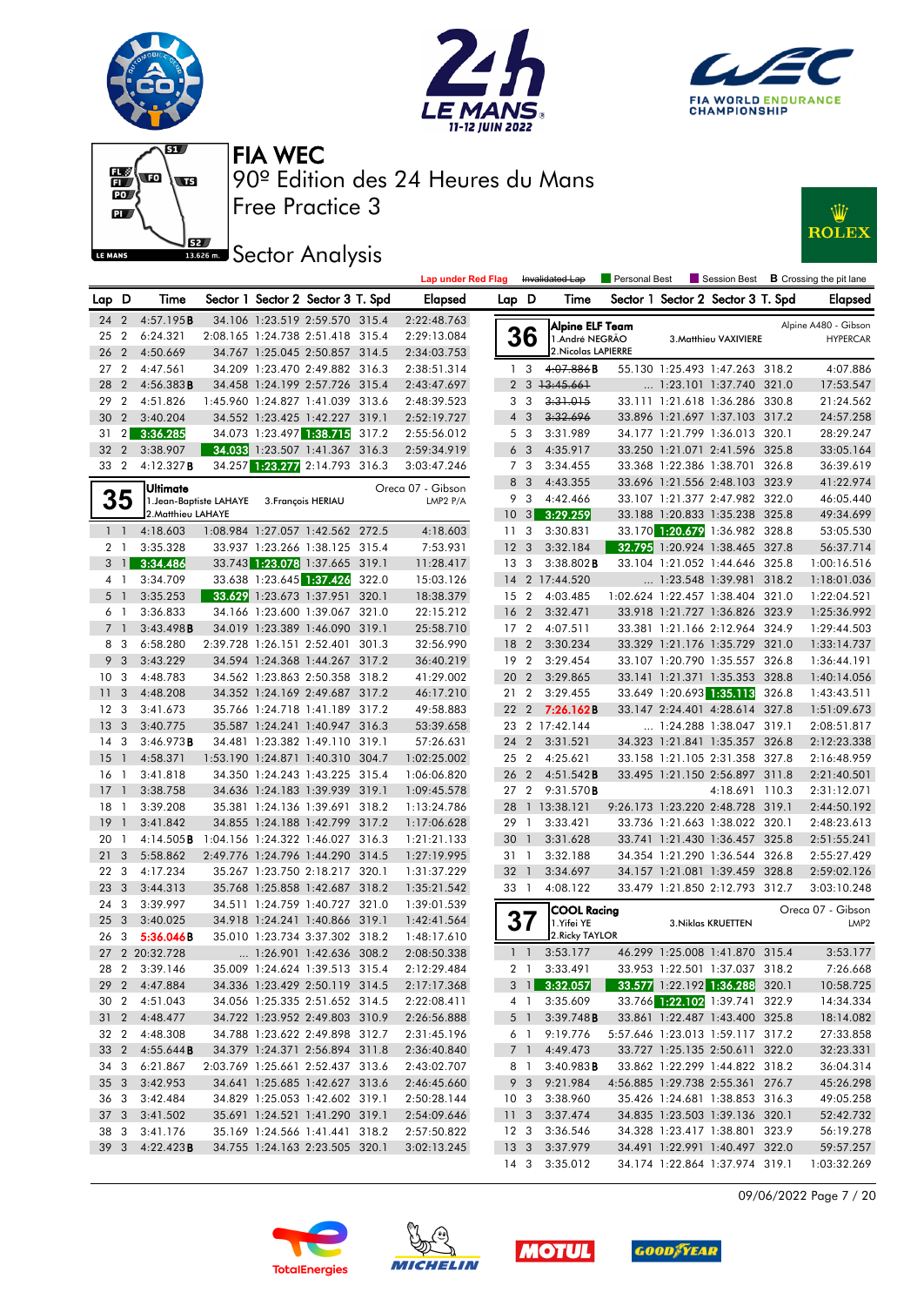











|                 |                |                        |                         | <b>JELIUI AHUIYSIS</b>            | <b>Lap under Red Flag</b> |                 |                 | Invalidated Lap             | Personal Best |                                   | $\blacksquare$ Session Best $\blacksquare$ Crossing the pit lane |
|-----------------|----------------|------------------------|-------------------------|-----------------------------------|---------------------------|-----------------|-----------------|-----------------------------|---------------|-----------------------------------|------------------------------------------------------------------|
| Lap D           |                | Time                   |                         | Sector 1 Sector 2 Sector 3 T. Spd | <b>Elapsed</b>            | Lap D           |                 | Time                        |               | Sector 1 Sector 2 Sector 3 T. Spd | <b>Elapsed</b>                                                   |
|                 | 24 2           | 4:57.195B              |                         | 34.106 1:23.519 2:59.570 315.4    | 2:22:48.763               |                 |                 | Alpine ELF Team             |               |                                   | Alpine A480 - Gibson                                             |
| 25 2            |                | 6:24.321               |                         | 2:08.165 1:24.738 2:51.418 315.4  | 2:29:13.084               |                 | 36              | 1.André NEGRÃO              |               | 3. Matthieu VAXIVIERE             | <b>HYPERCAR</b>                                                  |
| 26 2            |                | 4:50.669               |                         | 34.767 1:25.045 2:50.857 314.5    | 2:34:03.753               |                 |                 | 2. Nicolas LAPIERRE         |               |                                   |                                                                  |
| 27 <sub>2</sub> |                | 4:47.561               |                         | 34.209 1:23.470 2:49.882 316.3    | 2:38:51.314               |                 | 1 <sup>3</sup>  | 4:07.886B                   |               | 55.130 1:25.493 1:47.263 318.2    | 4:07.886                                                         |
| 28 2            |                | 4:56.383B              |                         | 34.458 1:24.199 2:57.726 315.4    | 2:43:47.697               |                 |                 | $2 \quad 3 \quad 13:45.661$ |               | 1:23.101 1:37.740 321.0           | 17:53.547                                                        |
| 29 2            |                | 4:51.826               |                         | 1:45.960 1:24.827 1:41.039 313.6  | 2:48:39.523               |                 | 3 3             | 3:31.015                    |               | 33.111 1:21.618 1:36.286 330.8    | 21:24.562                                                        |
| 30 2            |                | 3:40.204               |                         | 34.552 1:23.425 1:42.227 319.1    | 2:52:19.727               |                 | $4 \quad 3$     | 3:32.696                    |               | 33.896 1:21.697 1:37.103 317.2    | 24:57.258                                                        |
| 31              | $\overline{2}$ | 3:36.285               |                         | 34.073 1:23.497 1:38.715 317.2    | 2:55:56.012               |                 | 5 3             | 3:31.989                    |               | 34.177 1:21.799 1:36.013 320.1    | 28:29.247                                                        |
| 32 <sub>2</sub> |                | 3:38.907               |                         | 34.033 1:23.507 1:41.367 316.3    | 2:59:34.919               |                 | 6 <sub>3</sub>  | 4:35.917                    |               | 33.250 1:21.071 2:41.596 325.8    | 33:05.164                                                        |
| 33 2            |                | 4:12.327B              |                         | 34.257 1:23.277 2:14.793 316.3    | 3:03:47.246               |                 | 7 3             | 3:34.455                    |               | 33.368 1:22.386 1:38.701 326.8    | 36:39.619                                                        |
|                 |                | Ultimate               |                         |                                   | Oreca 07 - Gibson         |                 | 8 3             | 4:43.355                    |               | 33.696 1:21.556 2:48.103 323.9    | 41:22.974                                                        |
|                 | 35             |                        | 1. Jean-Baptiste LAHAYE | 3. François HERIAU                | LMP2 P/A                  |                 | 9 3             | 4:42.466                    |               | 33.107 1:21.377 2:47.982 322.0    | 46:05.440                                                        |
|                 |                | 2. Matthieu LAHAYE     |                         |                                   |                           |                 |                 | 10 3 3:29.259               |               | 33.188 1:20.833 1:35.238 325.8    | 49:34.699                                                        |
|                 | $1\quad$       | 4:18.603               |                         | 1:08.984 1:27.057 1:42.562 272.5  | 4:18.603                  |                 | 11 <sub>3</sub> | 3:30.831                    |               | 33.170 1:20.679 1:36.982 328.8    | 53:05.530                                                        |
|                 | 2 <sub>1</sub> | 3:35.328               |                         | 33.937 1:23.266 1:38.125 315.4    | 7:53.931                  | 12 <sup>3</sup> |                 | 3:32.184                    |               | 32.795 1:20.924 1:38.465 327.8    | 56:37.714                                                        |
|                 | $3 \mid 1$     | 3:34.486               |                         | 33.743 1:23.078 1:37.665 319.1    | 11:28.417                 |                 | 13 <sub>3</sub> | $3:38.802$ <b>B</b>         |               | 33.104 1:21.052 1:44.646 325.8    | 1:00:16.516                                                      |
|                 | $4-1$          | 3:34.709               |                         | 33.638 1:23.645 1:37.426 322.0    | 15:03.126                 |                 |                 | 14 2 17:44.520              |               | 1:23.548 1:39.981 318.2           | 1:18:01.036                                                      |
|                 | 5 <sub>1</sub> | 3:35.253               |                         | 33.629 1:23.673 1:37.951 320.1    | 18:38.379                 |                 |                 | 15 2 4:03.485               |               | 1:02.624 1:22.457 1:38.404 321.0  | 1:22:04.521                                                      |
|                 | 6 1            | 3:36.833               |                         | 34.166 1:23.600 1:39.067 321.0    | 22:15.212                 |                 | 16 <sub>2</sub> | 3:32.471                    |               | 33.918 1:21.727 1:36.826 323.9    | 1:25:36.992                                                      |
|                 | 7 <sub>1</sub> | 3:43.498B              |                         | 34.019 1:23.389 1:46.090 319.1    | 25:58.710                 |                 | 17 <sub>2</sub> | 4:07.511                    |               | 33.381 1:21.166 2:12.964 324.9    | 1:29:44.503                                                      |
|                 | 8 3            | 6:58.280               |                         | 2:39.728 1:26.151 2:52.401 301.3  | 32:56.990                 | 18 2            |                 | 3:30.234                    |               | 33.329 1:21.176 1:35.729 321.0    | 1:33:14.737                                                      |
| 9               | $\mathbf{3}$   | 3:43.229               |                         | 34.594 1:24.368 1:44.267 317.2    | 36:40.219                 |                 | 192             | 3:29.454                    |               | 33.107 1:20.790 1:35.557 326.8    | 1:36:44.191                                                      |
| 10 <sup>3</sup> |                | 4:48.783               |                         | 34.562 1:23.863 2:50.358 318.2    | 41:29.002                 |                 | 20 2            | 3:29.865                    |               | 33.141 1:21.371 1:35.353 328.8    | 1:40:14.056                                                      |
| 11 <sub>3</sub> |                | 4:48.208               |                         | 34.352 1:24.169 2:49.687 317.2    | 46:17.210                 |                 | 21 2            | 3:29.455                    |               | 33.649 1:20.693 1:35.113 326.8    | 1:43:43.511                                                      |
| 12 <sup>3</sup> |                | 3:41.673               |                         | 35.766 1:24.718 1:41.189 317.2    | 49:58.883                 |                 | 22 2            | 7:26.162B                   |               | 33.147 2:24.401 4:28.614 327.8    | 1:51:09.673                                                      |
| 13 <sup>3</sup> |                | 3:40.775               |                         | 35.587 1:24.241 1:40.947 316.3    | 53:39.658                 |                 |                 | 23 2 17:42.144              |               | 1:24.288 1:38.047 319.1           | 2:08:51.817                                                      |
| 14 <sup>3</sup> |                | 3:46.973B              |                         | 34.481 1:23.382 1:49.110 319.1    | 57:26.631                 |                 | 24 2            | 3:31.521                    |               | 34.323 1:21.841 1:35.357 326.8    | 2:12:23.338                                                      |
| $15-1$          |                | 4:58.371               |                         | 1:53.190 1:24.871 1:40.310 304.7  | 1:02:25.002               |                 | 25 2            | 4:25.621                    |               | 33.158 1:21.105 2:31.358 327.8    | 2:16:48.959                                                      |
| 16 1            |                | 3:41.818               |                         | 34.350 1:24.243 1:43.225 315.4    | 1:06:06.820               |                 | 26 2            | 4:51.542B                   |               | 33.495 1:21.150 2:56.897 311.8    | 2:21:40.501                                                      |
| $17-1$          |                | 3:38.758               |                         | 34.636 1:24.183 1:39.939 319.1    | 1:09:45.578               |                 |                 | 27 2 9:31.570 <b>B</b>      |               | 4:18.691 110.3                    | 2:31:12.071                                                      |
| 18 1            |                | 3:39.208               |                         | 35.381 1:24.136 1:39.691 318.2    | 1:13:24.786               |                 |                 | 28 1 13:38.121              |               | 9:26.173 1:23.220 2:48.728 319.1  | 2:44:50.192                                                      |
| 19              | $\overline{1}$ | 3:41.842               |                         | 34.855 1:24.188 1:42.799 317.2    | 1:17:06.628               |                 | 29 1            | 3:33.421                    |               | 33.736 1:21.663 1:38.022 320.1    | 2:48:23.613                                                      |
| 20 <sub>1</sub> |                | 4:14.505B              |                         | 1:04.156 1:24.322 1:46.027 316.3  | 1:21:21.133               | 30              | $\overline{1}$  | 3:31.628                    |               | 33.741 1:21.430 1:36.457 325.8    | 2:51:55.241                                                      |
| 21 3            |                | 5:58.862               |                         | 2:49.776 1:24.796 1:44.290 314.5  | 1:27:19.995               |                 | 31 1            | 3:32.188                    |               | 34.354 1:21.290 1:36.544 326.8    | 2:55:27.429                                                      |
| 22 3            |                | 4:17.234               |                         | 35.267 1:23.750 2:18.217 320.1    | 1:31:37.229               | 32 <sub>1</sub> |                 | 3:34.697                    |               | 34.157 1:21.081 1:39.459 328.8    | 2:59:02.126                                                      |
| 23 3            |                | 3:44.313               |                         | 35.768 1:25.858 1:42.687 318.2    | 1:35:21.542               |                 | 33 1            | 4:08.122                    |               | 33.479 1:21.850 2:12.793 312.7    | 3:03:10.248                                                      |
| 24 3            |                | 3:39.997               |                         | 34.511 1:24.759 1:40.727 321.0    | 1:39:01.539               |                 |                 | <b>COOL Racing</b>          |               |                                   | Oreca 07 - Gibson                                                |
| 25 <sub>3</sub> |                | 3:40.025               |                         | 34.918 1:24.241 1:40.866 319.1    | 1:42:41.564               |                 | 37              | 1.Yifei YE                  |               | 3. Niklas KRUETTEN                | LMP <sub>2</sub>                                                 |
| 26 3            |                | 5:36.046B              |                         | 35.010 1:23.734 3:37.302 318.2    | 1:48:17.610               |                 |                 | 2. Ricky TAYLOR             |               |                                   |                                                                  |
|                 |                | 27 2 20:32.728         |                         | 1:26.901 1:42.636 308.2           | 2:08:50.338               |                 |                 | $1 \quad 1 \quad 3:53.177$  |               | 46.299 1:25.008 1:41.870 315.4    | 3:53.177                                                         |
|                 |                | 28 2 3:39.146          |                         | 35.009 1:24.624 1:39.513 315.4    | 2:12:29.484               |                 |                 | 2 1 3:33.491                |               | 33.953 1:22.501 1:37.037 318.2    | 7:26.668                                                         |
|                 |                | 29 2 4:47.884          |                         | 34.336 1:23.429 2:50.119 314.5    | 2:17:17.368               |                 |                 | $3 \quad 1 \quad 3:32.057$  |               | 33.577 1:22.192 1:36.288 320.1    | 10:58.725                                                        |
|                 |                | 30 2 4:51.043          |                         | 34.056 1:25.335 2:51.652 314.5    | 2:22:08.411               |                 |                 | 4 1 3:35.609                |               | 33.766 1:22.102 1:39.741 322.9    | 14:34.334                                                        |
|                 |                | 31 2 4:48.477          |                         | 34.722 1:23.952 2:49.803 310.9    | 2:26:56.888               |                 |                 | 5 1 3:39.748 <b>B</b>       |               | 33.861 1:22.487 1:43.400 325.8    | 18:14.082                                                        |
|                 |                | 32 2 4:48.308          |                         | 34.788 1:23.622 2:49.898 312.7    | 2:31:45.196               |                 |                 | 6 1 9:19.776                |               | 5:57.646 1:23.013 1:59.117 317.2  | 27:33.858                                                        |
|                 |                | 33 2 4:55.644 <b>B</b> |                         | 34.379 1:24.371 2:56.894 311.8    | 2:36:40.840               |                 |                 | 7 1 4:49.473                |               | 33.727 1:25.135 2:50.611 322.0    | 32:23.331                                                        |
|                 |                | 34 3 6:21.867          |                         | 2:03.769 1:25.661 2:52.437 313.6  | 2:43:02.707               |                 |                 | 8 1 3:40.983 <b>B</b>       |               | 33.862 1:22.299 1:44.822 318.2    | 36:04.314                                                        |
|                 |                | 35 3 3:42.953          |                         | 34.641 1:25.685 1:42.627 313.6    | 2:46:45.660               |                 |                 | 9 3 9:21.984                |               | 4:56.885 1:29.738 2:55.361 276.7  | 45:26.298                                                        |
|                 |                | 36 3 3:42.484          |                         | 34.829 1:25.053 1:42.602 319.1    | 2:50:28.144               |                 |                 | 10 3 3:38.960               |               | 35.426 1:24.681 1:38.853 316.3    | 49:05.258                                                        |
|                 |                | 37 3 3:41.502          |                         | 35.691 1:24.521 1:41.290 319.1    | 2:54:09.646               |                 |                 | 11 3 3:37.474               |               | 34.835 1:23.503 1:39.136 320.1    | 52:42.732                                                        |
|                 |                | 38 3 3:41.176          |                         | 35.169 1:24.566 1:41.441 318.2    | 2:57:50.822               |                 |                 | 12 3 3:36.546               |               | 34.328 1:23.417 1:38.801 323.9    | 56:19.278                                                        |
|                 |                | 39 3 4:22.423 <b>B</b> |                         | 34.755 1:24.163 2:23.505 320.1    | 3:02:13.245               |                 |                 | 13 3 3:37.979               |               | 34.491 1:22.991 1:40.497 322.0    | 59:57.257                                                        |
|                 |                |                        |                         |                                   |                           |                 |                 | 14 3 3:35.012               |               | 34.174 1:22.864 1:37.974 319.1    | 1:03:32.269                                                      |

09/06/2022 Page 7 / 20





**MICHELIN** 

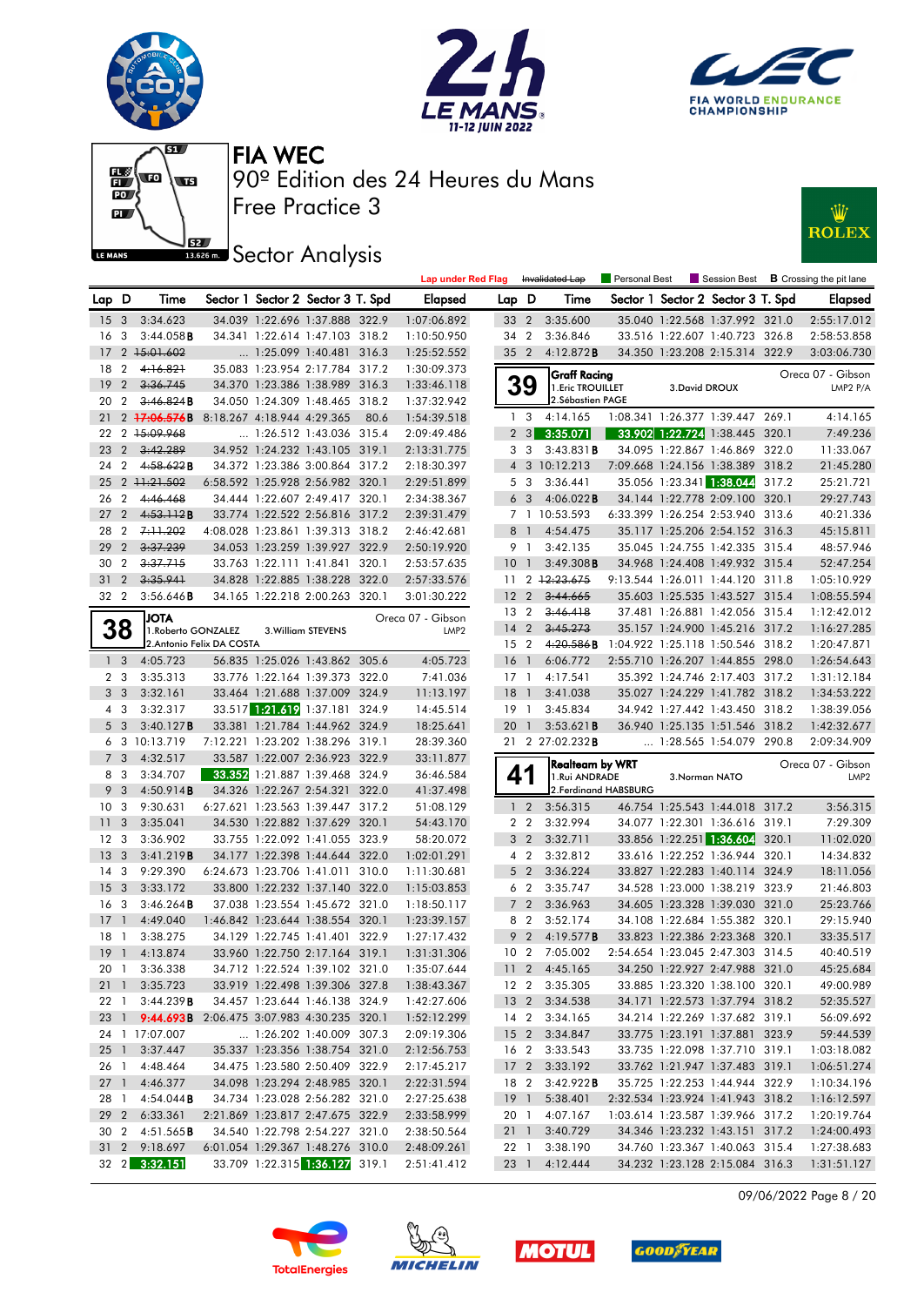











|                 |                |                                                 |                            |                                   |      | <b>Lap under Red Flag</b> |                 |                 | Invalidated Lap        |                       |                |                                   |       | <b>Example 2</b> Personal Best <b>Example 3</b> Crossing the pit lane |
|-----------------|----------------|-------------------------------------------------|----------------------------|-----------------------------------|------|---------------------------|-----------------|-----------------|------------------------|-----------------------|----------------|-----------------------------------|-------|-----------------------------------------------------------------------|
| Lap D           |                | Time                                            |                            | Sector 1 Sector 2 Sector 3 T. Spd |      | Elapsed                   | Lap D           |                 | Time                   |                       |                | Sector 1 Sector 2 Sector 3 T. Spd |       | Elapsed                                                               |
| 15 <sub>3</sub> |                | 3:34.623                                        |                            | 34.039 1:22.696 1:37.888 322.9    |      | 1:07:06.892               |                 | 33 2            | 3:35.600               |                       |                | 35.040 1:22.568 1:37.992 321.0    |       | 2:55:17.012                                                           |
| 16 <sub>3</sub> |                | 3:44.058B                                       |                            | 34.341 1:22.614 1:47.103 318.2    |      | 1:10:50.950               |                 | 34 2            | 3:36.846               |                       |                | 33.516 1:22.607 1:40.723 326.8    |       | 2:58:53.858                                                           |
| 17              |                | 2 15:01.602                                     |                            | $\ldots$ 1:25.099 1:40.481 316.3  |      | 1:25:52.552               |                 | 35 <sub>2</sub> | 4:12.872B              |                       |                | 34.350 1:23.208 2:15.314 322.9    |       | 3:03:06.730                                                           |
| 18 2            |                | 4:16.821                                        |                            | 35.083 1:23.954 2:17.784 317.2    |      | 1:30:09.373               |                 |                 | <b>Graff Racing</b>    |                       |                |                                   |       | Oreca 07 - Gibson                                                     |
| 19 <sup>°</sup> | $\overline{2}$ | 3:36.745                                        |                            | 34.370 1:23.386 1:38.989 316.3    |      | 1:33:46.118               |                 | 39              | 1. Eric TROUILLET      |                       | 3. David DROUX |                                   |       | LMP2 P/A                                                              |
| 20 2            |                | 3:46.824B                                       |                            | 34.050 1:24.309 1:48.465 318.2    |      | 1:37:32.942               |                 |                 | 2. Sébastien PAGE      |                       |                |                                   |       |                                                                       |
| 21              |                | 2 17:06.576B                                    | 8:18.267 4:18.944 4:29.365 |                                   | 80.6 | 1:54:39.518               |                 | 1 <sub>3</sub>  | 4:14.165               |                       |                | 1:08.341 1:26.377 1:39.447 269.1  |       | 4:14.165                                                              |
|                 |                | 22 2 15:09.968                                  |                            | 1:26.512 1:43.036 315.4           |      | 2:09:49.486               |                 | $2 \quad 3$     | 3:35.071               |                       |                | 33.902 1:22.724 1:38.445 320.1    |       | 7:49.236                                                              |
| 23 2            |                | 3:42.289                                        |                            | 34.952 1:24.232 1:43.105 319.1    |      | 2:13:31.775               |                 | 3 3             | $3:43.831$ B           |                       |                | 34.095 1:22.867 1:46.869 322.0    |       | 11:33.067                                                             |
| 24 2            |                | 4:58.622B                                       |                            | 34.372 1:23.386 3:00.864 317.2    |      | 2:18:30.397               | $\overline{4}$  |                 | 3 10:12.213            |                       |                | 7:09.668 1:24.156 1:38.389 318.2  |       | 21:45.280                                                             |
|                 |                | 25 2 11:21.502                                  |                            | 6:58.592 1:25.928 2:56.982 320.1  |      | 2:29:51.899               |                 | 5 3             | 3:36.441               |                       |                | 35.056 1:23.341 1:38.044          | 317.2 | 25:21.721                                                             |
| 26 2            |                | 4:46.468                                        |                            | 34.444 1:22.607 2:49.417 320.1    |      | 2:34:38.367               |                 | 6 <sub>3</sub>  | $4:06.022$ <b>B</b>    |                       |                | 34.144 1:22.778 2:09.100 320.1    |       | 29:27.743                                                             |
| 27 <sub>2</sub> |                | 4:53.112B                                       |                            | 33.774 1:22.522 2:56.816 317.2    |      | 2:39:31.479               |                 |                 | 7 1 10:53.593          |                       |                | 6:33.399 1:26.254 2:53.940 313.6  |       | 40:21.336                                                             |
| 28 2            |                | 7:11.202                                        |                            | 4:08.028 1:23.861 1:39.313 318.2  |      | 2:46:42.681               |                 | 8 1             | 4:54.475               |                       |                | 35.117 1:25.206 2:54.152 316.3    |       | 45:15.811                                                             |
| 29 2            |                | 3:37.239                                        |                            | 34.053 1:23.259 1:39.927 322.9    |      | 2:50:19.920               |                 | 9 1             | 3:42.135               |                       |                | 35.045 1:24.755 1:42.335 315.4    |       | 48:57.946                                                             |
| 30 2            |                | 3:37.715                                        |                            | 33.763 1:22.111 1:41.841 320.1    |      | 2:53:57.635               | 10 <sub>1</sub> |                 | $3:49.308$ B           |                       |                | 34.968 1:24.408 1:49.932 315.4    |       | 52:47.254                                                             |
| $31\quad2$      |                | 3:35.941                                        |                            | 34.828 1:22.885 1:38.228 322.0    |      | 2:57:33.576               | 11              |                 | 2 12:23.675            |                       |                | 9:13.544 1:26.011 1:44.120 311.8  |       | 1:05:10.929                                                           |
| 32 2            |                | 3:56.646B                                       |                            | 34.165 1:22.218 2:00.263 320.1    |      | 3:01:30.222               |                 | 12 <sub>2</sub> | 3:44.665               |                       |                | 35.603 1:25.535 1:43.527 315.4    |       | 1:08:55.594                                                           |
|                 |                | <b>JOTA</b>                                     |                            |                                   |      | Oreca 07 - Gibson         |                 | 13 <sub>2</sub> | 3:46.418               |                       |                | 37.481 1:26.881 1:42.056 315.4    |       | 1:12:42.012                                                           |
| 38              |                | 1. Roberto GONZALEZ                             |                            | 3. William STEVENS                |      | LMP <sub>2</sub>          |                 | $14 \quad 2$    | 3.45.273               |                       |                | 35.157 1:24.900 1:45.216 317.2    |       | 1:16:27.285                                                           |
|                 |                |                                                 | 2. Antonio Felix DA COSTA  |                                   |      |                           |                 | 15 <sub>2</sub> | 4:20.586B              |                       |                | 1:04.922 1:25.118 1:50.546 318.2  |       | 1:20:47.871                                                           |
| 1 <sub>3</sub>  |                | 4:05.723                                        |                            | 56.835 1:25.026 1:43.862 305.6    |      | 4:05.723                  | 16 <sub>1</sub> |                 | 6:06.772               |                       |                | 2:55.710 1:26.207 1:44.855 298.0  |       | 1:26:54.643                                                           |
| 2 <sub>3</sub>  |                | 3:35.313                                        |                            | 33.776 1:22.164 1:39.373 322.0    |      | 7:41.036                  |                 | $17-1$          | 4:17.541               |                       |                | 35.392 1:24.746 2:17.403 317.2    |       | 1:31:12.184                                                           |
| 3 <sup>3</sup>  |                | 3:32.161                                        |                            | 33.464 1:21.688 1:37.009 324.9    |      | 11:13.197                 | $18-1$          |                 | 3:41.038               |                       |                | 35.027 1:24.229 1:41.782 318.2    |       | 1:34:53.222                                                           |
| 4 3             |                | 3:32.317                                        |                            | 33.517 1:21.619 1:37.181 324.9    |      | 14:45.514                 |                 | $19-1$          | 3:45.834               |                       |                | 34.942 1:27.442 1:43.450 318.2    |       | 1:38:39.056                                                           |
| 5 <sub>3</sub>  |                | 3:40.127B                                       |                            | 33.381 1:21.784 1:44.962 324.9    |      | 18:25.641                 |                 | 201             | 3:53.621B              |                       |                | 36.940 1:25.135 1:51.546 318.2    |       | 1:42:32.677                                                           |
|                 |                | 6 3 10:13.719                                   |                            | 7:12.221 1:23.202 1:38.296 319.1  |      | 28:39.360                 |                 |                 | 21 2 27:02.232B        |                       |                | 1:28.565 1:54.079 290.8           |       | 2:09:34.909                                                           |
| 7 <sub>3</sub>  |                | 4:32.517                                        |                            | 33.587 1:22.007 2:36.923 322.9    |      | 33:11.877                 |                 |                 | Realteam by WRT        |                       |                |                                   |       | Oreca 07 - Gibson                                                     |
| 8 3             |                | 3:34.707                                        |                            | 33.352 1:21.887 1:39.468 324.9    |      | 36:46.584                 |                 | 41              | 1.Rui ANDRADE          |                       |                | 3.Norman NATO                     |       | LMP <sub>2</sub>                                                      |
| 9               | $\overline{3}$ | 4:50.914B                                       |                            | 34.326 1:22.267 2:54.321 322.0    |      | 41:37.498                 |                 |                 |                        | 2. Ferdinand HABSBURG |                |                                   |       |                                                                       |
| 10 <sub>3</sub> |                | 9:30.631                                        |                            | 6:27.621 1:23.563 1:39.447 317.2  |      | 51:08.129                 |                 | $1\quad 2$      | 3:56.315               |                       |                | 46.754 1:25.543 1:44.018 317.2    |       | 3:56.315                                                              |
| 11 <sub>3</sub> |                | 3:35.041                                        |                            | 34.530 1:22.882 1:37.629 320.1    |      | 54:43.170                 |                 | 2 <sub>2</sub>  | 3:32.994               |                       |                | 34.077 1:22.301 1:36.616 319.1    |       | 7:29.309                                                              |
| 12 <sub>3</sub> |                | 3:36.902                                        |                            | 33.755 1:22.092 1:41.055 323.9    |      | 58:20.072                 |                 | 3 <sub>2</sub>  | 3:32.711               |                       |                | 33.856 1:22.251 1:36.604 320.1    |       | 11:02.020                                                             |
| 13 <sub>3</sub> |                | 3:41.219B                                       |                            | 34.177 1:22.398 1:44.644 322.0    |      | 1:02:01.291               |                 | 4 2             | 3:32.812               |                       |                | 33.616 1:22.252 1:36.944 320.1    |       | 14:34.832                                                             |
| 14 <sup>3</sup> |                | 9:29.390                                        |                            | 6:24.673 1:23.706 1:41.011 310.0  |      | 1:11:30.681               |                 | 5 <sub>2</sub>  | 3:36.224               |                       |                | 33.827 1:22.283 1:40.114 324.9    |       | 18:11.056                                                             |
| 15 <sub>3</sub> |                | 3:33.172                                        |                            | 33.800 1:22.232 1:37.140 322.0    |      | 1:15:03.853               |                 | 6 2             | 3:35.747               |                       |                | 34.528 1:23.000 1:38.219 323.9    |       | 21:46.803                                                             |
| 16 <sub>3</sub> |                | 3:46.264B                                       |                            | 37.038 1:23.554 1:45.672 321.0    |      | 1:18:50.117               |                 | 7 <sub>2</sub>  | 3:36.963               |                       |                | 34.605 1:23.328 1:39.030 321.0    |       | 25:23.766                                                             |
| $17-1$          |                | 4:49.040                                        |                            | 1:46.842 1:23.644 1:38.554 320.1  |      | 1:23:39.157               |                 | 8 2             | 3:52.174               |                       |                | 34.108 1:22.684 1:55.382 320.1    |       | 29:15.940                                                             |
| $18-1$          |                | 3:38.275                                        |                            | 34.129 1:22.745 1:41.401 322.9    |      | 1:27:17.432               |                 | 9 <sub>2</sub>  | 4:19.577 <b>B</b>      |                       |                | 33.823 1:22.386 2:23.368 320.1    |       | 33:35.517                                                             |
|                 |                | 19 1 4:13.874                                   |                            | 33.960 1:22.750 2:17.164 319.1    |      | 1:31:31.306               |                 |                 | 10 2 7:05.002          |                       |                | 2:54.654 1:23.045 2:47.303 314.5  |       | 40:40.519                                                             |
|                 |                | 20 1 3:36.338                                   |                            | 34.712 1:22.524 1:39.102 321.0    |      | 1:35:07.644               |                 |                 | 11 2 4:45.165          |                       |                | 34.250 1:22.927 2:47.988 321.0    |       | 45:25.684                                                             |
|                 |                | 21 1 3:35.723                                   |                            | 33.919 1:22.498 1:39.306 327.8    |      | 1:38:43.367               |                 |                 | 12 2 3:35.305          |                       |                | 33.885 1:23.320 1:38.100 320.1    |       | 49:00.989                                                             |
|                 |                | 22 1 3:44.239 <b>B</b>                          |                            | 34.457 1:23.644 1:46.138 324.9    |      | 1:42:27.606               |                 |                 | 13 2 3:34.538          |                       |                | 34.171 1:22.573 1:37.794 318.2    |       | 52:35.527                                                             |
|                 |                | 23 1 9:44.693B 2:06.475 3:07.983 4:30.235 320.1 |                            |                                   |      | 1:52:12.299               |                 |                 | 14 2 3:34.165          |                       |                | 34.214 1:22.269 1:37.682 319.1    |       | 56:09.692                                                             |
|                 |                | 24 1 17:07.007                                  |                            | 1:26.202 1:40.009 307.3           |      | 2:09:19.306               |                 |                 | 15 2 3:34.847          |                       |                | 33.775 1:23.191 1:37.881 323.9    |       | 59:44.539                                                             |
| $25 \quad 1$    |                | 3:37.447                                        |                            | 35.337 1:23.356 1:38.754 321.0    |      | 2:12:56.753               |                 |                 | 16 2 3:33.543          |                       |                | 33.735 1:22.098 1:37.710 319.1    |       | 1:03:18.082                                                           |
|                 |                | 26 1 4:48.464                                   |                            | 34.475 1:23.580 2:50.409 322.9    |      | 2:17:45.217               |                 |                 | 17 2 3:33.192          |                       |                | 33.762 1:21.947 1:37.483 319.1    |       | 1:06:51.274                                                           |
|                 |                | 27 1 4:46.377                                   |                            | 34.098 1:23.294 2:48.985 320.1    |      | 2:22:31.594               |                 |                 | 18 2 3:42.922 <b>B</b> |                       |                | 35.725 1:22.253 1:44.944 322.9    |       | 1:10:34.196                                                           |
|                 |                | 28 1 4:54.044 <b>B</b>                          |                            | 34.734 1:23.028 2:56.282 321.0    |      | 2:27:25.638               | 19 1            |                 | 5:38.401               |                       |                | 2:32.534 1:23.924 1:41.943 318.2  |       | 1:16:12.597                                                           |
|                 |                | 29 2 6:33.361                                   |                            | 2:21.869 1:23.817 2:47.675 322.9  |      | 2:33:58.999               |                 | 20 1            | 4:07.167               |                       |                | 1:03.614 1:23.587 1:39.966 317.2  |       | 1:20:19.764                                                           |
|                 |                | 30 2 4:51.565 <b>B</b>                          |                            | 34.540 1:22.798 2:54.227 321.0    |      | 2:38:50.564               |                 | 21 1            | 3:40.729               |                       |                | 34.346 1:23.232 1:43.151 317.2    |       | 1:24:00.493                                                           |
|                 |                | 31 2 9:18.697                                   |                            | 6:01.054 1:29.367 1:48.276 310.0  |      | 2:48:09.261               |                 | 22 1            | 3:38.190               |                       |                | 34.760 1:23.367 1:40.063 315.4    |       | 1:27:38.683                                                           |
|                 |                | 32 2 3:32.151                                   |                            | 33.709 1:22.315 1:36.127 319.1    |      | 2:51:41.412               |                 |                 | 23 1 4:12.444          |                       |                | 34.232 1:23.128 2:15.084 316.3    |       | 1:31:51.127                                                           |

09/06/2022 Page 8 / 20







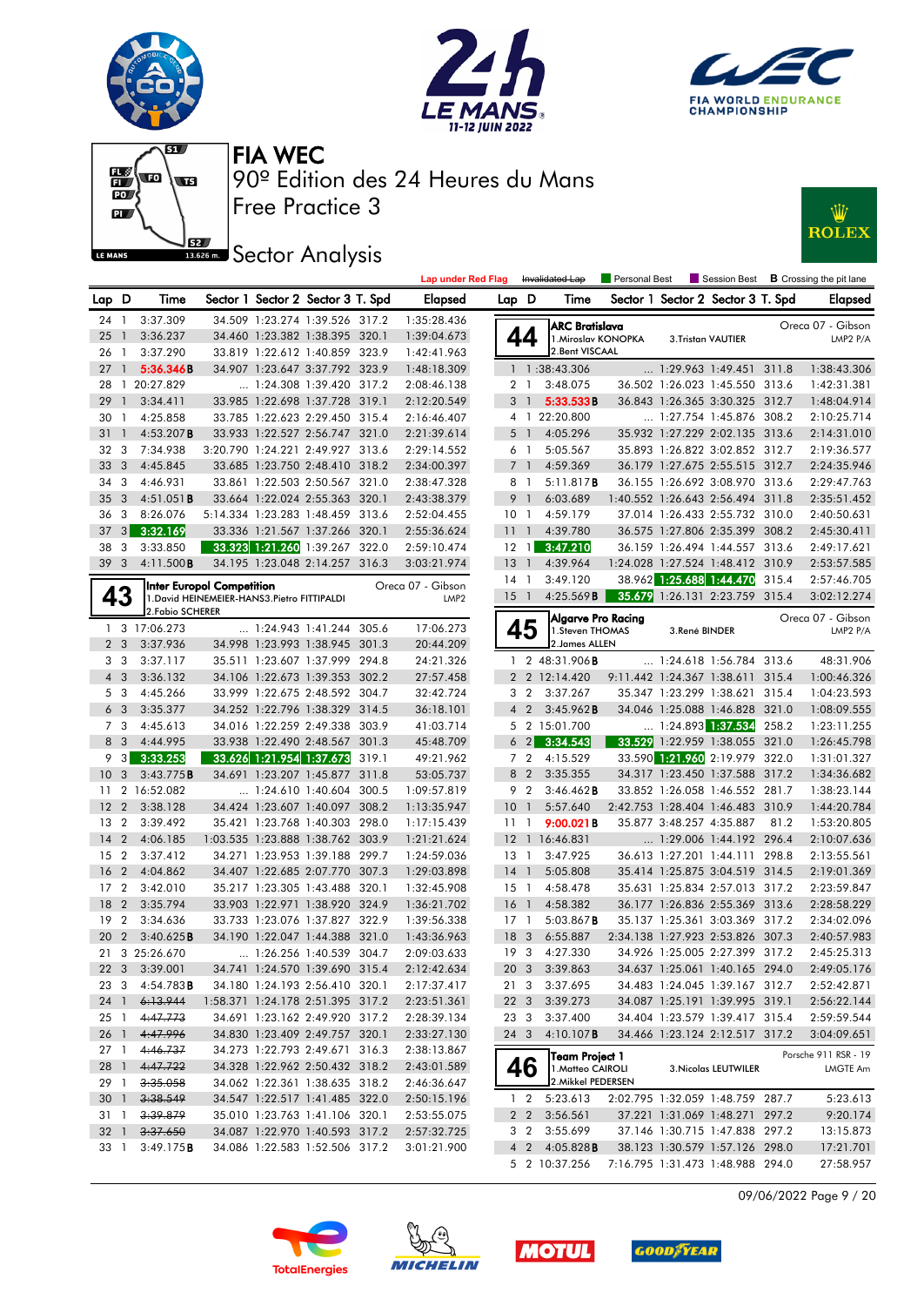







Free Practice 3 90º Edition des 24 Heures du Mans FIA WEC





|                 |                   |                     |                                                                                  |                                   | Lap under Red Flag |                 |                | Invalidated Lap                         | <b>Personal Best</b>           |               |                                   |      | Session Best <b>B</b> Crossing the pit lane |
|-----------------|-------------------|---------------------|----------------------------------------------------------------------------------|-----------------------------------|--------------------|-----------------|----------------|-----------------------------------------|--------------------------------|---------------|-----------------------------------|------|---------------------------------------------|
| Lap D           |                   | Time                |                                                                                  | Sector 1 Sector 2 Sector 3 T. Spd | <b>Elapsed</b>     | Lap D           |                | Time                                    |                                |               | Sector 1 Sector 2 Sector 3 T. Spd |      | Elapsed                                     |
| 24 1            |                   | 3:37.309            |                                                                                  | 34.509 1:23.274 1:39.526 317.2    | 1:35:28.436        |                 |                | <b>ARC Bratislava</b>                   |                                |               |                                   |      | Oreca 07 - Gibson                           |
| 25              | $\mathbf{1}$      | 3:36.237            |                                                                                  | 34.460 1:23.382 1:38.395 320.1    | 1:39:04.673        |                 | 44             | 1. Miroslav KONOPKA                     |                                |               | 3.Tristan VAUTIER                 |      | LMP2 P/A                                    |
| 26 1            |                   | 3:37.290            |                                                                                  | 33.819 1:22.612 1:40.859 323.9    | 1:42:41.963        |                 |                | 2.Bent VISCAAL                          |                                |               |                                   |      |                                             |
| 27              | $\overline{1}$    | 5:36.346B           |                                                                                  | 34.907 1:23.647 3:37.792 323.9    | 1:48:18.309        |                 |                | 1 1:38:43.306                           |                                |               | 1:29.963 1:49.451 311.8           |      | 1:38:43.306                                 |
|                 |                   | 28 1 20:27.829      |                                                                                  | $\ldots$ 1:24.308 1:39.420 317.2  | 2:08:46.138        |                 | 2 1            | 3:48.075                                |                                |               | 36.502 1:26.023 1:45.550 313.6    |      | 1:42:31.381                                 |
| 29              | $\mathbf{1}$      | 3:34.411            |                                                                                  | 33.985 1:22.698 1:37.728 319.1    | 2:12:20.549        | 3               | $\overline{1}$ | 5:33.533B                               |                                |               | 36.843 1:26.365 3:30.325 312.7    |      | 1:48:04.914                                 |
| 30              | $\mathbf{1}$      | 4:25.858            |                                                                                  | 33.785 1:22.623 2:29.450 315.4    | 2:16:46.407        |                 |                | 4 1 22:20.800                           |                                |               | 1:27.754 1:45.876 308.2           |      | 2:10:25.714                                 |
| 31              | $\mathbf{1}$      | 4:53.207B           |                                                                                  | 33.933 1:22.527 2:56.747 321.0    | 2:21:39.614        | 5               | $\overline{1}$ | 4:05.296                                |                                |               | 35.932 1:27.229 2:02.135 313.6    |      | 2:14:31.010                                 |
| 32 3            |                   | 7:34.938            |                                                                                  | 3:20.790 1:24.221 2:49.927 313.6  | 2:29:14.552        |                 | 6 1            | 5:05.567                                |                                |               | 35.893 1:26.822 3:02.852 312.7    |      | 2:19:36.577                                 |
| 33              | 3                 | 4:45.845            |                                                                                  | 33.685 1:23.750 2:48.410 318.2    | 2:34:00.397        | $7^{\circ}$     | $\overline{1}$ | 4:59.369                                |                                |               | 36.179 1:27.675 2:55.515 312.7    |      | 2:24:35.946                                 |
| 34              | 3                 | 4:46.931            |                                                                                  | 33.861 1:22.503 2:50.567 321.0    | 2:38:47.328        | 8               | $\overline{1}$ | 5:11.817B                               |                                |               | 36.155 1:26.692 3:08.970 313.6    |      | 2:29:47.763                                 |
| 35              | 3                 | 4:51.051B           |                                                                                  | 33.664 1:22.024 2:55.363 320.1    | 2:43:38.379        | 9               | $\overline{1}$ | 6:03.689                                |                                |               | 1:40.552 1:26.643 2:56.494 311.8  |      | 2:35:51.452                                 |
| 36              | 3                 | 8:26.076            |                                                                                  | 5:14.334 1:23.283 1:48.459 313.6  | 2:52:04.455        | 10 <sub>1</sub> |                | 4:59.179                                |                                |               | 37.014 1:26.433 2:55.732 310.0    |      | 2:40:50.631                                 |
| 37              | 3 <sup>1</sup>    | 3:32.169            |                                                                                  | 33.336 1:21.567 1:37.266 320.1    | 2:55:36.624        | 11 <sup>1</sup> |                | 4:39.780                                |                                |               | 36.575 1:27.806 2:35.399 308.2    |      | 2:45:30.411                                 |
| 38              | 3                 | 3:33.850            |                                                                                  | 33.323 1:21.260 1:39.267 322.0    | 2:59:10.474        | $12 \quad 1$    |                | 3:47.210                                |                                |               | 36.159 1:26.494 1:44.557 313.6    |      | 2:49:17.621                                 |
| 39 <sub>3</sub> |                   | 4:11.500B           |                                                                                  | 34.195 1:23.048 2:14.257 316.3    | 3:03:21.974        | $13-1$          |                | 4:39.964                                |                                |               | 1:24.028 1:27.524 1:48.412 310.9  |      | 2:53:57.585                                 |
|                 |                   |                     |                                                                                  |                                   | Oreca 07 - Gibson  | $14-1$          |                | 3:49.120                                |                                |               | 38.962 1:25.688 1:44.470 315.4    |      | 2:57:46.705                                 |
| 43              |                   |                     | <b>Inter Europol Competition</b><br>1. David HEINEMEIER-HANS3. Pietro FITTIPALDI |                                   | LMP <sub>2</sub>   | $15-1$          |                | 4:25.569B                               |                                |               | 35.679 1:26.131 2:23.759 315.4    |      | 3:02:12.274                                 |
|                 |                   | 2. Fabio SCHERER    |                                                                                  |                                   |                    |                 |                | Algarve Pro Racing                      |                                |               |                                   |      | Oreca 07 - Gibson                           |
|                 |                   | 1 3 17:06.273       |                                                                                  | $\ldots$ 1:24.943 1:41.244 305.6  | 17:06.273          |                 | 45             | 1.Steven THOMAS                         |                                | 3.René BINDER |                                   |      | LMP2 P/A                                    |
| 2 <sub>3</sub>  |                   | 3:37.936            |                                                                                  | 34.998 1:23.993 1:38.945 301.3    | 20:44.209          |                 |                | 2. James ALLEN                          |                                |               |                                   |      |                                             |
| 3               | $\mathbf{3}$      | 3:37.117            |                                                                                  | 35.511 1:23.607 1:37.999 294.8    | 24:21.326          |                 |                | 1 2 48:31.906 <b>B</b>                  |                                |               | $\ldots$ 1:24.618 1:56.784 313.6  |      | 48:31.906                                   |
| $4 \quad 3$     |                   | 3:36.132            |                                                                                  | 34.106 1:22.673 1:39.353 302.2    | 27:57.458          |                 |                | 2 2 12:14.420                           |                                |               | 9:11.442 1:24.367 1:38.611 315.4  |      | 1:00:46.326                                 |
| 5 3             |                   | 4:45.266            |                                                                                  | 33.999 1:22.675 2:48.592 304.7    | 32:42.724          |                 | 3 2            | 3:37.267                                |                                |               | 35.347 1:23.299 1:38.621 315.4    |      | 1:04:23.593                                 |
| 6 <sub>3</sub>  |                   | 3:35.377            |                                                                                  | 34.252 1:22.796 1:38.329 314.5    | 36:18.101          |                 | $4\quad2$      | 3:45.962B                               |                                |               | 34.046 1:25.088 1:46.828 321.0    |      | 1:08:09.555                                 |
| 7 3             |                   | 4:45.613            |                                                                                  | 34.016 1:22.259 2:49.338 303.9    | 41:03.714          |                 |                | 5 2 15:01.700                           |                                |               | $\ldots$ 1:24.893 1:37.534 258.2  |      | 1:23:11.255                                 |
| 8 3             |                   | 4:44.995            |                                                                                  | 33.938 1:22.490 2:48.567 301.3    | 45:48.709          |                 |                | $6\quad 2$ 3:34.543                     |                                |               | 33.529 1:22.959 1:38.055 321.0    |      | 1:26:45.798                                 |
| 9.              | $\lceil 3 \rceil$ | 3:33.253            |                                                                                  | 33.626 1:21.954 1:37.673 319.1    | 49:21.962          |                 | 7 <sub>2</sub> | 4:15.529                                |                                |               | 33.590 1:21.960 2:19.979 322.0    |      | 1:31:01.327                                 |
| 10              | 3                 | 3:43.775B           |                                                                                  | 34.691 1:23.207 1:45.877 311.8    | 53:05.737          |                 | 8 2            | 3:35.355                                |                                |               | 34.317 1:23.450 1:37.588 317.2    |      | 1:34:36.682                                 |
| 11              |                   | 2 16:52.082         |                                                                                  | $\ldots$ 1:24.610 1:40.604 300.5  | 1:09:57.819        |                 | 9 2            | $3:46.462$ <b>B</b>                     |                                |               | 33.852 1:26.058 1:46.552 281.7    |      | 1:38:23.144                                 |
| 12              | $\overline{2}$    | 3:38.128            |                                                                                  | 34.424 1:23.607 1:40.097 308.2    | 1:13:35.947        | 10              | $\mathbf{1}$   | 5:57.640                                |                                |               | 2:42.753 1:28.404 1:46.483 310.9  |      | 1:44:20.784                                 |
| 13              | $\overline{2}$    | 3:39.492            |                                                                                  | 35.421 1:23.768 1:40.303 298.0    | 1:17:15.439        | 11 <sub>1</sub> |                | 9:00.021B                               |                                |               | 35.877 3:48.257 4:35.887          | 81.2 | 1:53:20.805                                 |
| 14              | $\overline{2}$    | 4:06.185            |                                                                                  | 1:03.535 1:23.888 1:38.762 303.9  | 1:21:21.624        |                 |                | 12 1 16:46.831                          |                                |               | 1:29.006 1:44.192 296.4           |      | 2:10:07.636                                 |
| 15              | $\overline{2}$    | 3:37.412            |                                                                                  | 34.271 1:23.953 1:39.188 299.7    | 1:24:59.036        | 13 1            |                | 3:47.925                                |                                |               | 36.613 1:27.201 1:44.111 298.8    |      | 2:13:55.561                                 |
| 16              | $\overline{2}$    | 4:04.862            |                                                                                  | 34.407 1:22.685 2:07.770 307.3    | 1:29:03.898        | $14-1$          |                | 5:05.808                                |                                |               | 35.414 1:25.875 3:04.519 314.5    |      | 2:19:01.369                                 |
| 17 <sub>2</sub> |                   | 3:42.010            |                                                                                  | 35.217 1:23.305 1:43.488 320.1    | 1:32:45.908        | $15-1$          |                | 4:58.478                                |                                |               | 35.631 1:25.834 2:57.013 317.2    |      | 2:23:59.847                                 |
| 18              | $\overline{2}$    | 3:35.794            |                                                                                  | 33.903 1:22.971 1:38.920 324.9    | 1:36:21.702        | 16 <sub>1</sub> |                | 4:58.382                                |                                |               | 36.177 1:26.836 2:55.369 313.6    |      | 2:28:58.229                                 |
| 19              | $\overline{2}$    | 3:34.636            |                                                                                  | 33.733 1:23.076 1:37.827 322.9    | 1:39:56.338        | $17-1$          |                | $5:03.867$ <b>B</b>                     |                                |               | 35.137 1:25.361 3:03.369 317.2    |      | 2:34:02.096                                 |
| 20              | $\overline{2}$    | 3:40.625B           |                                                                                  | 34.190 1:22.047 1:44.388 321.0    | 1:43:36.963        | 18 <sup>3</sup> |                | 6:55.887                                |                                |               | 2:34.138 1:27.923 2:53.826 307.3  |      | 2:40:57.983                                 |
|                 |                   | 21 3 25:26.670      |                                                                                  | 1:26.256 1:40.539 304.7           | 2:09:03.633        |                 |                | 19 3 4:27.330                           |                                |               | 34.926 1:25.005 2:27.399 317.2    |      | 2:45:25.313                                 |
|                 |                   | 22 3 3:39.001       |                                                                                  | 34.741 1:24.570 1:39.690 315.4    | 2:12:42.634        |                 |                | 20 3 3:39.863                           | 34.637 1:25.061 1:40.165 294.0 |               |                                   |      | 2:49:05.176                                 |
| 23 3            |                   | $4:54.783$ <b>B</b> |                                                                                  | 34.180 1:24.193 2:56.410 320.1    | 2:17:37.417        |                 |                | 21 3 3:37.695                           |                                |               | 34.483 1:24.045 1:39.167 312.7    |      | 2:52:42.871                                 |
| 24 1            |                   | 6.13.944            |                                                                                  | 1:58.371 1:24.178 2:51.395 317.2  | 2:23:51.361        | 22 3            |                | 3:39.273                                |                                |               | 34.087 1:25.191 1:39.995 319.1    |      | 2:56:22.144                                 |
| 25 1            |                   | 4:47.773            |                                                                                  | 34.691 1:23.162 2:49.920 317.2    | 2:28:39.134        | 23 3            |                | 3:37.400                                |                                |               | 34.404 1:23.579 1:39.417 315.4    |      | 2:59:59.544                                 |
| 26 1            |                   | 4:47.996            |                                                                                  | 34.830 1:23.409 2:49.757 320.1    | 2:33:27.130        |                 |                | 24 3 4:10.107 <b>B</b>                  |                                |               | 34.466 1:23.124 2:12.517 317.2    |      | 3:04:09.651                                 |
| 27 1            |                   | 4:46.737            |                                                                                  | 34.273 1:22.793 2:49.671 316.3    | 2:38:13.867        |                 |                |                                         |                                |               |                                   |      |                                             |
| 28              | $\overline{1}$    | 4:47.722            |                                                                                  | 34.328 1:22.962 2:50.432 318.2    | 2:43:01.589        |                 | 46             | Team Project 1                          |                                |               |                                   |      | Porsche 911 RSR - 19                        |
| 29 1            |                   | 3:35.058            |                                                                                  | 34.062 1:22.361 1:38.635 318.2    | 2:46:36.647        |                 |                | 1. Matteo CAIROLI<br>2. Mikkel PEDERSEN |                                |               | 3. Nicolas LEUTWILER              |      | LMGTE Am                                    |
| 30              | $\overline{1}$    | 3:38.549            |                                                                                  | 34.547 1:22.517 1:41.485 322.0    | 2:50:15.196        |                 | $1\quad 2$     | 5:23.613                                |                                |               | 2:02.795 1:32.059 1:48.759 287.7  |      | 5:23.613                                    |
| 31 1            |                   | 3:39.879            |                                                                                  | 35.010 1:23.763 1:41.106 320.1    | 2:53:55.075        |                 | 2 <sub>2</sub> | 3:56.561                                |                                |               | 37.221 1:31.069 1:48.271 297.2    |      | 9:20.174                                    |
| 32 <sub>1</sub> |                   | 3:37.650            |                                                                                  | 34.087 1:22.970 1:40.593 317.2    | 2:57:32.725        |                 |                | 3 2 3:55.699                            |                                |               | 37.146 1:30.715 1:47.838 297.2    |      |                                             |
|                 |                   |                     |                                                                                  |                                   |                    |                 |                |                                         |                                |               |                                   |      | 13:15.873<br>17:21.701                      |
| 33 1            |                   | 3:49.175B           |                                                                                  | 34.086 1:22.583 1:52.506 317.2    | 3:01:21.900        |                 |                | 4 2 4:05.828 <b>B</b>                   |                                |               | 38.123 1:30.579 1:57.126 298.0    |      |                                             |
|                 |                   |                     |                                                                                  |                                   |                    |                 |                | 5 2 10:37.256                           |                                |               | 7:16.795 1:31.473 1:48.988 294.0  |      | 27:58.957                                   |

09/06/2022 Page 9 / 20







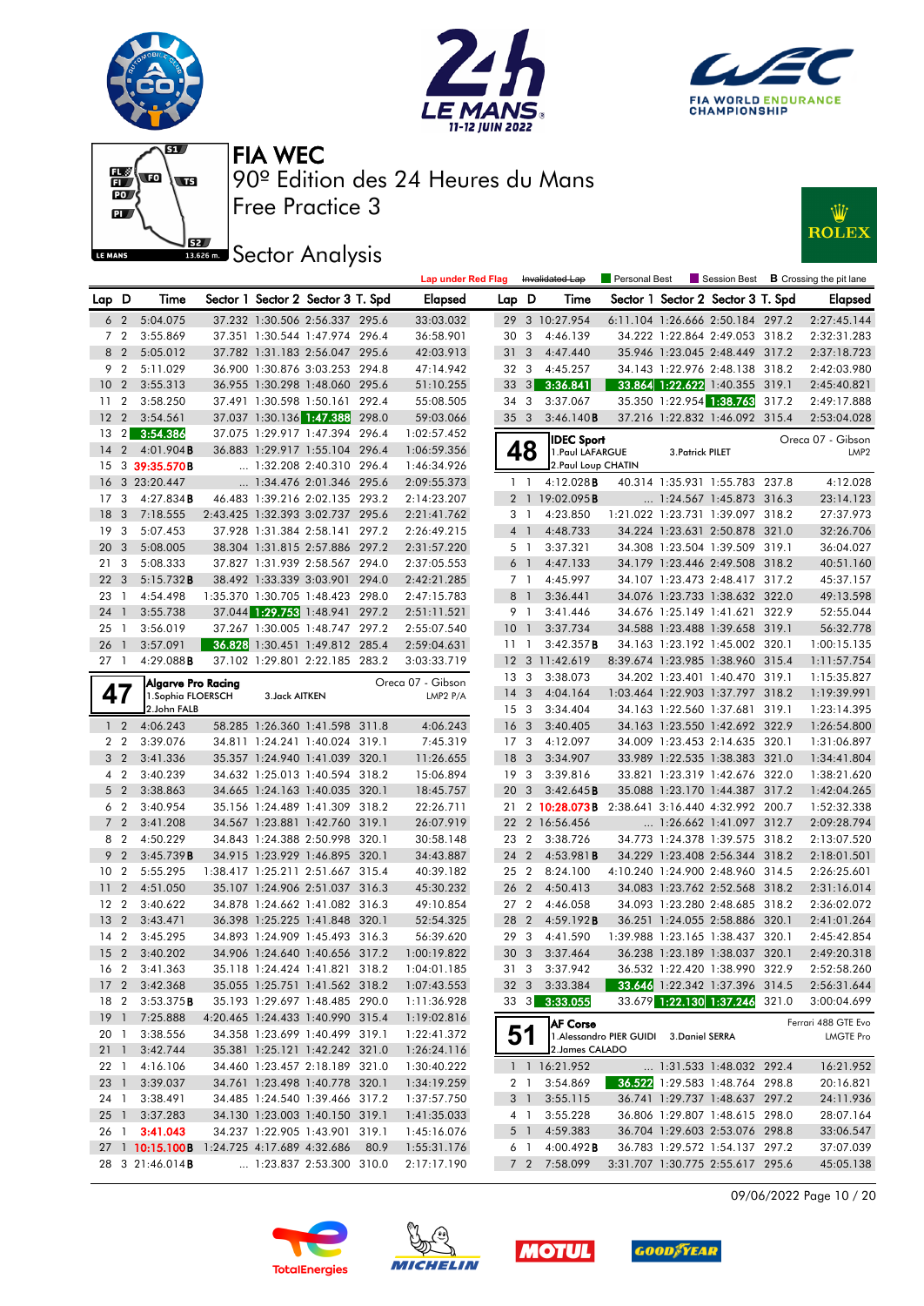











|                                    |                |                           |                |                                                                  | <b>Lap under Red Flag</b> |                       |                         | Invalidated Lap                                  | Personal Best                            |                  | Session Best                                                       |       | <b>B</b> Crossing the pit lane          |
|------------------------------------|----------------|---------------------------|----------------|------------------------------------------------------------------|---------------------------|-----------------------|-------------------------|--------------------------------------------------|------------------------------------------|------------------|--------------------------------------------------------------------|-------|-----------------------------------------|
| Lap D                              |                | Time                      |                | Sector 1 Sector 2 Sector 3 T. Spd                                | <b>Elapsed</b>            | Lap D                 |                         | Time                                             |                                          |                  | Sector 1 Sector 2 Sector 3 T. Spd                                  |       | <b>Elapsed</b>                          |
| 6 <sub>2</sub>                     |                | 5:04.075                  |                | 37.232 1:30.506 2:56.337 295.6                                   | 33:03.032                 |                       |                         | 29 3 10:27.954                                   |                                          |                  | 6:11.104 1:26.666 2:50.184 297.2                                   |       | 2:27:45.144                             |
| 7 <sub>2</sub>                     |                | 3:55.869                  |                | 37.351 1:30.544 1:47.974 296.4                                   | 36:58.901                 | 30                    | 3                       | 4:46.139                                         |                                          |                  | 34.222 1:22.864 2:49.053 318.2                                     |       | 2:32:31.283                             |
| 8 2                                |                | 5:05.012                  |                | 37.782 1:31.183 2:56.047 295.6                                   | 42:03.913                 | 31                    | 3                       | 4:47.440                                         |                                          |                  | 35.946 1:23.045 2:48.449 317.2                                     |       | 2:37:18.723                             |
| 9 <sub>2</sub>                     |                | 5:11.029                  |                | 36.900 1:30.876 3:03.253 294.8                                   | 47:14.942                 | 32 3                  |                         | 4:45.257                                         |                                          |                  | 34.143 1:22.976 2:48.138 318.2                                     |       | 2:42:03.980                             |
| 10 <sup>°</sup>                    | $\overline{2}$ | 3:55.313                  |                | 36.955 1:30.298 1:48.060 295.6                                   | 51:10.255                 | 33                    | 3                       | 3:36.841                                         |                                          |                  | 33.864 1:22.622 1:40.355 319.1                                     |       | 2:45:40.821                             |
| 11                                 | $\overline{2}$ | 3:58.250                  |                | 37.491 1:30.598 1:50.161 292.4                                   | 55:08.505                 | 343                   |                         | 3:37.067                                         |                                          |                  | 35.350 1:22.954 1:38.763                                           | 317.2 | 2:49:17.888                             |
| 12                                 | $\overline{2}$ | 3:54.561                  |                | 37.037 1:30.136 1:47.388 298.0                                   | 59:03.066                 | 35 3                  |                         | 3:46.140B                                        |                                          |                  | 37.216 1:22.832 1:46.092 315.4                                     |       | 2:53:04.028                             |
| 13                                 | $\overline{2}$ | 3:54.386                  |                | 37.075 1:29.917 1:47.394 296.4                                   | 1:02:57.452               |                       |                         | <b>IDEC Sport</b>                                |                                          |                  |                                                                    |       | Oreca 07 - Gibson                       |
| 14                                 | $\overline{2}$ | $4:01.904$ B              |                | 36.883 1:29.917 1:55.104 296.4                                   | 1:06:59.356               |                       | 48                      | 1. Paul LAFARGUE                                 |                                          | 3. Patrick PILET |                                                                    |       | LMP <sub>2</sub>                        |
| 15                                 |                | 3 39:35.570B              |                | 1:32.208 2:40.310 296.4                                          | 1:46:34.926               |                       |                         | 2. Paul Loup CHATIN                              |                                          |                  |                                                                    |       |                                         |
| 16                                 |                | 3 23:20.447               |                | 1:34.476 2:01.346 295.6                                          | 2:09:55.373               |                       | 1 <sup>1</sup>          | $4:12.028$ <b>B</b>                              |                                          |                  | 40.314 1:35.931 1:55.783 237.8                                     |       | 4:12.028                                |
| 17                                 | 3              | $4:27.834$ B              |                | 46.483 1:39.216 2:02.135 293.2                                   | 2:14:23.207               |                       |                         | 2 1 19:02.095 <b>B</b>                           |                                          |                  | $\ldots$ 1:24.567 1:45.873 316.3                                   |       | 23:14.123                               |
| 18                                 | 3              | 7:18.555                  |                | 2:43.425 1:32.393 3:02.737 295.6                                 | 2:21:41.762               |                       | 31                      | 4:23.850                                         |                                          |                  | 1:21.022 1:23.731 1:39.097 318.2                                   |       | 27:37.973                               |
| 19                                 | 3              | 5:07.453                  |                | 37.928 1:31.384 2:58.141 297.2                                   | 2:26:49.215               |                       | $4-1$                   | 4:48.733                                         |                                          |                  | 34.224 1:23.631 2:50.878 321.0                                     |       | 32:26.706                               |
| 20 <sub>3</sub>                    |                | 5:08.005                  |                | 38.304 1:31.815 2:57.886 297.2                                   | 2:31:57.220               |                       | 5 1                     | 3:37.321                                         |                                          |                  | 34.308 1:23.504 1:39.509 319.1                                     |       | 36:04.027                               |
| 21                                 | 3              | 5:08.333                  |                | 37.827 1:31.939 2:58.567 294.0                                   | 2:37:05.553               |                       | 6 1                     | 4:47.133                                         |                                          |                  | 34.179 1:23.446 2:49.508 318.2                                     |       | 40:51.160                               |
| 22                                 | 3              | 5:15.732B                 |                | 38.492 1:33.339 3:03.901 294.0                                   | 2:42:21.285               |                       | 7 1                     | 4:45.997                                         |                                          |                  | 34.107 1:23.473 2:48.417 317.2                                     |       | 45:37.157                               |
| 23                                 | $\overline{1}$ | 4:54.498                  |                | 1:35.370 1:30.705 1:48.423 298.0                                 | 2:47:15.783               |                       | 8 <sup>1</sup>          | 3:36.441                                         |                                          |                  | 34.076 1:23.733 1:38.632 322.0                                     |       | 49:13.598                               |
| 24 1                               |                | 3:55.738                  |                | 37.044 1:29.753 1:48.941 297.2                                   | 2:51:11.521               |                       | 9 1                     | 3:41.446                                         |                                          |                  | 34.676 1:25.149 1:41.621 322.9                                     |       | 52:55.044                               |
| 25                                 | $\overline{1}$ | 3:56.019                  |                | 37.267 1:30.005 1:48.747 297.2                                   | 2:55:07.540               | $10-1$                |                         | 3:37.734                                         |                                          |                  | 34.588 1:23.488 1:39.658 319.1                                     |       | 56:32.778                               |
| 26 1                               |                | 3:57.091                  |                | 36.828 1:30.451 1:49.812 285.4                                   | 2:59:04.631               | 11 <sub>1</sub>       |                         | 3:42.357B                                        |                                          |                  | 34.163 1:23.192 1:45.002 320.1                                     |       | 1:00:15.135                             |
| 27 <sub>1</sub>                    |                | 4:29.088B                 |                | 37.102 1:29.801 2:22.185 283.2                                   | 3:03:33.719               |                       |                         | 12 3 11:42.619                                   |                                          |                  | 8:39.674 1:23.985 1:38.960 315.4                                   |       | 1:11:57.754                             |
|                                    |                | <b>Algarve Pro Racing</b> |                |                                                                  | Oreca 07 - Gibson         | 13 <sup>3</sup>       |                         | 3:38.073                                         |                                          |                  | 34.202 1:23.401 1:40.470 319.1                                     |       | 1:15:35.827                             |
| 47                                 |                | 1. Sophia FLOERSCH        | 3. Jack AITKEN |                                                                  | LMP2 P/A                  | 14 <sub>3</sub>       |                         | 4:04.164                                         |                                          |                  | 1:03.464 1:22.903 1:37.797 318.2                                   |       | 1:19:39.991                             |
|                                    |                | 2.John FALB               |                |                                                                  |                           | 15 <sub>3</sub>       |                         | 3:34.404                                         |                                          |                  | 34.163 1:22.560 1:37.681                                           | 319.1 | 1:23:14.395                             |
| 1 <sub>2</sub>                     |                | 4:06.243                  |                | 58.285 1:26.360 1:41.598 311.8                                   | 4:06.243                  | 16                    | $\overline{\mathbf{3}}$ | 3:40.405                                         |                                          |                  | 34.163 1:23.550 1:42.692 322.9                                     |       | 1:26:54.800                             |
| 2 <sub>2</sub>                     |                | 3:39.076                  |                | 34.811 1:24.241 1:40.024 319.1                                   | 7:45.319                  | 17 <sub>3</sub>       |                         | 4:12.097                                         |                                          |                  | 34.009 1:23.453 2:14.635 320.1                                     |       | 1:31:06.897                             |
| 3 <sub>2</sub>                     |                | 3:41.336                  |                | 35.357 1:24.940 1:41.039 320.1                                   | 11:26.655                 | 18                    | $\overline{\mathbf{3}}$ | 3:34.907                                         |                                          |                  | 33.989 1:22.535 1:38.383 321.0                                     |       | 1:34:41.804                             |
| 4 <sup>2</sup>                     |                | 3:40.239                  |                | 34.632 1:25.013 1:40.594 318.2                                   | 15:06.894                 | 19 <sup>3</sup>       |                         | 3:39.816                                         |                                          |                  | 33.821 1:23.319 1:42.676 322.0                                     |       | 1:38:21.620                             |
| 5 <sub>2</sub>                     |                | 3:38.863                  |                | 34.665 1:24.163 1:40.035 320.1                                   | 18:45.757                 | 20                    | 3                       | 3:42.645B                                        |                                          |                  | 35.088 1:23.170 1:44.387 317.2                                     |       | 1:42:04.265                             |
| 6 <sub>2</sub>                     |                | 3:40.954                  |                | 35.156 1:24.489 1:41.309 318.2                                   | 22:26.711                 |                       |                         | 21 2 10:28.073B 2:38.641 3:16.440 4:32.992 200.7 |                                          |                  |                                                                    |       | 1:52:32.338                             |
| $7^{\circ}$                        | $\overline{2}$ | 3:41.208                  |                | 34.567 1:23.881 1:42.760 319.1                                   | 26:07.919                 |                       |                         | 22 2 16:56.456                                   |                                          |                  | $\ldots$ 1:26.662 1:41.097 312.7                                   |       | 2:09:28.794                             |
| 8 2                                |                | 4:50.229                  |                | 34.843 1:24.388 2:50.998 320.1                                   | 30:58.148                 | 23                    | $\overline{2}$          | 3:38.726                                         |                                          |                  | 34.773 1:24.378 1:39.575 318.2                                     |       | 2:13:07.520                             |
| 9                                  | $\overline{2}$ | 3:45.739B                 |                | 34.915 1:23.929 1:46.895 320.1                                   | 34:43.887                 | 24                    | $\overline{2}$          | 4:53.981B                                        |                                          |                  | 34.229 1:23.408 2:56.344 318.2                                     |       | 2:18:01.501                             |
| 10 <sup>°</sup>                    | $\overline{2}$ | 5:55.295                  |                | 1:38.417 1:25.211 2:51.667 315.4                                 | 40:39.182                 | 25 2                  |                         | 8:24.100                                         |                                          |                  | 4:10.240 1:24.900 2:48.960 314.5                                   |       | 2:26:25.601                             |
| 11                                 | $\overline{2}$ | 4:51.050                  |                | 35.107 1:24.906 2:51.037 316.3<br>34.878 1:24.662 1:41.082 316.3 | 45:30.232<br>49:10.854    | 26 2                  |                         | 4:50.413                                         |                                          |                  | 34.083 1:23.762 2:52.568 318.2                                     |       | 2:31:16.014                             |
| 12 <sub>2</sub><br>13 <sub>2</sub> |                | 3:40.622                  |                |                                                                  |                           | 27 <sub>2</sub>       | 2                       | 4:46.058                                         |                                          |                  | 34.093 1:23.280 2:48.685 318.2                                     |       | 2:36:02.072                             |
| 14                                 | $\overline{2}$ | 3:43.471<br>3:45.295      |                | 36.398 1:25.225 1:41.848 320.1<br>34.893 1:24.909 1:45.493 316.3 | 52:54.325<br>56:39.620    | 28<br>29 <sub>3</sub> |                         | 4:59.192B<br>4:41.590                            |                                          |                  | 36.251 1:24.055 2:58.886 320.1<br>1:39.988 1:23.165 1:38.437 320.1 |       | 2:41:01.264<br>2:45:42.854              |
|                                    |                | 15 2 3:40.202             |                | 34.906 1:24.640 1:40.656 317.2                                   | 1:00:19.822               | 30 <sub>3</sub>       |                         | 3:37.464                                         |                                          |                  | 36.238 1:23.189 1:38.037 320.1                                     |       | 2:49:20.318                             |
|                                    |                | 16 2 3:41.363             |                | 35.118 1:24.424 1:41.821 318.2                                   | 1:04:01.185               | 31 3                  |                         | 3:37.942                                         |                                          |                  | 36.532 1:22.420 1:38.990 322.9                                     |       | 2:52:58.260                             |
|                                    |                | 17 2 3:42.368             |                | 35.055 1:25.751 1:41.562 318.2                                   | 1:07:43.553               |                       |                         | 32 3 3:33.384                                    |                                          |                  | 33.646 1:22.342 1:37.396 314.5                                     |       | 2:56:31.644                             |
|                                    |                | 18 2 3:53.375 <b>B</b>    |                | 35.193 1:29.697 1:48.485 290.0                                   | 1:11:36.928               |                       |                         | 33 3 3:33.055                                    |                                          |                  | 33.679 1:22.130 1:37.246 321.0                                     |       | 3:00:04.699                             |
|                                    |                | 19 1 7:25.888             |                | 4:20.465 1:24.433 1:40.990 315.4                                 | 1:19:02.816               |                       |                         |                                                  |                                          |                  |                                                                    |       |                                         |
| 20 1                               |                | 3:38.556                  |                | 34.358 1:23.699 1:40.499 319.1                                   | 1:22:41.372               |                       | 51                      | <b>AF Corse</b>                                  | 1. Alessandro PIER GUIDI 3. Daniel SERRA |                  |                                                                    |       | Ferrari 488 GTE Evo<br><b>LMGTE Pro</b> |
| $21 \quad 1$                       |                | 3:42.744                  |                | 35.381 1:25.121 1:42.242 321.0                                   | 1:26:24.116               |                       |                         | 2. James CALADO                                  |                                          |                  |                                                                    |       |                                         |
| 22 1                               |                | 4:16.106                  |                | 34.460 1:23.457 2:18.189 321.0                                   | 1:30:40.222               |                       |                         | 1 1 16:21.952                                    |                                          |                  | 1:31.533 1:48.032 292.4                                            |       | 16:21.952                               |
| 23 1                               |                | 3:39.037                  |                | 34.761 1:23.498 1:40.778 320.1                                   | 1:34:19.259               |                       | 2 <sub>1</sub>          | 3:54.869                                         |                                          |                  | 36.522 1:29.583 1:48.764 298.8                                     |       | 20:16.821                               |
| 24 1                               |                | 3:38.491                  |                | 34.485 1:24.540 1:39.466 317.2                                   | 1:37:57.750               |                       | 3 1                     | 3:55.115                                         |                                          |                  | 36.741 1:29.737 1:48.637 297.2                                     |       | 24:11.936                               |
| $25 \quad 1$                       |                | 3:37.283                  |                | 34.130 1:23.003 1:40.150 319.1                                   | 1:41:35.033               |                       | 4 1                     | 3:55.228                                         |                                          |                  | 36.806 1:29.807 1:48.615 298.0                                     |       | 28:07.164                               |
|                                    |                | 26 1 3:41.043             |                | 34.237 1:22.905 1:43.901 319.1                                   | 1:45:16.076               |                       |                         | 5 1 4:59.383                                     |                                          |                  | 36.704 1:29.603 2:53.076 298.8                                     |       | 33:06.547                               |
|                                    |                | 27 1 10:15.100B           |                | 1:24.725 4:17.689 4:32.686 80.9                                  | 1:55:31.176               |                       | 6 1                     | 4:00.492 B                                       |                                          |                  | 36.783 1:29.572 1:54.137 297.2                                     |       | 37:07.039                               |
|                                    |                | 28 3 21:46.014B           |                | 1:23.837 2:53.300 310.0                                          | 2:17:17.190               |                       |                         | 7 2 7:58.099                                     |                                          |                  | 3:31.707 1:30.775 2:55.617 295.6                                   |       | 45:05.138                               |

09/06/2022 Page 10 / 20







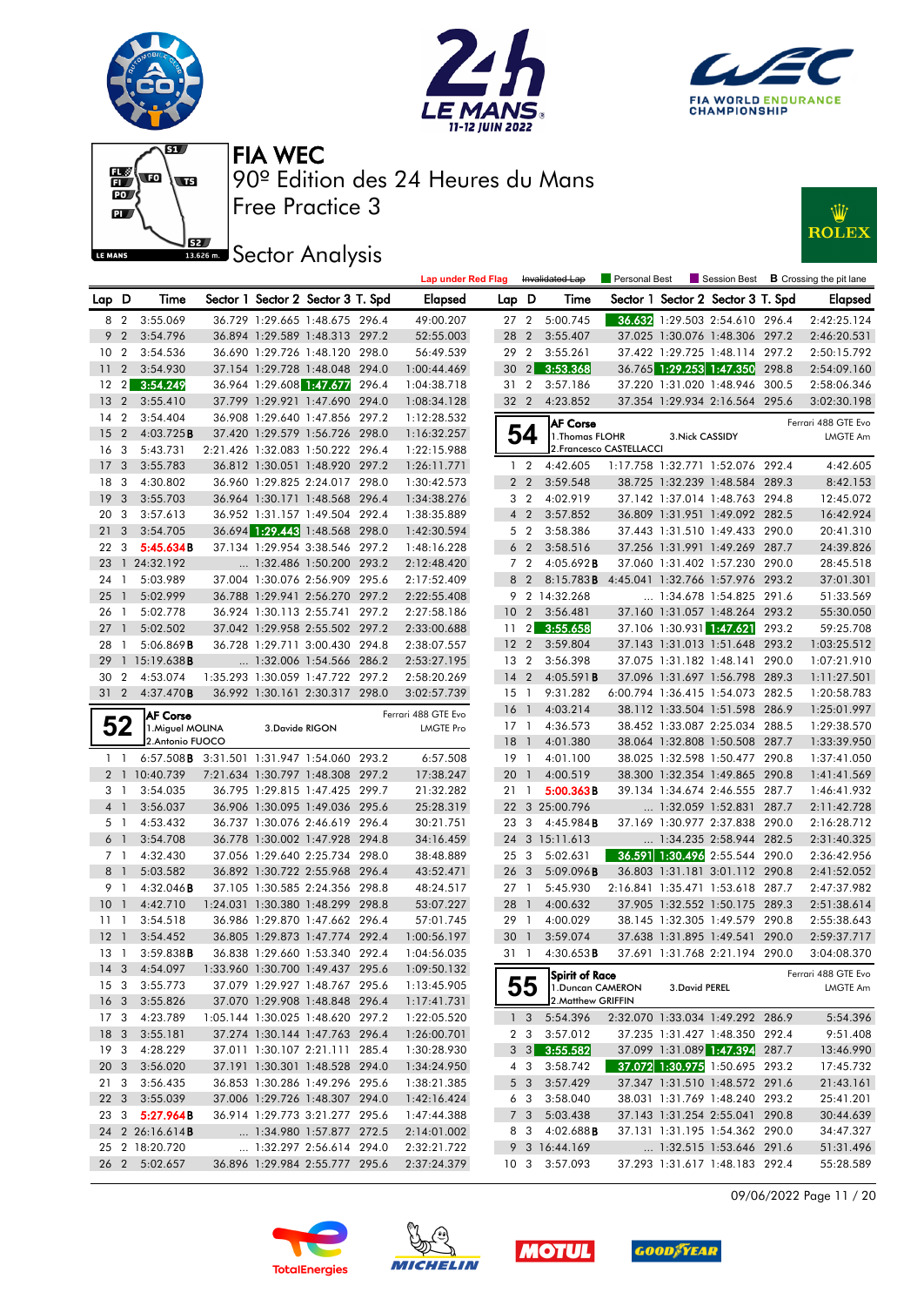











|       |                         |                                                    |                |                                                                    |       | <b>Lap under Red Flag</b>  |                 |                              | Invalidated Lap                                    | Personal Best            |                          |                                                            |       | Session Best <b>B</b> Crossing the pit lane |
|-------|-------------------------|----------------------------------------------------|----------------|--------------------------------------------------------------------|-------|----------------------------|-----------------|------------------------------|----------------------------------------------------|--------------------------|--------------------------|------------------------------------------------------------|-------|---------------------------------------------|
| Lap D |                         | Time                                               |                | Sector 1 Sector 2 Sector 3 T. Spd                                  |       | <b>Elapsed</b>             | Lap D           |                              | Time                                               |                          |                          | Sector 1 Sector 2 Sector 3 T. Spd                          |       | Elapsed                                     |
|       | 8 2                     | 3:55.069                                           |                | 36.729 1:29.665 1:48.675 296.4                                     |       | 49:00.207                  | 27 <sub>2</sub> |                              | 5:00.745                                           |                          |                          | 36.632 1:29.503 2:54.610 296.4                             |       | 2:42:25.124                                 |
|       | 9 <sub>2</sub>          | 3:54.796                                           |                | 36.894 1:29.589 1:48.313 297.2                                     |       | 52:55.003                  | 28 2            |                              | 3:55.407                                           |                          |                          | 37.025 1:30.076 1:48.306 297.2                             |       | 2:46:20.531                                 |
| 10    | $\overline{2}$          | 3:54.536                                           |                | 36.690 1:29.726 1:48.120 298.0                                     |       | 56:49.539                  | 29              | $\overline{2}$               | 3:55.261                                           |                          |                          | 37.422 1:29.725 1:48.114 297.2                             |       | 2:50:15.792                                 |
| 11    | $\overline{2}$          | 3:54.930                                           |                | 37.154 1:29.728 1:48.048 294.0                                     |       | 1:00:44.469                | 30              | $\left  \frac{2}{2} \right $ | 3:53.368                                           |                          |                          | 36.765 1:29.253 1:47.350                                   | 298.8 | 2:54:09.160                                 |
|       | $12 \quad 2$            | 3:54.249                                           |                | 36.964 1:29.608 1:47.677                                           | 296.4 | 1:04:38.718                | 31 2            |                              | 3:57.186                                           |                          |                          | 37.220 1:31.020 1:48.946 300.5                             |       | 2:58:06.346                                 |
|       | 13 <sub>2</sub>         | 3:55.410                                           |                | 37.799 1:29.921 1:47.690 294.0                                     |       | 1:08:34.128                | 32 2            |                              | 4:23.852                                           |                          |                          | 37.354 1:29.934 2:16.564 295.6                             |       | 3:02:30.198                                 |
| 14    | $\overline{2}$          | 3:54.404                                           |                | 36.908 1:29.640 1:47.856 297.2                                     |       | 1:12:28.532                |                 |                              | <b>AF Corse</b>                                    |                          |                          |                                                            |       | Ferrari 488 GTE Evo                         |
| 15    | $\overline{2}$          | 4:03.725B                                          |                | 37.420 1:29.579 1:56.726 298.0                                     |       | 1:16:32.257                |                 | 54                           | 1. Thomas FLOHR                                    |                          | 3. Nick CASSIDY          |                                                            |       | LMGTE Am                                    |
|       | 16 <sub>3</sub>         | 5:43.731                                           |                | 2:21.426 1:32.083 1:50.222 296.4                                   |       | 1:22:15.988                |                 |                              |                                                    | 2. Francesco CASTELLACCI |                          |                                                            |       |                                             |
| 17    | $\overline{\mathbf{3}}$ | 3:55.783                                           |                | 36.812 1:30.051 1:48.920 297.2                                     |       | 1:26:11.771                |                 | 1 <sub>2</sub>               | 4:42.605                                           |                          |                          | 1:17.758 1:32.771 1:52.076 292.4                           |       | 4:42.605                                    |
| 18    | $\mathbf{3}$            | 4:30.802                                           |                | 36.960 1:29.825 2:24.017 298.0                                     |       | 1:30:42.573                |                 | 2 <sub>2</sub>               | 3:59.548                                           |                          |                          | 38.725 1:32.239 1:48.584 289.3                             |       | 8:42.153                                    |
| 19    | $\overline{\mathbf{3}}$ | 3:55.703                                           |                | 36.964 1:30.171 1:48.568 296.4                                     |       | 1:34:38.276                |                 | 3 <sub>2</sub>               | 4:02.919                                           |                          |                          | 37.142 1:37.014 1:48.763 294.8                             |       | 12:45.072                                   |
|       | 20 3                    | 3:57.613                                           |                | 36.952 1:31.157 1:49.504 292.4                                     |       | 1:38:35.889                |                 | $4\quad2$                    | 3:57.852                                           |                          |                          | 36.809 1:31.951 1:49.092 282.5                             |       | 16:42.924                                   |
| 21    | $\overline{\mathbf{3}}$ | 3:54.705                                           |                | 36.694 1:29.443 1:48.568 298.0                                     |       | 1:42:30.594                |                 | 5 2                          | 3:58.386                                           |                          |                          | 37.443 1:31.510 1:49.433 290.0                             |       | 20:41.310                                   |
|       | 22 3                    | 5:45.634B                                          |                | 37.134 1:29.954 3:38.546 297.2                                     |       | 1:48:16.228                |                 | 6 <sub>2</sub>               | 3:58.516                                           |                          |                          | 37.256 1:31.991 1:49.269 287.7                             |       | 24:39.826                                   |
|       |                         | 23 1 24:32.192                                     |                | 1:32.486 1:50.200 293.2                                            |       | 2:12:48.420                |                 | 7 <sub>2</sub>               | 4:05.692B                                          |                          |                          | 37.060 1:31.402 1:57.230 290.0                             |       | 28:45.518                                   |
|       | 24 1                    | 5:03.989                                           |                | 37.004 1:30.076 2:56.909 295.6                                     |       | 2:17:52.409                |                 | 8 2                          | 8:15.783 <b>B</b> 4:45.041 1:32.766 1:57.976 293.2 |                          |                          |                                                            |       | 37:01.301                                   |
| 25    | $\overline{1}$          | 5:02.999                                           |                | 36.788 1:29.941 2:56.270 297.2                                     |       | 2:22:55.408                |                 |                              | 9 2 14:32.268                                      |                          |                          | 1:34.678 1:54.825 291.6                                    |       | 51:33.569                                   |
| 26    | $\overline{1}$          | 5:02.778                                           |                | 36.924 1:30.113 2:55.741 297.2                                     |       | 2:27:58.186                | 10              | $\overline{2}$               | 3:56.481                                           |                          |                          | 37.160 1:31.057 1:48.264 293.2                             |       | 55:30.050                                   |
| 27    | -1                      | 5:02.502                                           |                | 37.042 1:29.958 2:55.502 297.2                                     |       | 2:33:00.688                | 11              | $\left  \right $             | 3:55.658                                           |                          | 37.106 1:30.931 1:47.621 |                                                            | 293.2 | 59:25.708                                   |
|       | 28 1                    | 5:06.869B                                          |                | 36.728 1:29.711 3:00.430 294.8                                     |       | 2:38:07.557                | 12 <sub>2</sub> |                              | 3:59.804                                           |                          |                          | 37.143 1:31.013 1:51.648 293.2                             |       | 1:03:25.512                                 |
| 29    |                         | $1\,15:19.638$ <b>B</b>                            |                | 1:32.006 1:54.566 286.2                                            |       | 2:53:27.195                | 13 <sub>2</sub> |                              | 3:56.398                                           |                          |                          | 37.075 1:31.182 1:48.141 290.0                             |       | 1:07:21.910                                 |
| 30    | $\overline{2}$          | 4:53.074                                           |                | 1:35.293 1:30.059 1:47.722 297.2                                   |       | 2:58:20.269                | $14 \quad 2$    |                              | 4:05.591B                                          |                          |                          | 37.096 1:31.697 1:56.798 289.3                             |       | 1:11:27.501                                 |
|       | 31 2                    | 4:37.470B                                          |                | 36.992 1:30.161 2:30.317 298.0                                     |       | 3:02:57.739                | $15-1$          |                              | 9:31.282                                           |                          |                          | 6:00.794 1:36.415 1:54.073 282.5                           |       | 1:20:58.783                                 |
|       |                         | <b>AF Corse</b>                                    |                |                                                                    |       | Ferrari 488 GTE Evo        | 16 <sup>1</sup> |                              | 4:03.214                                           |                          |                          | 38.112 1:33.504 1:51.598 286.9                             |       | 1:25:01.997                                 |
|       | 52                      | 1. Miguel MOLINA                                   | 3.Davide RIGON |                                                                    |       | <b>LMGTE Pro</b>           | $17-1$          |                              | 4:36.573                                           |                          |                          | 38.452 1:33.087 2:25.034 288.5                             |       | 1:29:38.570                                 |
|       |                         | 2.Antonio FUOCO                                    |                |                                                                    |       |                            | 18              | $\overline{1}$               | 4:01.380                                           |                          |                          | 38.064 1:32.808 1:50.508 287.7                             |       | 1:33:39.950                                 |
|       | $1\quad1$               | 6:57.508 <b>B</b> 3:31.501 1:31.947 1:54.060 293.2 |                |                                                                    |       | 6:57.508                   | 19 1            |                              | 4:01.100                                           |                          |                          | 38.025 1:32.598 1:50.477 290.8                             |       | 1:37:41.050                                 |
|       |                         | 2 1 10:40.739                                      |                | 7:21.634 1:30.797 1:48.308 297.2                                   |       | 17:38.247                  | 20              | $\overline{1}$               | 4:00.519                                           |                          |                          | 38.300 1:32.354 1:49.865 290.8                             |       | 1:41:41.569                                 |
|       | 3 1                     | 3:54.035                                           |                | 36.795 1:29.815 1:47.425 299.7                                     |       | 21:32.282                  | 21              | $\overline{1}$               | 5:00.363B                                          |                          |                          | 39.134 1:34.674 2:46.555 287.7                             |       | 1:46:41.932                                 |
|       | 4 <sub>1</sub>          | 3:56.037                                           |                | 36.906 1:30.095 1:49.036 295.6                                     |       | 25:28.319                  |                 |                              | 22 3 25:00.796                                     |                          |                          | 1:32.059 1:52.831 287.7                                    |       | 2:11:42.728                                 |
|       | 5 1                     | 4:53.432                                           |                | 36.737 1:30.076 2:46.619 296.4                                     |       | 30:21.751                  |                 |                              | 23 3 4:45.984 <b>B</b>                             |                          |                          | 37.169 1:30.977 2:37.838 290.0                             |       | 2:16:28.712                                 |
|       | $6-1$                   | 3:54.708                                           |                | 36.778 1:30.002 1:47.928 294.8                                     |       | 34:16.459                  |                 |                              | 24 3 15:11.613                                     |                          |                          | 1:34.235 2:58.944 282.5                                    |       | 2:31:40.325                                 |
|       | 7 1                     | 4:32.430                                           |                | 37.056 1:29.640 2:25.734 298.0<br>36.892 1:30.722 2:55.968 296.4   |       | 38:48.889                  | 25              | $\mathbf{3}$                 | 5:02.631                                           |                          |                          | 36.591 1:30.496 2:55.544 290.0                             |       | 2:36:42.956                                 |
|       | 8 <sup>1</sup>          | 5:03.582                                           |                |                                                                    |       | 43:52.471                  | 26 <sub>3</sub> |                              | 5:09.096B                                          |                          |                          | 36.803 1:31.181 3:01.112 290.8                             |       | 2:41:52.052<br>2:47:37.982                  |
|       | 9 1                     | 4:32.046B                                          |                | 37.105 1:30.585 2:24.356 298.8                                     |       | 48:24.517                  | $27-1$          |                              | 5:45.930                                           |                          |                          | 2:16.841 1:35.471 1:53.618 287.7                           |       |                                             |
|       | 10 <sub>1</sub>         | 4:42.710                                           |                | 1:24.031 1:30.380 1:48.299 298.8<br>36.986 1:29.870 1:47.662 296.4 |       | 53:07.227                  | 28 1            |                              | 4:00.632                                           |                          |                          | 37.905 1:32.552 1:50.175 289.3<br>38.145 1:32.305 1:49.579 |       | 2:51:38.614                                 |
|       | $11-1$                  | 3:54.518                                           |                |                                                                    |       | 57:01.745                  | 29 1            |                              | 4:00.029<br>3:59.074                               |                          |                          |                                                            | 290.8 | 2:55:38.643                                 |
| 12    | $\overline{1}$<br>13 1  | 3:54.452<br>3:59.838B                              |                | 36.805 1:29.873 1:47.774 292.4<br>36.838 1:29.660 1:53.340 292.4   |       | 1:00:56.197<br>1:04:56.035 | 30<br>31 1      | $\mathbf{1}$                 | $4:30.653$ <b>B</b>                                |                          |                          | 37.638 1:31.895 1:49.541<br>37.691 1:31.768 2:21.194 290.0 | 290.0 | 2:59:37.717<br>3:04:08.370                  |
|       |                         | 14 3 4:54.097                                      |                | 1:33.960 1:30.700 1:49.437 295.6                                   |       | 1:09:50.132                |                 |                              |                                                    |                          |                          |                                                            |       |                                             |
|       | 15 <sub>3</sub>         | 3:55.773                                           |                | 37.079 1:29.927 1:48.767 295.6                                     |       | 1:13:45.905                |                 |                              | <b>Spirit of Race</b>                              |                          |                          |                                                            |       | Ferrari 488 GTE Evo                         |
|       | 16 <sub>3</sub>         | 3:55.826                                           |                | 37.070 1:29.908 1:48.848 296.4                                     |       | 1:17:41.731                |                 | 55                           | 1. Duncan CAMERON<br>2. Matthew GRIFFIN            |                          | 3. David PEREL           |                                                            |       | LMGTE Am                                    |
|       | 17 <sub>3</sub>         | 4:23.789                                           |                | 1:05.144 1:30.025 1:48.620 297.2                                   |       | 1:22:05.520                |                 | 1 <sub>3</sub>               | 5:54.396                                           |                          |                          | 2:32.070 1:33.034 1:49.292 286.9                           |       | 5:54.396                                    |
|       | 18 <sup>3</sup>         | 3:55.181                                           |                | 37.274 1:30.144 1:47.763 296.4                                     |       | 1:26:00.701                |                 | 2 3                          | 3:57.012                                           |                          |                          | 37.235 1:31.427 1:48.350 292.4                             |       | 9:51.408                                    |
|       | 19 <sup>3</sup>         | 4:28.229                                           |                | 37.011 1:30.107 2:21.111 285.4                                     |       | 1:30:28.930                |                 |                              | $3\quad 3\quad 3:55.582$                           |                          |                          | 37.099 1:31.089 1:47.394 287.7                             |       | 13:46.990                                   |
|       | 20 3                    | 3:56.020                                           |                | 37.191 1:30.301 1:48.528 294.0                                     |       | 1:34:24.950                |                 | 43                           | 3:58.742                                           |                          |                          | 37.072 1:30.975 1:50.695 293.2                             |       | 17:45.732                                   |
|       | 213                     | 3:56.435                                           |                | 36.853 1:30.286 1:49.296 295.6                                     |       | 1:38:21.385                |                 | 5 3                          | 3:57.429                                           |                          |                          | 37.347 1:31.510 1:48.572 291.6                             |       | 21:43.161                                   |
|       | 22 3                    | 3:55.039                                           |                | 37.006 1:29.726 1:48.307 294.0                                     |       | 1:42:16.424                |                 | 63                           | 3:58.040                                           |                          |                          | 38.031 1:31.769 1:48.240 293.2                             |       | 25:41.201                                   |
|       |                         | 23 3 5:27.964B                                     |                | 36.914 1:29.773 3:21.277 295.6                                     |       | 1:47:44.388                |                 | 7 <sub>3</sub>               | 5:03.438                                           |                          |                          | 37.143 1:31.254 2:55.041 290.8                             |       | 30:44.639                                   |
|       |                         | 24 2 26:16.614 <b>B</b>                            |                | 1:34.980 1:57.877 272.5                                            |       | 2:14:01.002                |                 |                              | 8 3 4:02.688 <b>B</b>                              |                          |                          | 37.131 1:31.195 1:54.362 290.0                             |       | 34:47.327                                   |
|       |                         | 25 2 18:20.720                                     |                | 1:32.297 2:56.614 294.0                                            |       | 2:32:21.722                |                 |                              | 9 3 16:44.169                                      |                          |                          | 1:32.515 1:53.646 291.6                                    |       | 51:31.496                                   |
|       |                         | 26 2 5:02.657                                      |                | 36.896 1:29.984 2:55.777 295.6                                     |       | 2:37:24.379                |                 |                              | 10 3 3:57.093                                      |                          |                          | 37.293 1:31.617 1:48.183 292.4                             |       | 55:28.589                                   |
|       |                         |                                                    |                |                                                                    |       |                            |                 |                              |                                                    |                          |                          |                                                            |       |                                             |

09/06/2022 Page 11 / 20







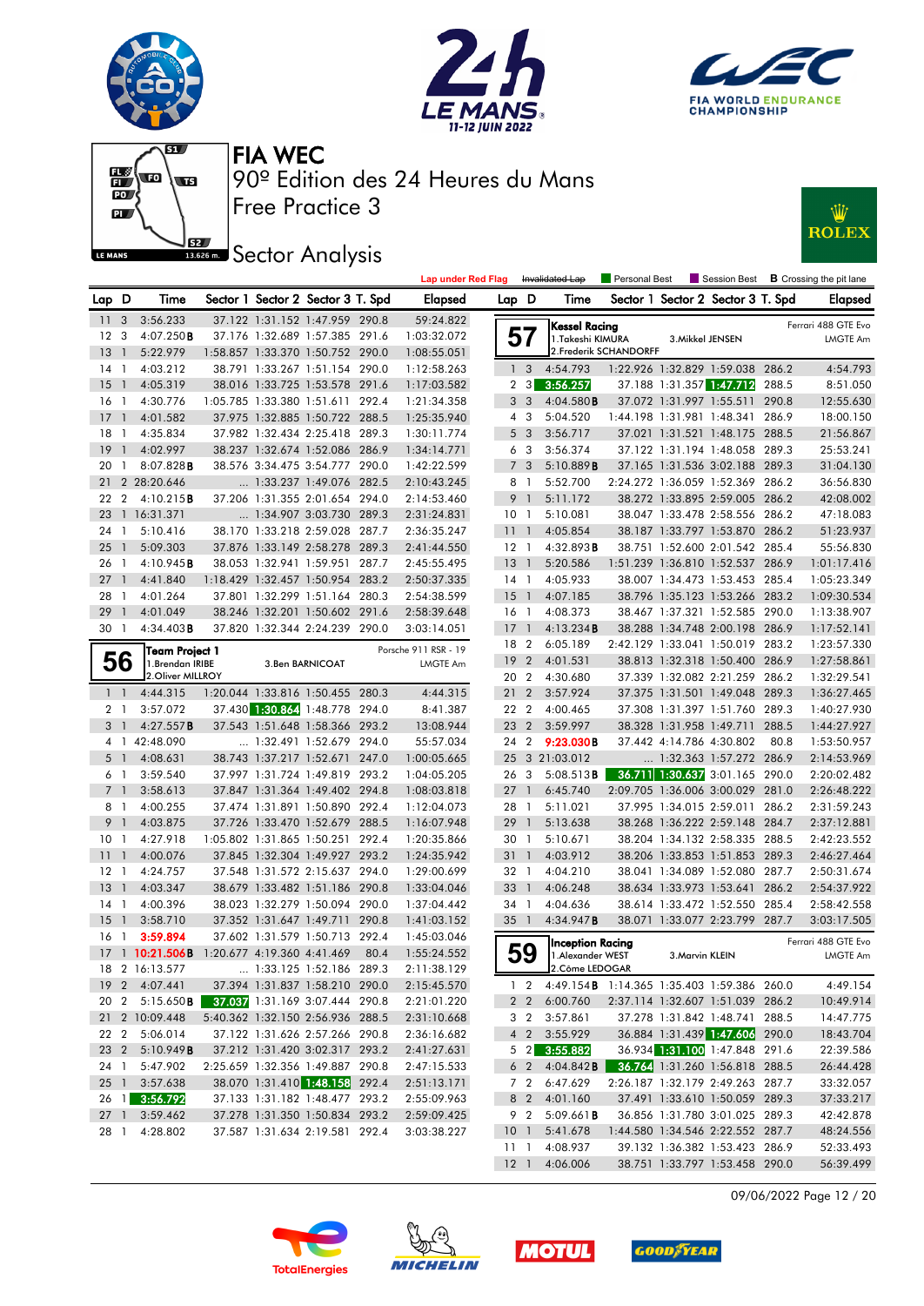







## **ISBE Sector Analysis**



|                 |                |                        |                            |                                   |      | <b>Lap under Red Flag</b> |                 |                | Invalidated Lap                                 | <b>Personal Best</b>   |                          | <b>Session Best</b>                   |       | <b>B</b> Crossing the pit lane |
|-----------------|----------------|------------------------|----------------------------|-----------------------------------|------|---------------------------|-----------------|----------------|-------------------------------------------------|------------------------|--------------------------|---------------------------------------|-------|--------------------------------|
| Lap D           |                | Time                   |                            | Sector 1 Sector 2 Sector 3 T. Spd |      | <b>Elapsed</b>            | Lap D           |                | Time                                            |                        |                          | Sector 1 Sector 2 Sector 3 T. Spd     |       | <b>Elapsed</b>                 |
| -11             | 3              | 3:56.233               |                            | 37.122 1:31.152 1:47.959 290.8    |      | 59:24.822                 |                 |                | <b>Kessel Racing</b>                            |                        |                          |                                       |       | Ferrari 488 GTE Evo            |
| 12 <sup>°</sup> | 3              | 4:07.250B              |                            | 37.176 1:32.689 1:57.385 291.6    |      | 1:03:32.072               |                 | 57             | 1.Takeshi KIMURA                                |                        | 3. Mikkel JENSEN         |                                       |       | <b>LMGTE Am</b>                |
| 13              | $\overline{1}$ | 5:22.979               |                            | 1:58.857 1:33.370 1:50.752 290.0  |      | 1:08:55.051               |                 |                |                                                 | 2. Frederik SCHANDORFF |                          |                                       |       |                                |
| $14-1$          |                | 4:03.212               |                            | 38.791 1:33.267 1:51.154 290.0    |      | 1:12:58.263               |                 | 1 <sup>3</sup> | 4:54.793                                        |                        |                          | 1:22.926 1:32.829 1:59.038 286.2      |       | 4:54.793                       |
| 15              | $\overline{1}$ | 4:05.319               |                            | 38.016 1:33.725 1:53.578 291.6    |      | 1:17:03.582               | 2               | 3              | 3:56.257                                        |                        |                          | 37.188 1:31.357 1:47.712              | 288.5 | 8:51.050                       |
| 16              | $\overline{1}$ | 4:30.776               |                            | 1:05.785 1:33.380 1:51.611 292.4  |      | 1:21:34.358               |                 | 3 <sub>3</sub> | 4:04.580B                                       |                        |                          | 37.072 1:31.997 1:55.511 290.8        |       | 12:55.630                      |
| $17-1$          |                | 4:01.582               |                            | 37.975 1:32.885 1:50.722 288.5    |      | 1:25:35.940               |                 | $4\quad 3$     | 5:04.520                                        |                        |                          | 1:44.198 1:31.981 1:48.341 286.9      |       | 18:00.150                      |
| 18              | -1             | 4:35.834               |                            | 37.982 1:32.434 2:25.418 289.3    |      | 1:30:11.774               |                 | 5 <sub>3</sub> | 3:56.717                                        |                        |                          | 37.021 1:31.521 1:48.175 288.5        |       | 21:56.867                      |
| 19              | $\overline{1}$ | 4:02.997               |                            | 38.237 1:32.674 1:52.086 286.9    |      | 1:34:14.771               |                 | 6 3            | 3:56.374                                        |                        |                          | 37.122 1:31.194 1:48.058              | 289.3 | 25:53.241                      |
| 20              | $\mathbf{1}$   | $8:07.828$ <b>B</b>    |                            | 38.576 3:34.475 3:54.777 290.0    |      | 1:42:22.599               |                 | 7 <sup>3</sup> | 5:10.889B                                       |                        |                          | 37.165 1:31.536 3:02.188 289.3        |       | 31:04.130                      |
|                 |                | 21 2 28:20.646         |                            | 1:33.237 1:49.076 282.5           |      | 2:10:43.245               |                 | 8 1            | 5:52.700                                        |                        |                          | 2:24.272 1:36.059 1:52.369 286.2      |       | 36:56.830                      |
| 22 2            |                | 4:10.215B              |                            | 37.206 1:31.355 2:01.654 294.0    |      | 2:14:53.460               |                 | 9 <sub>1</sub> | 5:11.172                                        |                        |                          | 38.272 1:33.895 2:59.005 286.2        |       | 42:08.002                      |
| 23              |                | 1 16:31.371            |                            | 1:34.907 3:03.730 289.3           |      | 2:31:24.831               | 10 <sub>1</sub> |                | 5:10.081                                        |                        |                          | 38.047 1:33.478 2:58.556 286.2        |       | 47:18.083                      |
| 24              | $\overline{1}$ | 5:10.416               |                            | 38.170 1:33.218 2:59.028 287.7    |      | 2:36:35.247               | 11              | $\overline{1}$ | 4:05.854                                        |                        |                          | 38.187 1:33.797 1:53.870 286.2        |       | 51:23.937                      |
| 25              | $\overline{1}$ | 5:09.303               |                            | 37.876 1:33.149 2:58.278 289.3    |      | 2:41:44.550               | $12-1$          |                | 4:32.893B                                       |                        |                          | 38.751 1:52.600 2:01.542 285.4        |       | 55:56.830                      |
| 26 1            |                | 4:10.945B              |                            | 38.053 1:32.941 1:59.951 287.7    |      | 2:45:55.495               | $13-1$          |                | 5:20.586                                        |                        |                          | 1:51.239 1:36.810 1:52.537 286.9      |       | 1:01:17.416                    |
| 27              | $\overline{1}$ | 4:41.840               |                            | 1:18.429 1:32.457 1:50.954 283.2  |      | 2:50:37.335               | $14-1$          |                | 4:05.933                                        |                        |                          | 38.007 1:34.473 1:53.453 285.4        |       | 1:05:23.349                    |
| 28              | $\overline{1}$ | 4:01.264               |                            | 37.801 1:32.299 1:51.164 280.3    |      | 2:54:38.599               | 15              | $\overline{1}$ | 4:07.185                                        |                        |                          | 38.796 1:35.123 1:53.266 283.2        |       | 1:09:30.534                    |
| 29              | $\overline{1}$ | 4:01.049               |                            | 38.246 1:32.201 1:50.602 291.6    |      | 2:58:39.648               | 16 1            |                | 4:08.373                                        |                        |                          | 38.467 1:37.321 1:52.585 290.0        |       | 1:13:38.907                    |
| 30 1            |                | 4:34.403B              |                            | 37.820 1:32.344 2:24.239 290.0    |      | 3:03:14.051               | 17              | $\overline{1}$ | 4:13.234B                                       |                        |                          | 38.288 1:34.748 2:00.198 286.9        |       | 1:17:52.141                    |
|                 |                | Team Project 1         |                            |                                   |      | Porsche 911 RSR - 19      | 18              | $\overline{2}$ | 6:05.189                                        |                        |                          | 2:42.129 1:33.041 1:50.019 283.2      |       | 1:23:57.330                    |
|                 | 56             | 1.Brendan IRIBE        |                            | 3. Ben BARNICOAT                  |      | LMGTE Am                  | 19              | $\overline{2}$ | 4:01.531                                        |                        |                          | 38.813 1:32.318 1:50.400 286.9        |       | 1:27:58.861                    |
|                 |                | 2. Oliver MILLROY      |                            |                                   |      |                           | 20 2            |                | 4:30.680                                        |                        |                          | 37.339 1:32.082 2:21.259 286.2        |       | 1:32:29.541                    |
| $1\quad1$       |                | 4:44.315               |                            | 1:20.044 1:33.816 1:50.455 280.3  |      | 4:44.315                  | 21 2            |                | 3:57.924                                        |                        |                          | 37.375 1:31.501 1:49.048 289.3        |       | 1:36:27.465                    |
| 2 <sub>1</sub>  |                | 3:57.072               |                            | 37.430 1:30.864 1:48.778 294.0    |      | 8:41.387                  | 22 2            |                | 4:00.465                                        |                        |                          | 37.308 1:31.397 1:51.760              | 289.3 | 1:40:27.930                    |
| 31              |                | 4:27.557B              |                            | 37.543 1:51.648 1:58.366 293.2    |      | 13:08.944                 | 23              | $\overline{2}$ | 3:59.997                                        |                        |                          | 38.328 1:31.958 1:49.711              | 288.5 | 1:44:27.927                    |
|                 |                | 4 1 42:48.090          |                            | 1:32.491 1:52.679 294.0           |      | 55:57.034                 | 24 2            |                | 9:23.030B                                       |                        | 37.442 4:14.786 4:30.802 |                                       | 80.8  | 1:53:50.957                    |
|                 | 5 <sub>1</sub> | 4:08.631               |                            | 38.743 1:37.217 1:52.671 247.0    |      | 1:00:05.665               |                 |                | 25 3 21:03.012                                  |                        |                          | 1:32.363 1:57.272 286.9               |       | 2:14:53.969                    |
| 61              |                | 3:59.540               |                            | 37.997 1:31.724 1:49.819 293.2    |      | 1:04:05.205               | 26              | -3             | 5:08.513B                                       |                        |                          | 36.711 1:30.637 3:01.165              | 290.0 | 2:20:02.482                    |
| 7 <sub>1</sub>  |                | 3:58.613               |                            | 37.847 1:31.364 1:49.402 294.8    |      | 1:08:03.818               | 27              | $\overline{1}$ | 6:45.740                                        |                        |                          | 2:09.705 1:36.006 3:00.029 281.0      |       | 2:26:48.222                    |
| 81              |                | 4:00.255               |                            | 37.474 1:31.891 1:50.890 292.4    |      | 1:12:04.073               | 28              | $\overline{1}$ | 5:11.021                                        |                        |                          | 37.995 1:34.015 2:59.011 286.2        |       | 2:31:59.243                    |
| 9               | $\overline{1}$ | 4:03.875               |                            | 37.726 1:33.470 1:52.679 288.5    |      | 1:16:07.948               | 29              | $\overline{1}$ | 5:13.638                                        |                        |                          | 38.268 1:36.222 2:59.148 284.7        |       | 2:37:12.881                    |
| 10              | $\overline{1}$ | 4:27.918               |                            | 1:05.802 1:31.865 1:50.251 292.4  |      | 1:20:35.866               | 30              | $\overline{1}$ | 5:10.671                                        |                        |                          | 38.204 1:34.132 2:58.335 288.5        |       | 2:42:23.552                    |
| 11              | $\overline{1}$ | 4:00.076               |                            | 37.845 1:32.304 1:49.927 293.2    |      | 1:24:35.942               | 31              | $\overline{1}$ | 4:03.912                                        |                        |                          | 38.206 1:33.853 1:51.853 289.3        |       | 2:46:27.464                    |
| $12-1$          |                | 4:24.757               |                            | 37.548 1:31.572 2:15.637 294.0    |      | 1:29:00.699               | 32 1            |                | 4:04.210                                        |                        |                          | 38.041 1:34.089 1:52.080 287.7        |       | 2:50:31.674                    |
| 13              | $\overline{1}$ | 4:03.347               |                            | 38.679 1:33.482 1:51.186 290.8    |      | 1:33:04.046               | 33              | $\overline{1}$ | 4:06.248                                        |                        |                          | 38.634 1:33.973 1:53.641 286.2        |       | 2:54:37.922                    |
| $14-1$          |                | 4:00.396               |                            | 38.023 1:32.279 1:50.094 290.0    |      | 1:37:04.442               | 34              | $\overline{1}$ | 4:04.636                                        |                        |                          | 38.614 1:33.472 1:52.550 285.4        |       | 2:58:42.558                    |
| $15-1$          |                | 3:58.710               |                            | 37.352 1:31.647 1:49.711 290.8    |      | 1:41:03.152               | 35 1            |                | 4:34.947B                                       |                        |                          | 38.071 1:33.077 2:23.799 287.7        |       | 3:03:17.505                    |
| $16-1$          |                | 3:59.894               |                            | 37.602 1:31.579 1:50.713 292.4    |      | 1:45:03.046               |                 |                | <b>Inception Racing</b>                         |                        |                          |                                       |       | Ferrari 488 GTE Evo            |
|                 |                | 17 1 10:21.506B        | 1:20.677 4:19.360 4:41.469 |                                   | 80.4 | 1:55:24.552               |                 | 59             | 1. Alexander WEST                               |                        | 3. Marvin KLEIN          |                                       |       | LMGTE Am                       |
|                 |                | 18 2 16:13.577         |                            | 1:33.125 1:52.186 289.3           |      | 2:11:38.129               |                 |                | 2. Côme LEDOGAR                                 |                        |                          |                                       |       |                                |
|                 |                | 19 2 4:07.441          |                            | 37.394 1:31.837 1:58.210 290.0    |      | 2:15:45.570               |                 |                | 1 2 4:49.154 B 1:14.365 1:35.403 1:59.386 260.0 |                        |                          |                                       |       | 4:49.154                       |
|                 |                | 20 2 5:15.650 <b>B</b> |                            | 37.037 1:31.169 3:07.444 290.8    |      | 2:21:01.220               |                 |                | 2 2 6:00.760                                    |                        |                          | 2:37.114 1:32.607 1:51.039 286.2      |       | 10:49.914                      |
|                 |                | 21 2 10:09.448         |                            | 5:40.362 1:32.150 2:56.936 288.5  |      | 2:31:10.668               |                 | 3 2            | 3:57.861                                        |                        |                          | 37.278 1:31.842 1:48.741 288.5        |       | 14:47.775                      |
|                 |                | 22 2 5:06.014          |                            | 37.122 1:31.626 2:57.266 290.8    |      | 2:36:16.682               |                 | $4\quad2$      | 3:55.929                                        |                        |                          | 36.884 1:31.439 1:47.606 290.0        |       | 18:43.704                      |
|                 |                | 23 2 5:10.949 <b>B</b> |                            | 37.212 1:31.420 3:02.317 293.2    |      | 2:41:27.631               |                 |                | 5 2 3:55.882                                    |                        |                          | 36.934 1:31.100 1:47.848 291.6        |       | 22:39.586                      |
| 24 1            |                | 5:47.902               |                            | 2:25.659 1:32.356 1:49.887 290.8  |      | 2:47:15.533               |                 |                | 6 2 4:04.842 <b>B</b>                           |                        |                          | <b>36.764</b> 1:31.260 1:56.818 288.5 |       | 26:44.428                      |
|                 |                | 25 1 3:57.638          |                            | 38.070 1:31.410 1:48.158 292.4    |      | 2:51:13.171               |                 |                | 7 2 6:47.629                                    |                        |                          | 2:26.187 1:32.179 2:49.263 287.7      |       | 33:32.057                      |
|                 |                | 26 1 3:56.792          |                            | 37.133 1:31.182 1:48.477 293.2    |      | 2:55:09.963               |                 | 8 2            | 4:01.160                                        |                        |                          | 37.491 1:33.610 1:50.059 289.3        |       | 37:33.217                      |
|                 |                | 27 1 3:59.462          |                            | 37.278 1:31.350 1:50.834 293.2    |      | 2:59:09.425               |                 | 9 2            | 5:09.661B                                       |                        |                          | 36.856 1:31.780 3:01.025 289.3        |       | 42:42.878                      |
|                 |                | 28 1 4:28.802          |                            | 37.587 1:31.634 2:19.581 292.4    |      | 3:03:38.227               | 10 <sub>1</sub> |                | 5:41.678                                        |                        |                          | 1:44.580 1:34.546 2:22.552 287.7      |       | 48:24.556                      |
|                 |                |                        |                            |                                   |      |                           |                 | 111            | 4:08.937                                        |                        |                          | 39.132 1:36.382 1:53.423 286.9        |       | 52:33.493                      |
|                 |                |                        |                            |                                   |      |                           |                 |                | 12 1 4:06.006                                   |                        |                          | 38.751 1:33.797 1:53.458 290.0        |       | 56:39.499                      |

09/06/2022 Page 12 / 20







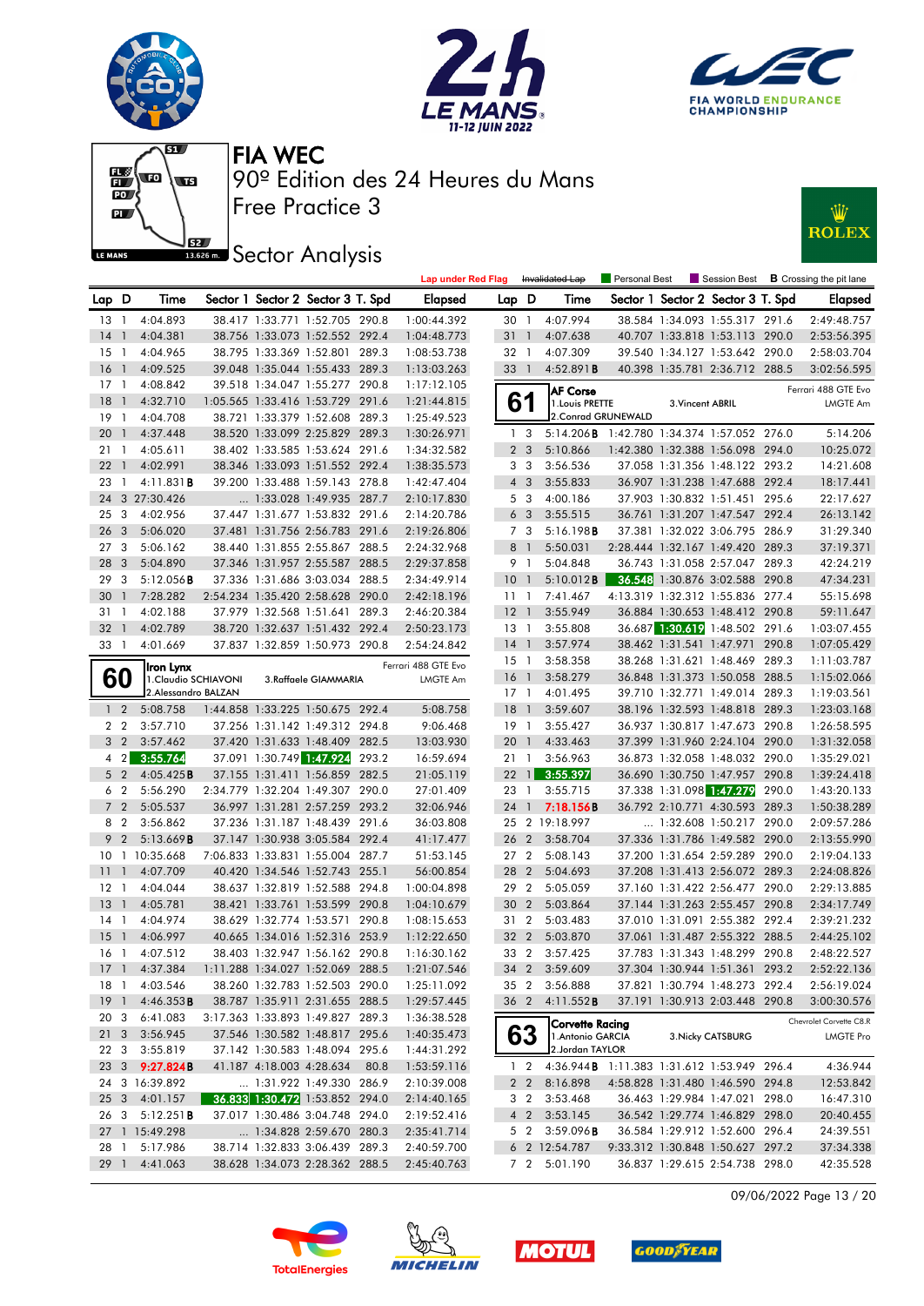











|                 |                |                        |  |                                   |      | <b>Lap under Red Flag</b> |                 |                | Invalidated Lap                                    | Personal Best |                  |                                   |       | $\blacksquare$ Session Best $\blacksquare$ Crossing the pit lane |
|-----------------|----------------|------------------------|--|-----------------------------------|------|---------------------------|-----------------|----------------|----------------------------------------------------|---------------|------------------|-----------------------------------|-------|------------------------------------------------------------------|
| Lap D           |                | Time                   |  | Sector 1 Sector 2 Sector 3 T. Spd |      | <b>Elapsed</b>            | Lap D           |                | Time                                               |               |                  | Sector 1 Sector 2 Sector 3 T. Spd |       | <b>Elapsed</b>                                                   |
| 13 1            |                | 4:04.893               |  | 38.417 1:33.771 1:52.705 290.8    |      | 1:00:44.392               | 30 1            |                | 4:07.994                                           |               |                  | 38.584 1:34.093 1:55.317 291.6    |       | 2:49:48.757                                                      |
| 14              | $\overline{1}$ | 4:04.381               |  | 38.756 1:33.073 1:52.552 292.4    |      | 1:04:48.773               | 31              | $\overline{1}$ | 4:07.638                                           |               |                  | 40.707 1:33.818 1:53.113 290.0    |       | 2:53:56.395                                                      |
| $15-1$          |                | 4:04.965               |  | 38.795 1:33.369 1:52.801 289.3    |      | 1:08:53.738               | 32 1            |                | 4:07.309                                           |               |                  | 39.540 1:34.127 1:53.642 290.0    |       | 2:58:03.704                                                      |
| 16              | $\overline{1}$ | 4:09.525               |  | 39.048 1:35.044 1:55.433 289.3    |      | 1:13:03.263               | 33 1            |                | 4:52.891B                                          |               |                  | 40.398 1:35.781 2:36.712 288.5    |       | 3:02:56.595                                                      |
| 17              | $\overline{1}$ | 4:08.842               |  | 39.518 1:34.047 1:55.277 290.8    |      | 1:17:12.105               |                 |                | AF Corse                                           |               |                  |                                   |       | Ferrari 488 GTE Evo                                              |
| 18              | $\overline{1}$ | 4:32.710               |  | 1:05.565 1:33.416 1:53.729 291.6  |      | 1:21:44.815               | 6               |                | 1. Louis PRETTE                                    |               | 3. Vincent ABRIL |                                   |       | LMGTE Am                                                         |
| 19              | $\overline{1}$ | 4:04.708               |  | 38.721 1:33.379 1:52.608 289.3    |      | 1:25:49.523               |                 |                | 2. Conrad GRUNEWALD                                |               |                  |                                   |       |                                                                  |
| 20              | $\overline{1}$ | 4:37.448               |  | 38.520 1:33.099 2:25.829 289.3    |      | 1:30:26.971               | 1 <sub>3</sub>  |                | 5:14.206B 1:42.780 1:34.374 1:57.052 276.0         |               |                  |                                   |       | 5:14.206                                                         |
| 21              | $\overline{1}$ | 4:05.611               |  | 38.402 1:33.585 1:53.624 291.6    |      | 1:34:32.582               |                 | 2 <sub>3</sub> | 5:10.866                                           |               |                  | 1:42.380 1:32.388 1:56.098 294.0  |       | 10:25.072                                                        |
| 22              | $\mathbf{1}$   | 4:02.991               |  | 38.346 1:33.093 1:51.552 292.4    |      | 1:38:35.573               | 3 <sub>3</sub>  |                | 3:56.536                                           |               |                  | 37.058 1:31.356 1:48.122 293.2    |       | 14:21.608                                                        |
| 23              | $\overline{1}$ | 4:11.831B              |  | 39.200 1:33.488 1:59.143 278.8    |      | 1:42:47.404               |                 | $4\quad3$      | 3:55.833                                           |               |                  | 36.907 1:31.238 1:47.688 292.4    |       | 18:17.441                                                        |
| 24              |                | 3 27:30.426            |  | 1:33.028 1:49.935 287.7           |      | 2:10:17.830               | 5 <sub>3</sub>  |                | 4:00.186                                           |               |                  | 37.903 1:30.832 1:51.451 295.6    |       | 22:17.627                                                        |
| 25              | 3              | 4:02.956               |  | 37.447 1:31.677 1:53.832 291.6    |      | 2:14:20.786               |                 | 6 <sub>3</sub> | 3:55.515                                           |               |                  | 36.761 1:31.207 1:47.547 292.4    |       | 26:13.142                                                        |
| 26              | 3              | 5:06.020               |  | 37.481 1:31.756 2:56.783 291.6    |      | 2:19:26.806               |                 | 7 3            | 5:16.198B                                          |               |                  | 37.381 1:32.022 3:06.795 286.9    |       | 31:29.340                                                        |
| 27              | - 3            | 5:06.162               |  | 38.440 1:31.855 2:55.867 288.5    |      | 2:24:32.968               | 8 <sup>1</sup>  |                | 5:50.031                                           |               |                  | 2:28.444 1:32.167 1:49.420 289.3  |       | 37:19.371                                                        |
| 28              | 3              | 5:04.890               |  | 37.346 1:31.957 2:55.587 288.5    |      | 2:29:37.858               | 9 1             |                | 5:04.848                                           |               |                  | 36.743 1:31.058 2:57.047 289.3    |       | 42:24.219                                                        |
| 29              | 3              | $5:12.056$ <b>B</b>    |  | 37.336 1:31.686 3:03.034 288.5    |      | 2:34:49.914               | 10 <sub>1</sub> |                | 5:10.012B                                          |               |                  | 36.548 1:30.876 3:02.588          | 290.8 | 47:34.231                                                        |
| 30              | $\mathbf{1}$   | 7:28.282               |  | 2:54.234 1:35.420 2:58.628 290.0  |      | 2:42:18.196               | 11              | - 1            | 7:41.467                                           |               |                  | 4:13.319 1:32.312 1:55.836 277.4  |       | 55:15.698                                                        |
| $31 \quad 1$    |                | 4:02.188               |  | 37.979 1:32.568 1:51.641 289.3    |      | 2:46:20.384               | $12-1$          |                | 3:55.949                                           |               |                  | 36.884 1:30.653 1:48.412 290.8    |       | 59:11.647                                                        |
| 32              | $\overline{1}$ | 4:02.789               |  | 38.720 1:32.637 1:51.432 292.4    |      | 2:50:23.173               | $13-1$          |                | 3:55.808                                           |               |                  | 36.687 1:30.619 1:48.502 291.6    |       | 1:03:07.455                                                      |
| 33 1            |                | 4:01.669               |  | 37.837 1:32.859 1:50.973 290.8    |      | 2:54:24.842               | 14 1            |                | 3:57.974                                           |               |                  | 38.462 1:31.541 1:47.971          | 290.8 | 1:07:05.429                                                      |
|                 |                | Iron Lynx              |  |                                   |      | Ferrari 488 GTE Evo       | 15 1            |                | 3:58.358                                           |               |                  | 38.268 1:31.621 1:48.469          | 289.3 | 1:11:03.787                                                      |
| 60              |                | 1.Claudio SCHIAVONI    |  | 3.Raffaele GIAMMARIA              |      | LMGTE Am                  | 16 1            |                | 3:58.279                                           |               |                  | 36.848 1:31.373 1:50.058 288.5    |       | 1:15:02.066                                                      |
|                 |                | 2. Alessandro BALZAN   |  |                                   |      |                           | $17-1$          |                | 4:01.495                                           |               |                  | 39.710 1:32.771 1:49.014 289.3    |       | 1:19:03.561                                                      |
| $1\quad 2$      |                | 5:08.758               |  | 1:44.858 1:33.225 1:50.675 292.4  |      | 5:08.758                  | 18              | $\overline{1}$ | 3:59.607                                           |               |                  | 38.196 1:32.593 1:48.818 289.3    |       | 1:23:03.168                                                      |
| 2 <sub>2</sub>  |                | 3:57.710               |  | 37.256 1:31.142 1:49.312 294.8    |      | 9:06.468                  | 19 1            |                | 3:55.427                                           |               |                  | 36.937 1:30.817 1:47.673 290.8    |       | 1:26:58.595                                                      |
| 3 <sub>2</sub>  |                | 3:57.462               |  | 37.420 1:31.633 1:48.409 282.5    |      | 13:03.930                 | 20              | $\overline{1}$ | 4:33.463                                           |               |                  | 37.399 1:31.960 2:24.104 290.0    |       | 1:31:32.058                                                      |
|                 | $4 \quad 2$    | 3:55.764               |  | 37.091 1:30.749 1:47.924 293.2    |      | 16:59.694                 | 21 1            |                | 3:56.963                                           |               |                  | 36.873 1:32.058 1:48.032 290.0    |       | 1:35:29.021                                                      |
| 5 <sub>2</sub>  |                | 4:05.425B              |  | 37.155 1:31.411 1:56.859 282.5    |      | 21:05.119                 | 22              | $\vert$ 1      | 3:55.397                                           |               |                  | 36.690 1:30.750 1:47.957          | 290.8 | 1:39:24.418                                                      |
| 6 2             |                | 5:56.290               |  | 2:34.779 1:32.204 1:49.307 290.0  |      | 27:01.409                 | 23 1            |                | 3:55.715                                           |               |                  | 37.338 1:31.098 1:47.279          | 290.0 | 1:43:20.133                                                      |
|                 | 7 <sub>2</sub> | 5:05.537               |  | 36.997 1:31.281 2:57.259 293.2    |      | 32:06.946                 | 24 1            |                | 7:18.156B                                          |               |                  | 36.792 2:10.771 4:30.593 289.3    |       | 1:50:38.289                                                      |
| 8 2             |                | 3:56.862               |  | 37.236 1:31.187 1:48.439 291.6    |      | 36:03.808                 |                 |                | 25 2 19:18.997                                     |               |                  | 1:32.608 1:50.217 290.0           |       | 2:09:57.286                                                      |
| 9               | $\overline{2}$ | 5:13.669B              |  | 37.147 1:30.938 3:05.584 292.4    |      | 41:17.477                 | 26 2            |                | 3:58.704                                           |               |                  | 37.336 1:31.786 1:49.582 290.0    |       | 2:13:55.990                                                      |
|                 |                | 10 1 10:35.668         |  | 7:06.833 1:33.831 1:55.004 287.7  |      | 51:53.145                 | 27 <sub>2</sub> |                | 5:08.143                                           |               |                  | 37.200 1:31.654 2:59.289 290.0    |       | 2:19:04.133                                                      |
| 11              | $\mathbf{1}$   | 4:07.709               |  | 40.420 1:34.546 1:52.743 255.1    |      | 56:00.854                 | 28              | 2              | 5:04.693                                           |               |                  | 37.208 1:31.413 2:56.072 289.3    |       | 2:24:08.826                                                      |
| 12              | $\overline{1}$ | 4:04.044               |  | 38.637 1:32.819 1:52.588 294.8    |      | 1:00:04.898               | 29              | $\overline{2}$ | 5:05.059                                           |               |                  | 37.160 1:31.422 2:56.477 290.0    |       | 2:29:13.885                                                      |
| 13              | $\overline{1}$ | 4:05.781               |  | 38.421 1:33.761 1:53.599 290.8    |      | 1:04:10.679               | 30              | $\overline{2}$ | 5:03.864                                           |               |                  | 37.144 1:31.263 2:55.457 290.8    |       | 2:34:17.749                                                      |
| $14-1$          |                | 4:04.974               |  | 38.629 1:32.774 1:53.571 290.8    |      | 1:08:15.653               | 31 2            |                | 5:03.483                                           |               |                  | 37.010 1:31.091 2:55.382 292.4    |       | 2:39:21.232                                                      |
| 15              | $\overline{1}$ | 4:06.997               |  | 40.665 1:34.016 1:52.316 253.9    |      | 1:12:22.650               | 32 <sub>2</sub> |                | 5:03.870                                           |               |                  | 37.061 1:31.487 2:55.322 288.5    |       | 2:44:25.102                                                      |
| 16 1            |                | 4:07.512               |  | 38.403 1:32.947 1:56.162 290.8    |      | 1:16:30.162               | 33 2            |                | 3:57.425                                           |               |                  | 37.783 1:31.343 1:48.299 290.8    |       | 2:48:22.527                                                      |
|                 |                | 17 1 4:37.384          |  | 1:11.288 1:34.027 1:52.069 288.5  |      | 1:21:07.546               |                 |                | 34 2 3:59.609                                      |               |                  | 37.304 1:30.944 1:51.361 293.2    |       | 2:52:22.136                                                      |
|                 |                | 18 1 4:03.546          |  | 38.260 1:32.783 1:52.503 290.0    |      | 1:25:11.092               |                 |                | 35 2 3:56.888                                      |               |                  | 37.821 1:30.794 1:48.273 292.4    |       | 2:56:19.024                                                      |
|                 |                | 19 1 4:46.353 <b>B</b> |  | 38.787 1:35.911 2:31.655 288.5    |      | 1:29:57.445               |                 |                | 36 2 4:11.552 <b>B</b>                             |               |                  | 37.191 1:30.913 2:03.448 290.8    |       | 3:00:30.576                                                      |
|                 |                | 20 3 6:41.083          |  | 3:17.363 1:33.893 1:49.827 289.3  |      | 1:36:38.528               |                 |                | Corvette Racing                                    |               |                  |                                   |       | Chevrolet Corvette C8.R                                          |
| 21 <sub>3</sub> |                | 3:56.945               |  | 37.546 1:30.582 1:48.817 295.6    |      | 1:40:35.473               |                 | 63             | 1. Antonio GARCIA                                  |               |                  | 3. Nicky CATSBURG                 |       | LMGTE Pro                                                        |
| 22 3            |                | 3:55.819               |  | 37.142 1:30.583 1:48.094 295.6    |      | 1:44:31.292               |                 |                | 2.Jordan TAYLOR                                    |               |                  |                                   |       |                                                                  |
|                 |                | 23 3 9:27.824B         |  | 41.187 4:18.003 4:28.634          | 80.8 | 1:53:59.116               |                 | $1\quad 2$     | 4:36.944 <b>B</b> 1:11.383 1:31.612 1:53.949 296.4 |               |                  |                                   |       | 4:36.944                                                         |
| 24              |                | 3 16:39.892            |  | 1:31.922 1:49.330 286.9           |      | 2:10:39.008               |                 | 2 <sub>2</sub> | 8:16.898                                           |               |                  | 4:58.828 1:31.480 1:46.590 294.8  |       | 12:53.842                                                        |
| 25 <sub>3</sub> |                | 4:01.157               |  | 36.833 1:30.472 1:53.852 294.0    |      | 2:14:40.165               |                 | 3 2            | 3:53.468                                           |               |                  | 36.463 1:29.984 1:47.021 298.0    |       | 16:47.310                                                        |
| 26 3            |                | 5:12.251B              |  | 37.017 1:30.486 3:04.748 294.0    |      | 2:19:52.416               |                 | $4\quad2$      | 3:53.145                                           |               |                  | 36.542 1:29.774 1:46.829 298.0    |       | 20:40.455                                                        |
|                 |                | 27 1 15:49.298         |  | 1:34.828 2:59.670 280.3           |      | 2:35:41.714               |                 | 52             | 3:59.096B                                          |               |                  | 36.584 1:29.912 1:52.600 296.4    |       | 24:39.551                                                        |
| 28              | $\overline{1}$ | 5:17.986               |  | 38.714 1:32.833 3:06.439 289.3    |      | 2:40:59.700               |                 |                | 6 2 12:54.787                                      |               |                  | 9:33.312 1:30.848 1:50.627 297.2  |       | 37:34.338                                                        |
| 291             |                | 4:41.063               |  | 38.628 1:34.073 2:28.362 288.5    |      | 2:45:40.763               |                 | 7 <sub>2</sub> | 5:01.190                                           |               |                  | 36.837 1:29.615 2:54.738 298.0    |       | 42:35.528                                                        |

09/06/2022 Page 13 / 20





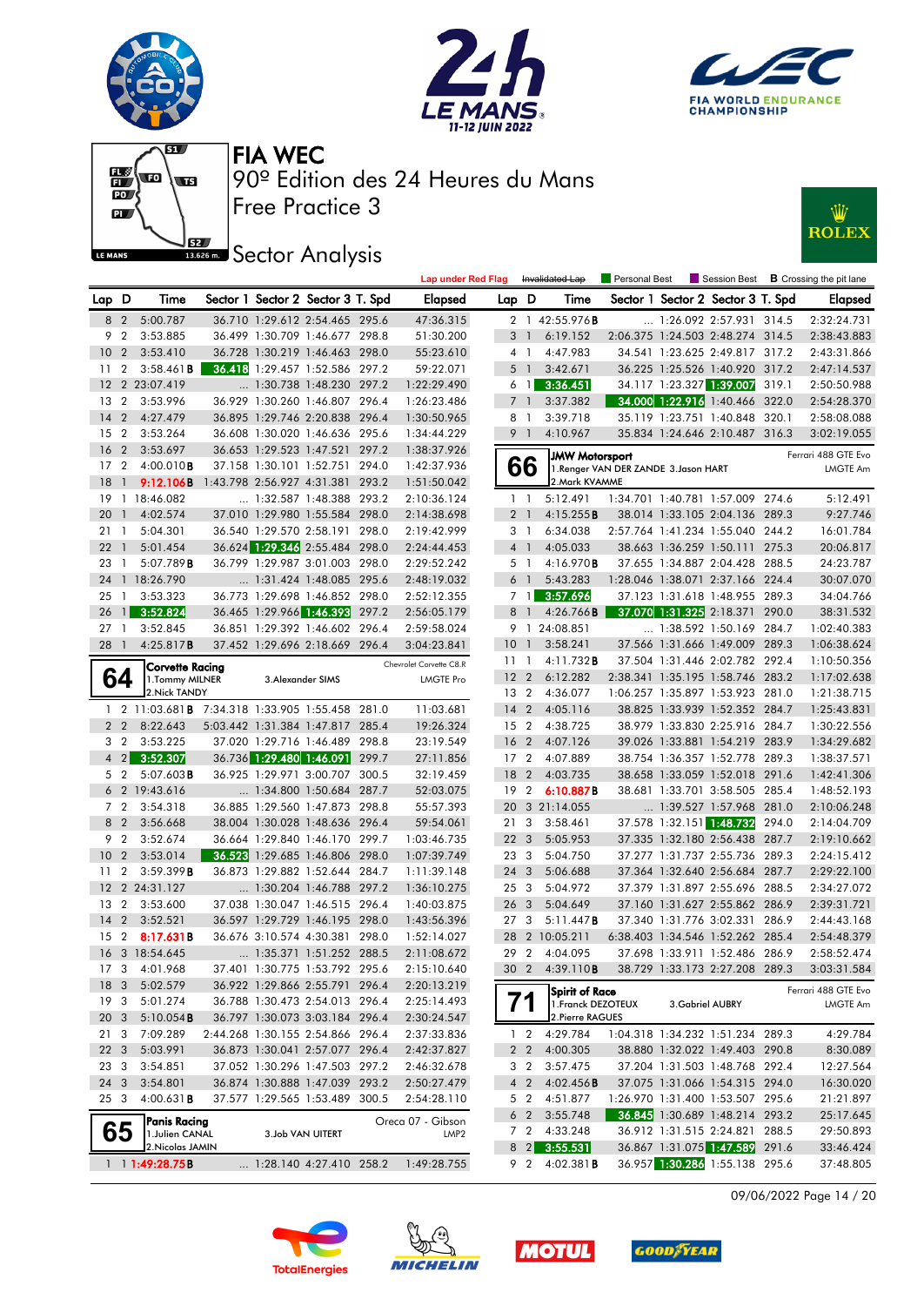











|                 |                |                                                         |                                  |                                   | <b>Lap under Red Flag</b> |                 |                         | Invalidated Lap        | Personal Best                         | Session Best                      |       | <b>B</b> Crossing the pit lane |
|-----------------|----------------|---------------------------------------------------------|----------------------------------|-----------------------------------|---------------------------|-----------------|-------------------------|------------------------|---------------------------------------|-----------------------------------|-------|--------------------------------|
| Lap D           |                | Time                                                    |                                  | Sector 1 Sector 2 Sector 3 T. Spd | <b>Elapsed</b>            | Lap D           |                         | Time                   |                                       | Sector 1 Sector 2 Sector 3 T. Spd |       | <b>Elapsed</b>                 |
|                 | 8 2            | 5:00.787                                                |                                  | 36.710 1:29.612 2:54.465 295.6    | 47:36.315                 |                 |                         | 2 1 42:55.976 <b>B</b> |                                       | 1:26.092 2:57.931 314.5           |       | 2:32:24.731                    |
| 9               | $\overline{2}$ | 3:53.885                                                |                                  | 36.499 1:30.709 1:46.677 298.8    | 51:30.200                 |                 | 3 1                     | 6:19.152               |                                       | 2:06.375 1:24.503 2:48.274 314.5  |       | 2:38:43.883                    |
| 10              | $\overline{2}$ | 3:53.410                                                |                                  | 36.728 1:30.219 1:46.463 298.0    | 55:23.610                 |                 | 4 <sub>1</sub>          | 4:47.983               |                                       | 34.541 1:23.625 2:49.817 317.2    |       | 2:43:31.866                    |
| 11              | $\overline{2}$ | 3:58.461B                                               |                                  | 36.418 1:29.457 1:52.586 297.2    | 59:22.071                 | 5               | $\overline{1}$          | 3:42.671               |                                       | 36.225 1:25.526 1:40.920 317.2    |       | 2:47:14.537                    |
|                 |                | 12 2 23:07.419                                          |                                  | 1:30.738 1:48.230 297.2           | 1:22:29.490               |                 | 6 <sub>1</sub>          | 3:36.451               |                                       | 34.117 1:23.327 1:39.007          | 319.1 | 2:50:50.988                    |
| 13              | $\overline{2}$ | 3:53.996                                                |                                  | 36.929 1:30.260 1:46.807 296.4    | 1:26:23.486               |                 | 7 <sup>1</sup>          | 3:37.382               |                                       | 34.000 1:22.916 1:40.466 322.0    |       | 2:54:28.370                    |
| 14              | 2              | 4:27.479                                                |                                  | 36.895 1:29.746 2:20.838 296.4    | 1:30:50.965               | 8               | $\overline{1}$          | 3:39.718               |                                       | 35.119 1:23.751 1:40.848 320.1    |       | 2:58:08.088                    |
| 15              | $\overline{2}$ | 3:53.264                                                |                                  | 36.608 1:30.020 1:46.636 295.6    | 1:34:44.229               |                 | 9 <sub>1</sub>          | 4:10.967               |                                       | 35.834 1:24.646 2:10.487 316.3    |       | 3:02:19.055                    |
| 16              | $\overline{2}$ | 3:53.697                                                |                                  | 36.653 1:29.523 1:47.521 297.2    | 1:38:37.926               |                 |                         | <b>JMW Motorsport</b>  |                                       |                                   |       | Ferrari 488 GTE Evo            |
| 17              | $\overline{2}$ | $4:00.010$ <b>B</b>                                     |                                  | 37.158 1:30.101 1:52.751 294.0    | 1:42:37.936               |                 | 66                      |                        | 1. Renger VAN DER ZANDE 3. Jason HART |                                   |       | <b>LMGTE Am</b>                |
| 18              | $\overline{1}$ | 9:12.106B                                               | 1:43.798 2:56.927 4:31.381 293.2 |                                   | 1:51:50.042               |                 |                         | 2.Mark KVAMME          |                                       |                                   |       |                                |
| 19              |                | 1 18:46.082                                             |                                  | $\ldots$ 1:32.587 1:48.388 293.2  | 2:10:36.124               |                 | $1\quad$                | 5:12.491               |                                       | 1:34.701 1:40.781 1:57.009 274.6  |       | 5:12.491                       |
| 20              | $\overline{1}$ | 4:02.574                                                |                                  | 37.010 1:29.980 1:55.584 298.0    | 2:14:38.698               |                 | 2 <sub>1</sub>          | 4:15.255B              |                                       | 38.014 1:33.105 2:04.136 289.3    |       | 9:27.746                       |
| 21              | -1             | 5:04.301                                                |                                  | 36.540 1:29.570 2:58.191 298.0    | 2:19:42.999               |                 | 3 1                     | 6:34.038               |                                       | 2:57.764 1:41.234 1:55.040 244.2  |       | 16:01.784                      |
| 22              | $\overline{1}$ | 5:01.454                                                |                                  | 36.624 1:29.346 2:55.484 298.0    | 2:24:44.453               |                 | $4-1$                   | 4:05.033               |                                       | 38.663 1:36.259 1:50.111 275.3    |       | 20:06.817                      |
| 23              | $\overline{1}$ | 5:07.789B                                               |                                  | 36.799 1:29.987 3:01.003 298.0    | 2:29:52.242               |                 | 5 <sub>1</sub>          | 4:16.970 <b>B</b>      |                                       | 37.655 1:34.887 2:04.428 288.5    |       | 24:23.787                      |
| 24              |                | 1 18:26.790                                             |                                  | 1:31.424 1:48.085 295.6           | 2:48:19.032               |                 | 6 <sup>1</sup>          | 5:43.283               |                                       | 1:28.046 1:38.071 2:37.166 224.4  |       | 30:07.070                      |
| 25              | $\mathbf{1}$   | 3:53.323                                                |                                  | 36.773 1:29.698 1:46.852 298.0    | 2:52:12.355               |                 |                         | 7 1 3:57.696           |                                       | 37.123 1:31.618 1:48.955 289.3    |       | 34:04.766                      |
| 26              | $\mathbf{u}$   | 3:52.824                                                |                                  | 36.465 1:29.966 1:46.393 297.2    | 2:56:05.179               |                 | 8 <sup>1</sup>          | 4:26.766B              |                                       | 37.070 1:31.325 2:18.371 290.0    |       | 38:31.532                      |
| 27              | $\overline{1}$ | 3:52.845                                                |                                  | 36.851 1:29.392 1:46.602 296.4    | 2:59:58.024               |                 |                         | 9 1 24:08.851          |                                       | 1:38.592 1:50.169                 | 284.7 | 1:02:40.383                    |
| 28              | $\overline{1}$ | 4:25.817B                                               |                                  | 37.452 1:29.696 2:18.669 296.4    | 3:04:23.841               | 10              | $\overline{1}$          | 3:58.241               |                                       | 37.566 1:31.666 1:49.009 289.3    |       | 1:06:38.624                    |
|                 |                | <b>Corvette Racing</b>                                  |                                  |                                   | Chevrolet Corvette C8.R   | 111             |                         | 4:11.732B              |                                       | 37.504 1:31.446 2:02.782 292.4    |       | 1:10:50.356                    |
|                 | 64             | 1. Tommy MILNER                                         |                                  | 3. Alexander SIMS                 | <b>LMGTE Pro</b>          | 12 <sub>2</sub> |                         | 6:12.282               |                                       | 2:38.341 1:35.195 1:58.746 283.2  |       | 1:17:02.638                    |
|                 |                | 2. Nick TANDY                                           |                                  |                                   |                           | 13 2            |                         | 4:36.077               |                                       | 1:06.257 1:35.897 1:53.923 281.0  |       | 1:21:38.715                    |
|                 |                | 1 2 11:03.681 <b>B</b> 7:34.318 1:33.905 1:55.458 281.0 |                                  |                                   | 11:03.681                 | $14 \quad 2$    |                         | 4:05.116               |                                       | 38.825 1:33.939 1:52.352 284.7    |       | 1:25:43.831                    |
|                 | $2\quad 2$     | 8:22.643                                                |                                  | 5:03.442 1:31.384 1:47.817 285.4  | 19:26.324                 | 15 <sub>2</sub> |                         | 4:38.725               |                                       | 38.979 1:33.830 2:25.916 284.7    |       | 1:30:22.556                    |
| 3 <sub>2</sub>  |                | 3:53.225                                                |                                  | 37.020 1:29.716 1:46.489 298.8    | 23:19.549                 | 16              | $\overline{2}$          | 4:07.126               |                                       | 39.026 1:33.881 1:54.219 283.9    |       | 1:34:29.682                    |
|                 | $4 \quad 2$    | 3:52.307                                                |                                  | 36.736 1:29.480 1:46.091 299.7    | 27:11.856                 | 17 <sub>2</sub> |                         | 4:07.889               |                                       | 38.754 1:36.357 1:52.778 289.3    |       | 1:38:37.571                    |
|                 | 5 2            | 5:07.603B                                               |                                  | 36.925 1:29.971 3:00.707 300.5    | 32:19.459                 | 18              | $\overline{2}$          | 4:03.735               |                                       | 38.658 1:33.059 1:52.018 291.6    |       | 1:42:41.306                    |
|                 |                | 6 2 19:43.616                                           |                                  | 1:34.800 1:50.684 287.7           | 52:03.075                 | 19              | $\overline{2}$          | 6:10.887B              |                                       | 38.681 1:33.701 3:58.505 285.4    |       | 1:48:52.193                    |
|                 | 7 <sub>2</sub> | 3:54.318                                                |                                  | 36.885 1:29.560 1:47.873 298.8    | 55:57.393                 | 20              |                         | 3 21:14.055            |                                       | 1:39.527 1:57.968 281.0           |       | 2:10:06.248                    |
| 8 2             |                | 3:56.668                                                |                                  | 38.004 1:30.028 1:48.636 296.4    | 59:54.061                 | 21              | $\overline{\mathbf{3}}$ | 3:58.461               |                                       | 37.578 1:32.151 1:48.732 294.0    |       | 2:14:04.709                    |
|                 | 9 <sub>2</sub> | 3:52.674                                                |                                  | 36.664 1:29.840 1:46.170 299.7    | 1:03:46.735               | 22 <sub>3</sub> |                         | 5:05.953               |                                       | 37.335 1:32.180 2:56.438 287.7    |       | 2:19:10.662                    |
| 10              | $\overline{2}$ | 3:53.014                                                |                                  | 36.523 1:29.685 1:46.806 298.0    | 1:07:39.749               | 233             |                         | 5:04.750               |                                       | 37.277 1:31.737 2:55.736 289.3    |       | 2:24:15.412                    |
| 11              | $\overline{2}$ | 3:59.399B                                               |                                  | 36.873 1:29.882 1:52.644 284.7    | 1:11:39.148               | 24 3            |                         | 5:06.688               |                                       | 37.364 1:32.640 2:56.684 287.7    |       | 2:29:22.100                    |
|                 |                | 12 2 24:31.127                                          |                                  | 1:30.204 1:46.788 297.2           | 1:36:10.275               | 25              | - 3                     | 5:04.972               |                                       | 37.379 1:31.897 2:55.696 288.5    |       | 2:34:27.072                    |
| 13              | $\overline{2}$ | 3:53.600                                                |                                  | 37.038 1:30.047 1:46.515 296.4    | 1:40:03.875               | 26 <sub>3</sub> |                         | 5:04.649               |                                       | 37.160 1:31.627 2:55.862 286.9    |       | 2:39:31.721                    |
| 14              | 2              | 3:52.521                                                |                                  | 36.597 1:29.729 1:46.195 298.0    | 1:43:56.396               | 27              | - 3                     | 5:11.447B              |                                       | 37.340 1:31.776 3:02.331 286.9    |       | 2:44:43.168                    |
| 15              | $\overline{2}$ | 8:17.631B                                               |                                  | 36.676 3:10.574 4:30.381 298.0    | 1:52:14.027               | 28              |                         | 2 10:05.211            |                                       | 6:38.403 1:34.546 1:52.262 285.4  |       | 2:54:48.379                    |
|                 |                | 16 3 18:54.645                                          |                                  | 1:35.371 1:51.252 288.5           | 2:11:08.672               |                 |                         | 29 2 4:04.095          |                                       | 37.698 1:33.911 1:52.486 286.9    |       | 2:58:52.474                    |
| 17 3            |                | 4:01.968                                                |                                  | 37.401 1:30.775 1:53.792 295.6    | 2:15:10.640               |                 |                         | 30 2 4:39.110B         |                                       | 38.729 1:33.173 2:27.208 289.3    |       | 3:03:31.584                    |
| 18 3            |                | 5:02.579                                                |                                  | 36.922 1:29.866 2:55.791 296.4    | 2:20:13.219               |                 |                         | Spirit of Race         |                                       |                                   |       | Ferrari 488 GTE Evo            |
| 19 <sup>3</sup> |                | 5:01.274                                                |                                  | 36.788 1:30.473 2:54.013 296.4    | 2:25:14.493               |                 |                         | 1. Franck DEZOTEUX     |                                       | 3. Gabriel AUBRY                  |       | <b>LMGTE Am</b>                |
| 20 <sub>3</sub> |                | 5:10.054B                                               |                                  | 36.797 1:30.073 3:03.184 296.4    | 2:30:24.547               |                 |                         | 2. Pierre RAGUES       |                                       |                                   |       |                                |
| 213             |                | 7:09.289                                                |                                  | 2:44.268 1:30.155 2:54.866 296.4  | 2:37:33.836               |                 | $1\quad 2$              | 4:29.784               |                                       | 1:04.318 1:34.232 1:51.234 289.3  |       | 4:29.784                       |
| 22 3            |                | 5:03.991                                                |                                  | 36.873 1:30.041 2:57.077 296.4    | 2:42:37.827               |                 | 2 <sub>2</sub>          | 4:00.305               |                                       | 38.880 1:32.022 1:49.403 290.8    |       | 8:30.089                       |
| 23 3            |                | 3:54.851                                                |                                  | 37.052 1:30.296 1:47.503 297.2    | 2:46:32.678               |                 | 3 2                     | 3:57.475               |                                       | 37.204 1:31.503 1:48.768 292.4    |       | 12:27.564                      |
| 24 3            |                | 3:54.801                                                |                                  | 36.874 1:30.888 1:47.039 293.2    | 2:50:27.479               |                 | $4\quad2$               | $4:02.456$ B           |                                       | 37.075 1:31.066 1:54.315 294.0    |       | 16:30.020                      |
| 25 3            |                | 4:00.631B                                               |                                  | 37.577 1:29.565 1:53.489 300.5    | 2:54:28.110               |                 |                         | 5 2 4:51.877           |                                       | 1:26.970 1:31.400 1:53.507 295.6  |       | 21:21.897                      |
|                 |                | Panis Racing                                            |                                  |                                   | Oreca 07 - Gibson         |                 | 6 2                     | 3:55.748               |                                       | 36.845 1:30.689 1:48.214 293.2    |       | 25:17.645                      |
|                 | 65             | 1. Julien CANAL                                         |                                  | 3.Job VAN UITERT                  | LMP <sub>2</sub>          |                 |                         | 7 2 4:33.248           |                                       | 36.912 1:31.515 2:24.821 288.5    |       | 29:50.893                      |
|                 |                | 2. Nicolas JAMIN                                        |                                  |                                   |                           |                 |                         | 8 2 3:55.531           |                                       | 36.867 1:31.075 1:47.589 291.6    |       | 33:46.424                      |
|                 |                | $1 \quad 1$ :49:28.75B                                  |                                  | $\ldots$ 1:28.140 4:27.410 258.2  | 1:49:28.755               |                 |                         | 9 2 4:02.381 <b>B</b>  |                                       | 36.957 1:30.286 1:55.138 295.6    |       | 37:48.805                      |

09/06/2022 Page 14 / 20







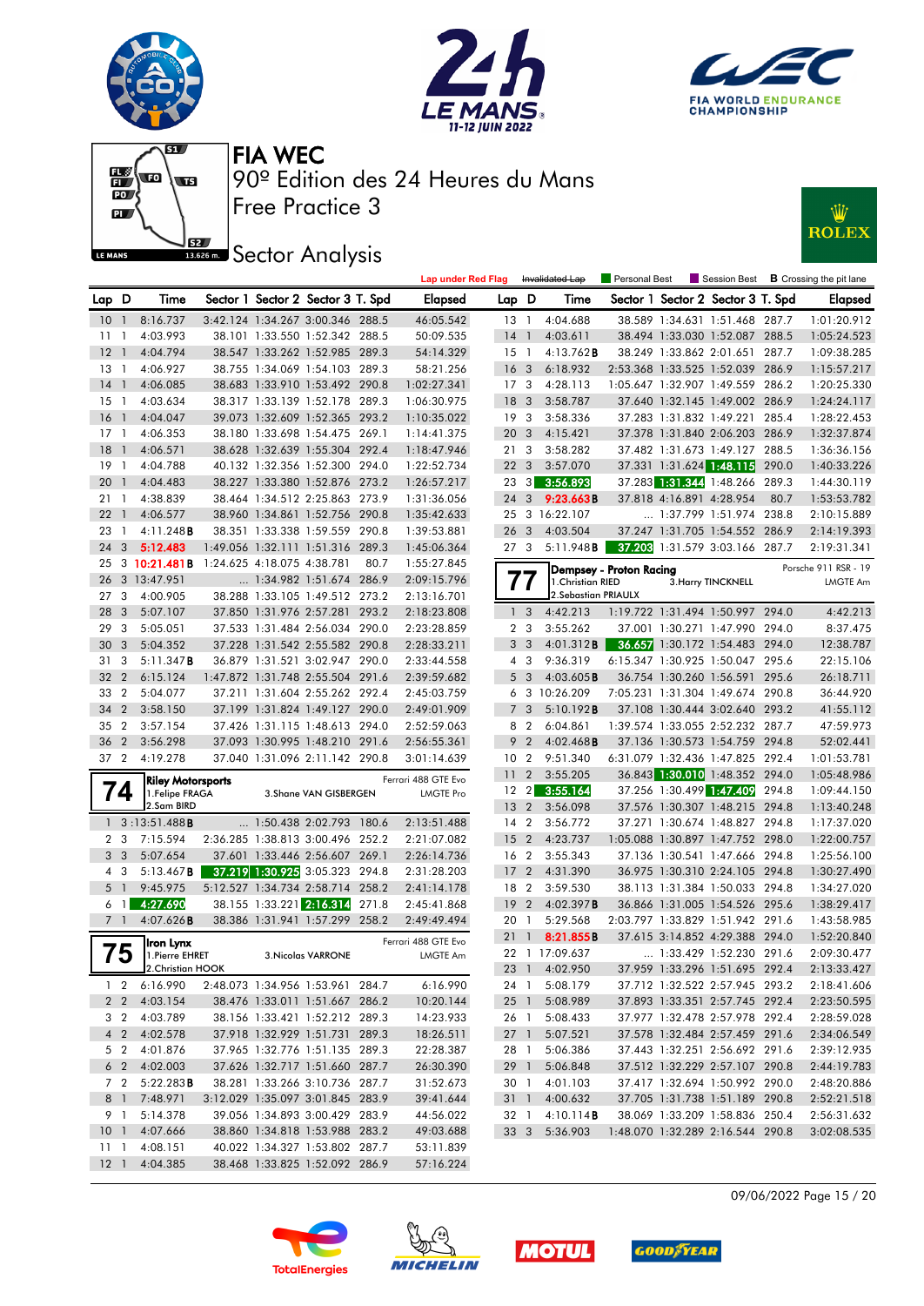











|                 |                 |                          |                            |                                   |       | Lap under Red Flag  |                 |                         | Invalidated Lap      | Personal Best           |                          |                                   |       | $\blacksquare$ Session Best $\blacksquare$ Crossing the pit lane |
|-----------------|-----------------|--------------------------|----------------------------|-----------------------------------|-------|---------------------|-----------------|-------------------------|----------------------|-------------------------|--------------------------|-----------------------------------|-------|------------------------------------------------------------------|
| Lap D           |                 | Time                     |                            | Sector 1 Sector 2 Sector 3 T. Spd |       | <b>Elapsed</b>      | Lap D           |                         | Time                 |                         |                          | Sector 1 Sector 2 Sector 3 T. Spd |       | <b>Elapsed</b>                                                   |
| 10 <sub>1</sub> |                 | 8:16.737                 |                            | 3:42.124 1:34.267 3:00.346 288.5  |       | 46:05.542           | 13              | $\overline{1}$          | 4:04.688             |                         |                          | 38.589 1:34.631 1:51.468 287.7    |       | 1:01:20.912                                                      |
| 11              | $\mathbf{1}$    | 4:03.993                 |                            | 38.101 1:33.550 1:52.342 288.5    |       | 50:09.535           | 14              | $\overline{1}$          | 4:03.611             |                         |                          | 38.494 1:33.030 1:52.087 288.5    |       | 1:05:24.523                                                      |
| 12              | $\mathbf{1}$    | 4:04.794                 |                            | 38.547 1:33.262 1:52.985 289.3    |       | 54:14.329           | 15              | $\overline{1}$          | $4:13.762$ B         |                         |                          | 38.249 1:33.862 2:01.651 287.7    |       | 1:09:38.285                                                      |
| $13-1$          |                 | 4:06.927                 |                            | 38.755 1:34.069 1:54.103 289.3    |       | 58:21.256           | 16 <sub>3</sub> |                         | 6:18.932             |                         |                          | 2:53.368 1:33.525 1:52.039 286.9  |       | 1:15:57.217                                                      |
| 14              | $\mathbf{1}$    | 4:06.085                 |                            | 38.683 1:33.910 1:53.492 290.8    |       | 1:02:27.341         | 17 <sub>3</sub> |                         | 4:28.113             |                         |                          | 1:05.647 1:32.907 1:49.559 286.2  |       | 1:20:25.330                                                      |
| 15              | $\mathbf{1}$    | 4:03.634                 |                            | 38.317 1:33.139 1:52.178 289.3    |       | 1:06:30.975         | 18              | $\overline{\mathbf{3}}$ | 3:58.787             |                         |                          | 37.640 1:32.145 1:49.002 286.9    |       | 1:24:24.117                                                      |
| 16              | $\mathbf{1}$    | 4:04.047                 |                            | 39.073 1:32.609 1:52.365 293.2    |       | 1:10:35.022         | 19              | -3                      | 3:58.336             |                         |                          | 37.283 1:31.832 1:49.221 285.4    |       | 1:28:22.453                                                      |
| $17-1$          |                 | 4:06.353                 |                            | 38.180 1:33.698 1:54.475 269.1    |       | 1:14:41.375         | 20              | $\overline{\mathbf{3}}$ | 4:15.421             |                         |                          | 37.378 1:31.840 2:06.203 286.9    |       | 1:32:37.874                                                      |
| 18              | $\mathbf{1}$    | 4:06.571                 |                            | 38.628 1:32.639 1:55.304 292.4    |       | 1:18:47.946         | 21              | 3                       | 3:58.282             |                         |                          | 37.482 1:31.673 1:49.127 288.5    |       | 1:36:36.156                                                      |
| 19              | $\mathbf{1}$    | 4:04.788                 |                            | 40.132 1:32.356 1:52.300 294.0    |       | 1:22:52.734         | 22 <sub>3</sub> |                         | 3:57.070             |                         |                          | 37.331 1:31.624 1:48.115          | 290.0 | 1:40:33.226                                                      |
| 20              | $\mathbf{1}$    | 4:04.483                 |                            | 38.227 1:33.380 1:52.876 273.2    |       | 1:26:57.217         | 23              | $\frac{3}{3}$           | 3:56.893             |                         |                          | 37.283 1:31.344 1:48.266 289.3    |       | 1:44:30.119                                                      |
| 21 1            |                 | 4:38.839                 |                            | 38.464 1:34.512 2:25.863 273.9    |       | 1:31:36.056         | 24 3            |                         | 9:23.663B            |                         | 37.818 4:16.891 4:28.954 |                                   | 80.7  | 1:53:53.782                                                      |
| 22              | $\mathbf{1}$    | 4:06.577                 |                            | 38.960 1:34.861 1:52.756 290.8    |       | 1:35:42.633         |                 |                         | 25 3 16:22.107       |                         |                          | 1:37.799 1:51.974 238.8           |       | 2:10:15.889                                                      |
| 23              | $\mathbf{1}$    | $4:11.248$ <b>B</b>      |                            | 38.351 1:33.338 1:59.559 290.8    |       | 1:39:53.881         | 26 <sub>3</sub> |                         | 4:03.504             |                         |                          | 37.247 1:31.705 1:54.552          | 286.9 | 2:14:19.393                                                      |
| 24              | 3               | 5:12.483                 |                            | 1:49.056 1:32.111 1:51.316        | 289.3 | 1:45:06.364         | 273             |                         | 5:11.948 <b>B</b>    |                         |                          | 37.203 1:31.579 3:03.166 287.7    |       | 2:19:31.341                                                      |
| 25              |                 | $3 \; 10:21.481B$        | 1:24.625 4:18.075 4:38.781 |                                   | 80.7  | 1:55:27.845         |                 |                         |                      | Dempsey - Proton Racing |                          |                                   |       | Porsche 911 RSR - 19                                             |
| 26              |                 | 3 13:47.951              |                            | 1:34.982 1:51.674 286.9           |       | 2:09:15.796         | $\prime\prime$  |                         | 1. Christian RIED    |                         |                          | 3. Harry TINCKNELL                |       | <b>LMGTE Am</b>                                                  |
| 27              | 3               | 4:00.905                 |                            | 38.288 1:33.105 1:49.512 273.2    |       | 2:13:16.701         |                 |                         | 2. Sebastian PRIAULX |                         |                          |                                   |       |                                                                  |
| 28              | 3               | 5:07.107                 |                            | 37.850 1:31.976 2:57.281          | 293.2 | 2:18:23.808         |                 | 1 <sub>3</sub>          | 4:42.213             |                         |                          | 1:19.722 1:31.494 1:50.997 294.0  |       | 4:42.213                                                         |
| 29              | 3               | 5:05.051                 |                            | 37.533 1:31.484 2:56.034 290.0    |       | 2:23:28.859         |                 | 2 <sub>3</sub>          | 3:55.262             |                         |                          | 37.001 1:30.271 1:47.990 294.0    |       | 8:37.475                                                         |
| 30              | 3               | 5:04.352                 |                            | 37.228 1:31.542 2:55.582 290.8    |       | 2:28:33.211         |                 | 3 <sub>3</sub>          | 4:01.312B            |                         |                          | 36.657 1:30.172 1:54.483 294.0    |       | 12:38.787                                                        |
| 31              | 3               | 5:11.347B                |                            | 36.879 1:31.521 3:02.947 290.0    |       | 2:33:44.558         |                 | 4 3                     | 9:36.319             |                         |                          | 6:15.347 1:30.925 1:50.047 295.6  |       | 22:15.106                                                        |
| 32              | $\overline{2}$  | 6:15.124                 |                            | 1:47.872 1:31.748 2:55.504 291.6  |       | 2:39:59.682         |                 | 5 <sub>3</sub>          | 4:03.605B            |                         |                          | 36.754 1:30.260 1:56.591 295.6    |       | 26:18.711                                                        |
| 33              | $\overline{2}$  | 5:04.077                 |                            | 37.211 1:31.604 2:55.262 292.4    |       | 2:45:03.759         |                 |                         | 6 3 10:26.209        |                         |                          | 7:05.231 1:31.304 1:49.674 290.8  |       | 36:44.920                                                        |
| 34              | $\overline{2}$  | 3:58.150                 |                            | 37.199 1:31.824 1:49.127 290.0    |       | 2:49:01.909         | $\overline{7}$  | 3                       | 5:10.192B            |                         |                          | 37.108 1:30.444 3:02.640 293.2    |       | 41:55.112                                                        |
| 35              | 2               | 3:57.154                 |                            | 37.426 1:31.115 1:48.613 294.0    |       | 2:52:59.063         | 8               | $\overline{2}$          | 6:04.861             |                         |                          | 1:39.574 1:33.055 2:52.232 287.7  |       | 47:59.973                                                        |
| 36              | $\overline{2}$  | 3:56.298                 |                            | 37.093 1:30.995 1:48.210 291.6    |       | 2:56:55.361         | 9               | $\overline{2}$          | $4:02.468$ B         |                         |                          | 37.136 1:30.573 1:54.759 294.8    |       | 52:02.441                                                        |
| 37 2            |                 | 4:19.278                 |                            | 37.040 1:31.096 2:11.142 290.8    |       | 3:01:14.639         | 10 <sub>2</sub> |                         | 9:51.340             |                         |                          | 6:31.079 1:32.436 1:47.825 292.4  |       | 1:01:53.781                                                      |
|                 |                 | <b>Riley Motorsports</b> |                            |                                   |       | Ferrari 488 GTE Evo | 11 <sub>2</sub> |                         | 3:55.205             |                         |                          | 36.843 1:30.010 1:48.352 294.0    |       | 1:05:48.986                                                      |
|                 | $\overline{14}$ | 1.Felipe FRAGA           |                            | 3. Shane VAN GISBERGEN            |       | <b>LMGTE Pro</b>    | $12 \quad 2$    |                         | 3:55.164             |                         |                          | 37.256 1:30.499 1:47.409          | 294.8 | 1:09:44.150                                                      |
|                 |                 | 2.Sam BIRD               |                            |                                   |       |                     | 13 <sub>2</sub> |                         | 3:56.098             |                         |                          | 37.576 1:30.307 1:48.215 294.8    |       | 1:13:40.248                                                      |
|                 |                 | $1 \quad 3:13:51.488$ B  |                            | 1:50.438 2:02.793 180.6           |       | 2:13:51.488         | 14              | $\overline{2}$          | 3:56.772             |                         |                          | 37.271 1:30.674 1:48.827 294.8    |       | 1:17:37.020                                                      |
|                 | 2 <sub>3</sub>  | 7:15.594                 |                            | 2:36.285 1:38.813 3:00.496 252.2  |       | 2:21:07.082         | 15 <sub>2</sub> |                         | 4:23.737             |                         |                          | 1:05.088 1:30.897 1:47.752 298.0  |       | 1:22:00.757                                                      |
|                 | 3 <sup>3</sup>  | 5:07.654                 |                            | 37.601 1:33.446 2:56.607 269.1    |       | 2:26:14.736         | 16 2            |                         | 3:55.343             |                         |                          | 37.136 1:30.541 1:47.666 294.8    |       | 1:25:56.100                                                      |
| 4 3             |                 | $5:13.467$ <b>B</b>      |                            | 37.219 1:30.925 3:05.323 294.8    |       | 2:31:28.203         | 17 <sub>2</sub> |                         | 4:31.390             |                         |                          | 36.975 1:30.310 2:24.105 294.8    |       | 1:30:27.490                                                      |
| 5 <sub>1</sub>  |                 | 9:45.975                 |                            | 5:12.527 1:34.734 2:58.714 258.2  |       | 2:41:14.178         | 18 2            |                         | 3:59.530             |                         |                          | 38.113 1:31.384 1:50.033 294.8    |       | 1:34:27.020                                                      |
| 6               | $\mathbf{1}$    | 4:27.690                 |                            | 38.155 1:33.221 2:16.314          | 271.8 | 2:45:41.868         | 19              | $\overline{2}$          | 4:02.397B            |                         |                          | 36.866 1:31.005 1:54.526 295.6    |       | 1:38:29.417                                                      |
| 7 <sup>1</sup>  |                 | 4:07.626B                |                            | 38.386 1:31.941 1:57.299 258.2    |       | 2:49:49.494         | 20              | $\overline{1}$          | 5:29.568             |                         |                          | 2:03.797 1:33.829 1:51.942 291.6  |       | 1:43:58.985                                                      |
|                 |                 | Iron Lynx                |                            |                                   |       | Ferrari 488 GTE Evo | 21              | $\overline{1}$          | 8:21.855B            |                         |                          | 37.615 3:14.852 4:29.388 294.0    |       | 1:52:20.840                                                      |
|                 | 75              | 1. Pierre EHRET          |                            | <b>3. Nicolas VARRONE</b>         |       | LMGTE Am            |                 |                         | 22 1 17:09.637       |                         |                          | 1:33.429 1:52.230 291.6           |       | 2:09:30.477                                                      |
|                 |                 | 2.Christian HOOK         |                            |                                   |       |                     |                 |                         | 23 1 4:02.950        |                         |                          | 37.959 1:33.296 1:51.695 292.4    |       | 2:13:33.427                                                      |
|                 | $1\quad 2$      | 6:16.990                 |                            | 2:48.073 1:34.956 1:53.961 284.7  |       | 6:16.990            | 24 1            |                         | 5:08.179             |                         |                          | 37.712 1:32.522 2:57.945 293.2    |       | 2:18:41.606                                                      |
|                 | 2 <sub>2</sub>  | 4:03.154                 |                            | 38.476 1:33.011 1:51.667 286.2    |       | 10:20.144           | $25-1$          |                         | 5:08.989             |                         |                          | 37.893 1:33.351 2:57.745 292.4    |       | 2:23:50.595                                                      |
|                 | 3 2             | 4:03.789                 |                            | 38.156 1:33.421 1:52.212 289.3    |       | 14:23.933           | 26 1            |                         | 5:08.433             |                         |                          | 37.977 1:32.478 2:57.978 292.4    |       | 2:28:59.028                                                      |
|                 | 4 <sub>2</sub>  | 4:02.578                 |                            | 37.918 1:32.929 1:51.731 289.3    |       | 18:26.511           | $27-1$          |                         | 5:07.521             |                         |                          | 37.578 1:32.484 2:57.459 291.6    |       | 2:34:06.549                                                      |
|                 | 5 2             | 4:01.876                 |                            | 37.965 1:32.776 1:51.135 289.3    |       | 22:28.387           | 28 1            |                         | 5:06.386             |                         |                          | 37.443 1:32.251 2:56.692 291.6    |       | 2:39:12.935                                                      |
|                 | 6 <sub>2</sub>  | 4:02.003                 |                            | 37.626 1:32.717 1:51.660 287.7    |       | 26:30.390           | 29 1            |                         | 5:06.848             |                         |                          | 37.512 1:32.229 2:57.107 290.8    |       | 2:44:19.783                                                      |
|                 | 7 2             | 5:22.283B                |                            | 38.281 1:33.266 3:10.736 287.7    |       | 31:52.673           | 30 1            |                         | 4:01.103             |                         |                          | 37.417 1:32.694 1:50.992 290.0    |       | 2:48:20.886                                                      |
| 8 1             |                 | 7:48.971                 |                            | 3:12.029 1:35.097 3:01.845 283.9  |       | 39:41.644           | 31 1            |                         | 4:00.632             |                         |                          | 37.705 1:31.738 1:51.189 290.8    |       | 2:52:21.518                                                      |
| 9 1             |                 | 5:14.378                 |                            | 39.056 1:34.893 3:00.429 283.9    |       | 44:56.022           | 32 1            |                         | 4:10.114B            |                         |                          | 38.069 1:33.209 1:58.836 250.4    |       | 2:56:31.632                                                      |
| 10 <sub>1</sub> |                 | 4:07.666                 |                            | 38.860 1:34.818 1:53.988 283.2    |       | 49:03.688           | 33 3            |                         | 5:36.903             |                         |                          | 1:48.070 1:32.289 2:16.544 290.8  |       | 3:02:08.535                                                      |
| $11-1$          |                 | 4:08.151                 |                            | 40.022 1:34.327 1:53.802 287.7    |       | 53:11.839           |                 |                         |                      |                         |                          |                                   |       |                                                                  |





12 1 4:04.385 38.468 1:33.825 1:52.092 286.9 57:16.224





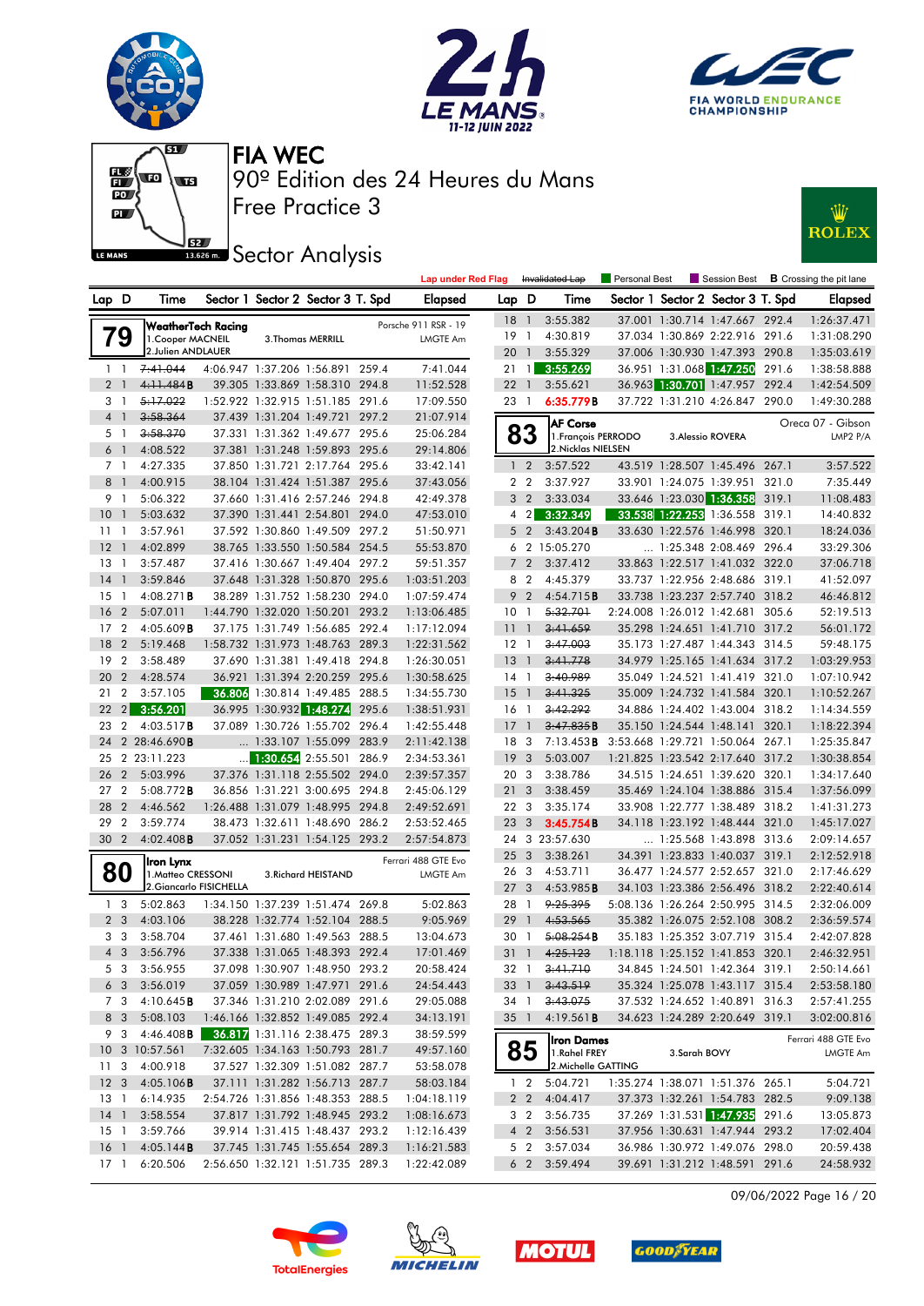











|                 |                |                           |                                 |                                   |       | <b>Lap under Red Flag</b> |                 |                         | Invalidated Lap     | Personal Best |                          | Session Best                      |       | <b>B</b> Crossing the pit lane |
|-----------------|----------------|---------------------------|---------------------------------|-----------------------------------|-------|---------------------------|-----------------|-------------------------|---------------------|---------------|--------------------------|-----------------------------------|-------|--------------------------------|
| Lap D           |                | Time                      |                                 | Sector 1 Sector 2 Sector 3 T. Spd |       | Elapsed                   | Lap D           |                         | Time                |               |                          | Sector 1 Sector 2 Sector 3 T. Spd |       | <b>Elapsed</b>                 |
|                 |                | <b>WeatherTech Racing</b> |                                 |                                   |       | Porsche 911 RSR - 19      | 18              | $\overline{1}$          | 3:55.382            |               |                          | 37.001 1:30.714 1:47.667 292.4    |       | 1:26:37.471                    |
|                 | <b>g</b>       | 1. Cooper MACNEIL         |                                 | 3. Thomas MERRILL                 |       | <b>LMGTE Am</b>           | 19              | $\overline{1}$          | 4:30.819            |               |                          | 37.034 1:30.869 2:22.916 291.6    |       | 1:31:08.290                    |
|                 |                | 2.Julien ANDLAUER         |                                 |                                   |       |                           | 20              | $\overline{1}$          | 3:55.329            |               |                          | 37.006 1:30.930 1:47.393 290.8    |       | 1:35:03.619                    |
| $1\quad$        |                | 7:41.044                  | 4:06.947 1:37.206 1:56.891      |                                   | 259.4 | 7:41.044                  | 21              | $\overline{1}$          | 3:55.269            |               |                          | 36.951 1:31.068 1:47.250          | 291.6 | 1:38:58.888                    |
| 2 <sub>1</sub>  |                | 4:11.484B                 |                                 | 39.305 1:33.869 1:58.310 294.8    |       | 11:52.528                 | 22              | $\overline{1}$          | 3:55.621            |               |                          | 36.963 1:30.701 1:47.957          | 292.4 | 1:42:54.509                    |
| 31              |                | 5:17.022                  |                                 | 1:52.922 1:32.915 1:51.185 291.6  |       | 17:09.550                 | 23 1            |                         | 6:35.779B           |               |                          | 37.722 1:31.210 4:26.847 290.0    |       | 1:49:30.288                    |
| $\overline{4}$  | $\mathbf{1}$   | 3:58.364                  |                                 | 37.439 1:31.204 1:49.721          | 297.2 | 21:07.914                 |                 |                         | <b>AF Corse</b>     |               |                          |                                   |       | Oreca 07 - Gibson              |
| 5 1             |                | 3:58.370                  |                                 | 37.331 1:31.362 1:49.677          | 295.6 | 25:06.284                 |                 | 83                      | 1. François PERRODO |               |                          | 3. Alessio ROVERA                 |       | LMP2 P/A                       |
| 6               | $\overline{1}$ | 4:08.522                  |                                 | 37.381 1:31.248 1:59.893 295.6    |       | 29:14.806                 |                 |                         | 2. Nicklas NIELSEN  |               |                          |                                   |       |                                |
| 7 <sub>1</sub>  |                | 4:27.335                  |                                 | 37.850 1:31.721 2:17.764 295.6    |       | 33:42.141                 |                 | 1 <sub>2</sub>          | 3:57.522            |               |                          | 43.519 1:28.507 1:45.496 267.1    |       | 3:57.522                       |
| 8               | $\overline{1}$ | 4:00.915                  |                                 | 38.104 1:31.424 1:51.387 295.6    |       | 37:43.056                 |                 | 2 <sub>2</sub>          | 3:37.927            |               |                          | 33.901 1:24.075 1:39.951          | 321.0 | 7:35.449                       |
| 9 1             |                | 5:06.322                  |                                 | 37.660 1:31.416 2:57.246          | 294.8 | 42:49.378                 |                 | 3 <sub>2</sub>          | 3:33.034            |               |                          | 33.646 1:23.030 1:36.358          | 319.1 | 11:08.483                      |
| 10              | $\mathbf{1}$   | 5:03.632                  | 37.390 1:31.441 2:54.801        |                                   | 294.0 | 47:53.010                 |                 | $4 \quad 2$             | 3:32.349            |               |                          | 33.538 1:22.253 1:36.558 319.1    |       | 14:40.832                      |
| 11              | - 1            | 3:57.961                  |                                 | 37.592 1:30.860 1:49.509 297.2    |       | 51:50.971                 |                 | 5 <sub>2</sub>          | 3:43.204B           |               |                          | 33.630 1:22.576 1:46.998 320.1    |       | 18:24.036                      |
| 12              | $\mathbf{1}$   | 4:02.899                  |                                 | 38.765 1:33.550 1:50.584 254.5    |       | 55:53.870                 |                 |                         | 6 2 15:05.270       |               |                          | $\ldots$ 1:25.348 2:08.469 296.4  |       | 33:29.306                      |
| 13              | - 1            | 3:57.487                  |                                 | 37.416 1:30.667 1:49.404          | 297.2 | 59:51.357                 |                 | 7 <sub>2</sub>          | 3:37.412            |               |                          | 33.863 1:22.517 1:41.032 322.0    |       | 37:06.718                      |
| 14              | -1             | 3:59.846                  |                                 | 37.648 1:31.328 1:50.870 295.6    |       | 1:03:51.203               |                 | 8 2                     | 4:45.379            |               |                          | 33.737 1:22.956 2:48.686 319.1    |       | 41:52.097                      |
| 15              | - 1            | $4:08.271$ B              |                                 | 38.289 1:31.752 1:58.230 294.0    |       | 1:07:59.474               |                 | 9 <sub>2</sub>          | 4:54.715B           |               |                          | 33.738 1:23.237 2:57.740 318.2    |       | 46:46.812                      |
| 16              | $\overline{2}$ | 5:07.011                  | 1:44.790 1:32.020 1:50.201      |                                   | 293.2 | 1:13:06.485               | 10              | $\overline{1}$          | 5:32.701            |               |                          | 2:24.008 1:26.012 1:42.681 305.6  |       | 52:19.513                      |
| 17              | $\overline{2}$ | 4:05.609B                 |                                 | 37.175 1:31.749 1:56.685 292.4    |       | 1:17:12.094               | 11              | $\overline{1}$          | 3:41.659            |               |                          | 35.298 1:24.651 1:41.710 317.2    |       | 56:01.172                      |
| 18              | $\overline{2}$ | 5:19.468                  |                                 | 1:58.732 1:31.973 1:48.763 289.3  |       | 1:22:31.562               | $12-1$          |                         | 3:47.003            |               |                          | 35.173 1:27.487 1:44.343 314.5    |       | 59:48.175                      |
| 19              | $\overline{2}$ | 3:58.489                  |                                 | 37.690 1:31.381 1:49.418 294.8    |       | 1:26:30.051               | 13              | $\overline{1}$          | 3:41.778            |               |                          | 34.979 1:25.165 1:41.634 317.2    |       | 1:03:29.953                    |
| 20              | $\overline{2}$ | 4:28.574                  |                                 | 36.921 1:31.394 2:20.259 295.6    |       | 1:30:58.625               | 14              | $\overline{1}$          | 3:40.989            |               |                          | 35.049 1:24.521 1:41.419          | 321.0 | 1:07:10.942                    |
| 21              | $\overline{2}$ | 3:57.105                  |                                 | 36.806 1:30.814 1:49.485 288.5    |       | 1:34:55.730               | 15              | $\overline{1}$          | 3:41.325            |               |                          | 35.009 1:24.732 1:41.584          | 320.1 | 1:10:52.267                    |
| 22              | $\overline{2}$ | 3:56.201                  |                                 | 36.995 1:30.932 1:48.274          | 295.6 | 1:38:51.931               | $16-1$          |                         | 3:42.292            |               |                          | 34.886 1:24.402 1:43.004 318.2    |       | 1:14:34.559                    |
| 23              | $\overline{2}$ | 4:03.517B                 |                                 | 37.089 1:30.726 1:55.702 296.4    |       | 1:42:55.448               | 17              | $\overline{1}$          | 3:47.835B           |               | 35.150 1:24.544 1:48.141 |                                   | 320.1 | 1:18:22.394                    |
| 24              |                | 2 28:46.690B              |                                 | $\ldots$ 1:33.107 1:55.099        | 283.9 | 2:11:42.138               | 18              | -3                      | 7:13.453B           |               |                          | 3:53.668 1:29.721 1:50.064 267.1  |       | 1:25:35.847                    |
| 25              |                | 2 23:11.223               | $\frac{1}{2}$ 1:30.654 2:55.501 |                                   | 286.9 | 2:34:53.361               | 19              | 3                       | 5:03.007            |               |                          | 1:21.825 1:23.542 2:17.640 317.2  |       | 1:30:38.854                    |
| 26              | $\overline{2}$ | 5:03.996                  |                                 | 37.376 1:31.118 2:55.502 294.0    |       | 2:39:57.357               | 20 3            |                         | 3:38.786            |               |                          | 34.515 1:24.651 1:39.620 320.1    |       | 1:34:17.640                    |
| 27              | $\overline{2}$ | $5:08.772$ B              |                                 | 36.856 1:31.221 3:00.695 294.8    |       | 2:45:06.129               | 21              | $\overline{3}$          | 3:38.459            |               |                          | 35.469 1:24.104 1:38.886 315.4    |       | 1:37:56.099                    |
| 28              | $\overline{2}$ | 4:46.562                  |                                 | 1:26.488 1:31.079 1:48.995        | 294.8 | 2:49:52.691               | 22 3            |                         | 3:35.174            |               |                          | 33.908 1:22.777 1:38.489          | 318.2 | 1:41:31.273                    |
| 29              | $\overline{2}$ | 3:59.774                  |                                 | 38.473 1:32.611 1:48.690 286.2    |       | 2:53:52.465               | 23              | $\overline{\mathbf{3}}$ | 3:45.754B           |               |                          | 34.118 1:23.192 1:48.444 321.0    |       | 1:45:17.027                    |
| 30              | $\overline{2}$ | $4:02.408$ B              |                                 | 37.052 1:31.231 1:54.125 293.2    |       | 2:57:54.873               |                 |                         | 24 3 23:57.630      |               |                          | 1:25.568 1:43.898 313.6           |       | 2:09:14.657                    |
|                 |                | Iron Lynx                 |                                 |                                   |       | Ferrari 488 GTE Evo       | 25 <sub>3</sub> |                         | 3:38.261            |               |                          | 34.391 1:23.833 1:40.037 319.1    |       | 2:12:52.918                    |
| 80              |                | 1. Matteo CRESSONI        |                                 | 3. Richard HEISTAND               |       | LMGTE Am                  | 26 3            |                         | 4:53.711            |               |                          | 36.477 1:24.577 2:52.657 321.0    |       | 2:17:46.629                    |
|                 |                | 2. Giancarlo FISICHELLA   |                                 |                                   |       |                           | 27 <sub>3</sub> |                         | 4:53.985B           |               |                          | 34.103 1:23.386 2:56.496 318.2    |       | 2:22:40.614                    |
| 1 <sup>3</sup>  |                | 5:02.863                  |                                 | 1:34.150 1:37.239 1:51.474 269.8  |       | 5:02.863                  | 28 1            |                         | 9:25.395            |               |                          | 5:08.136 1:26.264 2:50.995 314.5  |       | 2:32:06.009                    |
| 2 <sub>3</sub>  |                | 4:03.106                  |                                 | 38.228 1:32.774 1:52.104 288.5    |       | 9:05.969                  | 29              | $\overline{1}$          | 4:53.565            |               |                          | 35.382 1:26.075 2:52.108 308.2    |       | 2:36:59.574                    |
| 3               | -3             | 3:58.704                  |                                 | 37.461 1:31.680 1:49.563          | 288.5 | 13:04.673                 | 30              | -1                      | 5:08.254B           |               | 35.183 1:25.352 3:07.719 |                                   | 315.4 | 2:42:07.828                    |
| 4 3             |                | 3:56.796                  |                                 | 37.338 1:31.065 1:48.393 292.4    |       | 17:01.469                 | 31              | $\mathbf{1}$            | 4:25.123            |               |                          | 1:18.118 1:25.152 1:41.853 320.1  |       | 2:46:32.951                    |
| 53              |                | 3:56.955                  |                                 | 37.098 1:30.907 1:48.950 293.2    |       | 20:58.424                 | 32 1            |                         | <del>3:41.710</del> |               |                          | 34.845 1:24.501 1:42.364 319.1    |       | 2:50:14.661                    |
| 6 3             |                | 3:56.019                  |                                 | 37.059 1:30.989 1:47.971 291.6    |       | 24:54.443                 | 33 1            |                         | 3:43.519            |               |                          | 35.324 1:25.078 1:43.117 315.4    |       | 2:53:58.180                    |
| 7 3             |                | 4:10.645B                 |                                 | 37.346 1:31.210 2:02.089 291.6    |       | 29:05.088                 | 34 1            |                         | 3:43.075            |               |                          | 37.532 1:24.652 1:40.891 316.3    |       | 2:57:41.255                    |
| 8 3             |                | 5:08.103                  |                                 | 1:46.166 1:32.852 1:49.085 292.4  |       | 34:13.191                 | $35 \quad 1$    |                         | 4:19.561B           |               |                          | 34.623 1:24.289 2:20.649 319.1    |       | 3:02:00.816                    |
| 93              |                | $4:46.408$ <b>B</b>       |                                 | 36.817 1:31.116 2:38.475 289.3    |       | 38:59.599                 |                 |                         | <b>Iron Dames</b>   |               |                          |                                   |       | Ferrari 488 GTE Evo            |
|                 |                | 10 3 10:57.561            |                                 | 7:32.605 1:34.163 1:50.793 281.7  |       | 49:57.160                 |                 | 85                      | 1.Rahel FREY        |               | 3.Sarah BOVY             |                                   |       | LMGTE Am                       |
| 11 <sub>3</sub> |                | 4:00.918                  |                                 | 37.527 1:32.309 1:51.082 287.7    |       | 53:58.078                 |                 |                         | 2. Michelle GATTING |               |                          |                                   |       |                                |
| 12 <sub>3</sub> |                | 4:05.106B                 |                                 | 37.111 1:31.282 1:56.713 287.7    |       | 58:03.184                 |                 | $1\quad 2$              | 5:04.721            |               |                          | 1:35.274 1:38.071 1:51.376 265.1  |       | 5:04.721                       |
| 13 1            |                | 6:14.935                  |                                 | 2:54.726 1:31.856 1:48.353 288.5  |       | 1:04:18.119               |                 | 2 2                     | 4:04.417            |               |                          | 37.373 1:32.261 1:54.783 282.5    |       | 9:09.138                       |
| 14 1            |                | 3:58.554                  |                                 | 37.817 1:31.792 1:48.945 293.2    |       | 1:08:16.673               |                 | 3 2                     | 3:56.735            |               |                          | 37.269 1:31.531 1:47.935 291.6    |       | 13:05.873                      |
| $15-1$          |                | 3:59.766                  |                                 | 39.914 1:31.415 1:48.437 293.2    |       | 1:12:16.439               |                 | $4\quad2$               | 3:56.531            |               |                          | 37.956 1:30.631 1:47.944 293.2    |       | 17:02.404                      |
| 16 <sub>1</sub> |                | 4:05.144B<br>6:20.506     |                                 | 37.745 1:31.745 1:55.654 289.3    |       | 1:16:21.583               |                 |                         | 5 2 3:57.034        |               |                          | 36.986 1:30.972 1:49.076 298.0    |       | 20:59.438                      |
| $17-1$          |                |                           |                                 | 2:56.650 1:32.121 1:51.735 289.3  |       | 1:22:42.089               |                 |                         | 6 2 3:59.494        |               |                          | 39.691 1:31.212 1:48.591 291.6    |       | 24:58.932                      |

09/06/2022 Page 16 / 20







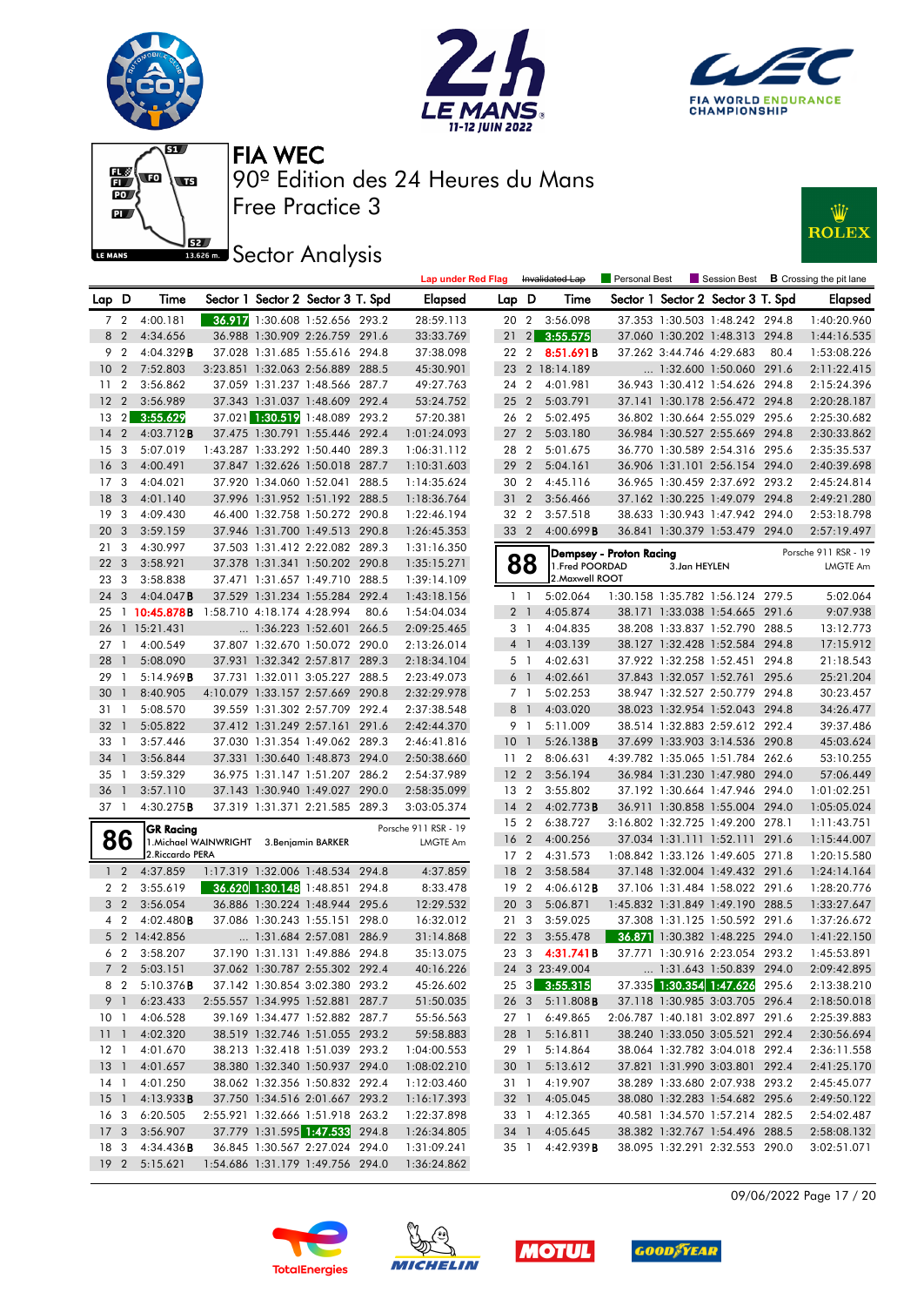











|                 |                |                                          |                            |                                   |       | <b>Lap under Red Flag</b> |                 |                | Invalidated Lap        | Personal Best           |                          |                                   |       | Session Best <b>B</b> Crossing the pit lane |
|-----------------|----------------|------------------------------------------|----------------------------|-----------------------------------|-------|---------------------------|-----------------|----------------|------------------------|-------------------------|--------------------------|-----------------------------------|-------|---------------------------------------------|
| Lap D           |                | Time                                     |                            | Sector 1 Sector 2 Sector 3 T. Spd |       | <b>Elapsed</b>            | Lap D           |                | Time                   |                         |                          | Sector 1 Sector 2 Sector 3 T. Spd |       | <b>Elapsed</b>                              |
|                 |                | 7 2 4:00.181                             |                            | 36.917 1:30.608 1:52.656 293.2    |       | 28:59.113                 |                 |                | 20 2 3:56.098          |                         |                          | 37.353 1:30.503 1:48.242 294.8    |       | 1:40:20.960                                 |
|                 | 8 2            | 4:34.656                                 |                            | 36.988 1:30.909 2:26.759 291.6    |       | 33:33.769                 | 21              |                | 2 3:55.575             |                         |                          | 37.060 1:30.202 1:48.313 294.8    |       | 1:44:16.535                                 |
| 9               | $\overline{2}$ | 4:04.329B                                |                            | 37.028 1:31.685 1:55.616          | 294.8 | 37:38.098                 | 22 2            |                | 8:51.691B              |                         | 37.262 3:44.746 4:29.683 |                                   | 80.4  | 1:53:08.226                                 |
| 10 <sup>°</sup> | $\overline{2}$ | 7:52.803                                 |                            | 3:23.851 1:32.063 2:56.889 288.5  |       | 45:30.901                 |                 |                | 23 2 18:14.189         |                         |                          | 1:32.600 1:50.060 291.6           |       | 2:11:22.415                                 |
| 11              | $\overline{2}$ | 3:56.862                                 |                            | 37.059 1:31.237 1:48.566 287.7    |       | 49:27.763                 | 24 2            |                | 4:01.981               |                         |                          | 36.943 1:30.412 1:54.626 294.8    |       | 2:15:24.396                                 |
| 12              | $\overline{2}$ | 3:56.989                                 |                            | 37.343 1:31.037 1:48.609 292.4    |       | 53:24.752                 | 25 <sub>2</sub> |                | 5:03.791               |                         |                          | 37.141 1:30.178 2:56.472 294.8    |       | 2:20:28.187                                 |
| 13              | $\overline{2}$ | 3:55.629                                 |                            | 37.021 1:30.519 1:48.089 293.2    |       | 57:20.381                 | 26 2            |                | 5:02.495               |                         |                          | 36.802 1:30.664 2:55.029 295.6    |       | 2:25:30.682                                 |
| 14              | $\overline{2}$ | $4:03.712$ B                             |                            | 37.475 1:30.791 1:55.446 292.4    |       | 1:01:24.093               | 27 <sub>2</sub> |                | 5:03.180               |                         |                          | 36.984 1:30.527 2:55.669 294.8    |       | 2:30:33.862                                 |
| 15 <sup>3</sup> |                | 5:07.019                                 |                            | 1:43.287 1:33.292 1:50.440 289.3  |       | 1:06:31.112               | 28 2            |                | 5:01.675               |                         |                          | 36.770 1:30.589 2:54.316 295.6    |       | 2:35:35.537                                 |
| 16              | 3              | 4:00.491                                 |                            | 37.847 1:32.626 1:50.018 287.7    |       | 1:10:31.603               | 29 2            |                | 5:04.161               |                         |                          | 36.906 1:31.101 2:56.154 294.0    |       | 2:40:39.698                                 |
| 17              | 3              | 4:04.021                                 |                            | 37.920 1:34.060 1:52.041 288.5    |       | 1:14:35.624               | 30 2            |                | 4:45.116               |                         |                          | 36.965 1:30.459 2:37.692 293.2    |       | 2:45:24.814                                 |
| 18              | 3              | 4:01.140                                 |                            | 37.996 1:31.952 1:51.192 288.5    |       | 1:18:36.764               | 31              | $\overline{2}$ | 3:56.466               |                         |                          | 37.162 1:30.225 1:49.079 294.8    |       | 2:49:21.280                                 |
| 19 <sup>3</sup> |                | 4:09.430                                 |                            | 46.400 1:32.758 1:50.272 290.8    |       | 1:22:46.194               | 32 2            |                | 3:57.518               |                         |                          | 38.633 1:30.943 1:47.942 294.0    |       | 2:53:18.798                                 |
| 20              | 3              | 3:59.159                                 |                            | 37.946 1:31.700 1:49.513 290.8    |       | 1:26:45.353               | 33 2            |                | 4:00.699B              |                         |                          | 36.841 1:30.379 1:53.479 294.0    |       | 2:57:19.497                                 |
| 21              | 3              | 4:30.997                                 |                            | 37.503 1:31.412 2:22.082 289.3    |       | 1:31:16.350               |                 |                |                        | Dempsey - Proton Racing |                          |                                   |       | Porsche 911 RSR - 19                        |
| 22              | 3              | 3:58.921                                 |                            | 37.378 1:31.341 1:50.202 290.8    |       | 1:35:15.271               |                 | 88             | 1. Fred POORDAD        |                         | 3.Jan HEYLEN             |                                   |       | LMGTE Am                                    |
| 23              | - 3            | 3:58.838                                 |                            | 37.471 1:31.657 1:49.710 288.5    |       | 1:39:14.109               |                 |                | 2. Maxwell ROOT        |                         |                          |                                   |       |                                             |
| 24              | 3              | $4:04.047$ B                             |                            | 37.529 1:31.234 1:55.284 292.4    |       | 1:43:18.156               |                 | $1\quad$       | 5:02.064               |                         |                          | 1:30.158 1:35.782 1:56.124 279.5  |       | 5:02.064                                    |
| 25              |                | $1\,10:45.878B$                          | 1:58.710 4:18.174 4:28.994 |                                   | 80.6  | 1:54:04.034               |                 | 2 <sub>1</sub> | 4:05.874               |                         |                          | 38.171 1:33.038 1:54.665 291.6    |       | 9:07.938                                    |
| 26              |                | 1 15:21.431                              |                            | 1:36.223 1:52.601 266.5           |       | 2:09:25.465               |                 | 3 1            | 4:04.835               |                         |                          | 38.208 1:33.837 1:52.790 288.5    |       | 13:12.773                                   |
| 27              | -1             | 4:00.549                                 |                            | 37.807 1:32.670 1:50.072 290.0    |       | 2:13:26.014               |                 | 4 1            | 4:03.139               |                         |                          | 38.127 1:32.428 1:52.584 294.8    |       | 17:15.912                                   |
| 28              | $\overline{1}$ | 5:08.090                                 |                            | 37.931 1:32.342 2:57.817 289.3    |       | 2:18:34.104               |                 | 5 <sub>1</sub> | 4:02.631               |                         |                          | 37.922 1:32.258 1:52.451 294.8    |       | 21:18.543                                   |
| 29              | -1             | 5:14.969B                                |                            | 37.731 1:32.011 3:05.227 288.5    |       | 2:23:49.073               |                 | 6 1            | 4:02.661               |                         |                          | 37.843 1:32.057 1:52.761          | 295.6 | 25:21.204                                   |
| 30              | $\overline{1}$ | 8:40.905                                 |                            | 4:10.079 1:33.157 2:57.669 290.8  |       | 2:32:29.978               |                 | 7 1            | 5:02.253               |                         |                          | 38.947 1:32.527 2:50.779 294.8    |       | 30:23.457                                   |
| 31              | -1             | 5:08.570                                 |                            | 39.559 1:31.302 2:57.709 292.4    |       | 2:37:38.548               |                 | 8 1            | 4:03.020               |                         |                          | 38.023 1:32.954 1:52.043 294.8    |       | 34:26.477                                   |
| 32              | $\overline{1}$ | 5:05.822                                 |                            | 37.412 1:31.249 2:57.161 291.6    |       | 2:42:44.370               |                 | 9 1            | 5:11.009               |                         |                          | 38.514 1:32.883 2:59.612 292.4    |       | 39:37.486                                   |
| 33              | -1             | 3:57.446                                 |                            | 37.030 1:31.354 1:49.062 289.3    |       | 2:46:41.816               | 10              | $\overline{1}$ | 5:26.138B              |                         |                          | 37.699 1:33.903 3:14.536 290.8    |       | 45:03.624                                   |
| 34              | $\overline{1}$ | 3:56.844                                 |                            | 37.331 1:30.640 1:48.873 294.0    |       | 2:50:38.660               | 11 <sub>2</sub> |                | 8:06.631               |                         |                          | 4:39.782 1:35.065 1:51.784 262.6  |       | 53:10.255                                   |
| 35              | $\overline{1}$ | 3:59.329                                 |                            | 36.975 1:31.147 1:51.207 286.2    |       | 2:54:37.989               | 12 <sup>2</sup> |                | 3:56.194               |                         |                          | 36.984 1:31.230 1:47.980 294.0    |       | 57:06.449                                   |
| 36              | $\overline{1}$ | 3:57.110                                 |                            | 37.143 1:30.940 1:49.027 290.0    |       | 2:58:35.099               | 13 2            |                | 3:55.802               |                         |                          | 37.192 1:30.664 1:47.946 294.0    |       | 1:01:02.251                                 |
| 37 1            |                | 4:30.275B                                |                            | 37.319 1:31.371 2:21.585 289.3    |       | 3:03:05.374               | 14 <sub>2</sub> |                | 4:02.773B              |                         |                          | 36.911 1:30.858 1:55.004 294.0    |       | 1:05:05.024                                 |
|                 |                | <b>GR Racing</b>                         |                            |                                   |       | Porsche 911 RSR - 19      | 15 2            |                | 6:38.727               |                         |                          | 3:16.802 1:32.725 1:49.200 278.1  |       | 1:11:43.751                                 |
|                 | 86             | 1. Michael WAINWRIGHT 3. Benjamin BARKER |                            |                                   |       | LMGTE Am                  | 16 <sub>2</sub> |                | 4:00.256               |                         |                          | 37.034 1:31.111 1:52.111 291.6    |       | 1:15:44.007                                 |
|                 |                | 2. Riccardo PERA                         |                            |                                   |       |                           | 17 2            |                | 4:31.573               |                         |                          | 1:08.842 1:33.126 1:49.605 271.8  |       | 1:20:15.580                                 |
| 1 <sub>2</sub>  |                | 4:37.859                                 |                            | 1:17.319 1:32.006 1:48.534 294.8  |       | 4:37.859                  | 18 2            |                | 3:58.584               |                         |                          | 37.148 1:32.004 1:49.432 291.6    |       | 1:24:14.164                                 |
| 2 <sub>2</sub>  |                | 3:55.619                                 |                            | 36.620 1:30.148 1:48.851 294.8    |       | 8:33.478                  | 19 2            |                | 4:06.612B              |                         |                          | 37.106 1:31.484 1:58.022 291.6    |       | 1:28:20.776                                 |
| 3 <sub>2</sub>  |                | 3:56.054                                 |                            | 36.886 1:30.224 1:48.944 295.6    |       | 12:29.532                 | 20 3            |                | 5:06.871               |                         |                          | 1:45.832 1:31.849 1:49.190 288.5  |       | 1:33:27.647                                 |
| $4\quad2$       |                | 4:02.480B                                |                            | 37.086 1:30.243 1:55.151 298.0    |       | 16:32.012                 | 21 3            |                | 3:59.025               |                         |                          | 37.308 1:31.125 1:50.592 291.6    |       | 1:37:26.672                                 |
|                 |                | 5 2 14:42.856                            |                            | 1:31.684 2:57.081 286.9           |       | 31:14.868                 | 22 <sub>3</sub> |                | 3:55.478               |                         |                          | 36.871 1:30.382 1:48.225 294.0    |       | 1:41:22.150                                 |
|                 |                | 6 2 3:58.207                             |                            | 37.190 1:31.131 1:49.886 294.8    |       | 35:13.075                 |                 |                | 23 3 4:31.741B         |                         |                          | 37.771 1:30.916 2:23.054 293.2    |       | 1:45:53.891                                 |
|                 |                | 7 2 5:03.151                             |                            | 37.062 1:30.787 2:55.302 292.4    |       | 40:16.226                 |                 |                | 24 3 23:49.004         |                         |                          | 1:31.643 1:50.839 294.0           |       | 2:09:42.895                                 |
|                 |                | 8 2 5:10.376 <b>B</b>                    |                            | 37.142 1:30.854 3:02.380 293.2    |       | 45:26.602                 |                 |                | 25 3 3:55.315          |                         |                          | 37.335 1:30.354 1:47.626 295.6    |       | 2:13:38.210                                 |
|                 |                | 9 1 6:23.433                             |                            | 2:55.557 1:34.995 1:52.881 287.7  |       | 51:50.035                 |                 |                | 26 3 5:11.808 <b>B</b> |                         |                          | 37.118 1:30.985 3:03.705 296.4    |       | 2:18:50.018                                 |
|                 |                | 10 1 4:06.528                            |                            | 39.169 1:34.477 1:52.882 287.7    |       | 55:56.563                 |                 |                | 27 1 6:49.865          |                         |                          | 2:06.787 1:40.181 3:02.897 291.6  |       | 2:25:39.883                                 |
|                 |                | 11 1 4:02.320                            |                            | 38.519 1:32.746 1:51.055 293.2    |       | 59:58.883                 |                 |                | 28 1 5:16.811          |                         |                          | 38.240 1:33.050 3:05.521 292.4    |       | 2:30:56.694                                 |
|                 |                | 12 1 4:01.670                            |                            | 38.213 1:32.418 1:51.039 293.2    |       | 1:04:00.553               |                 | 29 1           | 5:14.864               |                         |                          | 38.064 1:32.782 3:04.018 292.4    |       | 2:36:11.558                                 |
|                 |                | 13 1 4:01.657                            |                            | 38.380 1:32.340 1:50.937 294.0    |       | 1:08:02.210               |                 |                | 30 1 5:13.612          |                         |                          | 37.821 1:31.990 3:03.801 292.4    |       | 2:41:25.170                                 |
|                 |                | 14 1 4:01.250                            |                            | 38.062 1:32.356 1:50.832 292.4    |       | 1:12:03.460               |                 |                | 31 1 4:19.907          |                         |                          | 38.289 1:33.680 2:07.938 293.2    |       | 2:45:45.077                                 |
|                 |                | 15 1 4:13.933 <b>B</b>                   |                            | 37.750 1:34.516 2:01.667 293.2    |       | 1:16:17.393               |                 |                | 32 1 4:05.045          |                         |                          | 38.080 1:32.283 1:54.682 295.6    |       | 2:49:50.122                                 |
|                 |                | 16 3 6:20.505                            |                            | 2:55.921 1:32.666 1:51.918 263.2  |       | 1:22:37.898               |                 | 33 1           | 4:12.365               |                         |                          | 40.581 1:34.570 1:57.214 282.5    |       | 2:54:02.487                                 |
|                 |                | 17 3 3:56.907                            |                            | 37.779 1:31.595 1:47.533 294.8    |       | 1:26:34.805               |                 |                | 34 1 4:05.645          |                         |                          | 38.382 1:32.767 1:54.496 288.5    |       | 2:58:08.132                                 |
|                 |                | 18 3 4:34.436 <b>B</b>                   |                            | 36.845 1:30.567 2:27.024 294.0    |       | 1:31:09.241               |                 |                | 35 1 4:42.939 <b>B</b> |                         |                          | 38.095 1:32.291 2:32.553 290.0    |       | 3:02:51.071                                 |

09/06/2022 Page 17 / 20



19 2 5:15.621 1:54.686 1:31.179 1:49.756 294.0 1:36:24.862



**MICHELIN** 

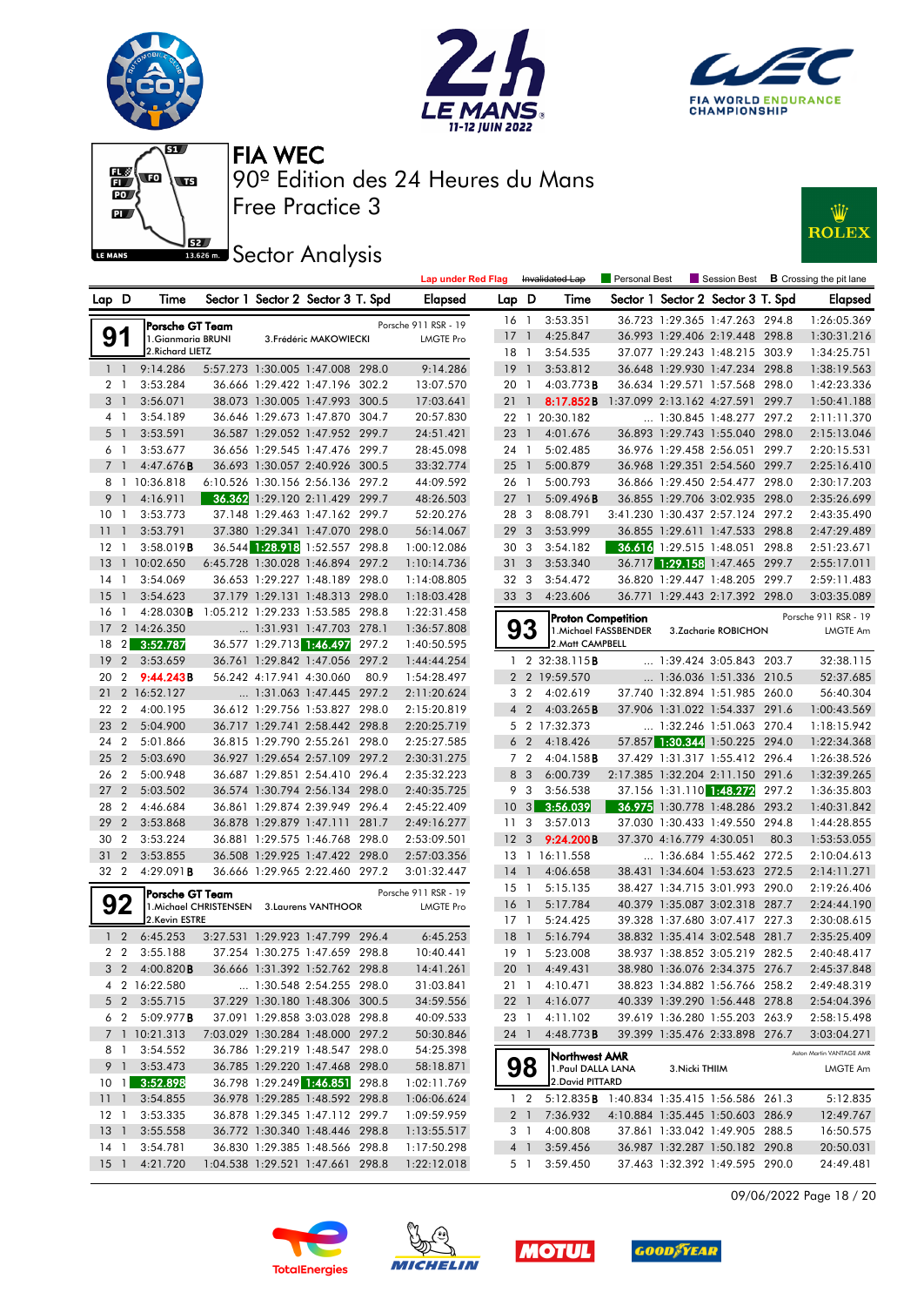







**JEZ**<br>BREAD Sector Analysis



|                 |                                  |                      |                                  |                                   |                           |       | <b>Lap under Red Flag</b>  |                 |                         | Invalidated Lap                             | Personal Best         |                |                                   |      | Session Best $\,$ <b>B</b> Crossing the pit lane |
|-----------------|----------------------------------|----------------------|----------------------------------|-----------------------------------|---------------------------|-------|----------------------------|-----------------|-------------------------|---------------------------------------------|-----------------------|----------------|-----------------------------------|------|--------------------------------------------------|
| Lap D           |                                  | Time                 |                                  | Sector 1 Sector 2 Sector 3 T. Spd |                           |       | <b>Elapsed</b>             | Lap D           |                         | Time                                        |                       |                | Sector 1 Sector 2 Sector 3 T. Spd |      | <b>Elapsed</b>                                   |
|                 |                                  | Porsche GT Team      |                                  |                                   |                           |       | Porsche 911 RSR - 19       |                 | 16 1                    | 3:53.351                                    |                       |                | 36.723 1:29.365 1:47.263 294.8    |      | 1:26:05.369                                      |
| 91              |                                  | 1. Gianmaria BRUNI   |                                  |                                   | 3. Frédéric MAKOWIECKI    |       | <b>LMGTE Pro</b>           | 17              | $\overline{1}$          | 4:25.847                                    |                       |                | 36.993 1:29.406 2:19.448 298.8    |      | 1:30:31.216                                      |
|                 |                                  | 2. Richard LIETZ     |                                  |                                   |                           |       |                            | 18 1            |                         | 3:54.535                                    |                       |                | 37.077 1:29.243 1:48.215 303.9    |      | 1:34:25.751                                      |
| 1 <sub>1</sub>  |                                  | 9:14.286             |                                  | 5:57.273 1:30.005 1:47.008 298.0  |                           |       | 9:14.286                   | 19              | $\overline{1}$          | 3:53.812                                    |                       |                | 36.648 1:29.930 1:47.234 298.8    |      | 1:38:19.563                                      |
|                 | 2 1                              | 3:53.284             |                                  | 36.666 1:29.422 1:47.196 302.2    |                           |       | 13:07.570                  | 20 1            |                         | $4:03.773$ B                                |                       |                | 36.634 1:29.571 1:57.568 298.0    |      | 1:42:23.336                                      |
| 3 <sup>1</sup>  |                                  | 3:56.071             |                                  | 38.073 1:30.005 1:47.993 300.5    |                           |       | 17:03.641                  | 21              | $\overline{1}$          | 8:17.852B                                   |                       |                | 1:37.099 2:13.162 4:27.591 299.7  |      | 1:50:41.188                                      |
|                 | 4 1                              | 3:54.189             |                                  | 36.646 1:29.673 1:47.870 304.7    |                           |       | 20:57.830                  |                 |                         | 22 1 20:30.182                              |                       |                | 1:30.845 1:48.277 297.2           |      | 2:11:11.370                                      |
|                 | 5 <sub>1</sub>                   | 3:53.591             |                                  | 36.587 1:29.052 1:47.952 299.7    |                           |       | 24:51.421                  | $23 \quad 1$    |                         | 4:01.676                                    |                       |                | 36.893 1:29.743 1:55.040 298.0    |      | 2:15:13.046                                      |
| 6 <sub>1</sub>  |                                  | 3:53.677             |                                  | 36.656 1:29.545 1:47.476 299.7    |                           |       | 28:45.098                  |                 | 24 1                    | 5:02.485                                    |                       |                | 36.976 1:29.458 2:56.051 299.7    |      | 2:20:15.531                                      |
| $7^{\circ}$     | $\mathbf{1}$                     | 4:47.676B            |                                  | 36.693 1:30.057 2:40.926 300.5    |                           |       | 33:32.774                  | 25              | $\overline{1}$          | 5:00.879                                    |                       |                | 36.968 1:29.351 2:54.560 299.7    |      | 2:25:16.410                                      |
|                 |                                  | 8 1 10:36.818        |                                  | 6:10.526 1:30.156 2:56.136 297.2  |                           |       | 44:09.592                  | 26 1            |                         | 5:00.793                                    |                       |                | 36.866 1:29.450 2:54.477 298.0    |      | 2:30:17.203                                      |
| 9 1             |                                  | 4:16.911             |                                  | 36.362 1:29.120 2:11.429 299.7    |                           |       | 48:26.503                  | $27-1$          |                         | 5:09.496B                                   |                       |                | 36.855 1:29.706 3:02.935 298.0    |      | 2:35:26.699                                      |
| 10              | $\overline{1}$                   | 3:53.773             |                                  | 37.148 1:29.463 1:47.162 299.7    |                           |       | 52:20.276                  |                 | 283                     | 8:08.791                                    |                       |                | 3:41.230 1:30.437 2:57.124 297.2  |      | 2:43:35.490                                      |
| 11              | $\mathbf{1}$                     | 3:53.791             |                                  | 37.380 1:29.341 1:47.070 298.0    |                           |       | 56:14.067                  | 29 3            |                         | 3:53.999                                    |                       |                | 36.855 1:29.611 1:47.533 298.8    |      | 2:47:29.489                                      |
| 12 1            |                                  | 3:58.019B            |                                  | 36.544 1:28.918 1:52.557 298.8    |                           |       | 1:00:12.086                | 30 3            |                         | 3:54.182                                    |                       |                | 36.616 1:29.515 1:48.051 298.8    |      | 2:51:23.671                                      |
| 13              |                                  | 1 10:02.650          |                                  | 6:45.728 1:30.028 1:46.894 297.2  |                           |       | 1:10:14.736                |                 | 31 <sub>3</sub>         | 3:53.340                                    |                       |                | 36.717 1:29.158 1:47.465 299.7    |      | 2:55:17.011                                      |
| 14              | $\overline{1}$                   | 3:54.069             |                                  | 36.653 1:29.227 1:48.189 298.0    |                           |       | 1:14:08.805                |                 | 32 3                    | 3:54.472                                    |                       |                | 36.820 1:29.447 1:48.205 299.7    |      | 2:59:11.483                                      |
| 15              | $\mathbf{1}$                     | 3:54.623             |                                  | 37.179 1:29.131 1:48.313 298.0    |                           |       | 1:18:03.428                |                 | 33 3                    | 4:23.606                                    |                       |                | 36.771 1:29.443 2:17.392 298.0    |      | 3:03:35.089                                      |
| 16              | $\overline{1}$                   | 4:28.030B            | 1:05.212 1:29.233 1:53.585 298.8 | $\ldots$ 1:31.931 1:47.703 278.1  |                           |       | 1:22:31.458                |                 |                         | <b>Proton Competition</b>                   |                       |                |                                   |      | Porsche 911 RSR - 19                             |
| 17<br>18        |                                  | 2 14:26.350          |                                  | 36.577 1:29.713 1:46.497          |                           | 297.2 | 1:36:57.808                |                 | 93                      | 2. Matt CAMPBELL                            | 1. Michael FASSBENDER |                | 3.Zacharie ROBICHON               |      | <b>LMGTE Am</b>                                  |
| 19              | 2 <sub>l</sub><br>$\overline{2}$ | 3:52.787<br>3:53.659 |                                  | 36.761 1:29.842 1:47.056          |                           | 297.2 | 1:40:50.595<br>1:44:44.254 |                 |                         | 1 2 32:38.115 <b>B</b>                      |                       |                | $\ldots$ 1:39.424 3:05.843 203.7  |      | 32:38.115                                        |
| 20              | 2                                | 9:44.243B            |                                  | 56.242 4:17.941 4:30.060          |                           | 80.9  | 1:54:28.497                |                 |                         | 2 2 19:59.570                               |                       |                | 1:36.036 1:51.336 210.5           |      | 52:37.685                                        |
| 21              |                                  | 2 16:52.127          |                                  | 1:31.063 1:47.445 297.2           |                           |       | 2:11:20.624                | 3               | $\overline{2}$          | 4:02.619                                    |                       |                | 37.740 1:32.894 1:51.985 260.0    |      | 56:40.304                                        |
| 22              | $\overline{2}$                   | 4:00.195             |                                  | 36.612 1:29.756 1:53.827 298.0    |                           |       | 2:15:20.819                | $\overline{4}$  | $\overline{2}$          | 4:03.265B                                   |                       |                | 37.906 1:31.022 1:54.337 291.6    |      | 1:00:43.569                                      |
| 23              | $\overline{2}$                   | 5:04.900             |                                  | 36.717 1:29.741 2:58.442 298.8    |                           |       | 2:20:25.719                |                 |                         | 5 2 17:32.373                               |                       |                | 1:32.246 1:51.063 270.4           |      | 1:18:15.942                                      |
| 24              | $\overline{2}$                   | 5:01.866             |                                  | 36.815 1:29.790 2:55.261 298.0    |                           |       | 2:25:27.585                |                 | 6 <sub>2</sub>          | 4:18.426                                    |                       |                | 57.857 1:30.344 1:50.225 294.0    |      | 1:22:34.368                                      |
| 25              | $\overline{2}$                   | 5:03.690             |                                  | 36.927 1:29.654 2:57.109 297.2    |                           |       | 2:30:31.275                |                 | 7 <sub>2</sub>          | $4:04.158$ B                                |                       |                | 37.429 1:31.317 1:55.412 296.4    |      | 1:26:38.526                                      |
| 26              | $\overline{2}$                   | 5:00.948             |                                  | 36.687 1:29.851 2:54.410 296.4    |                           |       | 2:35:32.223                | 8               | $\overline{\mathbf{3}}$ | 6:00.739                                    |                       |                | 2:17.385 1:32.204 2:11.150 291.6  |      | 1:32:39.265                                      |
| 27              | $\overline{2}$                   | 5:03.502             |                                  | 36.574 1:30.794 2:56.134 298.0    |                           |       | 2:40:35.725                |                 | 9 3                     | 3:56.538                                    |                       |                | 37.156 1:31.110 1:48.272 297.2    |      | 1:36:35.803                                      |
| 28              | $\overline{2}$                   | 4:46.684             |                                  | 36.861 1:29.874 2:39.949 296.4    |                           |       | 2:45:22.409                | 10 <sub>3</sub> |                         | 3:56.039                                    |                       |                | 36.975 1:30.778 1:48.286 293.2    |      | 1:40:31.842                                      |
| 29              | $\overline{2}$                   | 3:53.868             |                                  | 36.878 1:29.879 1:47.111 281.7    |                           |       | 2:49:16.277                | 11              | $\overline{\mathbf{3}}$ | 3:57.013                                    |                       |                | 37.030 1:30.433 1:49.550 294.8    |      | 1:44:28.855                                      |
| 30              | $\overline{2}$                   | 3:53.224             |                                  | 36.881 1:29.575 1:46.768 298.0    |                           |       | 2:53:09.501                | 12              | $\mathbf{3}$            | 9:24.200B                                   |                       |                | 37.370 4:16.779 4:30.051          | 80.3 | 1:53:53.055                                      |
| 31              | $\overline{2}$                   | 3:53.855             |                                  | 36.508 1:29.925 1:47.422 298.0    |                           |       | 2:57:03.356                |                 |                         | 13 1 16:11.558                              |                       |                | $\ldots$ 1:36.684 1:55.462 272.5  |      | 2:10:04.613                                      |
| 32 2            |                                  | 4:29.091B            |                                  | 36.666 1:29.965 2:22.460 297.2    |                           |       | 3:01:32.447                | 14              | $\overline{1}$          | 4:06.658                                    |                       |                | 38.431 1:34.604 1:53.623 272.5    |      | 2:14:11.271                                      |
|                 |                                  | Porsche GT Team      |                                  |                                   |                           |       | Porsche 911 RSR - 19       |                 | $15-1$                  | 5:15.135                                    |                       |                | 38.427 1:34.715 3:01.993 290.0    |      | 2:19:26.406                                      |
|                 | 92                               |                      | 1. Michael CHRISTENSEN           |                                   | <b>3.Laurens VANTHOOR</b> |       | <b>LMGTE Pro</b>           | 16              | $\overline{1}$          | 5:17.784                                    |                       |                | 40.379 1:35.087 3:02.318 287.7    |      | 2:24:44.190                                      |
|                 |                                  | 2.Kevin ESTRE        |                                  |                                   |                           |       |                            |                 | $17-1$                  | 5:24.425                                    |                       |                | 39.328 1:37.680 3:07.417 227.3    |      | 2:30:08.615                                      |
|                 | 1 <sub>2</sub>                   | 6:45.253             |                                  | 3:27.531 1:29.923 1:47.799 296.4  |                           |       | 6:45.253                   | 18 <sup>1</sup> |                         | 5:16.794                                    |                       |                | 38.832 1:35.414 3:02.548 281.7    |      | 2:35:25.409                                      |
|                 | 2 <sub>2</sub>                   | 3:55.188             |                                  | 37.254 1:30.275 1:47.659 298.8    |                           |       | 10:40.441                  |                 | 19 1                    | 5:23.008                                    |                       |                | 38.937 1:38.852 3:05.219 282.5    |      | 2:40:48.417                                      |
|                 | 3 <sub>2</sub>                   | 4:00.820B            |                                  | 36.666 1:31.392 1:52.762 298.8    |                           |       | 14:41.261                  |                 |                         | 20 1 4:49.431                               |                       |                | 38.980 1:36.076 2:34.375 276.7    |      | 2:45:37.848                                      |
|                 |                                  | 4 2 16:22.580        |                                  | 1:30.548 2:54.255 298.0           |                           |       | 31:03.841                  |                 |                         | 21 1 4:10.471                               |                       |                | 38.823 1:34.882 1:56.766 258.2    |      | 2:49:48.319                                      |
|                 |                                  | 5 2 3:55.715         |                                  | 37.229 1:30.180 1:48.306 300.5    |                           |       | 34:59.556                  |                 |                         | 22 1 4:16.077                               |                       |                | 40.339 1:39.290 1:56.448 278.8    |      | 2:54:04.396                                      |
|                 | 6 2                              | 5:09.977 <b>B</b>    |                                  | 37.091 1:29.858 3:03.028 298.8    |                           |       | 40:09.533                  |                 |                         | 23 1 4:11.102                               |                       |                | 39.619 1:36.280 1:55.203 263.9    |      | 2:58:15.498                                      |
|                 |                                  | 7 1 10:21.313        |                                  | 7:03.029 1:30.284 1:48.000 297.2  |                           |       | 50:30.846                  |                 | 24 1                    | 4:48.773B                                   |                       |                | 39.399 1:35.476 2:33.898 276.7    |      | 3:03:04.271                                      |
|                 | 8 1                              | 3:54.552             |                                  | 36.786 1:29.219 1:48.547 298.0    |                           |       | 54:25.398                  |                 |                         | Northwest AMR                               |                       |                |                                   |      | Aston Martin VANTAGE AMR                         |
|                 | 9 1                              | 3:53.473             |                                  | 36.785 1:29.220 1:47.468 298.0    |                           |       | 58:18.871                  |                 | 98                      | 1. Paul DALLA LANA                          |                       | 3. Nicki THIIM |                                   |      | LMGTE Am                                         |
|                 |                                  | 10 1 3:52.898        |                                  | 36.798 1:29.249 1:46.851 298.8    |                           |       | 1:02:11.769                |                 |                         | 2. David PITTARD                            |                       |                |                                   |      |                                                  |
| 111             |                                  | 3:54.855             |                                  | 36.978 1:29.285 1:48.592 298.8    |                           |       | 1:06:06.624                |                 | $1\quad 2$              | 5:12.835 B 1:40.834 1:35.415 1:56.586 261.3 |                       |                |                                   |      | 5:12.835                                         |
|                 |                                  | 12 1 3:53.335        |                                  | 36.878 1:29.345 1:47.112 299.7    |                           |       | 1:09:59.959                |                 |                         | 2 1 7:36.932                                |                       |                | 4:10.884 1:35.445 1:50.603 286.9  |      | 12:49.767                                        |
|                 |                                  | 13 1 3:55.558        |                                  | 36.772 1:30.340 1:48.446 298.8    |                           |       | 1:13:55.517                |                 | 3 1                     | 4:00.808                                    |                       |                | 37.861 1:33.042 1:49.905 288.5    |      | 16:50.575                                        |
| 14 1            |                                  | 3:54.781             |                                  | 36.830 1:29.385 1:48.566 298.8    |                           |       | 1:17:50.298                |                 | 4 1                     | 3:59.456<br>5 1 3:59.450                    |                       |                | 36.987 1:32.287 1:50.182 290.8    |      | 20:50.031                                        |
| 15 <sub>1</sub> |                                  | 4:21.720             |                                  | 1:04.538 1:29.521 1:47.661 298.8  |                           |       | 1:22:12.018                |                 |                         |                                             |                       |                | 37.463 1:32.392 1:49.595 290.0    |      | 24:49.481                                        |









09/06/2022 Page 18 / 20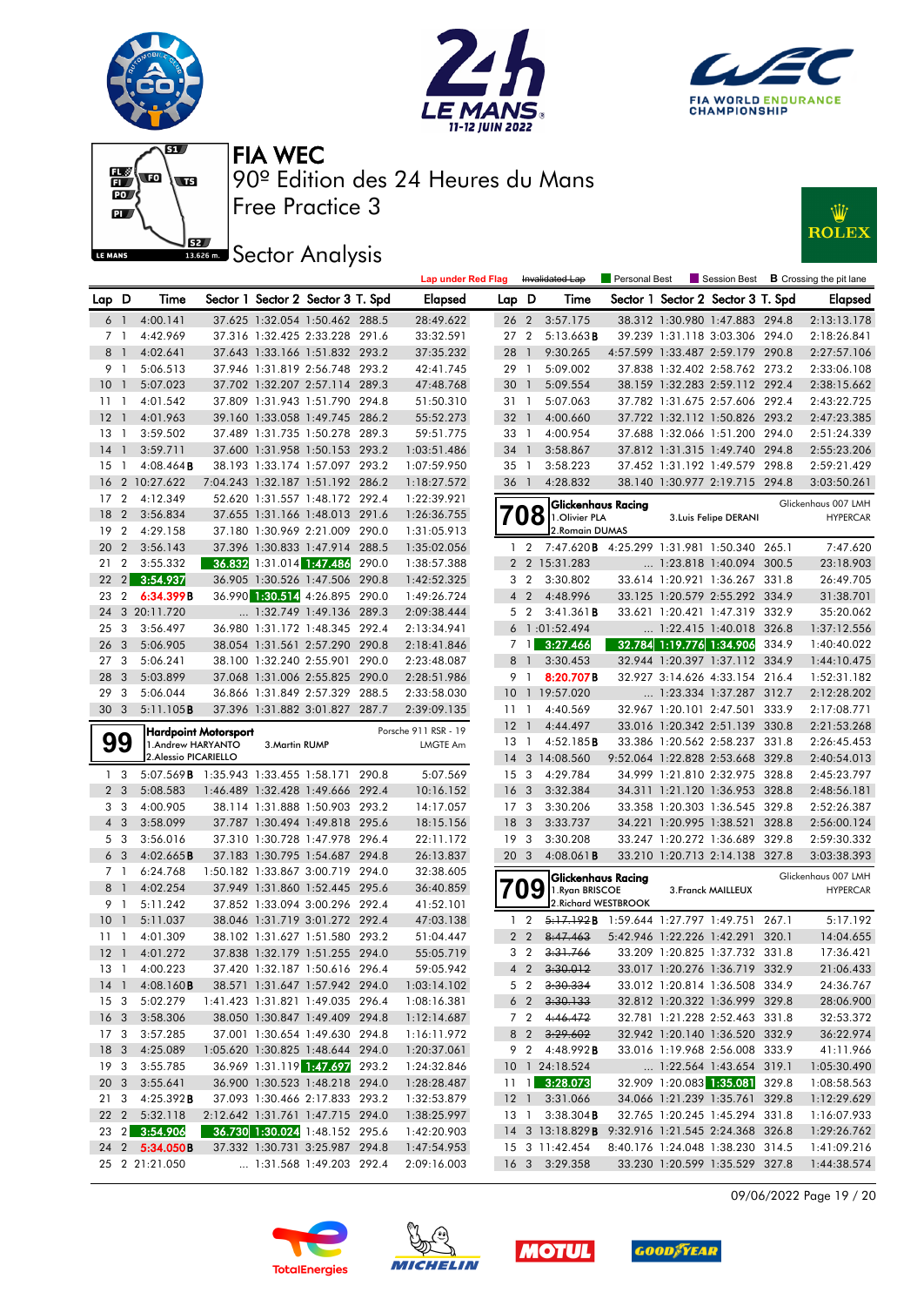







## **JEZ**<br>BREAD Sector Analysis



|                 |                         |                                              |                |                                                                    |       | <b>Lap under Red Flag</b> |                 |                | Invalidated Lap                                                            | Personal Best                              |                                                                  | Session Best <b>B</b> Crossing the pit lane |
|-----------------|-------------------------|----------------------------------------------|----------------|--------------------------------------------------------------------|-------|---------------------------|-----------------|----------------|----------------------------------------------------------------------------|--------------------------------------------|------------------------------------------------------------------|---------------------------------------------|
| Lap D           |                         | Time                                         |                | Sector 1 Sector 2 Sector 3 T. Spd                                  |       | <b>Elapsed</b>            | Lap D           |                | Time                                                                       |                                            | Sector 1 Sector 2 Sector 3 T. Spd                                | Elapsed                                     |
|                 | 6 1                     | 4:00.141                                     |                | 37.625 1:32.054 1:50.462 288.5                                     |       | 28:49.622                 | 26 2            |                | 3:57.175                                                                   |                                            | 38.312 1:30.980 1:47.883 294.8                                   | 2:13:13.178                                 |
|                 | 7 <sub>1</sub>          | 4:42.969                                     |                | 37.316 1:32.425 2:33.228 291.6                                     |       | 33:32.591                 | 27 2            |                | $5:13.663$ B                                                               |                                            | 39.239 1:31.118 3:03.306 294.0                                   | 2:18:26.841                                 |
| 8 <sup>1</sup>  |                         | 4:02.641                                     |                | 37.643 1:33.166 1:51.832 293.2                                     |       | 37:35.232                 | 28              | $\mathbf{1}$   | 9:30.265                                                                   |                                            | 4:57.599 1:33.487 2:59.179 290.8                                 | 2:27:57.106                                 |
| 9 1             |                         | 5:06.513                                     |                | 37.946 1:31.819 2:56.748 293.2                                     |       | 42:41.745                 | 29 1            |                | 5:09.002                                                                   |                                            | 37.838 1:32.402 2:58.762 273.2                                   | 2:33:06.108                                 |
| 10 <sub>1</sub> |                         | 5:07.023                                     |                | 37.702 1:32.207 2:57.114 289.3                                     |       | 47:48.768                 | 30 <sub>1</sub> |                | 5:09.554                                                                   |                                            | 38.159 1:32.283 2:59.112 292.4                                   | 2:38:15.662                                 |
| $11-1$          |                         | 4:01.542                                     |                | 37.809 1:31.943 1:51.790 294.8                                     |       | 51:50.310                 | 31 1            |                | 5:07.063                                                                   |                                            | 37.782 1:31.675 2:57.606 292.4                                   | 2:43:22.725                                 |
| $12-1$          |                         | 4:01.963                                     |                | 39.160 1:33.058 1:49.745 286.2                                     |       | 55:52.273                 | 32 <sub>1</sub> |                | 4:00.660                                                                   |                                            | 37.722 1:32.112 1:50.826 293.2                                   | 2:47:23.385                                 |
| $13-1$          |                         | 3:59.502                                     |                | 37.489 1:31.735 1:50.278 289.3                                     |       | 59:51.775                 | 33 1            |                | 4:00.954                                                                   |                                            | 37.688 1:32.066 1:51.200 294.0                                   | 2:51:24.339                                 |
| $14-1$          |                         | 3:59.711                                     |                | 37.600 1:31.958 1:50.153 293.2                                     |       | 1:03:51.486               | 34 1            |                | 3:58.867                                                                   |                                            | 37.812 1:31.315 1:49.740 294.8                                   | 2:55:23.206                                 |
| 15              | $\overline{1}$          | $4:08.464$ <b>B</b>                          |                | 38.193 1:33.174 1:57.097 293.2                                     |       | 1:07:59.950               | 35 1            |                | 3:58.223                                                                   |                                            | 37.452 1:31.192 1:49.579 298.8                                   | 2:59:21.429                                 |
| 16              |                         | 2 10:27.622                                  |                | 7:04.243 1:32.187 1:51.192 286.2                                   |       | 1:18:27.572               | 36 1            |                | 4:28.832                                                                   |                                            | 38.140 1:30.977 2:19.715 294.8                                   | 3:03:50.261                                 |
| 17              | $\overline{2}$          | 4:12.349                                     |                | 52.620 1:31.557 1:48.172 292.4                                     |       | 1:22:39.921               |                 |                | Glickenhaus Racing                                                         |                                            |                                                                  | Glickenhaus 007 LMH                         |
| 18              | $\overline{2}$          | 3:56.834                                     |                | 37.655 1:31.166 1:48.013 291.6                                     |       | 1:26:36.755               | 708             |                | 1.Olivier PLA                                                              |                                            | 3. Luis Felipe DERANI                                            | <b>HYPERCAR</b>                             |
| 19              | $\overline{2}$          | 4:29.158                                     |                | 37.180 1:30.969 2:21.009 290.0                                     |       | 1:31:05.913               |                 |                | 2. Romain DUMAS                                                            |                                            |                                                                  |                                             |
| 20 2            |                         | 3:56.143                                     |                | 37.396 1:30.833 1:47.914 288.5                                     |       | 1:35:02.056               |                 | $1\quad 2$     | 7:47.620B 4:25.299 1:31.981 1:50.340 265.1                                 |                                            |                                                                  | 7:47.620                                    |
| 21              | $\overline{2}$          | 3:55.332                                     |                | 36.832 1:31.014 1:47.486                                           | 290.0 | 1:38:57.388               |                 |                | 2 2 15:31.283                                                              |                                            | $\ldots$ 1:23.818 1:40.094 300.5                                 | 23:18.903                                   |
| 22              | 2                       | 3:54.937                                     |                | 36.905 1:30.526 1:47.506 290.8                                     |       | 1:42:52.325               |                 | 3 <sub>2</sub> | 3:30.802                                                                   |                                            | 33.614 1:20.921 1:36.267 331.8                                   | 26:49.705                                   |
| 23              | $\overline{2}$          | 6:34.399B                                    |                | 36.990 1:30.514 4:26.895 290.0                                     |       | 1:49:26.724               |                 | 4 <sup>2</sup> | 4:48.996                                                                   |                                            | 33.125 1:20.579 2:55.292 334.9                                   | 31:38.701                                   |
| 24              |                         | 3 20:11.720                                  |                | 1:32.749 1:49.136 289.3                                            |       | 2:09:38.444               |                 | 5 <sub>2</sub> | 3:41.361B                                                                  |                                            | 33.621 1:20.421 1:47.319 332.9                                   | 35:20.062                                   |
| 25              | 3                       | 3:56.497                                     |                | 36.980 1:31.172 1:48.345 292.4                                     |       | 2:13:34.941               |                 |                | 6 1:01:52.494                                                              |                                            | 1:22.415 1:40.018 326.8                                          | 1:37:12.556                                 |
| 26 <sub>3</sub> |                         | 5:06.905                                     |                | 38.054 1:31.561 2:57.290 290.8                                     |       | 2:18:41.846               |                 | 7 <sub>1</sub> | 3:27.466                                                                   |                                            | 32.784 1:19.776 1:34.906 334.9                                   | 1:40:40.022                                 |
| 27 <sub>3</sub> |                         | 5:06.241                                     |                | 38.100 1:32.240 2:55.901 290.0                                     |       | 2:23:48.087               | 8               | $\overline{1}$ | 3:30.453                                                                   |                                            | 32.944 1:20.397 1:37.112 334.9                                   | 1:44:10.475                                 |
| 28 3            |                         | 5:03.899                                     |                | 37.068 1:31.006 2:55.825 290.0                                     |       | 2:28:51.986               |                 | 9 1            | 8:20.707B                                                                  |                                            | 32.927 3:14.626 4:33.154 216.4                                   | 1:52:31.182                                 |
| 29              | $\overline{\mathbf{3}}$ | 5:06.044                                     |                | 36.866 1:31.849 2:57.329 288.5                                     |       | 2:33:58.030               |                 |                | 10 1 19:57.020                                                             |                                            | 1:23.334 1:37.287 312.7                                          | 2:12:28.202                                 |
| 30 <sub>3</sub> |                         | 5:11.105B                                    |                | 37.396 1:31.882 3:01.827 287.7                                     |       | 2:39:09.135               | 11 1            |                | 4:40.569                                                                   |                                            | 32.967 1:20.101 2:47.501 333.9                                   | 2:17:08.771                                 |
|                 |                         | Hardpoint Motorsport                         |                |                                                                    |       | Porsche 911 RSR - 19      | $12-1$          |                | 4:44.497                                                                   |                                            | 33.016 1:20.342 2:51.139 330.8                                   | 2:21:53.268                                 |
|                 | 99                      | 1.Andrew HARYANTO                            | 3. Martin RUMP |                                                                    |       | LMGTE Am                  | 13 1            |                | 4:52.185B                                                                  |                                            | 33.386 1:20.562 2:58.237 331.8                                   | 2:26:45.453                                 |
|                 |                         | 2. Alessio PICARIELLO                        |                |                                                                    |       |                           |                 |                | 14 3 14:08.560                                                             |                                            | 9:52.064 1:22.828 2:53.668 329.8                                 | 2:40:54.013                                 |
|                 | 1 <sub>3</sub>          | 5:07.569 <b>B</b> 1:35.943 1:33.455 1:58.171 |                |                                                                    | 290.8 | 5:07.569                  | 15 <sub>3</sub> |                | 4:29.784                                                                   |                                            | 34.999 1:21.810 2:32.975 328.8                                   | 2:45:23.797                                 |
|                 | 2 <sub>3</sub>          | 5:08.583                                     |                | 1:46.489 1:32.428 1:49.666 292.4                                   |       | 10:16.152                 | 16 <sub>3</sub> |                | 3:32.384                                                                   |                                            | 34.311 1:21.120 1:36.953 328.8                                   | 2:48:56.181                                 |
|                 | 3 <sub>3</sub>          | 4:00.905                                     |                | 38.114 1:31.888 1:50.903 293.2                                     |       | 14:17.057                 | 17 <sub>3</sub> |                | 3:30.206                                                                   |                                            | 33.358 1:20.303 1:36.545 329.8                                   | 2:52:26.387                                 |
|                 | $4 \quad 3$             | 3:58.099                                     |                | 37.787 1:30.494 1:49.818 295.6                                     |       | 18:15.156                 | 18 <sup>3</sup> |                | 3:33.737                                                                   |                                            | 34.221 1:20.995 1:38.521 328.8                                   | 2:56:00.124                                 |
|                 | 5 <sub>3</sub>          | 3:56.016                                     |                | 37.310 1:30.728 1:47.978 296.4                                     |       | 22:11.172                 | 19 <sup>3</sup> |                | 3:30.208                                                                   |                                            | 33.247 1:20.272 1:36.689 329.8                                   | 2:59:30.332                                 |
|                 | 6 <sub>3</sub>          | 4:02.665B                                    |                | 37.183 1:30.795 1:54.687 294.8                                     |       | 26:13.837                 | 20 3            |                | $4:08.061$ <b>B</b>                                                        |                                            | 33.210 1:20.713 2:14.138 327.8                                   | 3:03:38.393                                 |
|                 | 7 <sub>1</sub>          | 6:24.768                                     |                | 1:50.182 1:33.867 3:00.719 294.0                                   |       | 32:38.605                 |                 |                |                                                                            | Glickenhaus Racing                         |                                                                  | Glickenhaus 007 LMH                         |
|                 | 8 <sup>1</sup>          | 4:02.254                                     |                | 37.949 1:31.860 1:52.445 295.6                                     |       | 36:40.859                 | 709             |                | 1.Ryan BRISCOE                                                             |                                            | 3. Franck MAILLEUX                                               | <b>HYPERCAR</b>                             |
|                 | 9 1                     | 5:11.242                                     |                | 37.852 1:33.094 3:00.296 292.4                                     |       | 41:52.101                 |                 |                |                                                                            | 2. Richard WESTBROOK                       |                                                                  |                                             |
| $10-1$          |                         | 5:11.037                                     |                | 38.046 1:31.719 3:01.272 292.4                                     |       | 47:03.138                 |                 | $1\quad 2$     |                                                                            | 5.17.192B 1:59.644 1:27.797 1:49.751 267.1 |                                                                  | 5:17.192                                    |
| $11-1$          |                         | 4:01.309                                     |                | 38.102 1:31.627 1:51.580 293.2                                     |       | 51:04.447                 |                 | 2 <sub>2</sub> | 8:47.463                                                                   |                                            | 5:42.946 1:22.226 1:42.291 320.1                                 | 14:04.655                                   |
| $12-1$          |                         | 4:01.272                                     |                | 37.838 1:32.179 1:51.255 294.0                                     |       | 55:05.719                 |                 | 3 <sub>2</sub> | 3:31.766                                                                   |                                            | 33.209 1:20.825 1:37.732 331.8                                   | 17:36.421                                   |
|                 |                         | 13 1 4:00.223                                |                | 37.420 1:32.187 1:50.616 296.4                                     |       | 59:05.942                 |                 |                | 4 2 3:30.012                                                               |                                            | 33.017 1:20.276 1:36.719 332.9                                   | 21:06.433                                   |
|                 |                         | 14 1 4:08.160 <b>B</b>                       |                | 38.571 1:31.647 1:57.942 294.0                                     |       | 1:03:14.102               |                 |                | $5 \t2 \t3:30.334$                                                         |                                            | 33.012 1:20.814 1:36.508 334.9                                   | 24:36.767                                   |
| 15 <sub>3</sub> |                         | 5:02.279                                     |                | 1:41.423 1:31.821 1:49.035 296.4                                   |       | 1:08:16.381               |                 |                | $6\quad 2\quad 3:30.133$                                                   |                                            | 32.812 1:20.322 1:36.999 329.8                                   | 28:06.900                                   |
|                 |                         | 16 3 3:58.306                                |                | 38.050 1:30.847 1:49.409 294.8                                     |       | 1:12:14.687               |                 |                | 7 2 4:46.472                                                               |                                            | 32.781 1:21.228 2:52.463 331.8                                   | 32:53.372                                   |
|                 |                         | 17 3 3:57.285                                |                | 37.001 1:30.654 1:49.630 294.8                                     |       | 1:16:11.972               |                 | 8 2            | 3:29.602                                                                   |                                            | 32.942 1:20.140 1:36.520 332.9                                   | 36:22.974                                   |
|                 |                         | 18 3 4:25.089                                |                | 1:05.620 1:30.825 1:48.644 294.0                                   |       | 1:20:37.061               |                 |                | 9 2 4:48.992B                                                              |                                            | 33.016 1:19.968 2:56.008 333.9                                   | 41:11.966                                   |
| 19 <sub>3</sub> |                         | 3:55.785                                     |                | 36.969 1:31.119 1:47.697 293.2                                     |       | 1:24:32.846               |                 |                | 10 1 24:18.524                                                             |                                            | $\ldots$ 1:22.564 1:43.654 319.1                                 | 1:05:30.490                                 |
|                 |                         | 20 3 3:55.641                                |                | 36.900 1:30.523 1:48.218 294.0                                     |       | 1:28:28.487               |                 | $11 \quad 1$   | 3:28.073                                                                   |                                            | 32.909 1:20.083 1:35.081 329.8<br>34.066 1:21.239 1:35.761 329.8 | 1:08:58.563                                 |
| 21 3            |                         | 4:25.392B                                    |                | 37.093 1:30.466 2:17.833 293.2                                     |       | 1:32:53.879               | $12-1$          |                | 3:31.066                                                                   |                                            |                                                                  | 1:12:29.629                                 |
|                 |                         | 22 2 5:32.118<br>23 2 3:54.906               |                | 2:12.642 1:31.761 1:47.715 294.0<br>36.730 1:30.024 1:48.152 295.6 |       | 1:38:25.997               |                 |                | 13 1 3:38.304 <b>B</b><br>14 3 13:18.829B 9:32.916 1:21.545 2:24.368 326.8 |                                            | 32.765 1:20.245 1:45.294 331.8                                   | 1:16:07.933                                 |
|                 |                         |                                              |                |                                                                    |       | 1:42:20.903               |                 |                |                                                                            |                                            |                                                                  | 1:29:26.762                                 |
|                 |                         | 24 2 5:34.050B                               |                | 37.332 1:30.731 3:25.987 294.8                                     |       | 1:47:54.953               |                 |                | 15 3 11:42.454                                                             |                                            | 8:40.176 1:24.048 1:38.230 314.5                                 | 1:41:09.216                                 |
|                 |                         | 25 2 21:21.050                               |                | 1:31.568 1:49.203 292.4                                            |       | 2:09:16.003               |                 |                | 16 3 3:29.358                                                              |                                            | 33.230 1:20.599 1:35.529 327.8                                   | 1:44:38.574                                 |

**MOTUL** 

**GOODFYEAR** 

09/06/2022 Page 19 / 20